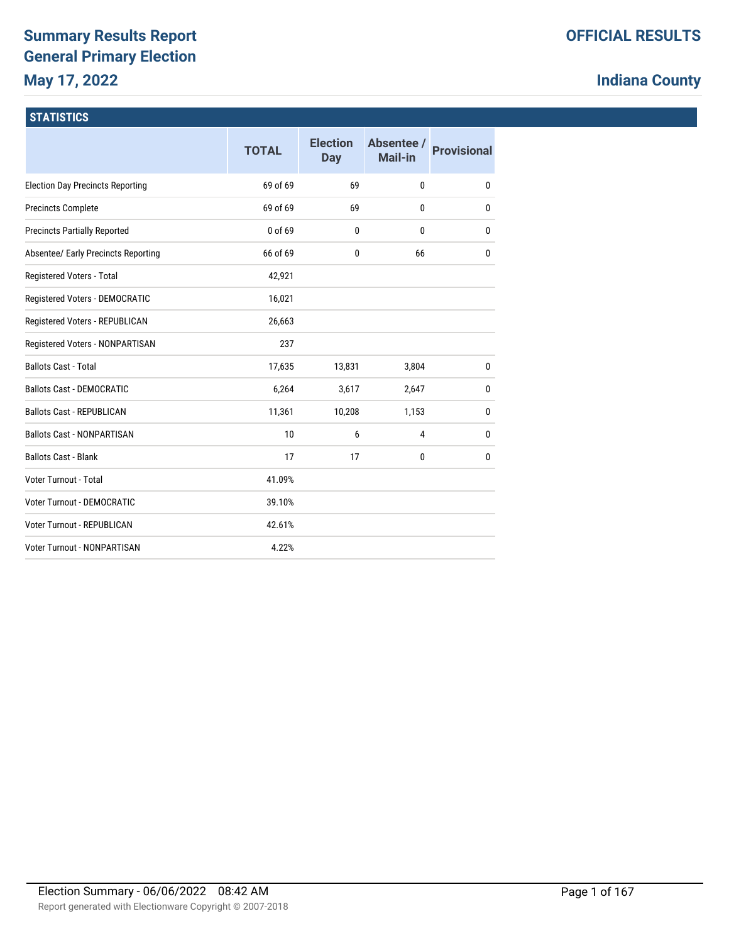# **Summary Results Report General Primary Election May 17, 2022**

# **Indiana County**

## **STATISTICS**

|                                         | <b>TOTAL</b> | <b>Election</b><br><b>Day</b> | Absentee /<br>Mail-in | <b>Provisional</b> |
|-----------------------------------------|--------------|-------------------------------|-----------------------|--------------------|
| <b>Election Day Precincts Reporting</b> | 69 of 69     | 69                            | 0                     | 0                  |
| <b>Precincts Complete</b>               | 69 of 69     | 69                            | $\mathbf{0}$          | $\mathbf{0}$       |
| <b>Precincts Partially Reported</b>     | 0 of 69      | 0                             | 0                     | 0                  |
| Absentee/ Early Precincts Reporting     | 66 of 69     | $\mathbf{0}$                  | 66                    | 0                  |
| Registered Voters - Total               | 42,921       |                               |                       |                    |
| Registered Voters - DEMOCRATIC          | 16,021       |                               |                       |                    |
| Registered Voters - REPUBLICAN          | 26,663       |                               |                       |                    |
| Registered Voters - NONPARTISAN         | 237          |                               |                       |                    |
| <b>Ballots Cast - Total</b>             | 17,635       | 13,831                        | 3,804                 | 0                  |
| <b>Ballots Cast - DEMOCRATIC</b>        | 6,264        | 3,617                         | 2,647                 | 0                  |
| <b>Ballots Cast - REPUBLICAN</b>        | 11,361       | 10,208                        | 1,153                 | 0                  |
| <b>Ballots Cast - NONPARTISAN</b>       | 10           | 6                             | 4                     | 0                  |
| <b>Ballots Cast - Blank</b>             | 17           | 17                            | 0                     | 0                  |
| Voter Turnout - Total                   | 41.09%       |                               |                       |                    |
| Voter Turnout - DEMOCRATIC              | 39.10%       |                               |                       |                    |
| <b>Voter Turnout - REPUBLICAN</b>       | 42.61%       |                               |                       |                    |
| Voter Turnout - NONPARTISAN             | 4.22%        |                               |                       |                    |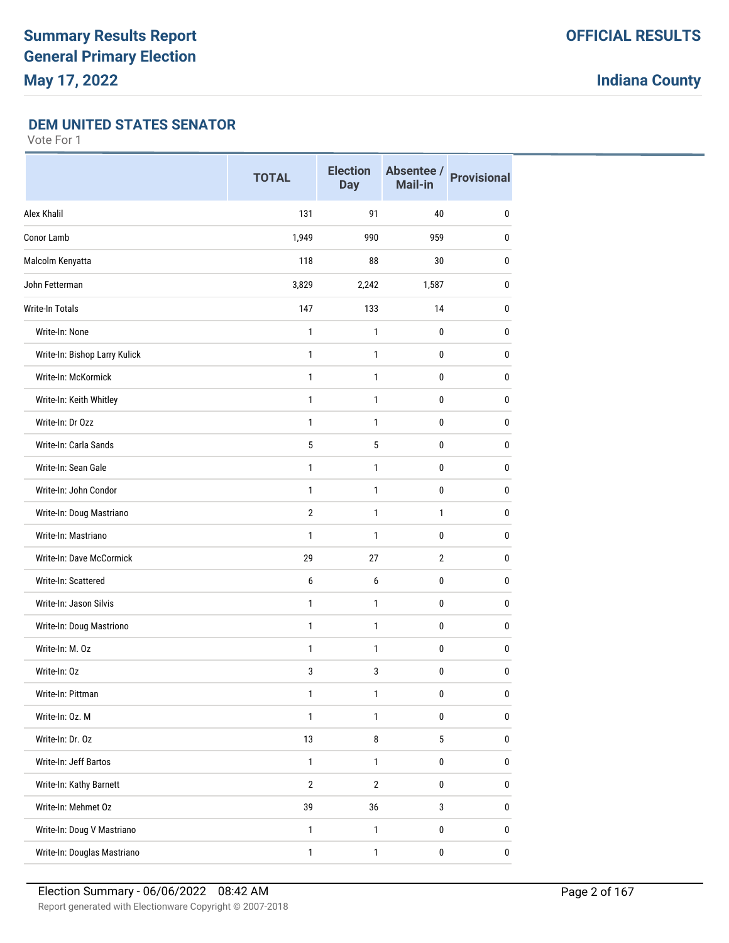### **DEM UNITED STATES SENATOR**

|                                 | <b>TOTAL</b>   | <b>Election</b><br><b>Day</b> | Absentee /<br>Mail-in | <b>Provisional</b> |
|---------------------------------|----------------|-------------------------------|-----------------------|--------------------|
| Alex Khalil                     | 131            | 91                            | 40                    | 0                  |
| Conor Lamb                      | 1,949          | 990                           | 959                   | $\bf{0}$           |
| Malcolm Kenyatta                | 118            | 88                            | 30                    | 0                  |
| John Fetterman                  | 3,829          | 2,242                         | 1,587                 | $\bf{0}$           |
| <b>Write-In Totals</b>          | 147            | 133                           | 14                    | $\bf{0}$           |
| Write-In: None                  | $\mathbf{1}$   | 1                             | 0                     | 0                  |
| Write-In: Bishop Larry Kulick   | 1              | 1                             | 0                     | $\bf{0}$           |
| Write-In: McKormick             | 1              | 1                             | 0                     | $\bf{0}$           |
| Write-In: Keith Whitley         | 1              | 1                             | 0                     | $\bf{0}$           |
| Write-In: Dr Ozz                | $\mathbf{1}$   | 1                             | 0                     | $\bf{0}$           |
| Write-In: Carla Sands           | 5              | 5                             | 0                     | $\bf{0}$           |
| Write-In: Sean Gale             | $\mathbf{1}$   | 1                             | 0                     | $\pmb{0}$          |
| Write-In: John Condor           | $\mathbf{1}$   | 1                             | 0                     | $\mathbf{0}$       |
| Write-In: Doug Mastriano        | $\overline{2}$ | 1                             | $\mathbf{1}$          | $\mathbf{0}$       |
| Write-In: Mastriano             | 1              | 1                             | 0                     | $\mathbf{0}$       |
| <b>Write-In: Dave McCormick</b> | 29             | 27                            | $\overline{2}$        | $\mathbf{0}$       |
| Write-In: Scattered             | 6              | 6                             | 0                     | $\mathbf{0}$       |
| Write-In: Jason Silvis          | 1              | 1                             | 0                     | 0                  |
| Write-In: Doug Mastriono        | 1              | 1                             | 0                     | $\mathbf{0}$       |
| Write-In: M. Oz                 | $\mathbf{1}$   | 1                             | 0                     | $\mathbf{0}$       |
| Write-In: Oz                    | 3              | 3                             | 0                     | 0                  |
| Write-In: Pittman               | $\mathbf{1}$   | 1                             | 0                     | $\pmb{0}$          |
| Write-In: Oz. M                 | $\mathbf{1}$   | $\mathbf{1}$                  | $\pmb{0}$             | $\pmb{0}$          |
| Write-In: Dr. Oz                | 13             | 8                             | 5                     | $\bf{0}$           |
| Write-In: Jeff Bartos           | $\mathbf{1}$   | $\mathbf{1}$                  | 0                     | $\pmb{0}$          |
| Write-In: Kathy Barnett         | $\overline{2}$ | $\mathbf{2}$                  | 0                     | $\pmb{0}$          |
| Write-In: Mehmet Oz             | 39             | 36                            | 3                     | $\pmb{0}$          |
| Write-In: Doug V Mastriano      | $\mathbf{1}$   | $\mathbf{1}$                  | 0                     | $\pmb{0}$          |
| Write-In: Douglas Mastriano     | $\mathbf{1}$   | $\mathbf{1}$                  | 0                     | $\pmb{0}$          |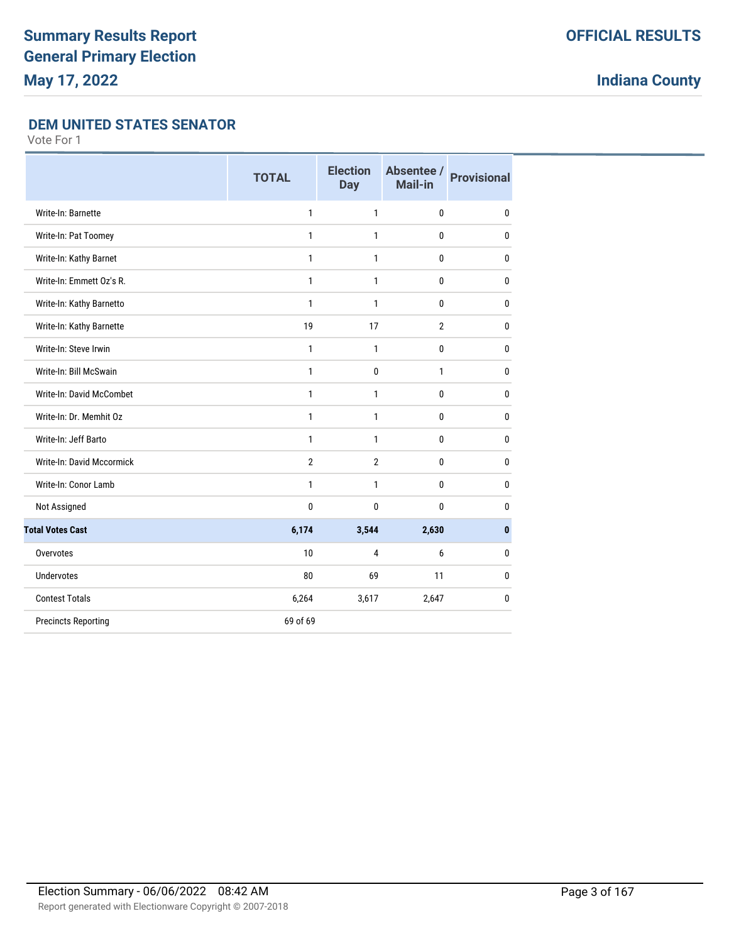## **DEM UNITED STATES SENATOR**

|                                  | <b>TOTAL</b>   | <b>Election</b><br><b>Day</b> | Absentee /<br><b>Mail-in</b> | <b>Provisional</b> |
|----------------------------------|----------------|-------------------------------|------------------------------|--------------------|
| Write-In: Barnette               | 1              | $\mathbf{1}$                  | $\mathbf{0}$                 | 0                  |
| Write-In: Pat Toomey             | 1              | 1                             | $\mathbf{0}$                 | 0                  |
| Write-In: Kathy Barnet           | 1              | $\mathbf{1}$                  | $\mathbf{0}$                 | 0                  |
| Write-In: Emmett Oz's R.         | $\mathbf{1}$   | $\mathbf{1}$                  | $\mathbf 0$                  | 0                  |
| Write-In: Kathy Barnetto         | 1              | 1                             | $\mathbf{0}$                 | 0                  |
| Write-In: Kathy Barnette         | 19             | 17                            | $\overline{2}$               | 0                  |
| Write-In: Steve Irwin            | 1              | $\mathbf{1}$                  | $\mathbf 0$                  | 0                  |
| Write-In: Bill McSwain           | 1              | $\mathbf 0$                   | $\mathbf{1}$                 | 0                  |
| Write-In: David McCombet         | $\mathbf{1}$   | 1                             | $\mathbf{0}$                 | $\bf{0}$           |
| Write-In: Dr. Memhit Oz          | 1              | 1                             | $\mathbf{0}$                 | 0                  |
| Write-In: Jeff Barto             | 1              | $\mathbf{1}$                  | $\mathbf{0}$                 | 0                  |
| <b>Write-In: David Mccormick</b> | $\overline{2}$ | $\overline{2}$                | $\mathbf 0$                  | 0                  |
| Write-In: Conor Lamb             | 1              | 1                             | $\mathbf 0$                  | 0                  |
| Not Assigned                     | 0              | 0                             | $\mathbf{0}$                 | 0                  |
| <b>Total Votes Cast</b>          | 6,174          | 3,544                         | 2,630                        | $\bf{0}$           |
| Overvotes                        | 10             | 4                             | 6                            | 0                  |
| <b>Undervotes</b>                | 80             | 69                            | 11                           | 0                  |
| <b>Contest Totals</b>            | 6,264          | 3,617                         | 2,647                        | 0                  |
| <b>Precincts Reporting</b>       | 69 of 69       |                               |                              |                    |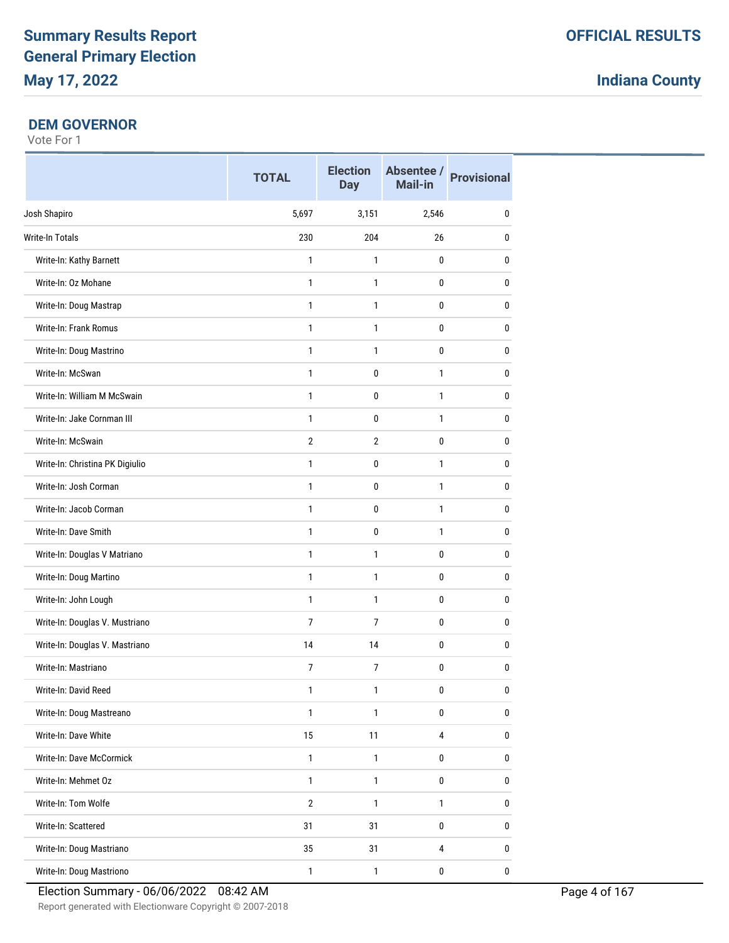### **DEM GOVERNOR**

|                                 | <b>TOTAL</b>   | <b>Election</b><br><b>Day</b> | Mail-in                 | Absentee / Provisional |
|---------------------------------|----------------|-------------------------------|-------------------------|------------------------|
| Josh Shapiro                    | 5,697          | 3,151                         | 2,546                   | 0                      |
| Write-In Totals                 | 230            | 204                           | 26                      | 0                      |
| Write-In: Kathy Barnett         | 1              | $\mathbf{1}$                  | 0                       | 0                      |
| Write-In: Oz Mohane             | 1              | $\mathbf{1}$                  | 0                       | $\mathbf{0}$           |
| Write-In: Doug Mastrap          | 1              | $\mathbf{1}$                  | 0                       | $\mathbf{0}$           |
| Write-In: Frank Romus           | $\mathbf{1}$   | $\mathbf{1}$                  | 0                       | $\pmb{0}$              |
| Write-In: Doug Mastrino         | 1              | 1                             | 0                       | 0                      |
| Write-In: McSwan                | 1              | 0                             | $\mathbf{1}$            | 0                      |
| Write-In: William M McSwain     | 1              | 0                             | $\mathbf{1}$            | $\pmb{0}$              |
| Write-In: Jake Cornman III      | 1              | $\mathbf{0}$                  | $\mathbf{1}$            | $\mathbf{0}$           |
| Write-In: McSwain               | $\overline{2}$ | $\overline{2}$                | 0                       | $\pmb{0}$              |
| Write-In: Christina PK Digiulio | 1              | 0                             | $\mathbf{1}$            | 0                      |
| Write-In: Josh Corman           | 1              | 0                             | $\mathbf{1}$            | 0                      |
| Write-In: Jacob Corman          | 1              | 0                             | $\mathbf{1}$            | 0                      |
| Write-In: Dave Smith            | 1              | 0                             | $\mathbf{1}$            | 0                      |
| Write-In: Douglas V Matriano    | 1              | $\mathbf{1}$                  | 0                       | $\mathbf{0}$           |
| Write-In: Doug Martino          | 1              | $\mathbf{1}$                  | 0                       | $\mathbf{0}$           |
| Write-In: John Lough            | $\mathbf{1}$   | $\mathbf{1}$                  | 0                       | $\pmb{0}$              |
| Write-In: Douglas V. Mustriano  | 7              | 7                             | 0                       | 0                      |
| Write-In: Douglas V. Mastriano  | 14             | 14                            | 0                       | 0                      |
| Write-In: Mastriano             | 7              | $\overline{7}$                | 0                       | $\pmb{0}$              |
| Write-In: David Reed            | 1              | 1                             | 0                       | 0                      |
| Write-In: Doug Mastreano        | $\mathbf{1}$   | $\mathbf{1}$                  | $\pmb{0}$               | $\bf{0}$               |
| Write-In: Dave White            | 15             | 11                            | $\overline{\mathbf{4}}$ | $\pmb{0}$              |
| Write-In: Dave McCormick        | $\mathbf{1}$   | $\mathbf{1}$                  | $\pmb{0}$               | 0                      |
| Write-In: Mehmet Oz             | $\mathbf{1}$   | $\mathbf{1}$                  | $\pmb{0}$               | $\pmb{0}$              |
| Write-In: Tom Wolfe             | $\overline{2}$ | $\mathbf{1}$                  | $\mathbf{1}$            | $\pmb{0}$              |
| Write-In: Scattered             | 31             | 31                            | $\pmb{0}$               | $\pmb{0}$              |
| Write-In: Doug Mastriano        | 35             | 31                            | $\overline{4}$          | $\pmb{0}$              |
| Write-In: Doug Mastriono        | $\mathbf{1}$   | $\mathbf{1}$                  | $\pmb{0}$               | $\pmb{0}$              |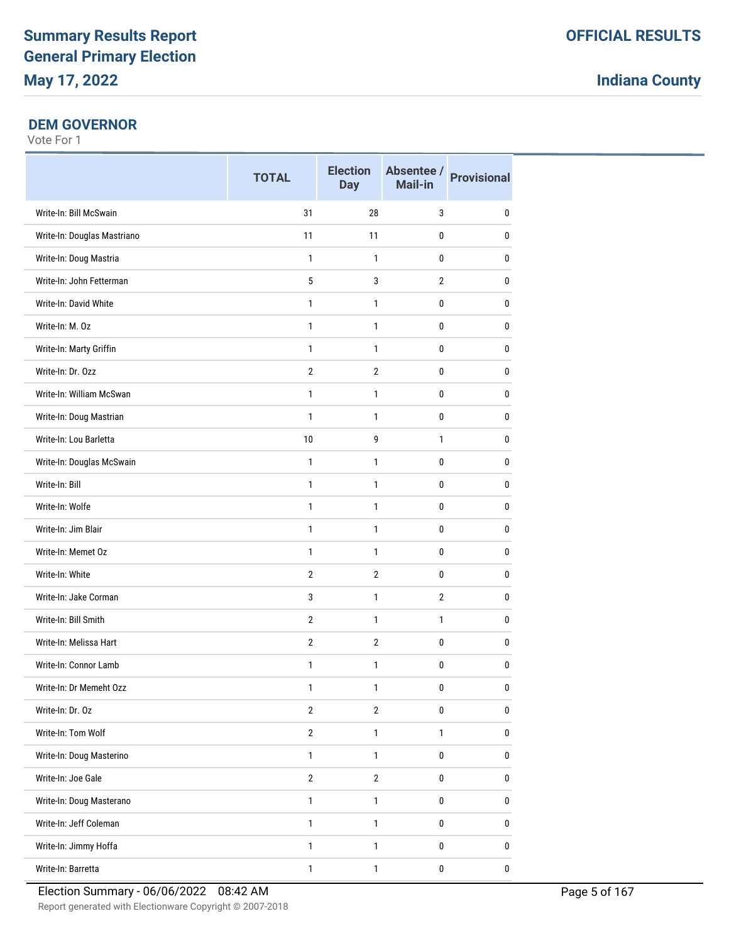### **DEM GOVERNOR**

|                             | <b>TOTAL</b>   | <b>Election</b><br><b>Day</b> | Mail-in        | Absentee / Provisional |
|-----------------------------|----------------|-------------------------------|----------------|------------------------|
| Write-In: Bill McSwain      | 31             | 28                            | 3              | 0                      |
| Write-In: Douglas Mastriano | 11             | 11                            | 0              | 0                      |
| Write-In: Doug Mastria      | $\mathbf{1}$   | $\mathbf{1}$                  | $\mathbf 0$    | $\mathbf 0$            |
| Write-In: John Fetterman    | 5              | 3                             | $\overline{2}$ | 0                      |
| Write-In: David White       | $\mathbf{1}$   | 1                             | 0              | 0                      |
| Write-In: M. Oz             | $\mathbf{1}$   | $\mathbf{1}$                  | 0              | 0                      |
| Write-In: Marty Griffin     | $\mathbf{1}$   | $\mathbf{1}$                  | 0              | $\mathbf{0}$           |
| Write-In: Dr. Ozz           | $\overline{2}$ | $\overline{2}$                | 0              | $\mathbf{0}$           |
| Write-In: William McSwan    | 1              | $\mathbf{1}$                  | $\mathbf 0$    | 0                      |
| Write-In: Doug Mastrian     | $\mathbf{1}$   | $\mathbf{1}$                  | 0              | $\mathbf{0}$           |
| Write-In: Lou Barletta      | 10             | 9                             | $\mathbf{1}$   | 0                      |
| Write-In: Douglas McSwain   | $\mathbf{1}$   | $\mathbf{1}$                  | 0              | $\mathbf{0}$           |
| Write-In: Bill              | $\mathbf{1}$   | $\mathbf{1}$                  | 0              | $\mathbf{0}$           |
| Write-In: Wolfe             | $\mathbf{1}$   | $\mathbf{1}$                  | 0              | $\mathbf{0}$           |
| Write-In: Jim Blair         | $\mathbf{1}$   | $\mathbf{1}$                  | $\mathbf 0$    | $\pmb{0}$              |
| Write-In: Memet Oz          | $\mathbf{1}$   | $\mathbf{1}$                  | 0              | $\mathbf{0}$           |
| Write-In: White             | $\overline{2}$ | $\overline{2}$                | 0              | 0                      |
| Write-In: Jake Corman       | 3              | $\mathbf{1}$                  | $\overline{2}$ | $\mathbf 0$            |
| Write-In: Bill Smith        | $\overline{2}$ | $\mathbf{1}$                  | $\mathbf{1}$   | $\mathbf{0}$           |
| Write-In: Melissa Hart      | $\overline{2}$ | $\overline{2}$                | 0              | $\mathbf{0}$           |
| Write-In: Connor Lamb       | $\mathbf{1}$   | $\mathbf{1}$                  | $\mathbf 0$    | 0                      |
| Write-In: Dr Memeht Ozz     | 1              | 1                             | 0              | $\mathbf 0$            |
| Write-In: Dr. Oz            | $\overline{2}$ | $\overline{2}$                | 0              | $\pmb{0}$              |
| Write-In: Tom Wolf          | $\overline{2}$ | $\mathbf{1}$                  | $\mathbf{1}$   | $\pmb{0}$              |
| Write-In: Doug Masterino    | $\mathbf{1}$   | $\mathbf{1}$                  | 0              | $\pmb{0}$              |
| Write-In: Joe Gale          | $\overline{2}$ | $\overline{2}$                | 0              | $\bf{0}$               |
| Write-In: Doug Masterano    | $\mathbf{1}$   | $\mathbf{1}$                  | 0              | $\pmb{0}$              |
| Write-In: Jeff Coleman      | $\mathbf{1}$   | 1                             | 0              | $\pmb{0}$              |
| Write-In: Jimmy Hoffa       | $\mathbf{1}$   | 1                             | 0              | 0                      |
| Write-In: Barretta          | $\mathbf{1}$   | $\mathbf{1}$                  | $\pmb{0}$      | $\pmb{0}$              |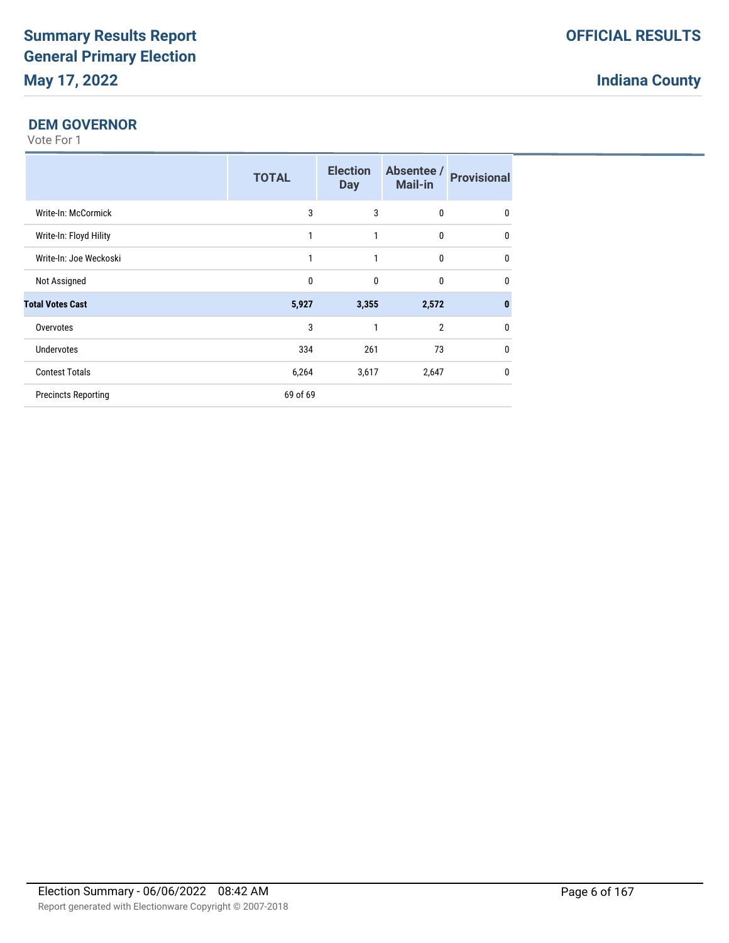## **DEM GOVERNOR**

|                            | <b>TOTAL</b> | <b>Election</b><br><b>Day</b> | Absentee /<br><b>Mail-in</b> | <b>Provisional</b> |
|----------------------------|--------------|-------------------------------|------------------------------|--------------------|
| Write-In: McCormick        | 3            | 3                             | $\mathbf{0}$                 | 0                  |
| Write-In: Floyd Hility     | 1            | 1                             | $\mathbf{0}$                 | $\mathbf{0}$       |
| Write-In: Joe Weckoski     | 1            | 1                             | $\mathbf{0}$                 | $\mathbf{0}$       |
| Not Assigned               | 0            | $\mathbf{0}$                  | $\mathbf{0}$                 | 0                  |
| <b>Total Votes Cast</b>    | 5,927        | 3,355                         | 2,572                        | $\bf{0}$           |
| Overvotes                  | 3            |                               | $\overline{2}$               | 0                  |
| <b>Undervotes</b>          | 334          | 261                           | 73                           | $\mathbf{0}$       |
| <b>Contest Totals</b>      | 6,264        | 3,617                         | 2,647                        | $\mathbf{0}$       |
| <b>Precincts Reporting</b> | 69 of 69     |                               |                              |                    |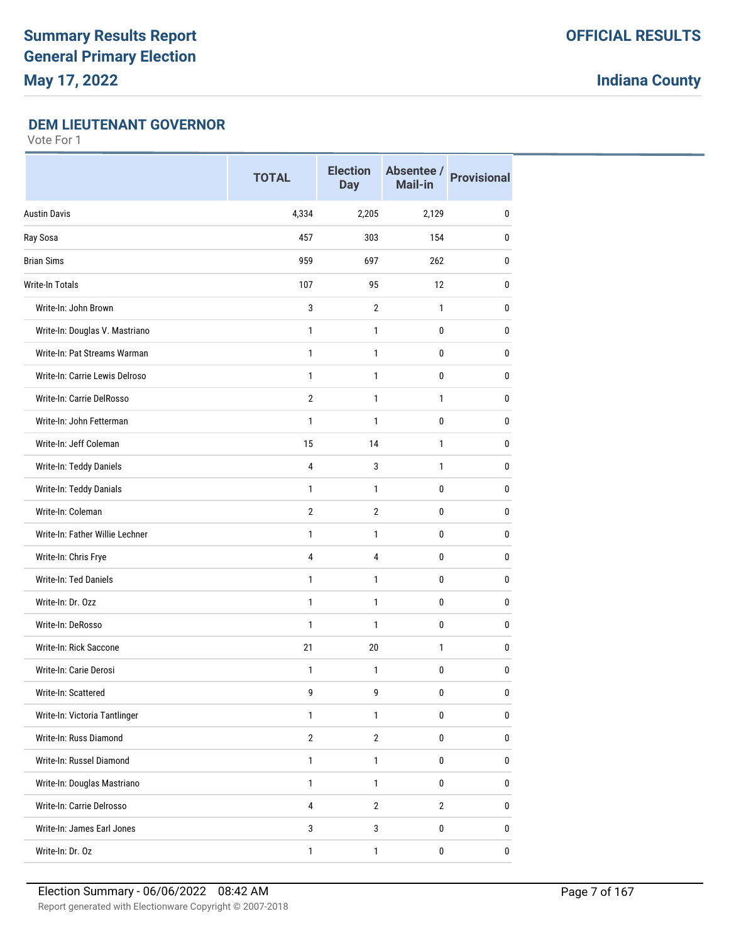### **DEM LIEUTENANT GOVERNOR**

|                                 | <b>TOTAL</b>            | <b>Election</b><br><b>Day</b> | Absentee /<br>Mail-in | <b>Provisional</b> |
|---------------------------------|-------------------------|-------------------------------|-----------------------|--------------------|
| <b>Austin Davis</b>             | 4,334                   | 2,205                         | 2,129                 | 0                  |
| Ray Sosa                        | 457                     | 303                           | 154                   | 0                  |
| <b>Brian Sims</b>               | 959                     | 697                           | 262                   | $\mathbf{0}$       |
| <b>Write-In Totals</b>          | 107                     | 95                            | 12                    | $\mathbf{0}$       |
| Write-In: John Brown            | 3                       | $\overline{2}$                | 1                     | $\mathbf{0}$       |
| Write-In: Douglas V. Mastriano  | $\mathbf{1}$            | 1                             | 0                     | 0                  |
| Write-In: Pat Streams Warman    | $\mathbf{1}$            | 1                             | 0                     | 0                  |
| Write-In: Carrie Lewis Delroso  | 1                       | 1                             | 0                     | 0                  |
| Write-In: Carrie DelRosso       | $\overline{2}$          | 1                             | 1                     | $\mathbf{0}$       |
| Write-In: John Fetterman        | $\mathbf{1}$            | 1                             | 0                     | 0                  |
| Write-In: Jeff Coleman          | 15                      | 14                            | 1                     | 0                  |
| Write-In: Teddy Daniels         | $\overline{4}$          | 3                             | $\mathbf{1}$          | $\pmb{0}$          |
| Write-In: Teddy Danials         | $\mathbf{1}$            | 1                             | 0                     | 0                  |
| Write-In: Coleman               | $\overline{2}$          | $\overline{2}$                | 0                     | 0                  |
| Write-In: Father Willie Lechner | 1                       | 1                             | 0                     | $\mathbf{0}$       |
| Write-In: Chris Frye            | 4                       | 4                             | 0                     | 0                  |
| Write-In: Ted Daniels           | $\mathbf{1}$            | 1                             | 0                     | $\mathbf{0}$       |
| Write-In: Dr. Ozz               | $\mathbf{1}$            | 1                             | 0                     | 0                  |
| Write-In: DeRosso               | $\mathbf{1}$            | 1                             | 0                     | 0                  |
| Write-In: Rick Saccone          | 21                      | 20                            | 1                     | 0                  |
| Write-In: Carie Derosi          | 1                       | 1                             | 0                     | $\mathbf{0}$       |
| Write-In: Scattered             | 9                       | 9                             | 0                     | $\pmb{0}$          |
| Write-In: Victoria Tantlinger   | $\mathbf{1}$            | $\mathbf{1}$                  | 0                     | $\pmb{0}$          |
| Write-In: Russ Diamond          | $\overline{2}$          | $\overline{2}$                | 0                     | $\pmb{0}$          |
| Write-In: Russel Diamond        | $\mathbf{1}$            | $\mathbf{1}$                  | $\pmb{0}$             | $\pmb{0}$          |
| Write-In: Douglas Mastriano     | $\mathbf{1}$            | 1                             | 0                     | 0                  |
| Write-In: Carrie Delrosso       | $\overline{\mathbf{4}}$ | $\overline{2}$                | $\mathbf{2}$          | $\pmb{0}$          |
| Write-In: James Earl Jones      | $\mathbf{3}$            | $\mathbf{3}$                  | $\pmb{0}$             | $\pmb{0}$          |
| Write-In: Dr. Oz                | $\mathbf{1}$            | $\mathbf{1}$                  | 0                     | 0                  |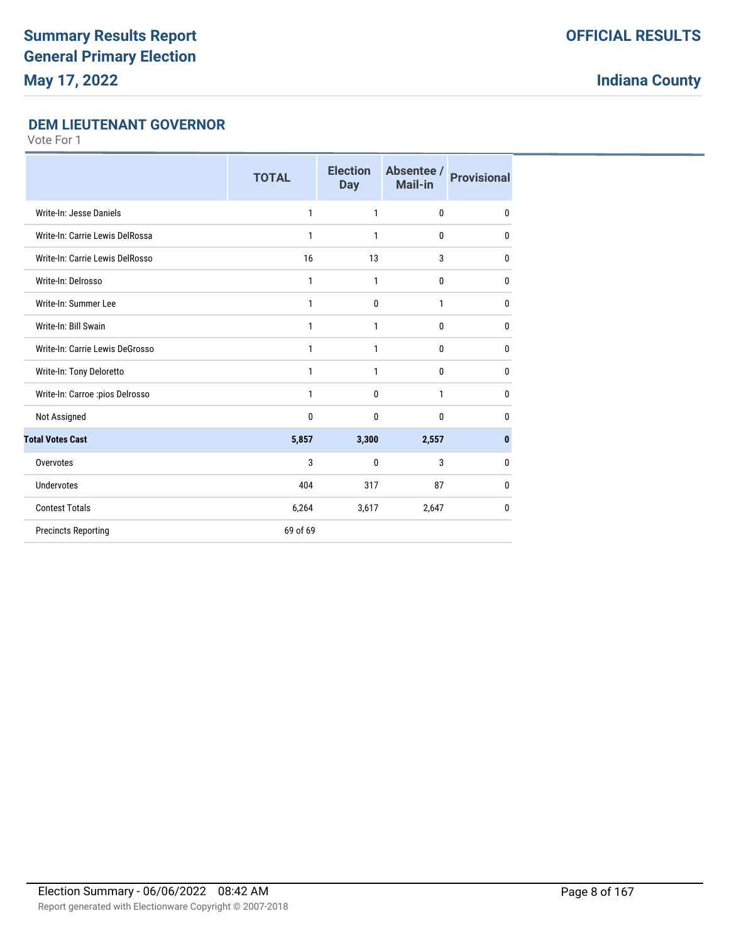## **DEM LIEUTENANT GOVERNOR**

|                                 | <b>TOTAL</b> | <b>Election</b><br><b>Day</b> | Absentee /<br><b>Mail-in</b> | <b>Provisional</b> |
|---------------------------------|--------------|-------------------------------|------------------------------|--------------------|
| Write-In: Jesse Daniels         | 1            | 1                             | $\mathbf{0}$                 | 0                  |
| Write-In: Carrie Lewis DelRossa | 1            | 1                             | 0                            | 0                  |
| Write-In: Carrie Lewis DelRosso | 16           | 13                            | 3                            | $\mathbf{0}$       |
| Write-In: Delrosso              | 1            | $\mathbf{1}$                  | 0                            | 0                  |
| Write-In: Summer Lee            | 1            | $\mathbf{0}$                  | 1                            | $\mathbf{0}$       |
| Write-In: Bill Swain            | 1            | 1                             | $\mathbf{0}$                 | 0                  |
| Write-In: Carrie Lewis DeGrosso | 1            | $\mathbf{1}$                  | 0                            | 0                  |
| Write-In: Tony Deloretto        | 1            | 1                             | 0                            | 0                  |
| Write-In: Carroe :pios Delrosso | 1            | $\mathbf 0$                   | $\mathbf{1}$                 | 0                  |
| Not Assigned                    | 0            | $\mathbf{0}$                  | $\mathbf{0}$                 | 0                  |
| <b>Total Votes Cast</b>         | 5,857        | 3,300                         | 2,557                        | 0                  |
| Overvotes                       | 3            | $\mathbf{0}$                  | 3                            | 0                  |
| <b>Undervotes</b>               | 404          | 317                           | 87                           | $\mathbf{0}$       |
| <b>Contest Totals</b>           | 6,264        | 3,617                         | 2,647                        | 0                  |
| <b>Precincts Reporting</b>      | 69 of 69     |                               |                              |                    |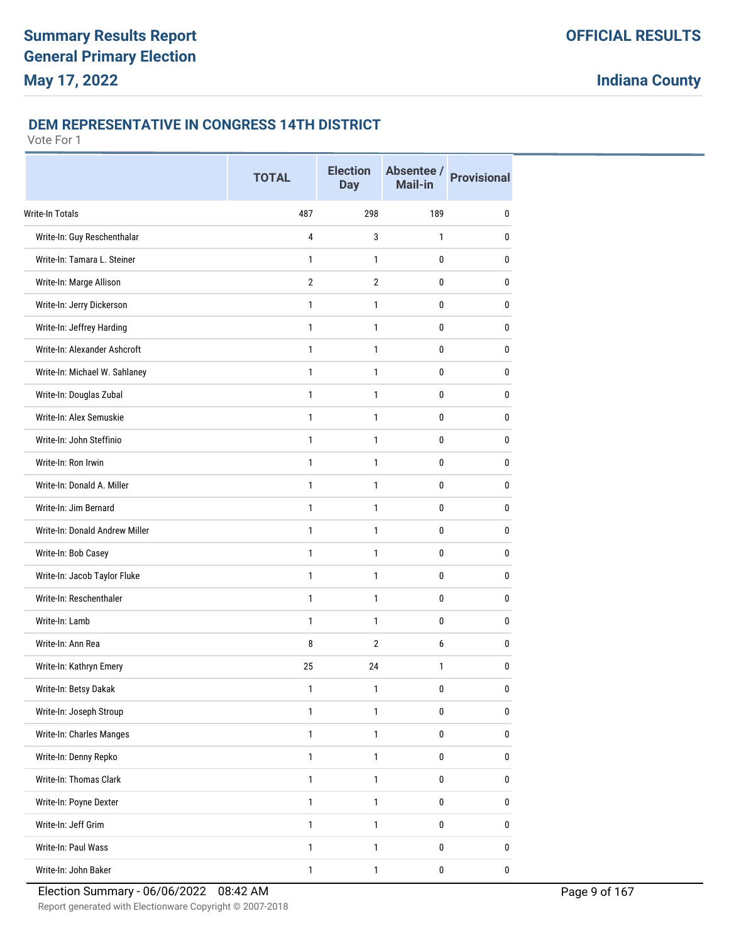#### **DEM REPRESENTATIVE IN CONGRESS 14TH DISTRICT**

|                                | <b>TOTAL</b>   | <b>Election</b><br><b>Day</b> | Absentee /<br>Mail-in | <b>Provisional</b> |
|--------------------------------|----------------|-------------------------------|-----------------------|--------------------|
| <b>Write-In Totals</b>         | 487            | 298                           | 189                   | 0                  |
| Write-In: Guy Reschenthalar    | $\overline{4}$ | 3                             | $\mathbf{1}$          | 0                  |
| Write-In: Tamara L. Steiner    | 1              | 1                             | $\mathbf 0$           | 0                  |
| Write-In: Marge Allison        | $\overline{2}$ | $\overline{2}$                | 0                     | 0                  |
| Write-In: Jerry Dickerson      | $\mathbf{1}$   | $\mathbf{1}$                  | 0                     | 0                  |
| Write-In: Jeffrey Harding      | 1              | 1                             | 0                     | 0                  |
| Write-In: Alexander Ashcroft   | $\mathbf{1}$   | 1                             | 0                     | 0                  |
| Write-In: Michael W. Sahlaney  | $\mathbf{1}$   | 1                             | 0                     | 0                  |
| Write-In: Douglas Zubal        | $\mathbf{1}$   | $\mathbf{1}$                  | 0                     | $\pmb{0}$          |
| Write-In: Alex Semuskie        | 1              | 1                             | 0                     | 0                  |
| Write-In: John Steffinio       | $\mathbf{1}$   | 1                             | 0                     | 0                  |
| Write-In: Ron Irwin            | 1              | 1                             | 0                     | 0                  |
| Write-In: Donald A. Miller     | $\mathbf{1}$   | 1                             | 0                     | 0                  |
| Write-In: Jim Bernard          | $\mathbf{1}$   | 1                             | 0                     | 0                  |
| Write-In: Donald Andrew Miller | 1              | 1                             | 0                     | 0                  |
| Write-In: Bob Casey            | $\mathbf{1}$   | 1                             | 0                     | 0                  |
| Write-In: Jacob Taylor Fluke   | $\mathbf{1}$   | $\mathbf{1}$                  | 0                     | 0                  |
| Write-In: Reschenthaler        | 1              | 1                             | 0                     | 0                  |
| Write-In: Lamb                 | $\mathbf{1}$   | 1                             | 0                     | 0                  |
| Write-In: Ann Rea              | 8              | $\overline{2}$                | 6                     | 0                  |
| Write-In: Kathryn Emery        | 25             | 24                            | 1                     | $\pmb{0}$          |
| Write-In: Betsy Dakak          | 1              | 1                             | 0                     | 0                  |
| Write-In: Joseph Stroup        | $\mathbf{1}$   | $\mathbf{1}$                  | 0                     | $\bf{0}$           |
| Write-In: Charles Manges       | $\mathbf{1}$   | $\mathbf{1}$                  | $\pmb{0}$             | $\pmb{0}$          |
| Write-In: Denny Repko          | $\mathbf{1}$   | $\mathbf{1}$                  | $\bf{0}$              | $\bf{0}$           |
| Write-In: Thomas Clark         | $\mathbf{1}$   | $\mathbf{1}$                  | $\bf{0}$              | 0                  |
| Write-In: Poyne Dexter         | $\mathbf{1}$   | $\mathbf{1}$                  | $\pmb{0}$             | $\pmb{0}$          |
| Write-In: Jeff Grim            | $\mathbf{1}$   | $\mathbf{1}$                  | $\bf{0}$              | 0                  |
| Write-In: Paul Wass            | $\mathbf{1}$   | $\mathbf{1}$                  | $\bf{0}$              | 0                  |
| Write-In: John Baker           | $\mathbf{1}$   | $\mathbf{1}$                  | $\pmb{0}$             | $\bf 0$            |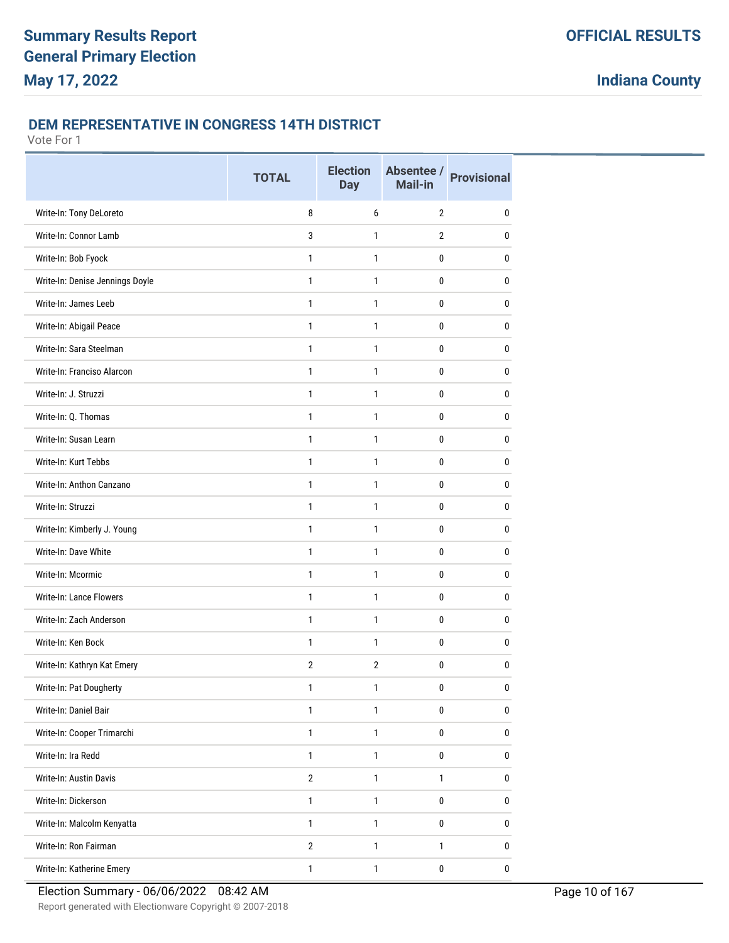#### **DEM REPRESENTATIVE IN CONGRESS 14TH DISTRICT**

|                                 | <b>TOTAL</b>   | <b>Election</b><br><b>Day</b> | Absentee /<br>Mail-in | <b>Provisional</b> |
|---------------------------------|----------------|-------------------------------|-----------------------|--------------------|
| Write-In: Tony DeLoreto         | 8              | 6                             | $\overline{2}$        | 0                  |
| Write-In: Connor Lamb           | 3              | 1                             | $\overline{2}$        | $\mathbf{0}$       |
| Write-In: Bob Fyock             | 1              | 1                             | 0                     | 0                  |
| Write-In: Denise Jennings Doyle | $\mathbf{1}$   | $\mathbf{1}$                  | 0                     | 0                  |
| Write-In: James Leeb            | 1              | 1                             | 0                     | 0                  |
| Write-In: Abigail Peace         | 1              | 1                             | 0                     | 0                  |
| Write-In: Sara Steelman         | $\mathbf{1}$   | 1                             | 0                     | $\mathbf{0}$       |
| Write-In: Franciso Alarcon      | $\mathbf{1}$   | 1                             | 0                     | $\mathbf{0}$       |
| Write-In: J. Struzzi            | $\mathbf{1}$   | 1                             | 0                     | $\mathbf{0}$       |
| Write-In: Q. Thomas             | 1              | 1                             | 0                     | $\mathbf{0}$       |
| Write-In: Susan Learn           | 1              | 1                             | 0                     | $\mathbf{0}$       |
| Write-In: Kurt Tebbs            | 1              | 1                             | 0                     | 0                  |
| Write-In: Anthon Canzano        | 1              | 1                             | 0                     | $\mathbf{0}$       |
| Write-In: Struzzi               | $\mathbf{1}$   | 1                             | 0                     | $\mathbf{0}$       |
| Write-In: Kimberly J. Young     | $\mathbf{1}$   | 1                             | 0                     | 0                  |
| Write-In: Dave White            | $\mathbf{1}$   | $\mathbf{1}$                  | 0                     | 0                  |
| Write-In: Mcormic               | 1              | 1                             | 0                     | 0                  |
| <b>Write-In: Lance Flowers</b>  | 1              | 1                             | 0                     | 0                  |
| Write-In: Zach Anderson         | $\mathbf{1}$   | 1                             | 0                     | $\mathbf{0}$       |
| Write-In: Ken Bock              | $\mathbf{1}$   | 1                             | 0                     | 0                  |
| Write-In: Kathryn Kat Emery     | $\overline{2}$ | $\overline{2}$                | 0                     | $\mathbf{0}$       |
| Write-In: Pat Dougherty         | 1              | 1                             | 0                     | $\pmb{0}$          |
| Write-In: Daniel Bair           | $\mathbf{1}$   | $\mathbf{1}$                  | 0                     | $\pmb{0}$          |
| Write-In: Cooper Trimarchi      | $\mathbf{1}$   | $\mathbf{1}$                  | 0                     | 0                  |
| Write-In: Ira Redd              | $\mathbf{1}$   | $\mathbf{1}$                  | $\pmb{0}$             | $\pmb{0}$          |
| Write-In: Austin Davis          | $\sqrt{2}$     | $\mathbf{1}$                  | $\mathbf{1}$          | $\pmb{0}$          |
| Write-In: Dickerson             | $\mathbf{1}$   | $\mathbf{1}$                  | 0                     | $\pmb{0}$          |
| Write-In: Malcolm Kenyatta      | $\mathbf{1}$   | $\mathbf{1}$                  | $\pmb{0}$             | $\pmb{0}$          |
| Write-In: Ron Fairman           | $\sqrt{2}$     | $\mathbf{1}$                  | $\mathbf{1}$          | 0                  |
| Write-In: Katherine Emery       | $\mathbf{1}$   | $\mathbf{1}$                  | 0                     | 0                  |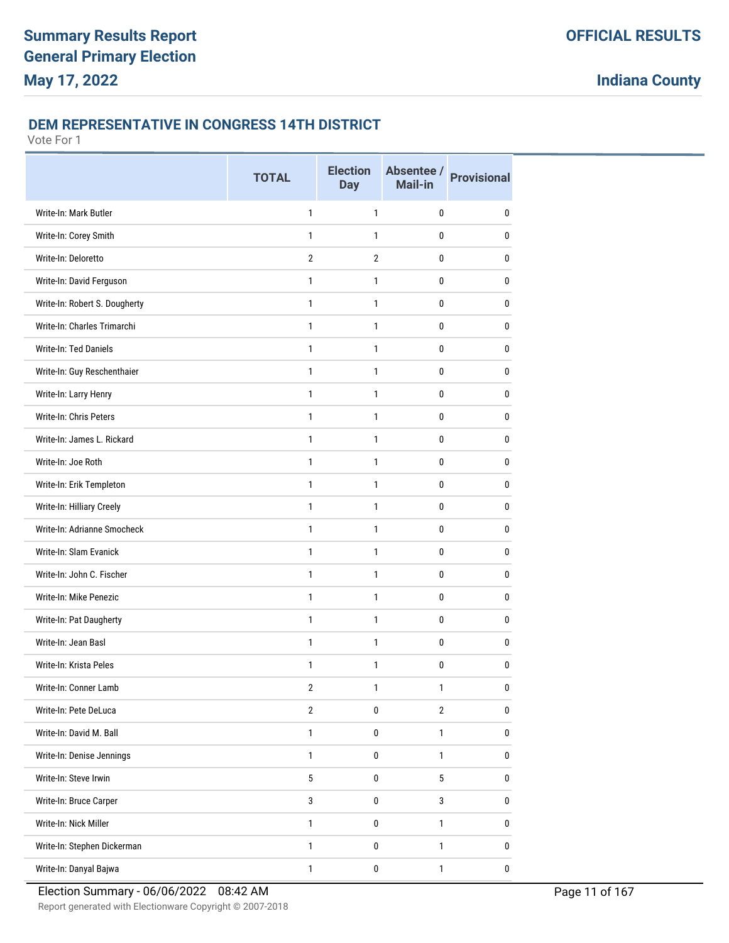#### **DEM REPRESENTATIVE IN CONGRESS 14TH DISTRICT**

|                               | <b>TOTAL</b>     | <b>Election</b><br><b>Day</b> | Absentee /<br>Mail-in | <b>Provisional</b> |
|-------------------------------|------------------|-------------------------------|-----------------------|--------------------|
| Write-In: Mark Butler         | 1                | $\mathbf{1}$                  | 0                     | 0                  |
| Write-In: Corey Smith         | 1                | 1                             | 0                     | 0                  |
| Write-In: Deloretto           | $\overline{2}$   | $\overline{2}$                | 0                     | 0                  |
| Write-In: David Ferguson      | $\mathbf{1}$     | $\mathbf{1}$                  | 0                     | 0                  |
| Write-In: Robert S. Dougherty | 1                | 1                             | 0                     | 0                  |
| Write-In: Charles Trimarchi   | 1                | 1                             | 0                     | 0                  |
| Write-In: Ted Daniels         | 1                | 1                             | 0                     | 0                  |
| Write-In: Guy Reschenthaier   | 1                | $\mathbf{1}$                  | 0                     | 0                  |
| Write-In: Larry Henry         | $\mathbf{1}$     | 1                             | 0                     | 0                  |
| Write-In: Chris Peters        | $\mathbf{1}$     | 1                             | 0                     | 0                  |
| Write-In: James L. Rickard    | 1                | $\mathbf{1}$                  | 0                     | 0                  |
| Write-In: Joe Roth            | 1                | 1                             | 0                     | 0                  |
| Write-In: Erik Templeton      | 1                | 1                             | 0                     | 0                  |
| Write-In: Hilliary Creely     | 1                | 1                             | 0                     | 0                  |
| Write-In: Adrianne Smocheck   | 1                | 1                             | 0                     | 0                  |
| Write-In: Slam Evanick        | $\mathbf{1}$     | $\mathbf{1}$                  | 0                     | 0                  |
| Write-In: John C. Fischer     | 1                | 1                             | 0                     | 0                  |
| Write-In: Mike Penezic        | 1                | 1                             | 0                     | 0                  |
| Write-In: Pat Daugherty       | 1                | 1                             | 0                     | 0                  |
| Write-In: Jean Basl           | 1                | $\mathbf{1}$                  | 0                     | 0                  |
| Write-In: Krista Peles        | 1                | 1                             | 0                     | 0                  |
| Write-In: Conner Lamb         | $\boldsymbol{2}$ | 1                             | 1                     | $\pmb{0}$          |
| Write-In: Pete DeLuca         | $\overline{2}$   | $\pmb{0}$                     | $\overline{2}$        | $\pmb{0}$          |
| Write-In: David M. Ball       | $\mathbf{1}$     | $\pmb{0}$                     | $\mathbf{1}$          | 0                  |
| Write-In: Denise Jennings     | $\mathbf{1}$     | $\pmb{0}$                     | $\mathbf{1}$          | $\pmb{0}$          |
| Write-In: Steve Irwin         | 5                | $\mathbf 0$                   | 5                     | 0                  |
| Write-In: Bruce Carper        | $\mathbf{3}$     | $\pmb{0}$                     | 3                     | $\pmb{0}$          |
| Write-In: Nick Miller         | $\mathbf{1}$     | $\pmb{0}$                     | $\mathbf{1}$          | 0                  |
| Write-In: Stephen Dickerman   | $\mathbf{1}$     | $\pmb{0}$                     | $\mathbf{1}$          | 0                  |
| Write-In: Danyal Bajwa        | 1                | $\pmb{0}$                     | $\mathbf{1}$          | 0                  |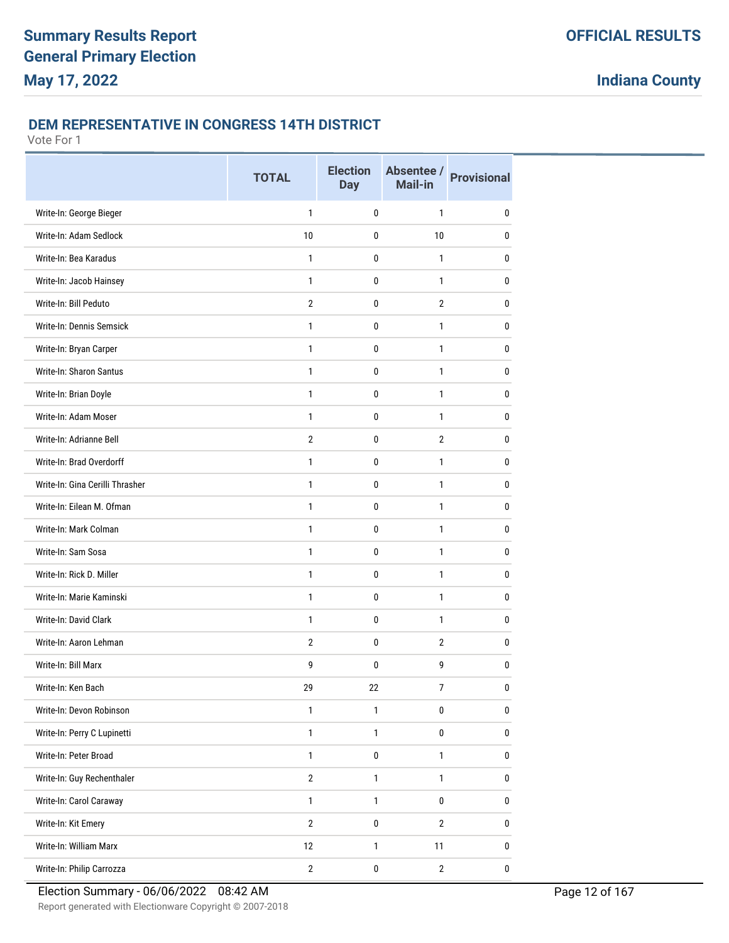## **DEM REPRESENTATIVE IN CONGRESS 14TH DISTRICT**

|                                 | <b>TOTAL</b>   | <b>Election</b><br><b>Day</b> | Absentee /<br>Mail-in | <b>Provisional</b> |
|---------------------------------|----------------|-------------------------------|-----------------------|--------------------|
| Write-In: George Bieger         | $\mathbf{1}$   | 0                             | $\mathbf{1}$          | 0                  |
| Write-In: Adam Sedlock          | 10             | $\mathbf{0}$                  | 10                    | 0                  |
| Write-In: Bea Karadus           | 1              | 0                             | $\mathbf{1}$          | 0                  |
| Write-In: Jacob Hainsey         | $\mathbf{1}$   | 0                             | $\mathbf{1}$          | 0                  |
| Write-In: Bill Peduto           | $\overline{2}$ | 0                             | $\overline{2}$        | 0                  |
| Write-In: Dennis Semsick        | $\mathbf{1}$   | 0                             | 1                     | 0                  |
| Write-In: Bryan Carper          | $\mathbf{1}$   | 0                             | 1                     | 0                  |
| Write-In: Sharon Santus         | $\mathbf{1}$   | 0                             | 1                     | 0                  |
| Write-In: Brian Doyle           | $\mathbf{1}$   | 0                             | 1                     | 0                  |
| Write-In: Adam Moser            | $\mathbf{1}$   | 0                             | 1                     | 0                  |
| Write-In: Adrianne Bell         | $\overline{2}$ | 0                             | $\overline{2}$        | 0                  |
| Write-In: Brad Overdorff        | 1              | 0                             | 1                     | 0                  |
| Write-In: Gina Cerilli Thrasher | $\mathbf{1}$   | 0                             | 1                     | 0                  |
| Write-In: Eilean M. Ofman       | $\mathbf{1}$   | $\mathbf{0}$                  | 1                     | 0                  |
| Write-In: Mark Colman           | $\mathbf{1}$   | 0                             | 1                     | 0                  |
| Write-In: Sam Sosa              | $\mathbf{1}$   | 0                             | 1                     | 0                  |
| Write-In: Rick D. Miller        | $\mathbf{1}$   | 0                             | 1                     | 0                  |
| Write-In: Marie Kaminski        | $\mathbf{1}$   | 0                             | 1                     | 0                  |
| Write-In: David Clark           | $\mathbf{1}$   | 0                             | 1                     | 0                  |
| Write-In: Aaron Lehman          | $\overline{2}$ | 0                             | $\overline{2}$        | 0                  |
| Write-In: Bill Marx             | 9              | 0                             | 9                     | 0                  |
| Write-In: Ken Bach              | 29             | 22                            | 7                     | $\pmb{0}$          |
| Write-In: Devon Robinson        | $\mathbf{1}$   | $\mathbf{1}$                  | 0                     | 0                  |
| Write-In: Perry C Lupinetti     | $\mathbf{1}$   | $\mathbf{1}$                  | $\bf{0}$              | 0                  |
| Write-In: Peter Broad           | $\mathbf{1}$   | 0                             | $\mathbf{1}$          | 0                  |
| Write-In: Guy Rechenthaler      | $\sqrt{2}$     | $\mathbf{1}$                  | $\mathbf{1}$          | $\bf{0}$           |
| Write-In: Carol Caraway         | $\mathbf{1}$   | $\mathbf{1}$                  | $\pmb{0}$             | $\bf{0}$           |
| Write-In: Kit Emery             | $\overline{2}$ | $\pmb{0}$                     | $\overline{2}$        | $\mathbf 0$        |
| Write-In: William Marx          | 12             | $\mathbf{1}$                  | 11                    | 0                  |
| Write-In: Philip Carrozza       | $\mathbf{2}$   | $\pmb{0}$                     | $\sqrt{2}$            | 0                  |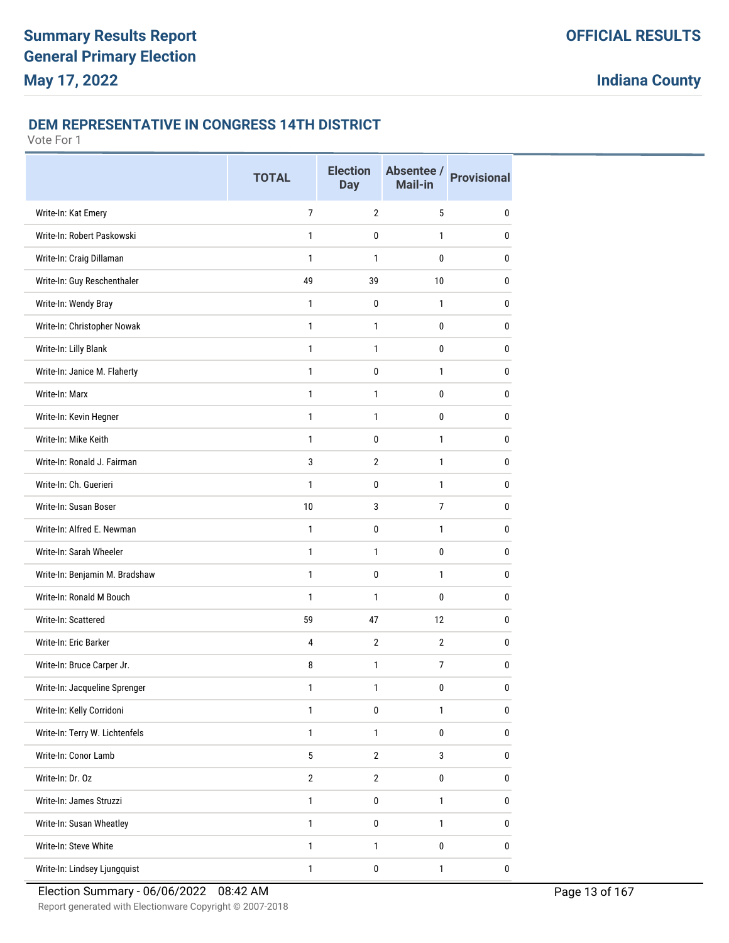## **DEM REPRESENTATIVE IN CONGRESS 14TH DISTRICT**

|                                | <b>TOTAL</b>    | <b>Election</b><br><b>Day</b> | Absentee /<br>Mail-in | <b>Provisional</b> |
|--------------------------------|-----------------|-------------------------------|-----------------------|--------------------|
| Write-In: Kat Emery            | $\overline{7}$  | $\overline{2}$                | 5                     | 0                  |
| Write-In: Robert Paskowski     | $\mathbf{1}$    | $\mathbf{0}$                  | 1                     | $\mathbf{0}$       |
| Write-In: Craig Dillaman       | 1               | $\mathbf{1}$                  | 0                     | $\mathbf{0}$       |
| Write-In: Guy Reschenthaler    | 49              | 39                            | 10                    | 0                  |
| Write-In: Wendy Bray           | 1               | 0                             | $\mathbf{1}$          | 0                  |
| Write-In: Christopher Nowak    | $\mathbf{1}$    | 1                             | 0                     | $\mathbf{0}$       |
| Write-In: Lilly Blank          | $\mathbf{1}$    | $\mathbf{1}$                  | 0                     | 0                  |
| Write-In: Janice M. Flaherty   | $\mathbf{1}$    | 0                             | 1                     | $\mathbf{0}$       |
| Write-In: Marx                 | $\mathbf{1}$    | 1                             | 0                     | $\mathbf{0}$       |
| Write-In: Kevin Hegner         | $\mathbf{1}$    | 1                             | 0                     | 0                  |
| Write-In: Mike Keith           | $\mathbf{1}$    | 0                             | $\mathbf{1}$          | $\mathbf{0}$       |
| Write-In: Ronald J. Fairman    | 3               | $\overline{2}$                | 1                     | $\mathbf{0}$       |
| Write-In: Ch. Guerieri         | $\mathbf{1}$    | 0                             | 1                     | 0                  |
| Write-In: Susan Boser          | 10              | 3                             | $\overline{7}$        | $\mathbf{0}$       |
| Write-In: Alfred E. Newman     | 1               | 0                             | 1                     | $\mathbf{0}$       |
| Write-In: Sarah Wheeler        | $\mathbf{1}$    | 1                             | 0                     | 0                  |
| Write-In: Benjamin M. Bradshaw | $\mathbf{1}$    | 0                             | 1                     | 0                  |
| Write-In: Ronald M Bouch       | 1               | 1                             | 0                     | $\mathbf{0}$       |
| Write-In: Scattered            | 59              | 47                            | 12                    | 0                  |
| Write-In: Eric Barker          | 4               | $\overline{2}$                | $\overline{2}$        | $\mathbf{0}$       |
| Write-In: Bruce Carper Jr.     | 8               | 1                             | 7                     | $\mathbf{0}$       |
| Write-In: Jacqueline Sprenger  | 1               | 1                             | 0                     | $\pmb{0}$          |
| Write-In: Kelly Corridoni      | $\mathbf{1}$    | 0                             | $\mathbf{1}$          | $\bf{0}$           |
| Write-In: Terry W. Lichtenfels | $\mathbf{1}$    | $\mathbf{1}$                  | 0                     | $\pmb{0}$          |
| Write-In: Conor Lamb           | $5\phantom{.0}$ | $\overline{2}$                | 3                     | $\pmb{0}$          |
| Write-In: Dr. Oz               | $\overline{2}$  | $\overline{2}$                | $\bf{0}$              | $\pmb{0}$          |
| Write-In: James Struzzi        | $\mathbf{1}$    | 0                             | $\mathbf{1}$          | $\pmb{0}$          |
| Write-In: Susan Wheatley       | $\mathbf{1}$    | 0                             | $\mathbf{1}$          | 0                  |
| Write-In: Steve White          | $\mathbf{1}$    | $\mathbf{1}$                  | 0                     | 0                  |
| Write-In: Lindsey Ljungquist   | $\mathbf{1}$    | 0                             | $\mathbf{1}$          | 0                  |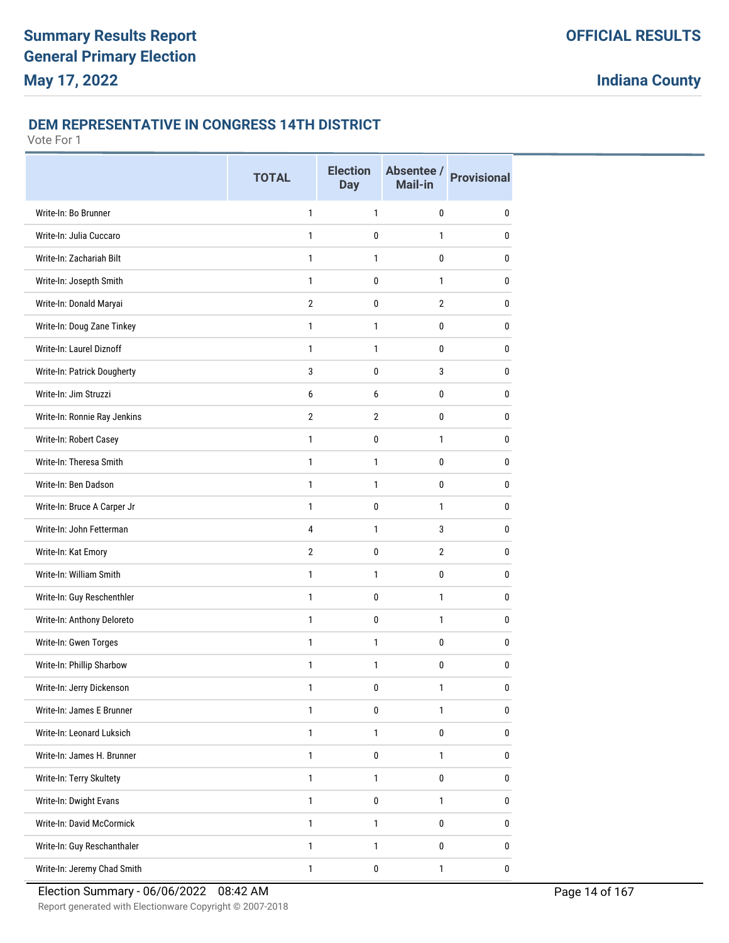#### **DEM REPRESENTATIVE IN CONGRESS 14TH DISTRICT**

|                              | <b>TOTAL</b>   | <b>Election</b><br><b>Day</b> | Absentee /<br>Mail-in | <b>Provisional</b> |
|------------------------------|----------------|-------------------------------|-----------------------|--------------------|
| Write-In: Bo Brunner         | 1              | 1                             | 0                     | 0                  |
| Write-In: Julia Cuccaro      | $\mathbf{1}$   | 0                             | 1                     | $\mathbf{0}$       |
| Write-In: Zachariah Bilt     | $\mathbf{1}$   | 1                             | 0                     | 0                  |
| Write-In: Josepth Smith      | $\mathbf{1}$   | $\mathbf 0$                   | $\mathbf{1}$          | 0                  |
| Write-In: Donald Maryai      | $\overline{2}$ | 0                             | $\overline{2}$        | 0                  |
| Write-In: Doug Zane Tinkey   | $\mathbf{1}$   | 1                             | 0                     | 0                  |
| Write-In: Laurel Diznoff     | 1              | 1                             | 0                     | $\mathbf{0}$       |
| Write-In: Patrick Dougherty  | 3              | 0                             | 3                     | $\mathbf{0}$       |
| Write-In: Jim Struzzi        | 6              | 6                             | 0                     | $\mathbf{0}$       |
| Write-In: Ronnie Ray Jenkins | $\overline{2}$ | $\overline{2}$                | 0                     | 0                  |
| Write-In: Robert Casey       | $\mathbf{1}$   | 0                             | 1                     | 0                  |
| Write-In: Theresa Smith      | $\mathbf{1}$   | 1                             | 0                     | 0                  |
| Write-In: Ben Dadson         | 1              | 1                             | 0                     | $\mathbf{0}$       |
| Write-In: Bruce A Carper Jr  | $\mathbf{1}$   | 0                             | 1                     | $\mathbf{0}$       |
| Write-In: John Fetterman     | 4              | 1                             | 3                     | 0                  |
| Write-In: Kat Emory          | $\overline{2}$ | $\mathbf 0$                   | $\overline{2}$        | 0                  |
| Write-In: William Smith      | 1              | 1                             | 0                     | 0                  |
| Write-In: Guy Reschenthler   | $\mathbf{1}$   | 0                             | 1                     | 0                  |
| Write-In: Anthony Deloreto   | 1              | 0                             | 1                     | $\mathbf{0}$       |
| Write-In: Gwen Torges        | $\mathbf{1}$   | 1                             | 0                     | 0                  |
| Write-In: Phillip Sharbow    | $\mathbf{1}$   | 1                             | 0                     | $\mathbf{0}$       |
| Write-In: Jerry Dickenson    | 1              | 0                             |                       | $\pmb{0}$          |
| Write-In: James E Brunner    | 1              | 0                             | 1                     | $\bf{0}$           |
| Write-In: Leonard Luksich    | $\mathbf{1}$   | $\mathbf{1}$                  | 0                     | 0                  |
| Write-In: James H. Brunner   | $\mathbf{1}$   | $\pmb{0}$                     | 1                     | $\bf{0}$           |
| Write-In: Terry Skultety     | $\mathbf{1}$   | $\mathbf{1}$                  | 0                     | $\bf{0}$           |
| Write-In: Dwight Evans       | $\mathbf{1}$   | 0                             | $\mathbf{1}$          | $\pmb{0}$          |
| Write-In: David McCormick    | $\mathbf{1}$   | $\mathbf{1}$                  | $\pmb{0}$             | 0                  |
| Write-In: Guy Reschanthaler  | $\mathbf{1}$   | $\mathbf{1}$                  | 0                     | 0                  |
| Write-In: Jeremy Chad Smith  | 1              | $\pmb{0}$                     | $\mathbf{1}$          | 0                  |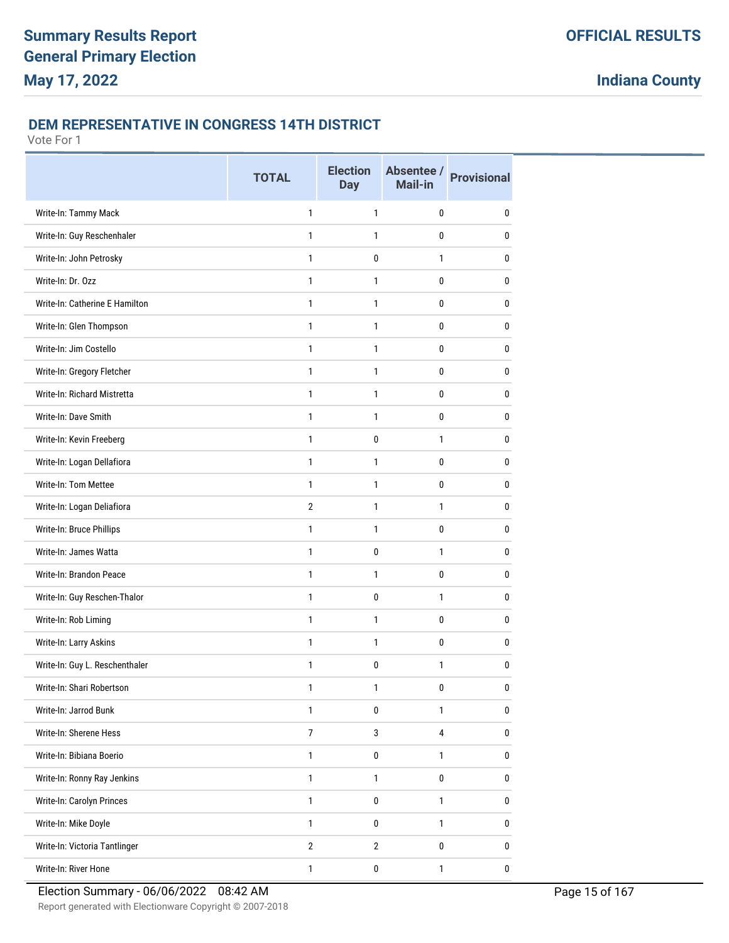#### **DEM REPRESENTATIVE IN CONGRESS 14TH DISTRICT**

|                                | <b>TOTAL</b>   | <b>Election</b><br><b>Day</b> | Absentee /<br><b>Mail-in</b> | <b>Provisional</b> |
|--------------------------------|----------------|-------------------------------|------------------------------|--------------------|
| Write-In: Tammy Mack           | 1              | 1                             | 0                            | $\mathbf{0}$       |
| Write-In: Guy Reschenhaler     | 1              | 1                             | 0                            | 0                  |
| Write-In: John Petrosky        | $\mathbf{1}$   | 0                             | 1                            | 0                  |
| Write-In: Dr. Ozz              | $\mathbf{1}$   | $\mathbf{1}$                  | 0                            | $\mathbf{0}$       |
| Write-In: Catherine E Hamilton | 1              | 1                             | 0                            | 0                  |
| Write-In: Glen Thompson        | $\mathbf{1}$   | 1                             | 0                            | 0                  |
| Write-In: Jim Costello         | 1              | $\mathbf{1}$                  | 0                            | 0                  |
| Write-In: Gregory Fletcher     | $\mathbf{1}$   | 1                             | 0                            | $\mathbf{0}$       |
| Write-In: Richard Mistretta    | $\mathbf{1}$   | $\mathbf{1}$                  | 0                            | 0                  |
| Write-In: Dave Smith           | $\mathbf{1}$   | $\mathbf{1}$                  | 0                            | $\mathbf{0}$       |
| Write-In: Kevin Freeberg       | 1              | 0                             | 1                            | 0                  |
| Write-In: Logan Dellafiora     | 1              | 1                             | 0                            | 0                  |
| Write-In: Tom Mettee           | 1              | $\mathbf{1}$                  | 0                            | $\mathbf{0}$       |
| Write-In: Logan Deliafiora     | $\overline{2}$ | 1                             | 1                            | 0                  |
| Write-In: Bruce Phillips       | $\mathbf{1}$   | 1                             | 0                            | 0                  |
| Write-In: James Watta          | $\mathbf{1}$   | $\mathbf 0$                   | $\mathbf{1}$                 | $\mathbf{0}$       |
| Write-In: Brandon Peace        | 1              | 1                             | 0                            | 0                  |
| Write-In: Guy Reschen-Thalor   | $\mathbf{1}$   | 0                             | 1                            | 0                  |
| Write-In: Rob Liming           | 1              | $\mathbf{1}$                  | 0                            | 0                  |
| Write-In: Larry Askins         | $\mathbf{1}$   | 1                             | 0                            | $\mathbf{0}$       |
| Write-In: Guy L. Reschenthaler | 1              | 0                             | 1                            | 0                  |
| Write-In: Shari Robertson      | 1              | 1                             | 0                            | 0                  |
| Write-In: Jarrod Bunk          | $\mathbf{1}$   | $\bf{0}$                      | $\mathbf{1}$                 | $\pmb{0}$          |
| Write-In: Sherene Hess         | $\overline{7}$ | 3                             | 4                            | 0                  |
| Write-In: Bibiana Boerio       | $\mathbf{1}$   | $\pmb{0}$                     | $\mathbf{1}$                 | 0                  |
| Write-In: Ronny Ray Jenkins    | $\mathbf{1}$   | $\mathbf{1}$                  | 0                            | $\pmb{0}$          |
| Write-In: Carolyn Princes      | $\mathbf{1}$   | $\pmb{0}$                     | $\mathbf{1}$                 | $\pmb{0}$          |
| Write-In: Mike Doyle           | $\mathbf{1}$   | $\pmb{0}$                     | $\mathbf{1}$                 | $\pmb{0}$          |
| Write-In: Victoria Tantlinger  | $\mathbf{2}$   | $\overline{2}$                | 0                            | $\bf{0}$           |
| Write-In: River Hone           | $\mathbf{1}$   | $\pmb{0}$                     | $\mathbf{1}$                 | $\pmb{0}$          |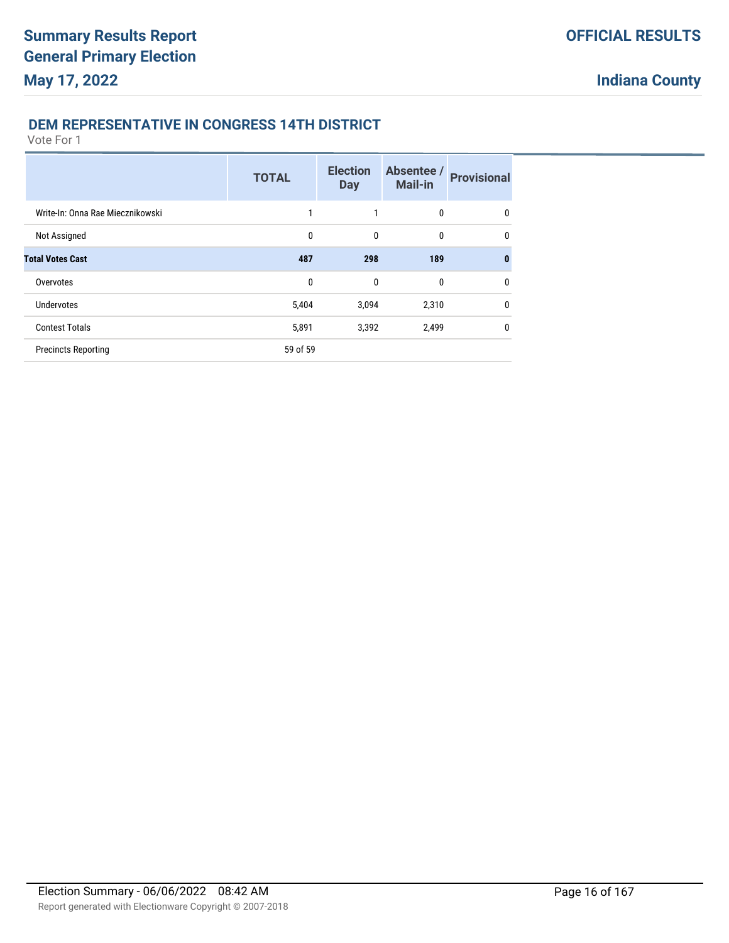#### **DEM REPRESENTATIVE IN CONGRESS 14TH DISTRICT**

|                                  | <b>TOTAL</b> | <b>Election</b><br><b>Day</b> | Absentee /<br><b>Mail-in</b> | <b>Provisional</b> |
|----------------------------------|--------------|-------------------------------|------------------------------|--------------------|
| Write-In: Onna Rae Miecznikowski |              |                               | 0                            | 0                  |
| Not Assigned                     | 0            | 0                             | 0                            | 0                  |
| <b>Total Votes Cast</b>          | 487          | 298                           | 189                          | $\mathbf{0}$       |
| Overvotes                        | 0            | 0                             | 0                            | $\mathbf{0}$       |
| Undervotes                       | 5,404        | 3,094                         | 2,310                        | $\mathbf{0}$       |
| <b>Contest Totals</b>            | 5,891        | 3,392                         | 2,499                        | $\mathbf{0}$       |
| <b>Precincts Reporting</b>       | 59 of 59     |                               |                              |                    |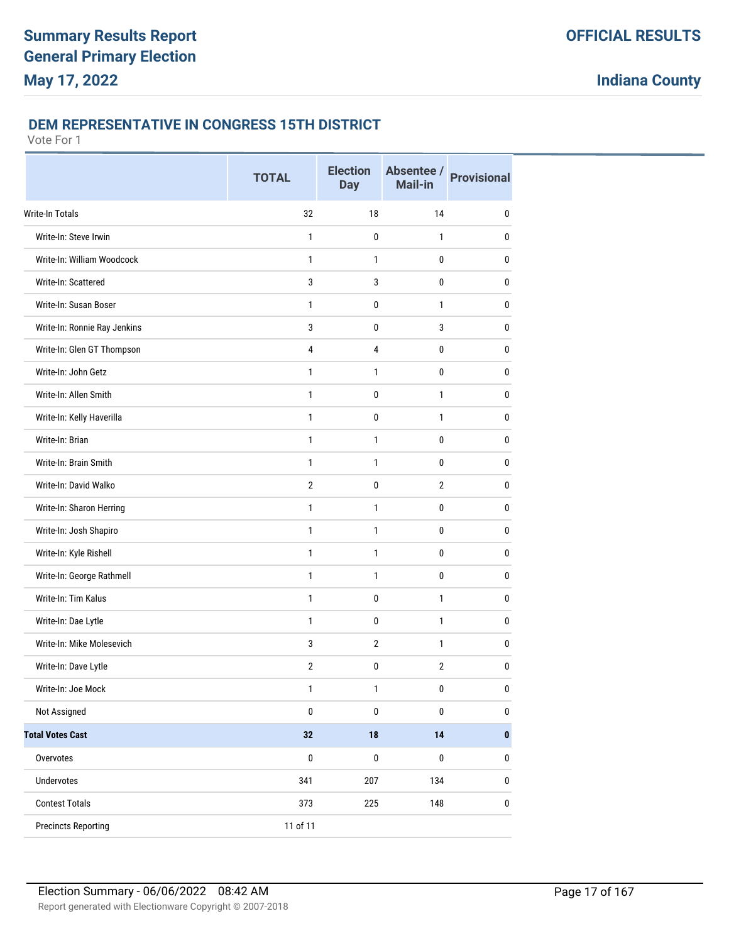#### **DEM REPRESENTATIVE IN CONGRESS 15TH DISTRICT**

|                              | <b>TOTAL</b>   | <b>Election</b><br><b>Day</b> | Absentee /<br><b>Mail-in</b> | <b>Provisional</b> |
|------------------------------|----------------|-------------------------------|------------------------------|--------------------|
| <b>Write-In Totals</b>       | 32             | 18                            | 14                           | 0                  |
| Write-In: Steve Irwin        | $\mathbf{1}$   | 0                             | $\mathbf{1}$                 | 0                  |
| Write-In: William Woodcock   | $\mathbf{1}$   | $\mathbf{1}$                  | 0                            | 0                  |
| Write-In: Scattered          | 3              | 3                             | $\mathbf 0$                  | 0                  |
| Write-In: Susan Boser        | $\mathbf{1}$   | 0                             | $\mathbf{1}$                 | 0                  |
| Write-In: Ronnie Ray Jenkins | 3              | 0                             | 3                            | 0                  |
| Write-In: Glen GT Thompson   | $\overline{4}$ | 4                             | 0                            | 0                  |
| Write-In: John Getz          | $\mathbf{1}$   | $\mathbf{1}$                  | 0                            | 0                  |
| Write-In: Allen Smith        | $\mathbf{1}$   | 0                             | $\mathbf{1}$                 | 0                  |
| Write-In: Kelly Haverilla    | $\mathbf{1}$   | 0                             | $\mathbf{1}$                 | 0                  |
| Write-In: Brian              | 1              | $\mathbf{1}$                  | 0                            | $\pmb{0}$          |
| Write-In: Brain Smith        | $\mathbf{1}$   | 1                             | 0                            | 0                  |
| Write-In: David Walko        | $\mathbf{2}$   | 0                             | $\overline{2}$               | 0                  |
| Write-In: Sharon Herring     | $\mathbf{1}$   | $\mathbf{1}$                  | 0                            | 0                  |
| Write-In: Josh Shapiro       | $\mathbf{1}$   | $\mathbf{1}$                  | 0                            | 0                  |
| Write-In: Kyle Rishell       | $\mathbf{1}$   | $\mathbf{1}$                  | $\mathbf 0$                  | 0                  |
| Write-In: George Rathmell    | 1              | 1                             | 0                            | 0                  |
| Write-In: Tim Kalus          | $\mathbf{1}$   | 0                             | $\mathbf{1}$                 | 0                  |
| Write-In: Dae Lytle          | $\mathbf{1}$   | 0                             | $\mathbf{1}$                 | 0                  |
| Write-In: Mike Molesevich    | 3              | $\overline{2}$                | $\mathbf{1}$                 | 0                  |
| Write-In: Dave Lytle         | $\overline{2}$ | 0                             | $\overline{2}$               | 0                  |
| Write-In: Joe Mock           | 1              | 1                             | $\pmb{0}$                    | $\pmb{0}$          |
| Not Assigned                 | $\pmb{0}$      | $\pmb{0}$                     | $\pmb{0}$                    | $\mathbf 0$        |
| <b>Total Votes Cast</b>      | 32             | ${\bf 18}$                    | 14                           | $\pmb{0}$          |
| Overvotes                    | $\pmb{0}$      | $\pmb{0}$                     | $\pmb{0}$                    | $\pmb{0}$          |
| Undervotes                   | 341            | 207                           | 134                          | 0                  |
| <b>Contest Totals</b>        | 373            | 225                           | 148                          | $\pmb{0}$          |
| <b>Precincts Reporting</b>   | 11 of 11       |                               |                              |                    |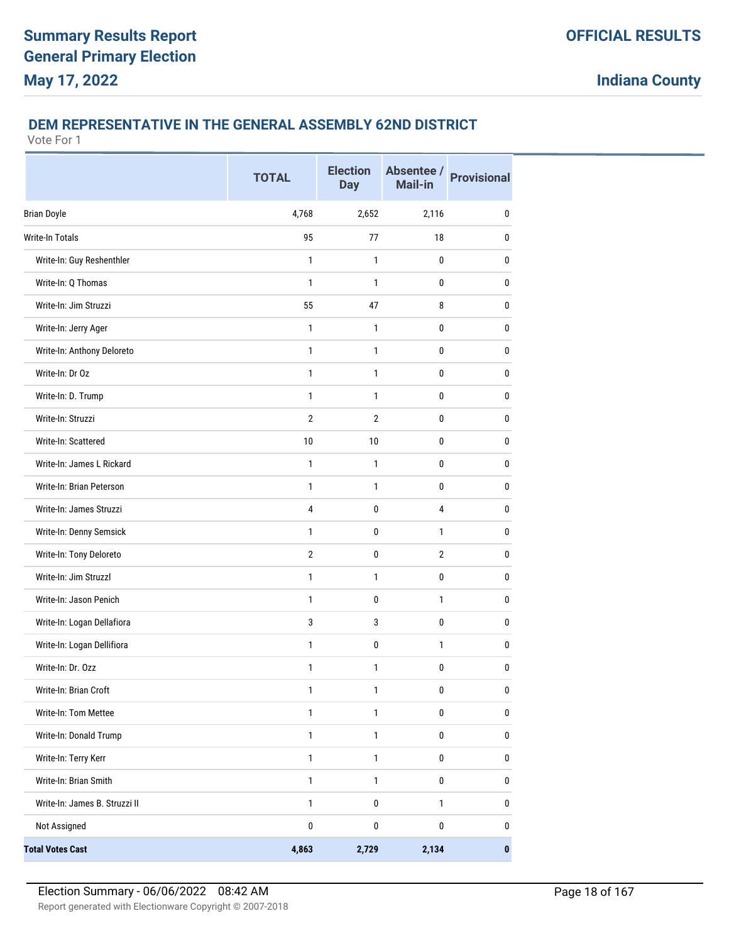## **DEM REPRESENTATIVE IN THE GENERAL ASSEMBLY 62ND DISTRICT**

|                               | <b>TOTAL</b>   | <b>Election</b><br><b>Day</b> | Absentee /<br>Mail-in | <b>Provisional</b> |
|-------------------------------|----------------|-------------------------------|-----------------------|--------------------|
| <b>Brian Doyle</b>            | 4,768          | 2,652                         | 2,116                 | 0                  |
| Write-In Totals               | 95             | 77                            | 18                    | $\pmb{0}$          |
| Write-In: Guy Reshenthler     | 1              | 1                             | 0                     | 0                  |
| Write-In: Q Thomas            | 1              | 1                             | 0                     | 0                  |
| Write-In: Jim Struzzi         | 55             | 47                            | 8                     | 0                  |
| Write-In: Jerry Ager          | 1              | 1                             | 0                     | 0                  |
| Write-In: Anthony Deloreto    | $\mathbf{1}$   | $\mathbf{1}$                  | 0                     | $\mathbf 0$        |
| Write-In: Dr Oz               | 1              | 1                             | 0                     | 0                  |
| Write-In: D. Trump            | 1              | 1                             | 0                     | 0                  |
| Write-In: Struzzi             | $\overline{2}$ | $\overline{2}$                | 0                     | 0                  |
| Write-In: Scattered           | 10             | 10                            | 0                     | 0                  |
| Write-In: James L Rickard     | $\mathbf{1}$   | 1                             | 0                     | 0                  |
| Write-In: Brian Peterson      | $\mathbf{1}$   | $\mathbf{1}$                  | 0                     | 0                  |
| Write-In: James Struzzi       | 4              | 0                             | 4                     | 0                  |
| Write-In: Denny Semsick       | 1              | 0                             | $\mathbf{1}$          | 0                  |
| Write-In: Tony Deloreto       | $\overline{2}$ | $\mathbf 0$                   | $\overline{2}$        | 0                  |
| Write-In: Jim Struzzl         | 1              | 1                             | 0                     | 0                  |
| Write-In: Jason Penich        | 1              | 0                             | $\mathbf{1}$          | 0                  |
| Write-In: Logan Dellafiora    | 3              | 3                             | $\mathbf 0$           | $\mathbf 0$        |
| Write-In: Logan Dellifiora    | 1              | 0                             | $\mathbf{1}$          | 0                  |
| Write-In: Dr. Ozz             | 1              | 1                             | 0                     | 0                  |
| Write-In: Brian Croft         | 1              | 1                             | 0                     | $\pmb{0}$          |
| Write-In: Tom Mettee          | $\mathbf{1}$   | $\mathbf{1}$                  | $\pmb{0}$             | $\pmb{0}$          |
| Write-In: Donald Trump        | $\mathbf{1}$   | $\mathbf{1}$                  | 0                     | $\pmb{0}$          |
| Write-In: Terry Kerr          | $\mathbf{1}$   | $\mathbf{1}$                  | $\pmb{0}$             | $\pmb{0}$          |
| Write-In: Brian Smith         | $\mathbf{1}$   | $\mathbf{1}$                  | $\pmb{0}$             | 0                  |
| Write-In: James B. Struzzi II | $\mathbf{1}$   | $\pmb{0}$                     | $\mathbf{1}$          | $\pmb{0}$          |
| Not Assigned                  | $\pmb{0}$      | 0                             | $\pmb{0}$             | $\pmb{0}$          |
| <b>Total Votes Cast</b>       | 4,863          | 2,729                         | 2,134                 | $\pmb{0}$          |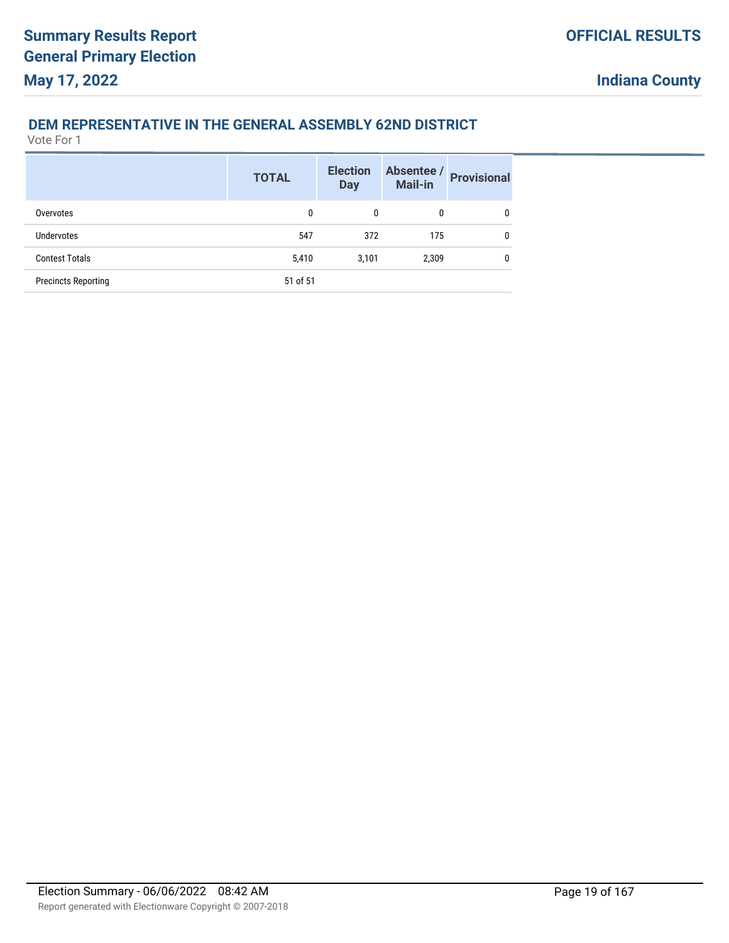## **DEM REPRESENTATIVE IN THE GENERAL ASSEMBLY 62ND DISTRICT**

|                            | <b>TOTAL</b> | <b>Election</b><br><b>Day</b> | Absentee /<br><b>Mail-in</b> | <b>Provisional</b> |
|----------------------------|--------------|-------------------------------|------------------------------|--------------------|
| Overvotes                  | 0            | 0                             | 0                            | 0                  |
| <b>Undervotes</b>          | 547          | 372                           | 175                          | 0                  |
| <b>Contest Totals</b>      | 5,410        | 3,101                         | 2,309                        | 0                  |
| <b>Precincts Reporting</b> | 51 of 51     |                               |                              |                    |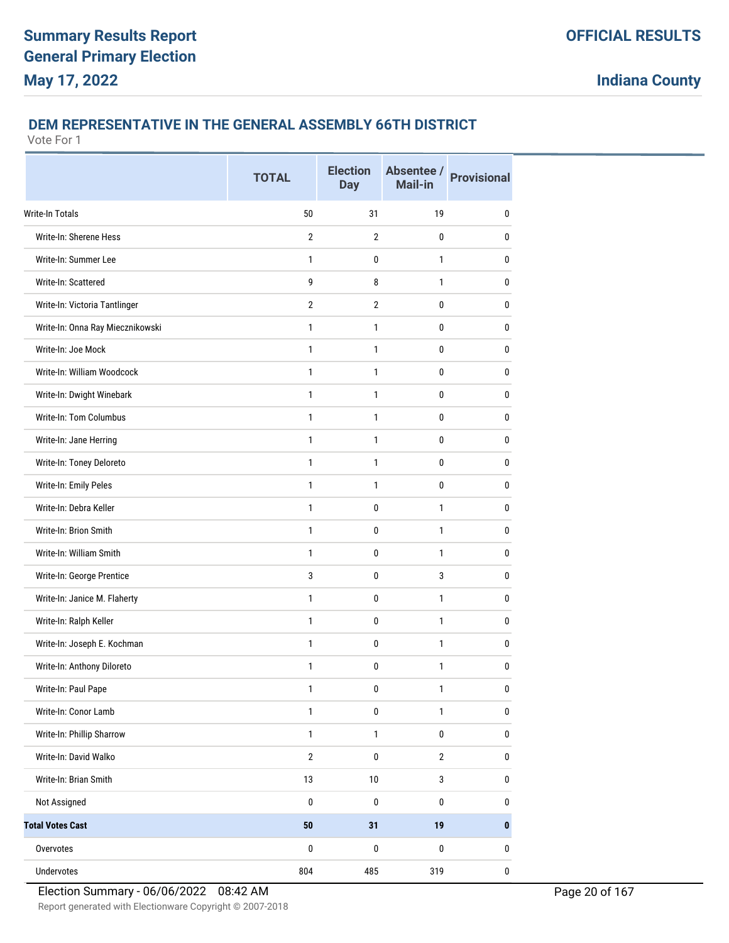### **DEM REPRESENTATIVE IN THE GENERAL ASSEMBLY 66TH DISTRICT**

|                                  | <b>TOTAL</b>   | <b>Election</b><br><b>Day</b> | Absentee /<br>Mail-in | <b>Provisional</b> |
|----------------------------------|----------------|-------------------------------|-----------------------|--------------------|
| <b>Write-In Totals</b>           | 50             | 31                            | 19                    | $\mathbf{0}$       |
| Write-In: Sherene Hess           | $\overline{2}$ | $\overline{2}$                | 0                     | 0                  |
| Write-In: Summer Lee             | 1              | 0                             | 1                     | 0                  |
| Write-In: Scattered              | 9              | 8                             | $\mathbf{1}$          | 0                  |
| Write-In: Victoria Tantlinger    | $\overline{2}$ | $\overline{2}$                | 0                     | 0                  |
| Write-In: Onna Ray Miecznikowski | $\mathbf{1}$   | 1                             | 0                     | 0                  |
| Write-In: Joe Mock               | $\mathbf{1}$   | 1                             | $\mathbf{0}$          | 0                  |
| Write-In: William Woodcock       | $\mathbf{1}$   | 1                             | 0                     | 0                  |
| Write-In: Dwight Winebark        | $\mathbf{1}$   | 1                             | 0                     | 0                  |
| Write-In: Tom Columbus           | 1              | $\mathbf{1}$                  | 0                     | 0                  |
| Write-In: Jane Herring           | 1              | 1                             | 0                     | $\bf{0}$           |
| Write-In: Toney Deloreto         | $\mathbf{1}$   | 1                             | 0                     | 0                  |
| Write-In: Emily Peles            | $\mathbf{1}$   | 1                             | 0                     | $\mathbf{0}$       |
| Write-In: Debra Keller           | $\mathbf{1}$   | $\mathbf{0}$                  | 1                     | 0                  |
| Write-In: Brion Smith            | 1              | 0                             | 1                     | 0                  |
| Write-In: William Smith          | $\mathbf{1}$   | 0                             | $\mathbf{1}$          | 0                  |
| Write-In: George Prentice        | 3              | 0                             | 3                     | 0                  |
| Write-In: Janice M. Flaherty     | $\mathbf{1}$   | 0                             | 1                     | 0                  |
| Write-In: Ralph Keller           | $\mathbf{1}$   | $\mathbf{0}$                  | 1                     | 0                  |
| Write-In: Joseph E. Kochman      | $\mathbf{1}$   | 0                             | 1                     | 0                  |
| Write-In: Anthony Diloreto       | 1              | 0                             | $\mathbf{1}$          | $\pmb{0}$          |
| Write-In: Paul Pape              | 1              | 0                             | 1                     | $\bf{0}$           |
| Write-In: Conor Lamb             | $\mathbf{1}$   | $\pmb{0}$                     | $\mathbf{1}$          | $\bf{0}$           |
| Write-In: Phillip Sharrow        | $\mathbf{1}$   | $\mathbf{1}$                  | $\pmb{0}$             | $\pmb{0}$          |
| Write-In: David Walko            | $\sqrt{2}$     | $\pmb{0}$                     | $\mathbf{2}$          | $\pmb{0}$          |
| Write-In: Brian Smith            | 13             | 10                            | 3                     | $\pmb{0}$          |
| Not Assigned                     | $\pmb{0}$      | $\pmb{0}$                     | $\pmb{0}$             | $\bf{0}$           |
| <b>Total Votes Cast</b>          | ${\bf 50}$     | 31                            | 19                    | $\bf{0}$           |
| Overvotes                        | $\pmb{0}$      | $\pmb{0}$                     | $\pmb{0}$             | $\pmb{0}$          |
| Undervotes                       | 804            | 485                           | 319                   | $\bf 0$            |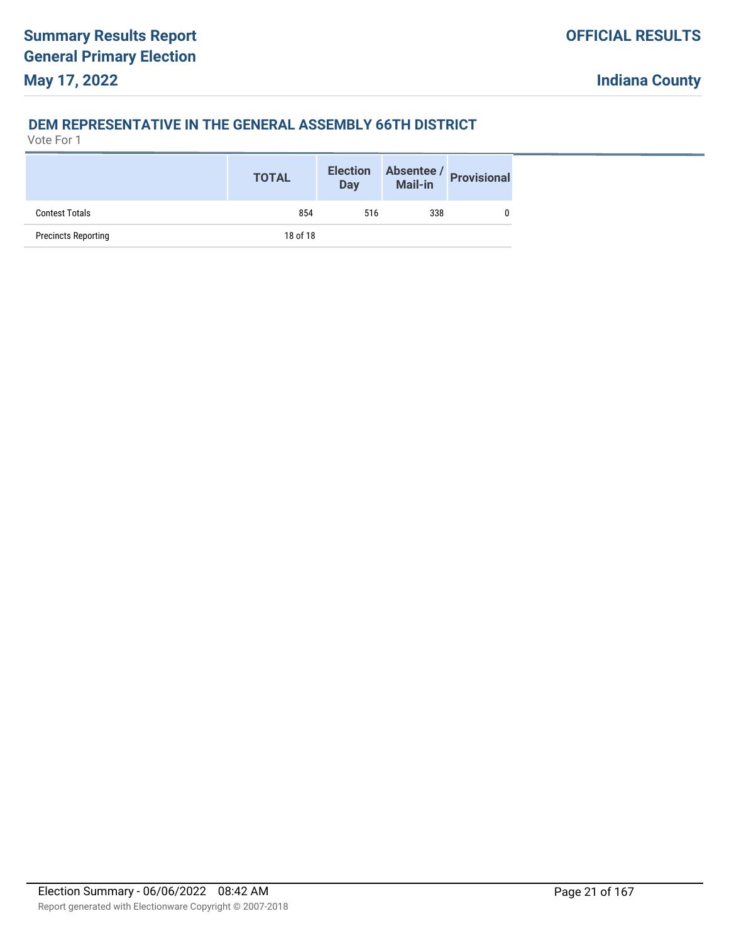## **DEM REPRESENTATIVE IN THE GENERAL ASSEMBLY 66TH DISTRICT**

|                            | <b>TOTAL</b> | <b>Election</b><br><b>Day</b> |     | Absentee / Provisional |
|----------------------------|--------------|-------------------------------|-----|------------------------|
| <b>Contest Totals</b>      | 854          | 516                           | 338 |                        |
| <b>Precincts Reporting</b> | 18 of 18     |                               |     |                        |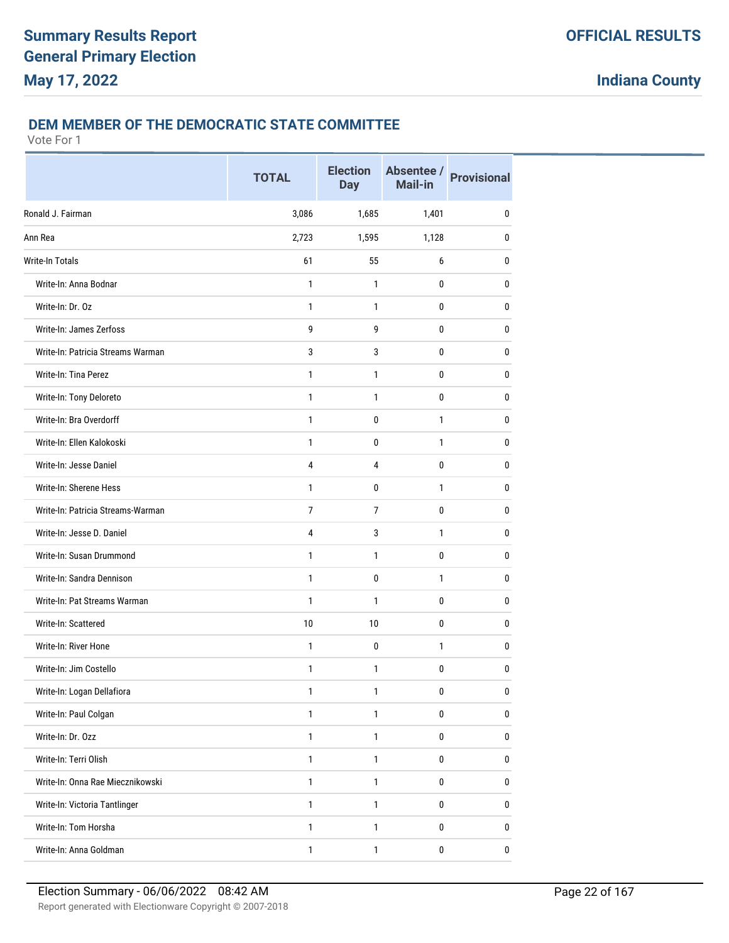## **DEM MEMBER OF THE DEMOCRATIC STATE COMMITTEE**

|                                   | <b>TOTAL</b>   | <b>Election</b><br><b>Day</b> | Absentee /<br><b>Mail-in</b> | <b>Provisional</b> |
|-----------------------------------|----------------|-------------------------------|------------------------------|--------------------|
| Ronald J. Fairman                 | 3,086          | 1,685                         | 1,401                        | 0                  |
| Ann Rea                           | 2,723          | 1,595                         | 1,128                        | 0                  |
| Write-In Totals                   | 61             | 55                            | 6                            | 0                  |
| Write-In: Anna Bodnar             | 1              | 1                             | 0                            | 0                  |
| Write-In: Dr. Oz                  | 1              | 1                             | 0                            | 0                  |
| Write-In: James Zerfoss           | 9              | 9                             | 0                            | 0                  |
| Write-In: Patricia Streams Warman | 3              | $\sqrt{3}$                    | $\mathbf 0$                  | $\bf{0}$           |
| Write-In: Tina Perez              | 1              | 1                             | 0                            | 0                  |
| Write-In: Tony Deloreto           | 1              | 1                             | 0                            | 0                  |
| Write-In: Bra Overdorff           | 1              | 0                             | 1                            | 0                  |
| Write-In: Ellen Kalokoski         | 1              | 0                             | 1                            | 0                  |
| Write-In: Jesse Daniel            | 4              | 4                             | 0                            | 0                  |
| Write-In: Sherene Hess            | 1              | 0                             | $\mathbf{1}$                 | 0                  |
| Write-In: Patricia Streams-Warman | $\overline{7}$ | $\overline{7}$                | 0                            | $\bf{0}$           |
| Write-In: Jesse D. Daniel         | 4              | 3                             | 1                            | 0                  |
| Write-In: Susan Drummond          | 1              | 1                             | 0                            | 0                  |
| Write-In: Sandra Dennison         | 1              | 0                             | 1                            | 0                  |
| Write-In: Pat Streams Warman      | 1              | 1                             | 0                            | 0                  |
| Write-In: Scattered               | 10             | 10                            | $\mathbf 0$                  | $\bf{0}$           |
| Write-In: River Hone              | 1              | $\mathbf 0$                   | 1                            | $\bf{0}$           |
| Write-In: Jim Costello            | 1              | 1                             | 0                            | 0                  |
| Write-In: Logan Dellafiora        | 1              | 1                             | $\pmb{0}$                    | $\pmb{0}$          |
| Write-In: Paul Colgan             | 1              | 1                             | $\pmb{0}$                    | $\bf{0}$           |
| Write-In: Dr. Ozz                 | $\mathbf{1}$   | $\mathbf{1}$                  | 0                            | 0                  |
| Write-In: Terri Olish             | $\mathbf{1}$   | $\mathbf{1}$                  | $\pmb{0}$                    | $\pmb{0}$          |
| Write-In: Onna Rae Miecznikowski  | $\mathbf{1}$   | 1                             | 0                            | 0                  |
| Write-In: Victoria Tantlinger     | $\mathbf{1}$   | $\mathbf{1}$                  | 0                            | 0                  |
| Write-In: Tom Horsha              | $\mathbf{1}$   | 1                             | 0                            | $\bf 0$            |
| Write-In: Anna Goldman            | $\mathbf{1}$   | $\mathbf{1}$                  | $\pmb{0}$                    | 0                  |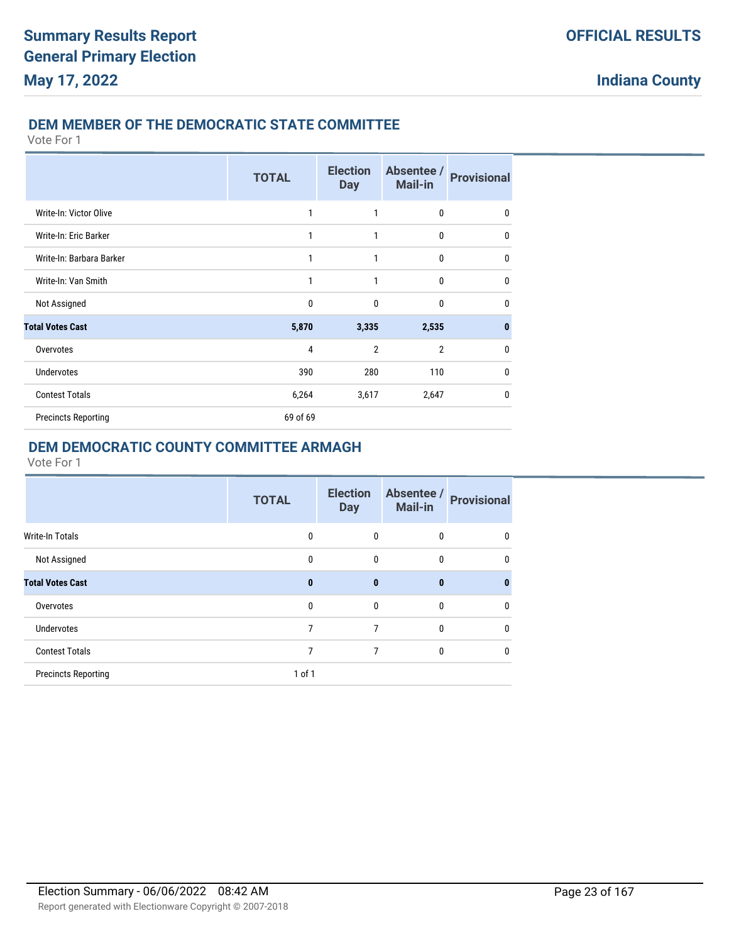## **DEM MEMBER OF THE DEMOCRATIC STATE COMMITTEE**

Vote For 1

|                            | <b>TOTAL</b> | <b>Election</b><br><b>Day</b> | Absentee /<br><b>Mail-in</b> | <b>Provisional</b> |
|----------------------------|--------------|-------------------------------|------------------------------|--------------------|
| Write-In: Victor Olive     | 1            | 1                             | 0                            | 0                  |
| Write-In: Eric Barker      | 1            | 1                             | 0                            | 0                  |
| Write-In: Barbara Barker   | 1            | 1                             | 0                            | 0                  |
| Write-In: Van Smith        | 1            | 1                             | $\mathbf{0}$                 | $\mathbf{0}$       |
| Not Assigned               | $\mathbf{0}$ | $\mathbf{0}$                  | $\mathbf{0}$                 | 0                  |
| <b>Total Votes Cast</b>    | 5,870        | 3,335                         | 2,535                        | $\bf{0}$           |
| Overvotes                  | 4            | $\overline{2}$                | $\overline{2}$               | $\mathbf{0}$       |
| <b>Undervotes</b>          | 390          | 280                           | 110                          | $\mathbf{0}$       |
| <b>Contest Totals</b>      | 6,264        | 3,617                         | 2,647                        | $\mathbf 0$        |
| <b>Precincts Reporting</b> | 69 of 69     |                               |                              |                    |

## **DEM DEMOCRATIC COUNTY COMMITTEE ARMAGH**

|                            | <b>TOTAL</b> | <b>Election</b><br><b>Day</b> | Absentee /<br><b>Mail-in</b> | <b>Provisional</b> |
|----------------------------|--------------|-------------------------------|------------------------------|--------------------|
| <b>Write-In Totals</b>     | 0            | $\mathbf{0}$                  | 0                            | 0                  |
| Not Assigned               | $\mathbf{0}$ | $\mathbf{0}$                  | $\mathbf{0}$                 | 0                  |
| <b>Total Votes Cast</b>    | $\bf{0}$     | $\bf{0}$                      | $\bf{0}$                     | 0                  |
| Overvotes                  | $\mathbf{0}$ | $\mathbf{0}$                  | 0                            | 0                  |
| Undervotes                 | 7            | 7                             | 0                            | $\mathbf{0}$       |
| <b>Contest Totals</b>      | 7            | 7                             | $\mathbf{0}$                 | $\mathbf{0}$       |
| <b>Precincts Reporting</b> | $1$ of $1$   |                               |                              |                    |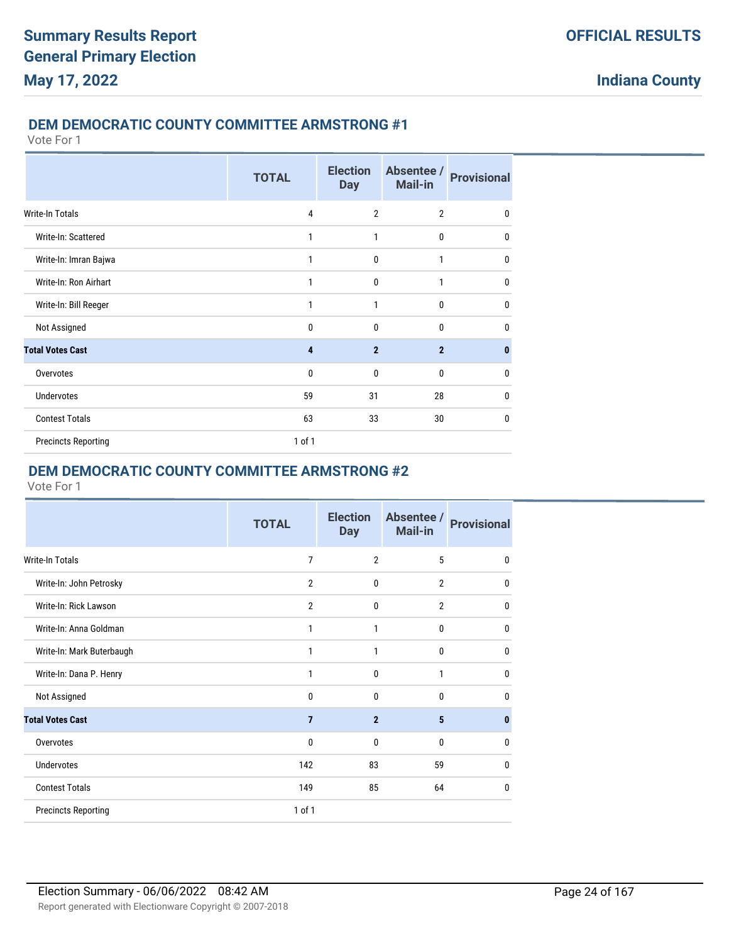#### **DEM DEMOCRATIC COUNTY COMMITTEE ARMSTRONG #1**

Vote For 1

|                            | <b>TOTAL</b>   | <b>Election</b><br><b>Day</b> | Absentee /<br><b>Mail-in</b> | <b>Provisional</b> |
|----------------------------|----------------|-------------------------------|------------------------------|--------------------|
| Write-In Totals            | $\overline{4}$ | $\overline{2}$                | $\overline{2}$               | $\mathbf{0}$       |
| Write-In: Scattered        | 1              | 1                             | $\mathbf 0$                  | 0                  |
| Write-In: Imran Bajwa      | 1              | $\mathbf{0}$                  | 1                            | $\mathbf{0}$       |
| Write-In: Ron Airhart      | 1              | $\mathbf{0}$                  | $\mathbf{1}$                 | 0                  |
| Write-In: Bill Reeger      | 1              | 1                             | $\mathbf{0}$                 | 0                  |
| Not Assigned               | $\mathbf{0}$   | $\mathbf{0}$                  | $\mathbf{0}$                 | 0                  |
| <b>Total Votes Cast</b>    | 4              | $\overline{2}$                | $\overline{2}$               | $\bf{0}$           |
| Overvotes                  | $\mathbf 0$    | $\mathbf{0}$                  | $\mathbf{0}$                 | 0                  |
| Undervotes                 | 59             | 31                            | 28                           | 0                  |
| <b>Contest Totals</b>      | 63             | 33                            | 30                           | 0                  |
| <b>Precincts Reporting</b> | 1 of 1         |                               |                              |                    |

## **DEM DEMOCRATIC COUNTY COMMITTEE ARMSTRONG #2**

|                            | <b>TOTAL</b>   | <b>Election</b><br><b>Day</b> | Absentee /<br><b>Mail-in</b> | <b>Provisional</b> |
|----------------------------|----------------|-------------------------------|------------------------------|--------------------|
| Write-In Totals            | $\overline{7}$ | $\overline{2}$                | 5                            | $\mathbf{0}$       |
| Write-In: John Petrosky    | $\overline{2}$ | $\mathbf{0}$                  | $\overline{2}$               | $\mathbf{0}$       |
| Write-In: Rick Lawson      | $\overline{2}$ | $\mathbf 0$                   | $\overline{2}$               | 0                  |
| Write-In: Anna Goldman     | 1              | 1                             | 0                            | 0                  |
| Write-In: Mark Buterbaugh  | 1              | 1                             | 0                            | $\mathbf{0}$       |
| Write-In: Dana P. Henry    | 1              | $\mathbf{0}$                  | 1                            | $\mathbf{0}$       |
| Not Assigned               | $\Omega$       | $\Omega$                      | 0                            | 0                  |
| <b>Total Votes Cast</b>    | $\overline{7}$ | $\overline{2}$                | 5                            | $\mathbf{0}$       |
| Overvotes                  | $\mathbf 0$    | $\mathbf{0}$                  | 0                            | $\mathbf{0}$       |
| <b>Undervotes</b>          | 142            | 83                            | 59                           | $\mathbf{0}$       |
| <b>Contest Totals</b>      | 149            | 85                            | 64                           | $\mathbf{0}$       |
| <b>Precincts Reporting</b> | 1 of 1         |                               |                              |                    |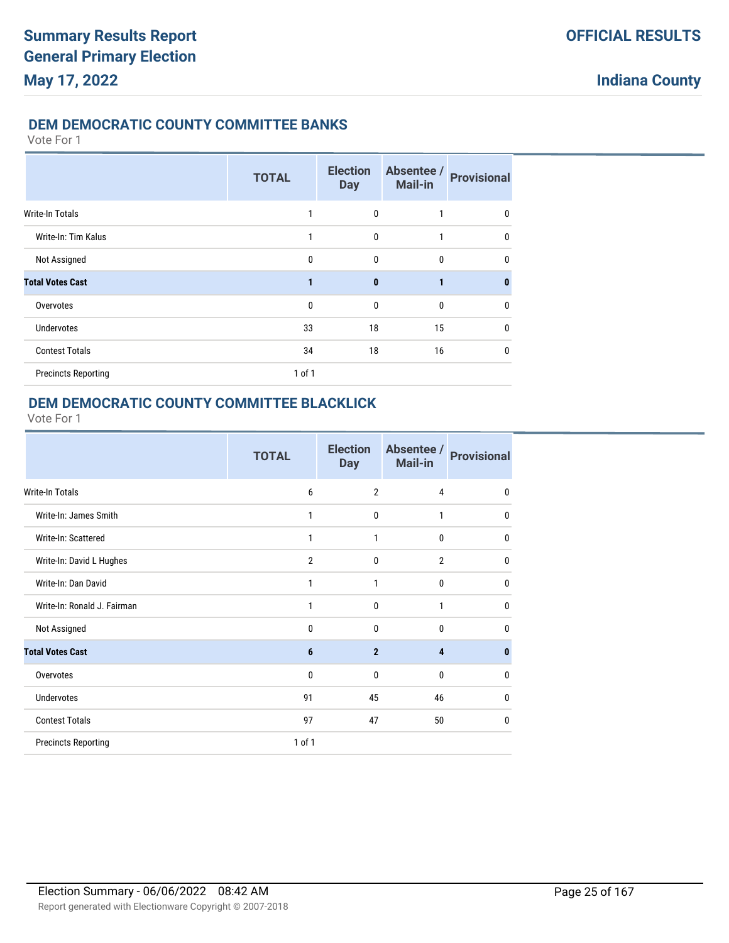#### **DEM DEMOCRATIC COUNTY COMMITTEE BANKS**

Vote For 1

|                            | <b>TOTAL</b> | <b>Election</b><br><b>Day</b> | Absentee /<br><b>Mail-in</b> | <b>Provisional</b> |
|----------------------------|--------------|-------------------------------|------------------------------|--------------------|
| <b>Write-In Totals</b>     | 1            | $\mathbf{0}$                  | 1                            | 0                  |
| Write-In: Tim Kalus        | $\mathbf{1}$ | $\mathbf{0}$                  | 1                            | $\mathbf{0}$       |
| Not Assigned               | $\mathbf{0}$ | $\mathbf{0}$                  | 0                            | $\mathbf{0}$       |
| <b>Total Votes Cast</b>    | 1            | $\mathbf{0}$                  | 1                            | $\bf{0}$           |
| Overvotes                  | $\mathbf{0}$ | $\mathbf{0}$                  | 0                            | 0                  |
| <b>Undervotes</b>          | 33           | 18                            | 15                           | $\mathbf{0}$       |
| <b>Contest Totals</b>      | 34           | 18                            | 16                           | $\mathbf{0}$       |
| <b>Precincts Reporting</b> | 1 of 1       |                               |                              |                    |

### **DEM DEMOCRATIC COUNTY COMMITTEE BLACKLICK**

|                             | <b>TOTAL</b>   | <b>Election</b><br><b>Day</b> | Absentee /<br><b>Mail-in</b> | <b>Provisional</b> |
|-----------------------------|----------------|-------------------------------|------------------------------|--------------------|
| Write-In Totals             | 6              | $\overline{2}$                | 4                            | 0                  |
| Write-In: James Smith       | 1              | $\mathbf{0}$                  | $\mathbf{1}$                 | 0                  |
| Write-In: Scattered         | 1              | 1                             | 0                            | $\mathbf{0}$       |
| Write-In: David L Hughes    | $\overline{2}$ | $\mathbf{0}$                  | $\overline{2}$               | $\mathbf{0}$       |
| Write-In: Dan David         | 1              | $\mathbf{1}$                  | $\mathbf{0}$                 | $\mathbf{0}$       |
| Write-In: Ronald J. Fairman | 1              | $\mathbf{0}$                  | 1                            | 0                  |
| Not Assigned                | $\mathbf{0}$   | $\Omega$                      | $\theta$                     | 0                  |
| <b>Total Votes Cast</b>     | 6              | $\overline{2}$                | 4                            | $\bf{0}$           |
| Overvotes                   | $\mathbf 0$    | $\mathbf{0}$                  | 0                            | $\mathbf{0}$       |
| <b>Undervotes</b>           | 91             | 45                            | 46                           | 0                  |
| <b>Contest Totals</b>       | 97             | 47                            | 50                           | $\mathbf{0}$       |
| <b>Precincts Reporting</b>  | 1 of 1         |                               |                              |                    |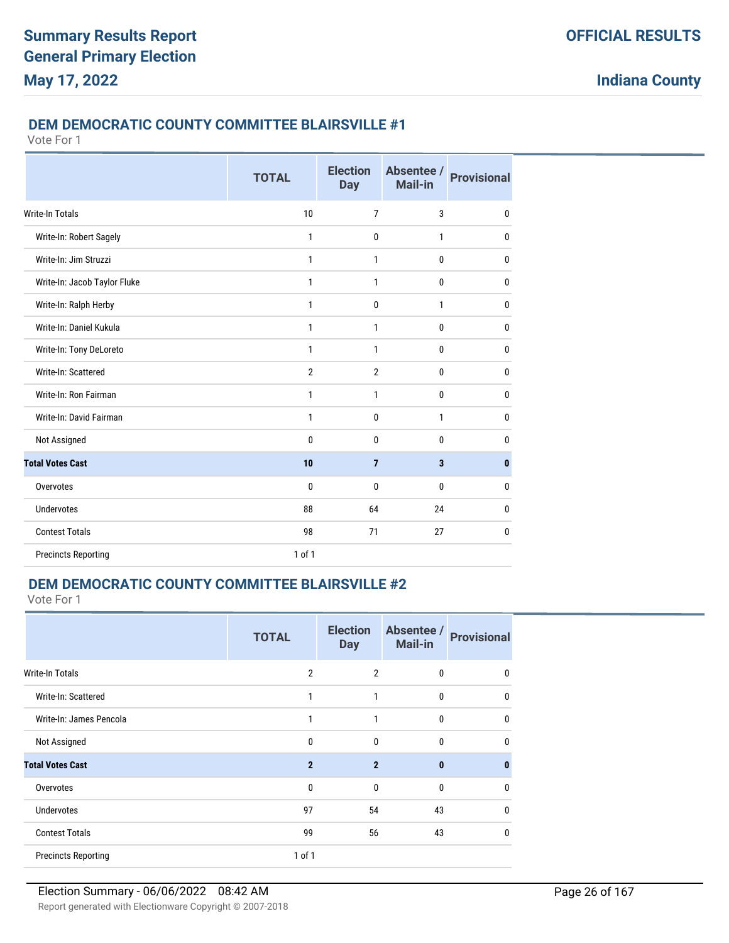#### **DEM DEMOCRATIC COUNTY COMMITTEE BLAIRSVILLE #1**

Vote For 1

|                              | <b>TOTAL</b>   | <b>Election</b><br><b>Day</b> | Absentee /<br>Mail-in   | <b>Provisional</b> |
|------------------------------|----------------|-------------------------------|-------------------------|--------------------|
| <b>Write-In Totals</b>       | 10             | $\overline{7}$                | 3                       | 0                  |
| Write-In: Robert Sagely      | 1              | $\mathbf{0}$                  | $\mathbf{1}$            | 0                  |
| Write-In: Jim Struzzi        | 1              | 1                             | $\mathbf{0}$            | 0                  |
| Write-In: Jacob Taylor Fluke | 1              | 1                             | 0                       | 0                  |
| Write-In: Ralph Herby        | 1              | 0                             | 1                       | 0                  |
| Write-In: Daniel Kukula      | $\mathbf{1}$   | 1                             | $\bf{0}$                | 0                  |
| Write-In: Tony DeLoreto      | $\mathbf{1}$   | 1                             | $\bf{0}$                | 0                  |
| Write-In: Scattered          | $\overline{2}$ | $\overline{2}$                | $\mathbf 0$             | 0                  |
| Write-In: Ron Fairman        | $\mathbf{1}$   | 1                             | $\bf{0}$                | 0                  |
| Write-In: David Fairman      | $\mathbf{1}$   | $\mathbf{0}$                  | $\mathbf{1}$            | 0                  |
| Not Assigned                 | $\mathbf{0}$   | $\mathbf{0}$                  | $\bf{0}$                | 0                  |
| <b>Total Votes Cast</b>      | 10             | $\overline{7}$                | $\overline{\mathbf{3}}$ | $\pmb{0}$          |
| Overvotes                    | $\mathbf{0}$   | $\mathbf{0}$                  | $\mathbf{0}$            | 0                  |
| <b>Undervotes</b>            | 88             | 64                            | 24                      | 0                  |
| <b>Contest Totals</b>        | 98             | 71                            | 27                      | 0                  |
| <b>Precincts Reporting</b>   | 1 of 1         |                               |                         |                    |

## **DEM DEMOCRATIC COUNTY COMMITTEE BLAIRSVILLE #2**

|                            | <b>TOTAL</b>   | <b>Election</b><br><b>Day</b> | Absentee /<br><b>Mail-in</b> | <b>Provisional</b> |
|----------------------------|----------------|-------------------------------|------------------------------|--------------------|
| <b>Write-In Totals</b>     | $\overline{2}$ | $\overline{2}$                | $\mathbf{0}$                 | 0                  |
| Write-In: Scattered        | 1              | 1                             | 0                            | $\mathbf{0}$       |
| Write-In: James Pencola    | 1              | $\mathbf{1}$                  | $\mathbf{0}$                 | $\mathbf{0}$       |
| Not Assigned               | 0              | 0                             | $\mathbf{0}$                 | $\mathbf{0}$       |
| <b>Total Votes Cast</b>    | $\mathbf{2}$   | $\overline{2}$                | $\mathbf{0}$                 | $\bf{0}$           |
| Overvotes                  | $\mathbf{0}$   | $\mathbf{0}$                  | $\mathbf{0}$                 | $\mathbf{0}$       |
| <b>Undervotes</b>          | 97             | 54                            | 43                           | $\mathbf{0}$       |
| <b>Contest Totals</b>      | 99             | 56                            | 43                           | $\mathbf{0}$       |
| <b>Precincts Reporting</b> | $1$ of $1$     |                               |                              |                    |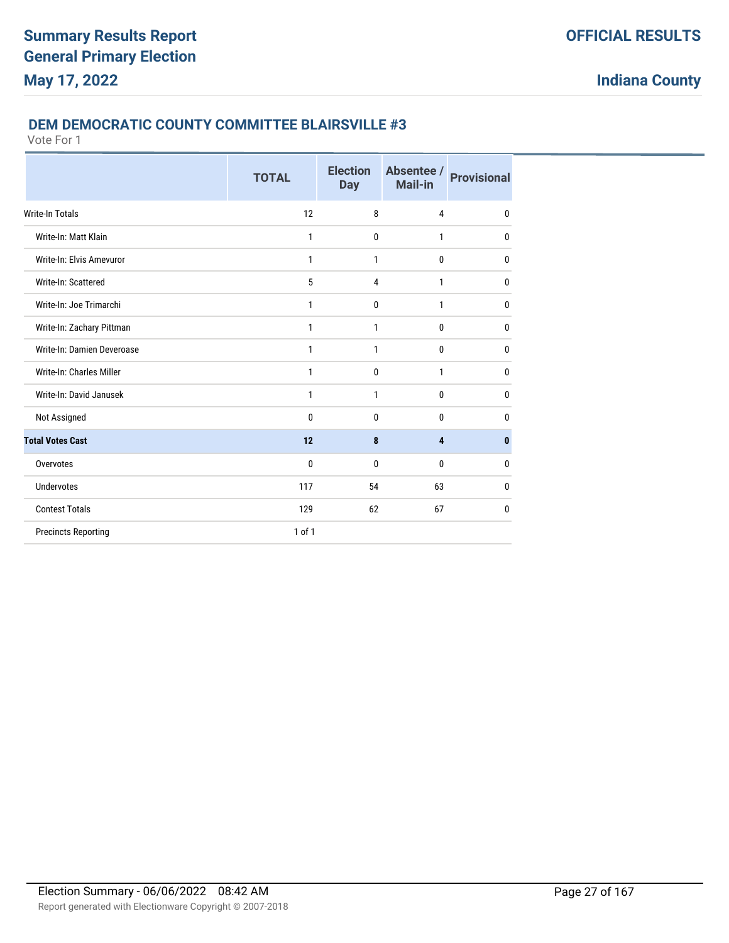#### **DEM DEMOCRATIC COUNTY COMMITTEE BLAIRSVILLE #3**

|                            | <b>TOTAL</b> | <b>Election</b><br><b>Day</b> | Absentee /<br><b>Mail-in</b> | <b>Provisional</b> |
|----------------------------|--------------|-------------------------------|------------------------------|--------------------|
| Write-In Totals            | 12           | 8                             | $\overline{4}$               | $\mathbf{0}$       |
| Write-In: Matt Klain       | $\mathbf{1}$ | $\mathbf 0$                   | $\mathbf{1}$                 | $\mathbf{0}$       |
| Write-In: Elvis Amevuror   | 1            | 1                             | $\mathbf 0$                  | $\mathbf{0}$       |
| Write-In: Scattered        | 5            | $\overline{4}$                | 1                            | $\mathbf{0}$       |
| Write-In: Joe Trimarchi    | 1            | 0                             | $\mathbf{1}$                 | $\mathbf{0}$       |
| Write-In: Zachary Pittman  | 1            | 1                             | $\mathbf{0}$                 | $\mathbf{0}$       |
| Write-In: Damien Deveroase | 1            | 1                             | $\bf{0}$                     | $\bf{0}$           |
| Write-In: Charles Miller   | 1            | 0                             | $\mathbf{1}$                 | $\mathbf{0}$       |
| Write-In: David Janusek    | 1            | 1                             | $\bf{0}$                     | 0                  |
| Not Assigned               | $\mathbf{0}$ | $\mathbf{0}$                  | $\mathbf{0}$                 | $\mathbf{0}$       |
| <b>Total Votes Cast</b>    | 12           | 8                             | 4                            | $\bf{0}$           |
| Overvotes                  | $\bf{0}$     | $\mathbf{0}$                  | $\mathbf{0}$                 | $\mathbf{0}$       |
| Undervotes                 | 117          | 54                            | 63                           | $\mathbf{0}$       |
| <b>Contest Totals</b>      | 129          | 62                            | 67                           | 0                  |
| <b>Precincts Reporting</b> | $1$ of $1$   |                               |                              |                    |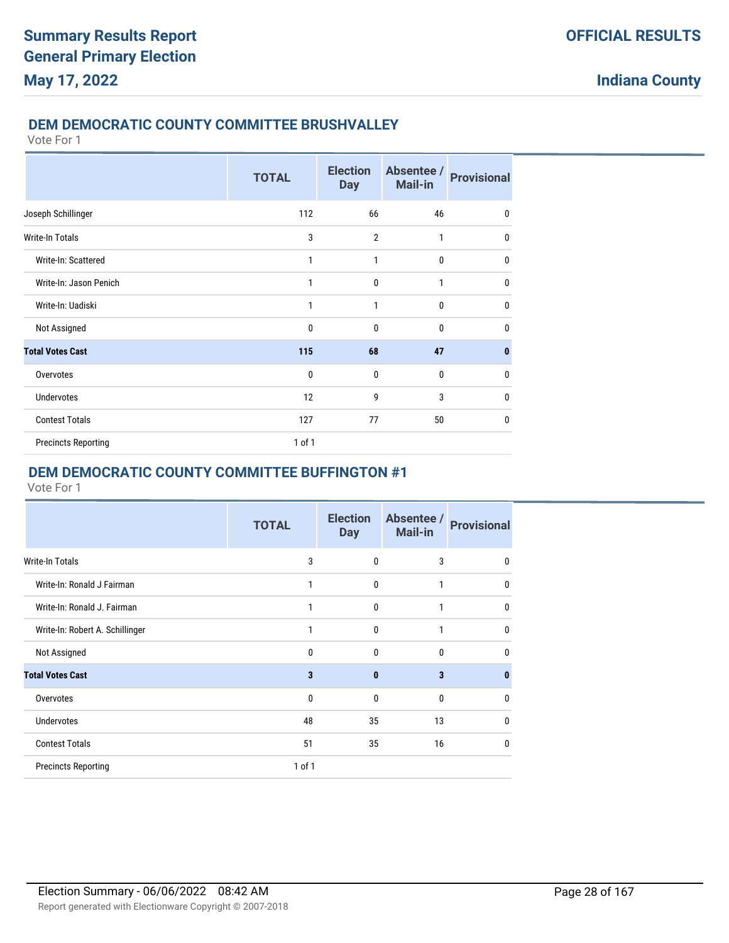## **DEM DEMOCRATIC COUNTY COMMITTEE BRUSHVALLEY**

Vote For 1

|                            | <b>TOTAL</b> | <b>Election</b><br><b>Day</b> | Absentee /<br><b>Mail-in</b> | <b>Provisional</b> |
|----------------------------|--------------|-------------------------------|------------------------------|--------------------|
| Joseph Schillinger         | 112          | 66                            | 46                           | $\mathbf{0}$       |
| Write-In Totals            | 3            | $\overline{2}$                | 1                            | $\mathbf{0}$       |
| Write-In: Scattered        | 1            | $\mathbf{1}$                  | 0                            | 0                  |
| Write-In: Jason Penich     | 1            | $\mathbf{0}$                  | 1                            | $\mathbf{0}$       |
| Write-In: Uadiski          | 1            | 1                             | 0                            | $\mathbf{0}$       |
| Not Assigned               | 0            | $\mathbf{0}$                  | 0                            | 0                  |
| <b>Total Votes Cast</b>    | 115          | 68                            | 47                           | 0                  |
| Overvotes                  | $\mathbf{0}$ | $\mathbf 0$                   | 0                            | 0                  |
| <b>Undervotes</b>          | 12           | 9                             | 3                            | $\mathbf{0}$       |
| <b>Contest Totals</b>      | 127          | 77                            | 50                           | $\mathbf{0}$       |
| <b>Precincts Reporting</b> | $1$ of $1$   |                               |                              |                    |

## **DEM DEMOCRATIC COUNTY COMMITTEE BUFFINGTON #1**

|                                 | <b>TOTAL</b> | <b>Election</b><br><b>Day</b> | Absentee /<br><b>Mail-in</b> | <b>Provisional</b> |
|---------------------------------|--------------|-------------------------------|------------------------------|--------------------|
| Write-In Totals                 | 3            | $\mathbf{0}$                  | 3                            | $\mathbf{0}$       |
| Write-In: Ronald J Fairman      | 1            | $\mathbf 0$                   | 1                            | $\mathbf{0}$       |
| Write-In: Ronald J. Fairman     | 1            | $\mathbf 0$                   | 1                            | $\mathbf{0}$       |
| Write-In: Robert A. Schillinger |              | $\mathbf{0}$                  | 1                            | $\mathbf{0}$       |
| Not Assigned                    | 0            | $\mathbf{0}$                  | $\mathbf{0}$                 | $\mathbf{0}$       |
| <b>Total Votes Cast</b>         | 3            | $\mathbf{0}$                  | 3                            | $\mathbf{0}$       |
| Overvotes                       | 0            | $\mathbf{0}$                  | $\Omega$                     | 0                  |
| <b>Undervotes</b>               | 48           | 35                            | 13                           | $\mathbf{0}$       |
| <b>Contest Totals</b>           | 51           | 35                            | 16                           | $\mathbf{0}$       |
| <b>Precincts Reporting</b>      | $1$ of $1$   |                               |                              |                    |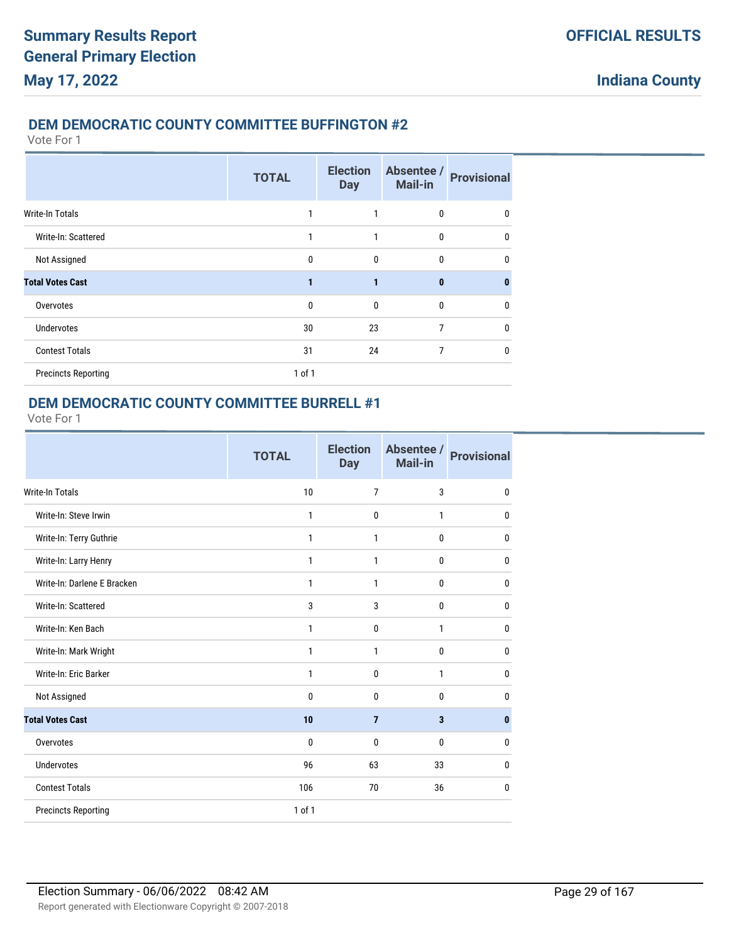### **DEM DEMOCRATIC COUNTY COMMITTEE BUFFINGTON #2**

Vote For 1

|                            | <b>TOTAL</b> | <b>Election</b><br><b>Day</b> | Absentee /<br><b>Mail-in</b> | <b>Provisional</b> |
|----------------------------|--------------|-------------------------------|------------------------------|--------------------|
| <b>Write-In Totals</b>     |              | 1                             | 0                            | 0                  |
| Write-In: Scattered        |              | 1                             | $\mathbf{0}$                 | $\mathbf{0}$       |
| Not Assigned               | $\mathbf{0}$ | $\mathbf{0}$                  | 0                            | $\mathbf{0}$       |
| <b>Total Votes Cast</b>    | 1            | 1                             | $\bf{0}$                     | $\bf{0}$           |
| Overvotes                  | $\mathbf{0}$ | $\mathbf{0}$                  | $\mathbf{0}$                 | 0                  |
| <b>Undervotes</b>          | 30           | 23                            | 7                            | $\mathbf{0}$       |
| <b>Contest Totals</b>      | 31           | 24                            | 7                            | $\mathbf{0}$       |
| <b>Precincts Reporting</b> | $1$ of $1$   |                               |                              |                    |

### **DEM DEMOCRATIC COUNTY COMMITTEE BURRELL #1**

|                             | <b>TOTAL</b> | <b>Election</b><br><b>Day</b> | Absentee /<br>Mail-in   | <b>Provisional</b> |
|-----------------------------|--------------|-------------------------------|-------------------------|--------------------|
| <b>Write-In Totals</b>      | 10           | $\overline{7}$                | 3                       | $\mathbf 0$        |
| Write-In: Steve Irwin       | $\mathbf{1}$ | $\mathbf{0}$                  | 1                       | $\mathbf 0$        |
| Write-In: Terry Guthrie     | 1            | 1                             | $\mathbf{0}$            | 0                  |
| Write-In: Larry Henry       | 1            | 1                             | $\mathbf 0$             | $\mathbf{0}$       |
| Write-In: Darlene E Bracken | $\mathbf{1}$ | 1                             | 0                       | $\mathbf{0}$       |
| Write-In: Scattered         | 3            | 3                             | 0                       | 0                  |
| Write-In: Ken Bach          | 1            | $\mathbf{0}$                  | 1                       | $\mathbf 0$        |
| Write-In: Mark Wright       | 1            | 1                             | 0                       | $\mathbf{0}$       |
| Write-In: Eric Barker       | $\mathbf{1}$ | $\mathbf 0$                   | $\mathbf{1}$            | $\mathbf 0$        |
| Not Assigned                | $\mathbf{0}$ | $\mathbf{0}$                  | $\mathbf 0$             | $\mathbf 0$        |
| <b>Total Votes Cast</b>     | 10           | $\overline{7}$                | $\overline{\mathbf{3}}$ | $\pmb{0}$          |
| Overvotes                   | $\mathbf{0}$ | $\mathbf{0}$                  | $\mathbf{0}$            | $\mathbf{0}$       |
| <b>Undervotes</b>           | 96           | 63                            | 33                      | $\mathbf{0}$       |
| <b>Contest Totals</b>       | 106          | 70                            | 36                      | 0                  |
| <b>Precincts Reporting</b>  | $1$ of $1$   |                               |                         |                    |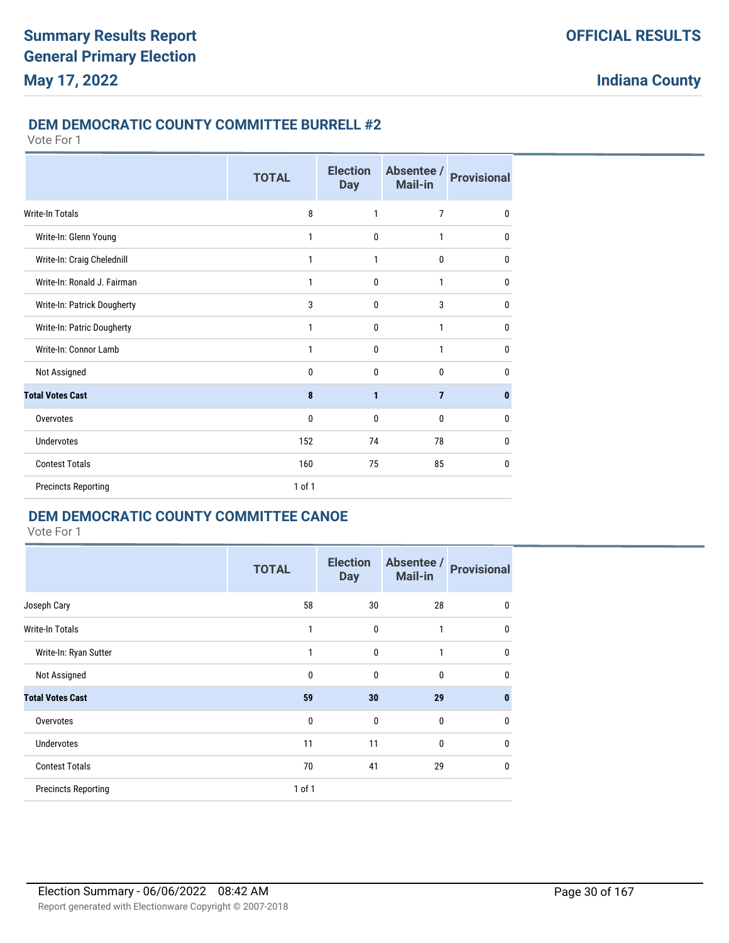## **DEM DEMOCRATIC COUNTY COMMITTEE BURRELL #2**

Vote For 1

|                             | <b>TOTAL</b> | <b>Election</b><br><b>Day</b> | Absentee /<br>Mail-in | <b>Provisional</b> |
|-----------------------------|--------------|-------------------------------|-----------------------|--------------------|
| Write-In Totals             | 8            | 1                             | 7                     | 0                  |
| Write-In: Glenn Young       | 1            | $\mathbf{0}$                  | 1                     | 0                  |
| Write-In: Craig Chelednill  | 1            | 1                             | $\mathbf{0}$          | 0                  |
| Write-In: Ronald J. Fairman | 1            | $\mathbf{0}$                  | 1                     | 0                  |
| Write-In: Patrick Dougherty | 3            | 0                             | 3                     | 0                  |
| Write-In: Patric Dougherty  | 1            | 0                             | 1                     | 0                  |
| Write-In: Connor Lamb       | 1            | $\mathbf{0}$                  | 1                     | 0                  |
| Not Assigned                | 0            | $\mathbf{0}$                  | $\mathbf{0}$          | 0                  |
| <b>Total Votes Cast</b>     | 8            | 1                             | $\overline{7}$        | $\bf{0}$           |
| Overvotes                   | 0            | $\mathbf{0}$                  | $\mathbf{0}$          | 0                  |
| <b>Undervotes</b>           | 152          | 74                            | 78                    | 0                  |
| <b>Contest Totals</b>       | 160          | 75                            | 85                    | 0                  |
| <b>Precincts Reporting</b>  | 1 of 1       |                               |                       |                    |

## **DEM DEMOCRATIC COUNTY COMMITTEE CANOE**

|                            | <b>TOTAL</b> | <b>Election</b><br><b>Day</b> | Absentee /<br><b>Mail-in</b> | <b>Provisional</b> |
|----------------------------|--------------|-------------------------------|------------------------------|--------------------|
| Joseph Cary                | 58           | 30                            | 28                           | 0                  |
| <b>Write-In Totals</b>     | 1            | 0                             | $\mathbf{1}$                 | $\mathbf 0$        |
| Write-In: Ryan Sutter      | 1            | $\mathbf{0}$                  | 1                            | $\mathbf 0$        |
| Not Assigned               | $\mathbf 0$  | 0                             | $\mathbf 0$                  | $\mathbf 0$        |
| <b>Total Votes Cast</b>    | 59           | 30                            | 29                           | $\mathbf{0}$       |
| Overvotes                  | $\mathbf{0}$ | $\mathbf{0}$                  | $\bf{0}$                     | $\mathbf 0$        |
| <b>Undervotes</b>          | 11           | 11                            | $\mathbf{0}$                 | $\mathbf 0$        |
| <b>Contest Totals</b>      | 70           | 41                            | 29                           | $\mathbf 0$        |
| <b>Precincts Reporting</b> | 1 of 1       |                               |                              |                    |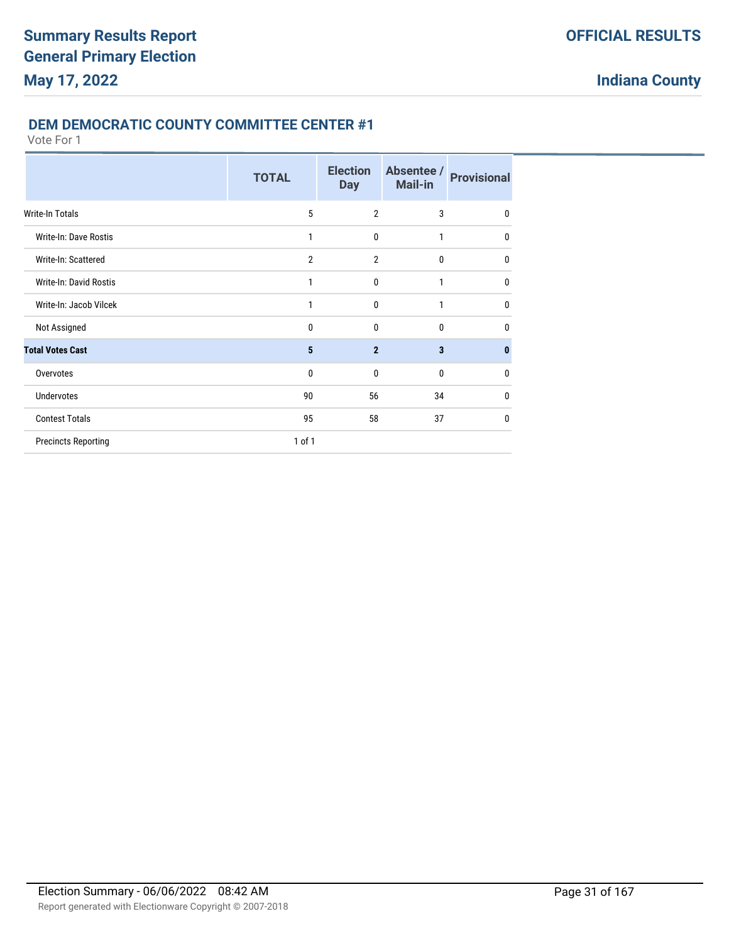#### **DEM DEMOCRATIC COUNTY COMMITTEE CENTER #1**

|                            | <b>TOTAL</b>   | <b>Election</b><br><b>Day</b> | Absentee /<br><b>Mail-in</b> | <b>Provisional</b> |
|----------------------------|----------------|-------------------------------|------------------------------|--------------------|
| Write-In Totals            | 5              | $\overline{2}$                | 3                            | $\mathbf{0}$       |
| Write-In: Dave Rostis      | 1              | 0                             | $\mathbf{1}$                 | 0                  |
| Write-In: Scattered        | $\overline{2}$ | $\overline{2}$                | $\mathbf{0}$                 | 0                  |
| Write-In: David Rostis     | 1              | $\mathbf{0}$                  | $\mathbf{1}$                 | $\mathbf{0}$       |
| Write-In: Jacob Vilcek     | 1              | $\mathbf{0}$                  | $\mathbf{1}$                 | $\mathbf{0}$       |
| Not Assigned               | $\mathbf{0}$   | $\mathbf{0}$                  | $\mathbf{0}$                 | 0                  |
| <b>Total Votes Cast</b>    | 5              | $\overline{2}$                | $\overline{\mathbf{3}}$      | 0                  |
| Overvotes                  | $\mathbf{0}$   | $\Omega$                      | $\Omega$                     | 0                  |
| <b>Undervotes</b>          | 90             | 56                            | 34                           | 0                  |
| <b>Contest Totals</b>      | 95             | 58                            | 37                           | 0                  |
| <b>Precincts Reporting</b> | 1 of 1         |                               |                              |                    |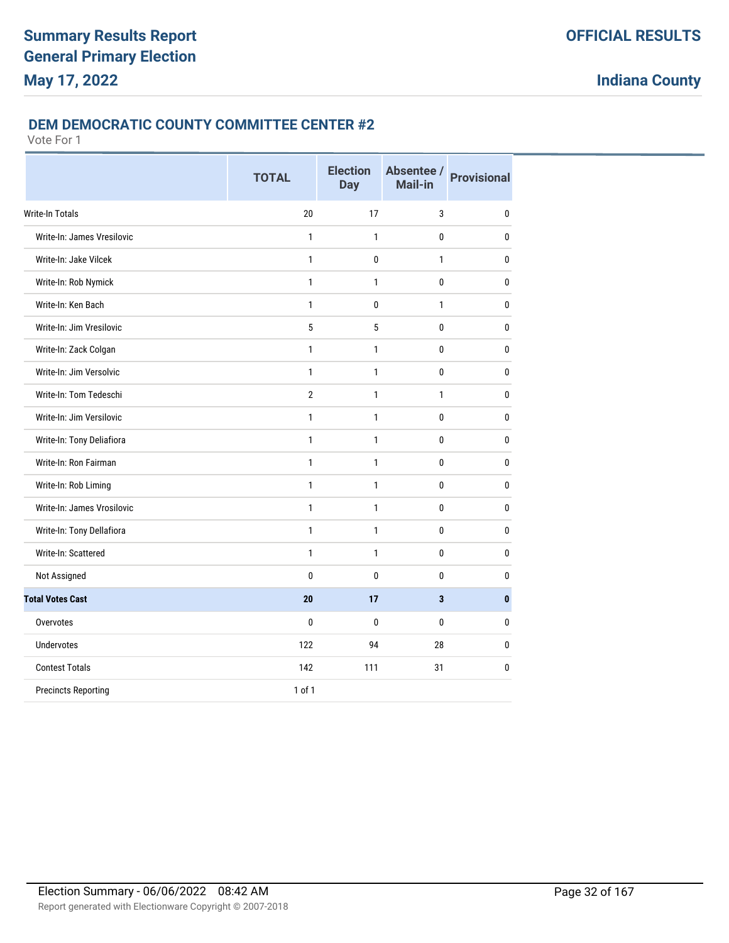#### **DEM DEMOCRATIC COUNTY COMMITTEE CENTER #2**

|                            | <b>TOTAL</b>    | <b>Election</b><br><b>Day</b> | Absentee /<br>Mail-in   | <b>Provisional</b> |
|----------------------------|-----------------|-------------------------------|-------------------------|--------------------|
| <b>Write-In Totals</b>     | 20              | 17                            | 3                       | 0                  |
| Write-In: James Vresilovic | 1               | 1                             | 0                       | 0                  |
| Write-In: Jake Vilcek      | $\mathbf{1}$    | $\mathbf{0}$                  | $\mathbf{1}$            | $\bf{0}$           |
| Write-In: Rob Nymick       | $\mathbf{1}$    | $\mathbf{1}$                  | $\mathbf 0$             | 0                  |
| Write-In: Ken Bach         | $\mathbf{1}$    | $\mathbf{0}$                  | $\mathbf{1}$            | $\mathbf{0}$       |
| Write-In: Jim Vresilovic   | $5\phantom{.0}$ | 5                             | 0                       | $\mathbf{0}$       |
| Write-In: Zack Colgan      | $\mathbf{1}$    | $\mathbf{1}$                  | 0                       | $\mathbf{0}$       |
| Write-In: Jim Versolvic    | $\mathbf{1}$    | $\mathbf{1}$                  | 0                       | $\mathbf 0$        |
| Write-In: Tom Tedeschi     | $\overline{2}$  | 1                             | 1                       | 0                  |
| Write-In: Jim Versilovic   | $\mathbf{1}$    | $\mathbf{1}$                  | $\bf{0}$                | 0                  |
| Write-In: Tony Deliafiora  | $\mathbf{1}$    | $\mathbf{1}$                  | 0                       | $\mathbf{0}$       |
| Write-In: Ron Fairman      | $\mathbf{1}$    | $\mathbf{1}$                  | 0                       | $\pmb{0}$          |
| Write-In: Rob Liming       | $\mathbf{1}$    | $\mathbf{1}$                  | 0                       | $\mathbf 0$        |
| Write-In: James Vrosilovic | $\mathbf{1}$    | $\mathbf{1}$                  | 0                       | $\bf{0}$           |
| Write-In: Tony Dellafiora  | $\mathbf{1}$    | $\mathbf{1}$                  | 0                       | $\bf{0}$           |
| Write-In: Scattered        | $\mathbf{1}$    | $\mathbf{1}$                  | 0                       | $\bf{0}$           |
| Not Assigned               | $\mathbf 0$     | $\mathbf{0}$                  | 0                       | 0                  |
| <b>Total Votes Cast</b>    | 20              | 17                            | $\overline{\mathbf{3}}$ | $\mathbf{0}$       |
| Overvotes                  | $\bf{0}$        | $\mathbf{0}$                  | 0                       | $\bf{0}$           |
| Undervotes                 | 122             | 94                            | 28                      | 0                  |
| <b>Contest Totals</b>      | 142             | 111                           | 31                      | $\bf{0}$           |
| <b>Precincts Reporting</b> | 1 of 1          |                               |                         |                    |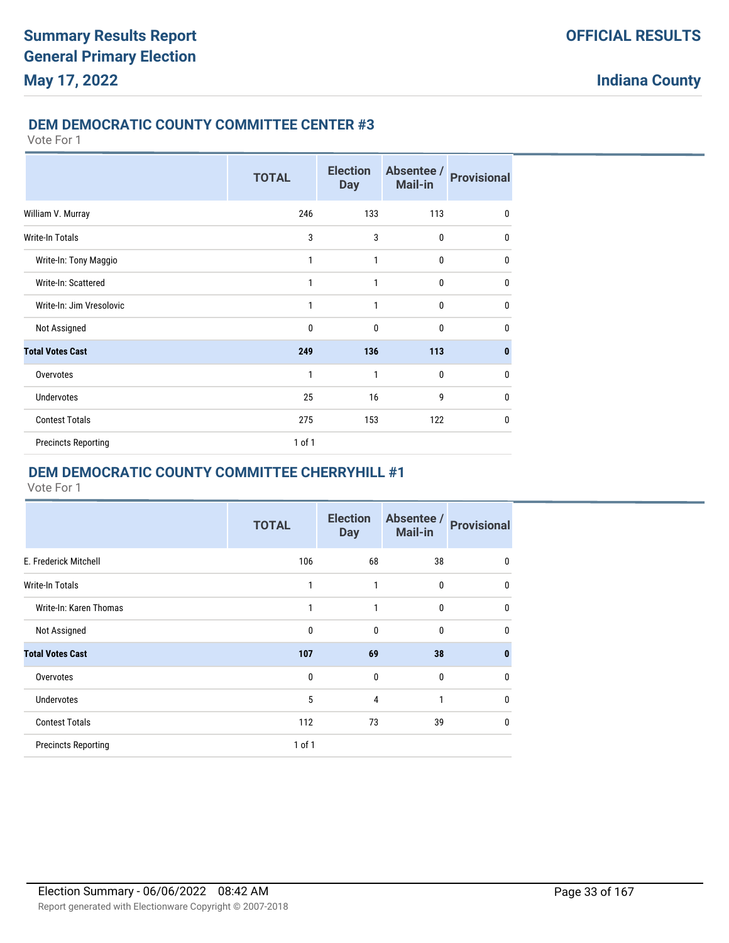#### **DEM DEMOCRATIC COUNTY COMMITTEE CENTER #3**

Vote For 1

|                            | <b>TOTAL</b> | <b>Election</b><br><b>Day</b> | Absentee /<br><b>Mail-in</b> | <b>Provisional</b> |
|----------------------------|--------------|-------------------------------|------------------------------|--------------------|
| William V. Murray          | 246          | 133                           | 113                          | 0                  |
| Write-In Totals            | 3            | 3                             | $\mathbf{0}$                 | 0                  |
| Write-In: Tony Maggio      | 1            | 1                             | $\mathbf{0}$                 | 0                  |
| Write-In: Scattered        | 1            | 1                             | $\mathbf 0$                  | 0                  |
| Write-In: Jim Vresolovic   | 1            | 1                             | $\mathbf{0}$                 | 0                  |
| Not Assigned               | $\mathbf{0}$ | 0                             | $\mathbf{0}$                 | $\mathbf{0}$       |
| <b>Total Votes Cast</b>    | 249          | 136                           | 113                          | 0                  |
| Overvotes                  | 1            | 1                             | $\mathbf{0}$                 | 0                  |
| <b>Undervotes</b>          | 25           | 16                            | 9                            | 0                  |
| <b>Contest Totals</b>      | 275          | 153                           | 122                          | 0                  |
| <b>Precincts Reporting</b> | 1 of 1       |                               |                              |                    |

## **DEM DEMOCRATIC COUNTY COMMITTEE CHERRYHILL #1**

|                            | <b>TOTAL</b> | <b>Election</b><br><b>Day</b> | Absentee /<br><b>Mail-in</b> | <b>Provisional</b> |
|----------------------------|--------------|-------------------------------|------------------------------|--------------------|
| E. Frederick Mitchell      | 106          | 68                            | 38                           | $\mathbf 0$        |
| <b>Write-In Totals</b>     | 1            | 1                             | $\mathbf 0$                  | 0                  |
| Write-In: Karen Thomas     | 1            | 1                             | $\mathbf 0$                  | 0                  |
| Not Assigned               | $\mathbf{0}$ | $\mathbf{0}$                  | $\mathbf{0}$                 | 0                  |
| <b>Total Votes Cast</b>    | 107          | 69                            | 38                           | 0                  |
| Overvotes                  | $\mathbf{0}$ | 0                             | $\mathbf{0}$                 | 0                  |
| <b>Undervotes</b>          | 5            | 4                             | $\mathbf{1}$                 | 0                  |
| <b>Contest Totals</b>      | 112          | 73                            | 39                           | 0                  |
| <b>Precincts Reporting</b> | 1 of 1       |                               |                              |                    |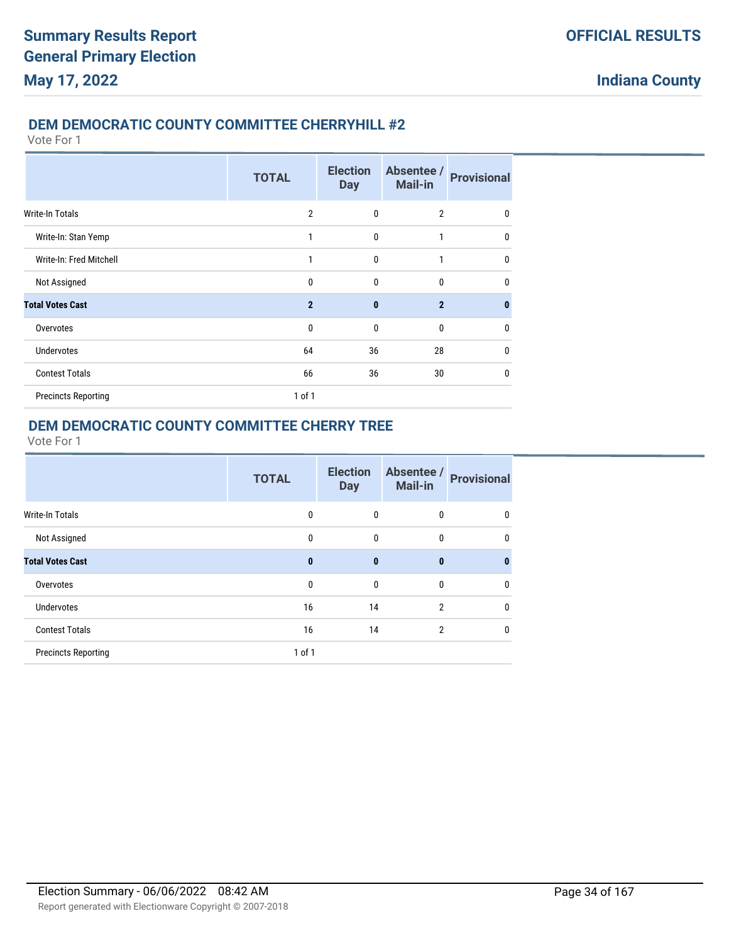## **DEM DEMOCRATIC COUNTY COMMITTEE CHERRYHILL #2**

Vote For 1

|                            | <b>TOTAL</b>   | <b>Election</b><br><b>Day</b> | Absentee /<br><b>Mail-in</b> | <b>Provisional</b> |
|----------------------------|----------------|-------------------------------|------------------------------|--------------------|
| <b>Write-In Totals</b>     | $\overline{2}$ | 0                             | $\overline{2}$               | 0                  |
| Write-In: Stan Yemp        | 1              | 0                             | 1                            | $\mathbf{0}$       |
| Write-In: Fred Mitchell    | 1              | $\mathbf{0}$                  | 1                            | $\mathbf 0$        |
| Not Assigned               | $\mathbf 0$    | 0                             | $\mathbf 0$                  | $\mathbf{0}$       |
| <b>Total Votes Cast</b>    | $\overline{2}$ | $\mathbf{0}$                  | $\overline{2}$               | $\bf{0}$           |
| Overvotes                  | $\mathbf 0$    | 0                             | $\mathbf 0$                  | $\mathbf 0$        |
| <b>Undervotes</b>          | 64             | 36                            | 28                           | $\mathbf{0}$       |
| <b>Contest Totals</b>      | 66             | 36                            | 30                           | $\mathbf{0}$       |
| <b>Precincts Reporting</b> | $1$ of $1$     |                               |                              |                    |

## **DEM DEMOCRATIC COUNTY COMMITTEE CHERRY TREE**

|                            | <b>TOTAL</b> | <b>Election</b><br><b>Day</b> | Absentee /<br><b>Mail-in</b> | <b>Provisional</b> |
|----------------------------|--------------|-------------------------------|------------------------------|--------------------|
| Write-In Totals            | 0            | 0                             | 0                            | 0                  |
| Not Assigned               | 0            | 0                             | 0                            | $\mathbf{0}$       |
| <b>Total Votes Cast</b>    | 0            | $\bf{0}$                      | $\bf{0}$                     | 0                  |
| Overvotes                  | 0            | 0                             | 0                            | $\mathbf 0$        |
| <b>Undervotes</b>          | 16           | 14                            | $\overline{2}$               | $\mathbf 0$        |
| <b>Contest Totals</b>      | 16           | 14                            | $\overline{2}$               | 0                  |
| <b>Precincts Reporting</b> | $1$ of $1$   |                               |                              |                    |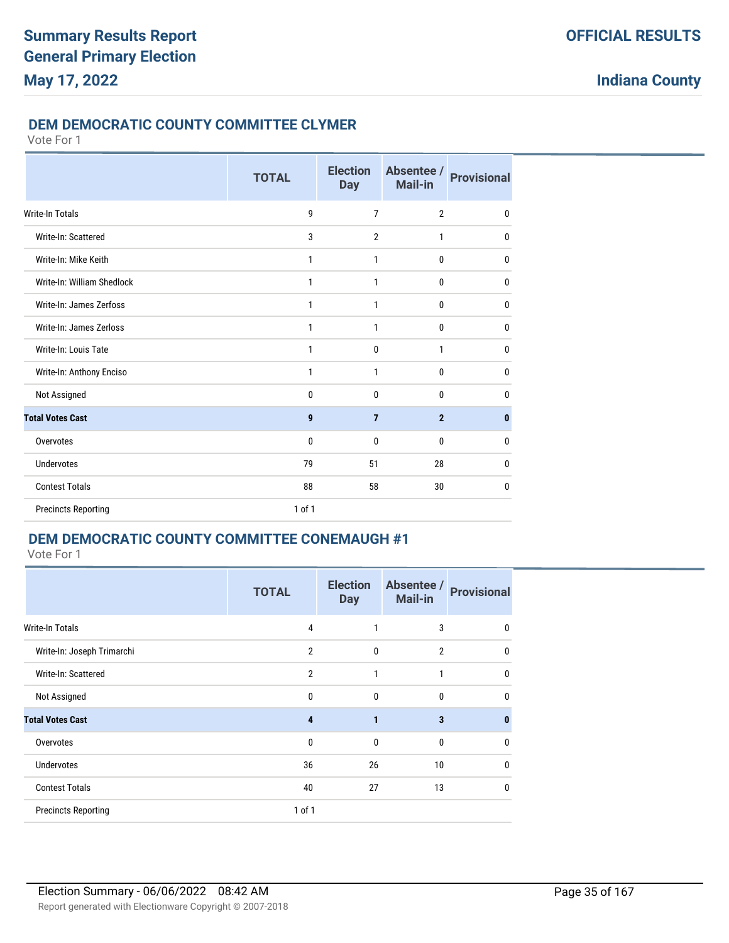#### **DEM DEMOCRATIC COUNTY COMMITTEE CLYMER**

Vote For 1

|                            | <b>TOTAL</b> | <b>Election</b><br><b>Day</b> | Absentee /<br>Mail-in | <b>Provisional</b> |
|----------------------------|--------------|-------------------------------|-----------------------|--------------------|
| Write-In Totals            | 9            | $\overline{7}$                | $\overline{2}$        | $\mathbf 0$        |
| Write-In: Scattered        | 3            | $\overline{2}$                | $\mathbf{1}$          | 0                  |
| Write-In: Mike Keith       | 1            | $\mathbf{1}$                  | $\mathbf{0}$          | $\mathbf 0$        |
| Write-In: William Shedlock | 1            | $\mathbf{1}$                  | $\mathbf{0}$          | $\mathbf 0$        |
| Write-In: James Zerfoss    | 1            | 1                             | 0                     | $\mathbf 0$        |
| Write-In: James Zerloss    | 1            | $\mathbf{1}$                  | $\mathbf{0}$          | $\mathbf 0$        |
| Write-In: Louis Tate       | 1            | $\mathbf 0$                   | $\mathbf{1}$          | $\mathbf 0$        |
| Write-In: Anthony Enciso   | 1            | 1                             | $\mathbf{0}$          | $\mathbf{0}$       |
| Not Assigned               | 0            | $\mathbf 0$                   | 0                     | 0                  |
| <b>Total Votes Cast</b>    | 9            | $\overline{7}$                | $\overline{2}$        | $\mathbf{0}$       |
| Overvotes                  | 0            | $\mathbf 0$                   | 0                     | $\mathbf 0$        |
| <b>Undervotes</b>          | 79           | 51                            | 28                    | $\mathbf{0}$       |
| <b>Contest Totals</b>      | 88           | 58                            | 30                    | $\mathbf{0}$       |
| <b>Precincts Reporting</b> | 1 of 1       |                               |                       |                    |

## **DEM DEMOCRATIC COUNTY COMMITTEE CONEMAUGH #1**

|                            | <b>TOTAL</b>   | <b>Election</b><br><b>Day</b> | Absentee /<br>Mail-in | <b>Provisional</b> |
|----------------------------|----------------|-------------------------------|-----------------------|--------------------|
| <b>Write-In Totals</b>     | 4              | 1                             | 3                     | $\mathbf{0}$       |
| Write-In: Joseph Trimarchi | $\overline{2}$ | $\mathbf 0$                   | $\overline{2}$        | $\mathbf{0}$       |
| Write-In: Scattered        | $\overline{2}$ | 1                             | 1                     | 0                  |
| Not Assigned               | $\mathbf{0}$   | $\mathbf{0}$                  | 0                     | 0                  |
| <b>Total Votes Cast</b>    | 4              | $\mathbf{1}$                  | 3                     | $\bf{0}$           |
| Overvotes                  | $\Omega$       | $\mathbf{0}$                  | $\mathbf{0}$          | 0                  |
| <b>Undervotes</b>          | 36             | 26                            | 10                    | $\mathbf{0}$       |
| <b>Contest Totals</b>      | 40             | 27                            | 13                    | 0                  |
| <b>Precincts Reporting</b> | 1 of 1         |                               |                       |                    |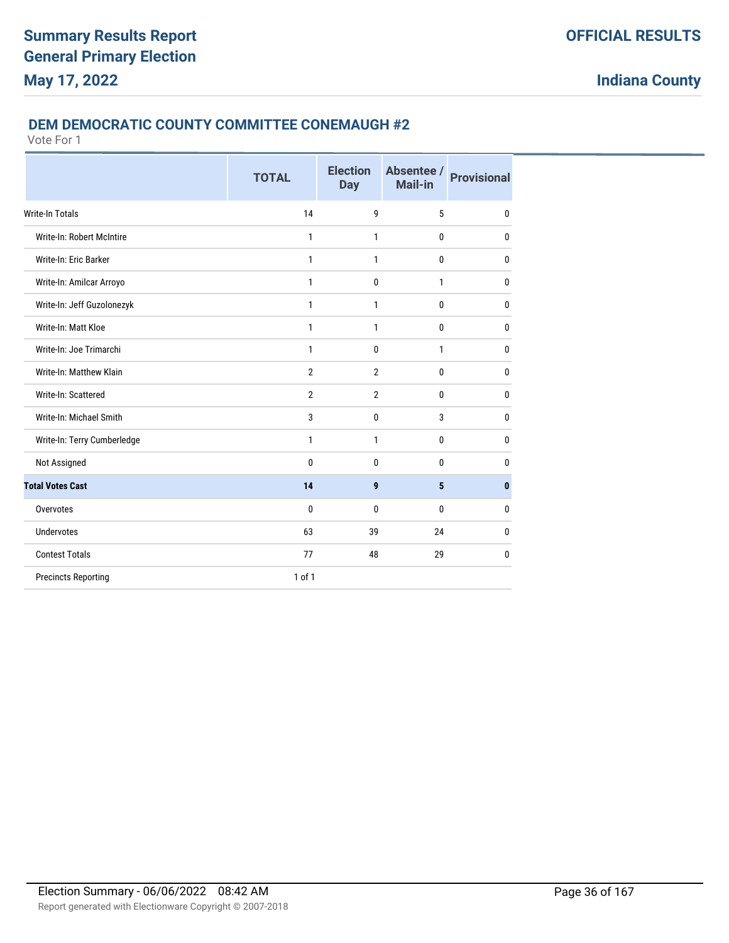#### **DEM DEMOCRATIC COUNTY COMMITTEE CONEMAUGH #2**

|                             | <b>TOTAL</b>   | <b>Election</b><br><b>Day</b> | Absentee /<br>Mail-in | <b>Provisional</b> |
|-----------------------------|----------------|-------------------------------|-----------------------|--------------------|
| <b>Write-In Totals</b>      | 14             | 9                             | 5                     | 0                  |
| Write-In: Robert McIntire   | 1              | $\mathbf{1}$                  | $\mathbf{0}$          | 0                  |
| Write-In: Eric Barker       | 1              | $\mathbf{1}$                  | 0                     | 0                  |
| Write-In: Amilcar Arroyo    | 1              | $\mathbf 0$                   | $\mathbf{1}$          | 0                  |
| Write-In: Jeff Guzolonezyk  | 1              | $\mathbf{1}$                  | 0                     | $\mathbf{0}$       |
| Write-In: Matt Kloe         | $\mathbf{1}$   | $\mathbf{1}$                  | $\bf{0}$              | $\mathbf{0}$       |
| Write-In: Joe Trimarchi     | 1              | $\mathbf{0}$                  | $\mathbf{1}$          | $\mathbf{0}$       |
| Write-In: Matthew Klain     | $\overline{2}$ | $\overline{2}$                | 0                     | $\mathbf{0}$       |
| Write-In: Scattered         | $\overline{2}$ | $\overline{2}$                | $\mathbf{0}$          | $\mathbf{0}$       |
| Write-In: Michael Smith     | 3              | $\mathbf 0$                   | 3                     | $\mathbf{0}$       |
| Write-In: Terry Cumberledge | 1              | 1                             | $\mathbf{0}$          | $\mathbf{0}$       |
| Not Assigned                | 0              | $\mathbf{0}$                  | $\theta$              | 0                  |
| <b>Total Votes Cast</b>     | 14             | 9                             | 5                     | $\bf{0}$           |
| Overvotes                   | 0              | $\Omega$                      | $\theta$              | 0                  |
| <b>Undervotes</b>           | 63             | 39                            | 24                    | 0                  |
| <b>Contest Totals</b>       | 77             | 48                            | 29                    | 0                  |
| <b>Precincts Reporting</b>  | $1$ of $1$     |                               |                       |                    |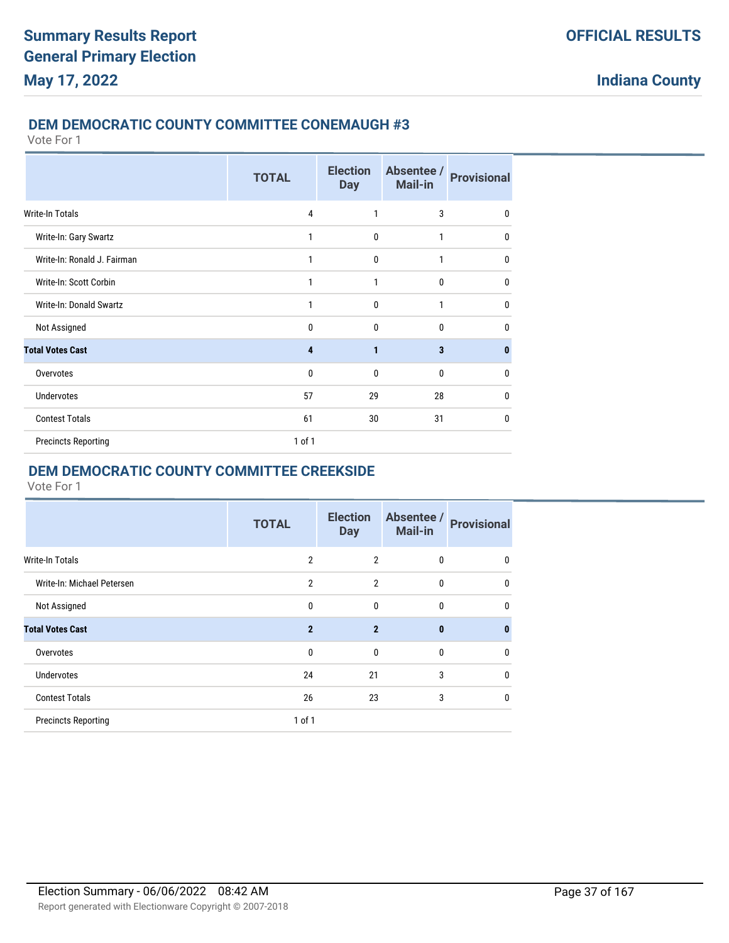#### **DEM DEMOCRATIC COUNTY COMMITTEE CONEMAUGH #3**

Vote For 1

|                             | <b>TOTAL</b> | <b>Election</b><br><b>Day</b> | Absentee /<br><b>Mail-in</b> | <b>Provisional</b> |
|-----------------------------|--------------|-------------------------------|------------------------------|--------------------|
| Write-In Totals             | 4            | 1                             | 3                            | $\mathbf{0}$       |
| Write-In: Gary Swartz       | 1            | $\mathbf{0}$                  | 1                            | 0                  |
| Write-In: Ronald J. Fairman | 1            | 0                             | 1                            | $\mathbf{0}$       |
| Write-In: Scott Corbin      | 1            | 1                             | 0                            | $\mathbf{0}$       |
| Write-In: Donald Swartz     | 1            | $\mathbf{0}$                  | $\mathbf{1}$                 | $\mathbf{0}$       |
| Not Assigned                | 0            | 0                             | $\mathbf{0}$                 | 0                  |
| <b>Total Votes Cast</b>     | 4            | $\mathbf{1}$                  | 3                            | 0                  |
| Overvotes                   | $\mathbf 0$  | $\mathbf{0}$                  | 0                            | 0                  |
| <b>Undervotes</b>           | 57           | 29                            | 28                           | $\mathbf{0}$       |
| <b>Contest Totals</b>       | 61           | 30                            | 31                           | $\mathbf{0}$       |
| <b>Precincts Reporting</b>  | 1 of 1       |                               |                              |                    |

# **DEM DEMOCRATIC COUNTY COMMITTEE CREEKSIDE**

|                            | <b>TOTAL</b>   | <b>Election</b><br><b>Day</b> | Absentee /<br>Mail-in | <b>Provisional</b> |
|----------------------------|----------------|-------------------------------|-----------------------|--------------------|
| <b>Write-In Totals</b>     | $\overline{2}$ | $\overline{2}$                | $\mathbf{0}$          | 0                  |
| Write-In: Michael Petersen | $\overline{2}$ | $\overline{2}$                | $\mathbf{0}$          | $\mathbf{0}$       |
| Not Assigned               | $\mathbf 0$    | $\mathbf 0$                   | 0                     | $\mathbf 0$        |
| <b>Total Votes Cast</b>    | $\overline{2}$ | $\overline{2}$                | $\bf{0}$              | 0                  |
| Overvotes                  | $\mathbf{0}$   | $\mathbf{0}$                  | $\mathbf{0}$          | 0                  |
| <b>Undervotes</b>          | 24             | 21                            | 3                     | $\mathbf{0}$       |
| <b>Contest Totals</b>      | 26             | 23                            | 3                     | 0                  |
| <b>Precincts Reporting</b> | $1$ of $1$     |                               |                       |                    |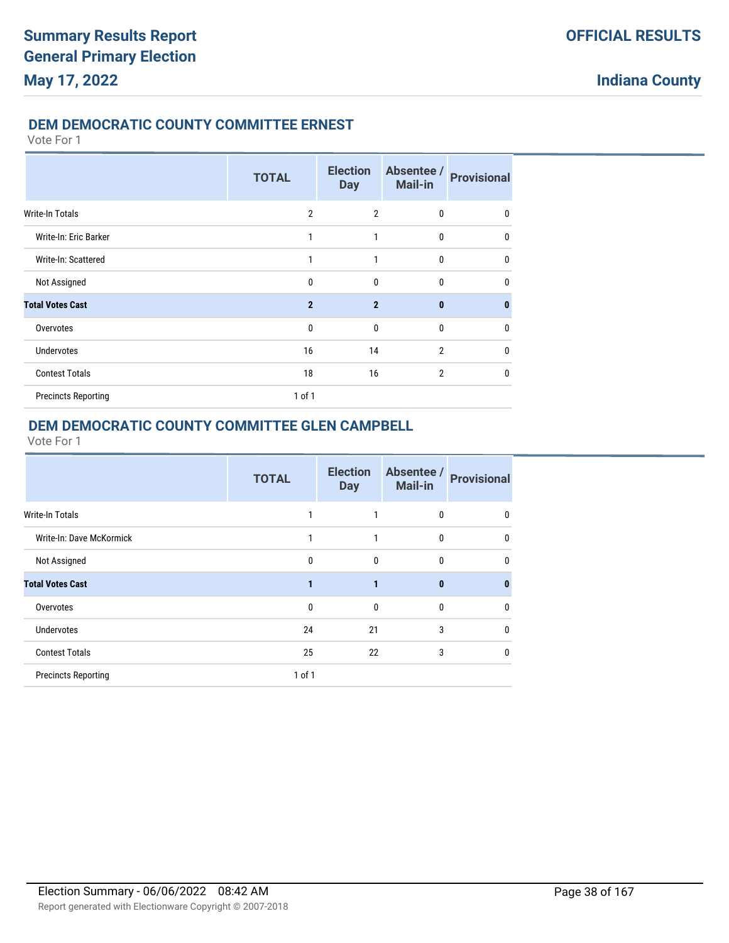## **DEM DEMOCRATIC COUNTY COMMITTEE ERNEST**

#### Vote For 1

|                            | <b>TOTAL</b>   | <b>Election</b><br><b>Day</b> | Absentee /<br>Mail-in | <b>Provisional</b> |
|----------------------------|----------------|-------------------------------|-----------------------|--------------------|
| <b>Write-In Totals</b>     | $\overline{2}$ | $\overline{2}$                | $\bf{0}$              | 0                  |
| Write-In: Eric Barker      | 1              | 1                             | $\mathbf{0}$          | $\mathbf{0}$       |
| Write-In: Scattered        | 1              | 1                             | $\mathbf{0}$          | $\mathbf{0}$       |
| Not Assigned               | 0              | 0                             | $\bf{0}$              | $\mathbf{0}$       |
| <b>Total Votes Cast</b>    | $\overline{2}$ | $\overline{2}$                | $\mathbf{0}$          | $\bf{0}$           |
| Overvotes                  | 0              | $\mathbf{0}$                  | $\bf{0}$              | 0                  |
| <b>Undervotes</b>          | 16             | 14                            | $\overline{2}$        | $\mathbf{0}$       |
| <b>Contest Totals</b>      | 18             | 16                            | $\overline{2}$        | $\mathbf{0}$       |
| <b>Precincts Reporting</b> | 1 of 1         |                               |                       |                    |

## **DEM DEMOCRATIC COUNTY COMMITTEE GLEN CAMPBELL**

|                            | <b>TOTAL</b> | <b>Election</b><br><b>Day</b> | Absentee /<br>Mail-in | <b>Provisional</b> |
|----------------------------|--------------|-------------------------------|-----------------------|--------------------|
| <b>Write-In Totals</b>     |              |                               | 0                     | 0                  |
| Write-In: Dave McKormick   |              |                               | 0                     | 0                  |
| Not Assigned               | 0            | 0                             | 0                     | 0                  |
| <b>Total Votes Cast</b>    | 1            | 1                             | $\bf{0}$              | 0                  |
| Overvotes                  | 0            | 0                             | 0                     | 0                  |
| <b>Undervotes</b>          | 24           | 21                            | 3                     | 0                  |
| <b>Contest Totals</b>      | 25           | 22                            | 3                     | 0                  |
| <b>Precincts Reporting</b> | $1$ of $1$   |                               |                       |                    |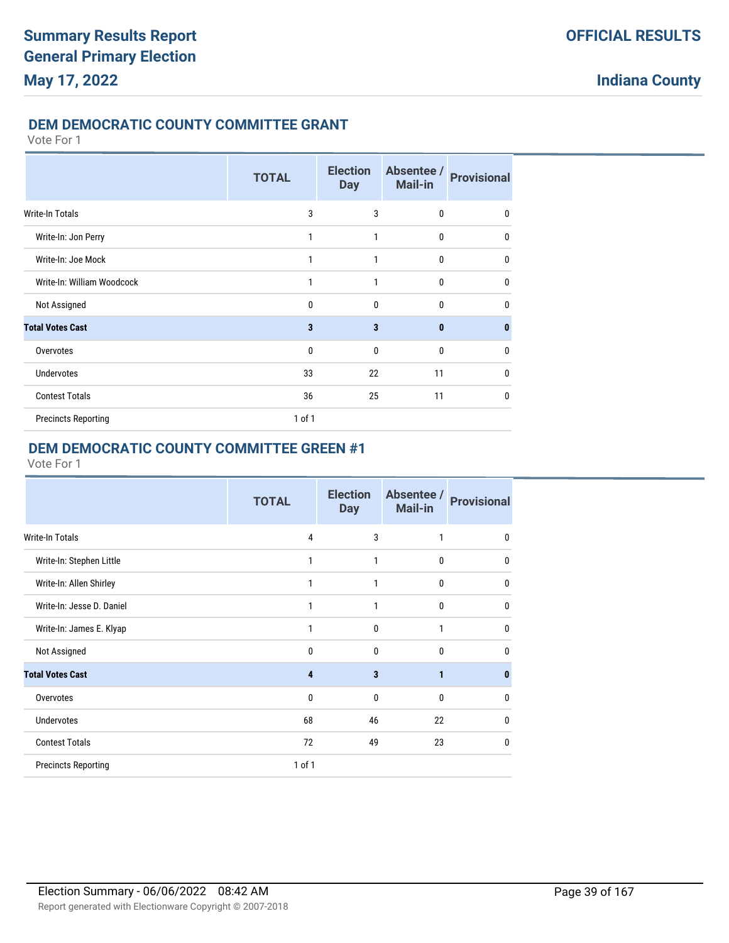### **DEM DEMOCRATIC COUNTY COMMITTEE GRANT**

Vote For 1

|                            | <b>TOTAL</b> | <b>Election</b><br><b>Day</b> | Absentee /<br>Mail-in | <b>Provisional</b> |
|----------------------------|--------------|-------------------------------|-----------------------|--------------------|
| <b>Write-In Totals</b>     | 3            | 3                             | $\bf{0}$              | $\mathbf{0}$       |
| Write-In: Jon Perry        | 1            | 1                             | $\bf{0}$              | $\mathbf{0}$       |
| Write-In: Joe Mock         | 1            | 1                             | $\bf{0}$              | $\mathbf{0}$       |
| Write-In: William Woodcock | 1            | 1                             | $\mathbf{0}$          | $\mathbf{0}$       |
| Not Assigned               | $\Omega$     | 0                             | $\mathbf{0}$          | 0                  |
| <b>Total Votes Cast</b>    | 3            | 3                             | $\bf{0}$              | $\bf{0}$           |
| Overvotes                  | $\mathbf{0}$ | 0                             | $\mathbf{0}$          | 0                  |
| Undervotes                 | 33           | 22                            | 11                    | 0                  |
| <b>Contest Totals</b>      | 36           | 25                            | 11                    | $\mathbf{0}$       |
| <b>Precincts Reporting</b> | 1 of 1       |                               |                       |                    |

# **DEM DEMOCRATIC COUNTY COMMITTEE GREEN #1**

|                            | <b>TOTAL</b>   | <b>Election</b><br><b>Day</b> | Absentee /<br><b>Mail-in</b> | <b>Provisional</b> |
|----------------------------|----------------|-------------------------------|------------------------------|--------------------|
| Write-In Totals            | $\overline{4}$ | 3                             | $\mathbf{1}$                 | $\mathbf{0}$       |
| Write-In: Stephen Little   | 1              | 1                             | $\mathbf{0}$                 | 0                  |
| Write-In: Allen Shirley    | 1              | 1                             | $\mathbf{0}$                 | $\mathbf{0}$       |
| Write-In: Jesse D. Daniel  | 1              | 1                             | $\mathbf{0}$                 | $\mathbf 0$        |
| Write-In: James E. Klyap   | 1              | $\mathbf{0}$                  | $\mathbf{1}$                 | $\mathbf{0}$       |
| Not Assigned               | $\mathbf{0}$   | $\mathbf{0}$                  | $\mathbf{0}$                 | $\mathbf{0}$       |
| <b>Total Votes Cast</b>    | 4              | 3                             | $\mathbf{1}$                 | 0                  |
| Overvotes                  | $\mathbf{0}$   | $\mathbf{0}$                  | $\mathbf{0}$                 | 0                  |
| <b>Undervotes</b>          | 68             | 46                            | 22                           | 0                  |
| <b>Contest Totals</b>      | 72             | 49                            | 23                           | $\mathbf{0}$       |
| <b>Precincts Reporting</b> | 1 of 1         |                               |                              |                    |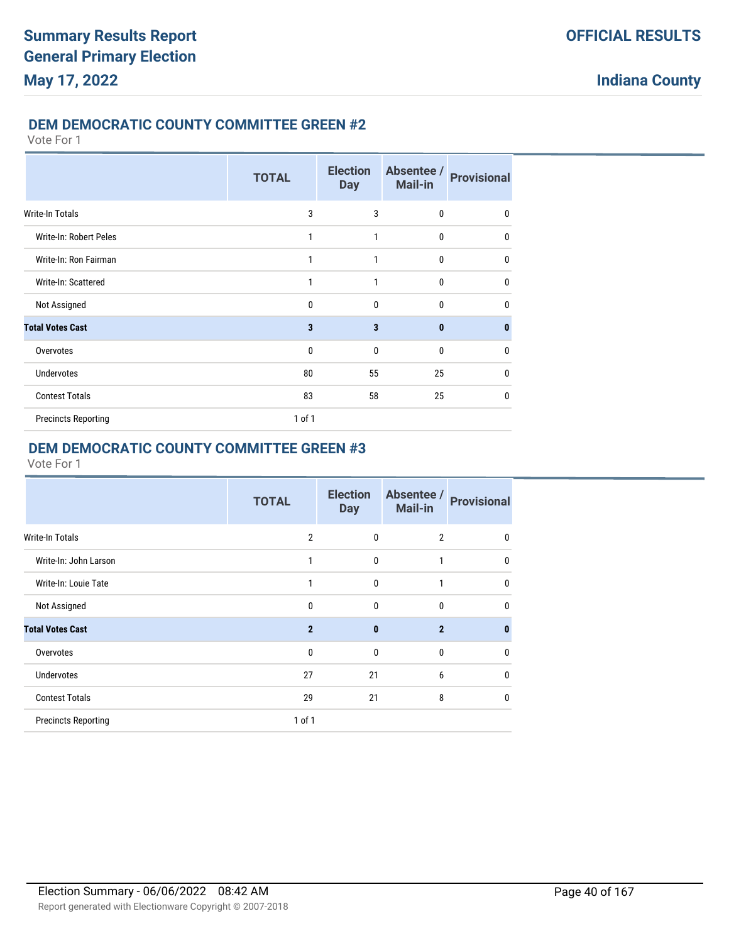### **DEM DEMOCRATIC COUNTY COMMITTEE GREEN #2**

Vote For 1

|                            | <b>TOTAL</b> | <b>Election</b><br><b>Day</b> | Absentee /<br><b>Mail-in</b> | <b>Provisional</b> |
|----------------------------|--------------|-------------------------------|------------------------------|--------------------|
| <b>Write-In Totals</b>     | 3            | 3                             | $\bf{0}$                     | $\mathbf{0}$       |
| Write-In: Robert Peles     | 1            | 1                             | 0                            | $\mathbf{0}$       |
| Write-In: Ron Fairman      | 1            | 1                             | $\bf{0}$                     | $\mathbf{0}$       |
| Write-In: Scattered        | 1            | 1                             | $\mathbf{0}$                 | $\mathbf{0}$       |
| Not Assigned               | $\mathbf{0}$ | $\mathbf{0}$                  | $\mathbf{0}$                 | $\mathbf{0}$       |
| <b>Total Votes Cast</b>    | 3            | 3                             | $\mathbf{0}$                 | $\bf{0}$           |
| Overvotes                  | $\mathbf{0}$ | $\mathbf{0}$                  | $\mathbf{0}$                 | $\mathbf{0}$       |
| Undervotes                 | 80           | 55                            | 25                           | 0                  |
| <b>Contest Totals</b>      | 83           | 58                            | 25                           | $\mathbf{0}$       |
| <b>Precincts Reporting</b> | 1 of 1       |                               |                              |                    |

# **DEM DEMOCRATIC COUNTY COMMITTEE GREEN #3**

|                            | <b>TOTAL</b>   | <b>Election</b><br><b>Day</b> | Absentee /<br><b>Mail-in</b> | <b>Provisional</b> |
|----------------------------|----------------|-------------------------------|------------------------------|--------------------|
| <b>Write-In Totals</b>     | $\overline{2}$ | 0                             | $\overline{2}$               | $\mathbf{0}$       |
| Write-In: John Larson      | 1              | $\mathbf{0}$                  | 1                            | $\mathbf{0}$       |
| Write-In: Louie Tate       | 1              | 0                             | 1                            | 0                  |
| Not Assigned               | 0              | $\mathbf{0}$                  | 0                            | $\mathbf{0}$       |
| <b>Total Votes Cast</b>    | $\overline{2}$ | $\bf{0}$                      | $\overline{2}$               | $\bf{0}$           |
| Overvotes                  | 0              | $\mathbf{0}$                  | 0                            | 0                  |
| Undervotes                 | 27             | 21                            | 6                            | 0                  |
| <b>Contest Totals</b>      | 29             | 21                            | 8                            | 0                  |
| <b>Precincts Reporting</b> | 1 of 1         |                               |                              |                    |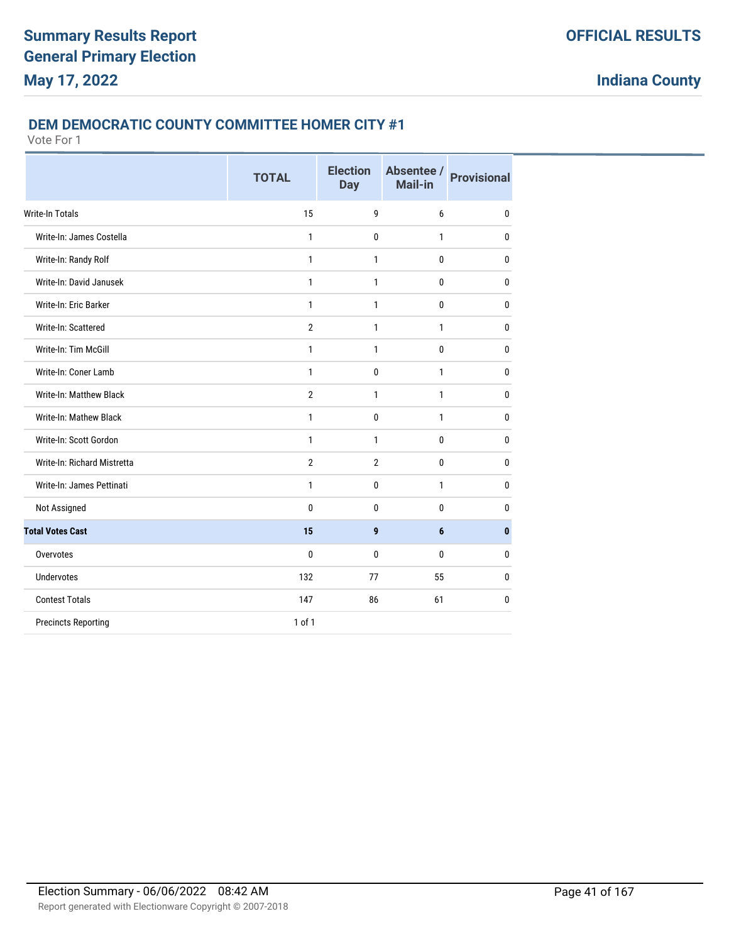### **DEM DEMOCRATIC COUNTY COMMITTEE HOMER CITY #1**

|                                | <b>TOTAL</b>   | <b>Election</b><br><b>Day</b> | Absentee /<br>Mail-in | <b>Provisional</b> |
|--------------------------------|----------------|-------------------------------|-----------------------|--------------------|
| <b>Write-In Totals</b>         | 15             | 9                             | 6                     | $\mathbf{0}$       |
| Write-In: James Costella       | 1              | 0                             | 1                     | $\mathbf{0}$       |
| Write-In: Randy Rolf           | 1              | 1                             | 0                     | $\mathbf{0}$       |
| Write-In: David Janusek        | $\mathbf{1}$   | $\mathbf{1}$                  | 0                     | $\mathbf{0}$       |
| Write-In: Eric Barker          | 1              | 1                             | 0                     | $\mathbf{0}$       |
| Write-In: Scattered            | $\overline{2}$ | 1                             | 1                     | $\mathbf{0}$       |
| Write-In: Tim McGill           | 1              | 1                             | 0                     | $\mathbf{0}$       |
| Write-In: Coner Lamb           | $\mathbf{1}$   | 0                             | 1                     | $\mathbf{0}$       |
| <b>Write-In: Matthew Black</b> | $\mathbf{2}$   | 1                             | 1                     | 0                  |
| Write-In: Mathew Black         | 1              | 0                             | 1                     | $\mathbf{0}$       |
| Write-In: Scott Gordon         | $\mathbf{1}$   | 1                             | 0                     | $\mathbf{0}$       |
| Write-In: Richard Mistretta    | $\overline{2}$ | $\overline{2}$                | 0                     | 0                  |
| Write-In: James Pettinati      | $\mathbf{1}$   | 0                             | $\mathbf{1}$          | $\mathbf{0}$       |
| Not Assigned                   | 0              | 0                             | 0                     | 0                  |
| <b>Total Votes Cast</b>        | 15             | 9                             | 6                     | $\mathbf{0}$       |
| Overvotes                      | $\mathbf{0}$   | 0                             | 0                     | $\mathbf{0}$       |
| <b>Undervotes</b>              | 132            | 77                            | 55                    | $\mathbf{0}$       |
| <b>Contest Totals</b>          | 147            | 86                            | 61                    | $\mathbf{0}$       |
| <b>Precincts Reporting</b>     | 1 of 1         |                               |                       |                    |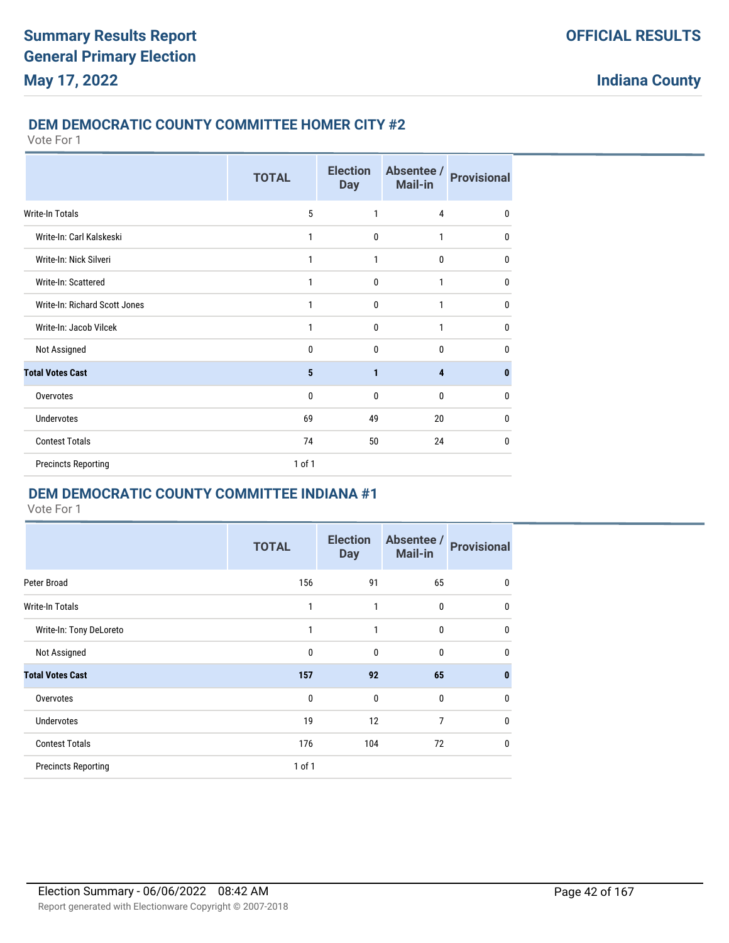### **DEM DEMOCRATIC COUNTY COMMITTEE HOMER CITY #2**

Vote For 1

|                               | <b>TOTAL</b> | <b>Election</b><br><b>Day</b> | Absentee /<br><b>Mail-in</b> | <b>Provisional</b> |
|-------------------------------|--------------|-------------------------------|------------------------------|--------------------|
| Write-In Totals               | 5            | 1                             | 4                            | $\mathbf{0}$       |
| Write-In: Carl Kalskeski      | 1            | 0                             | 1                            | 0                  |
| Write-In: Nick Silveri        | 1            | 1                             | $\mathbf{0}$                 | $\mathbf 0$        |
| Write-In: Scattered           | 1            | $\mathbf{0}$                  | 1                            | $\mathbf{0}$       |
| Write-In: Richard Scott Jones | 1            | $\mathbf{0}$                  | 1                            | $\mathbf 0$        |
| Write-In: Jacob Vilcek        | 1            | 0                             | 1                            | $\mathbf 0$        |
| Not Assigned                  | 0            | $\mathbf{0}$                  | $\mathbf{0}$                 | $\mathbf{0}$       |
| <b>Total Votes Cast</b>       | 5            | 1                             | $\overline{\mathbf{4}}$      | $\mathbf{0}$       |
| Overvotes                     | 0            | 0                             | $\mathbf 0$                  | $\mathbf 0$        |
| <b>Undervotes</b>             | 69           | 49                            | 20                           | $\mathbf 0$        |
| <b>Contest Totals</b>         | 74           | 50                            | 24                           | $\mathbf{0}$       |
| <b>Precincts Reporting</b>    | 1 of 1       |                               |                              |                    |

### **DEM DEMOCRATIC COUNTY COMMITTEE INDIANA #1**

|                            | <b>TOTAL</b> | <b>Election</b><br><b>Day</b> | Absentee /<br><b>Mail-in</b> | <b>Provisional</b> |
|----------------------------|--------------|-------------------------------|------------------------------|--------------------|
| Peter Broad                | 156          | 91                            | 65                           | 0                  |
| <b>Write-In Totals</b>     | 1            | 1                             | $\bf{0}$                     | $\mathbf 0$        |
| Write-In: Tony DeLoreto    | 1            | 1                             | $\mathbf 0$                  | $\mathbf 0$        |
| Not Assigned               | $\mathbf 0$  | $\mathbf{0}$                  | $\mathbf{0}$                 | $\mathbf 0$        |
| <b>Total Votes Cast</b>    | 157          | 92                            | 65                           | $\mathbf{0}$       |
| Overvotes                  | $\mathbf 0$  | $\mathbf{0}$                  | $\mathbf 0$                  | $\mathbf 0$        |
| <b>Undervotes</b>          | 19           | 12                            | 7                            | $\mathbf 0$        |
| <b>Contest Totals</b>      | 176          | 104                           | 72                           | $\mathbf 0$        |
| <b>Precincts Reporting</b> | $1$ of $1$   |                               |                              |                    |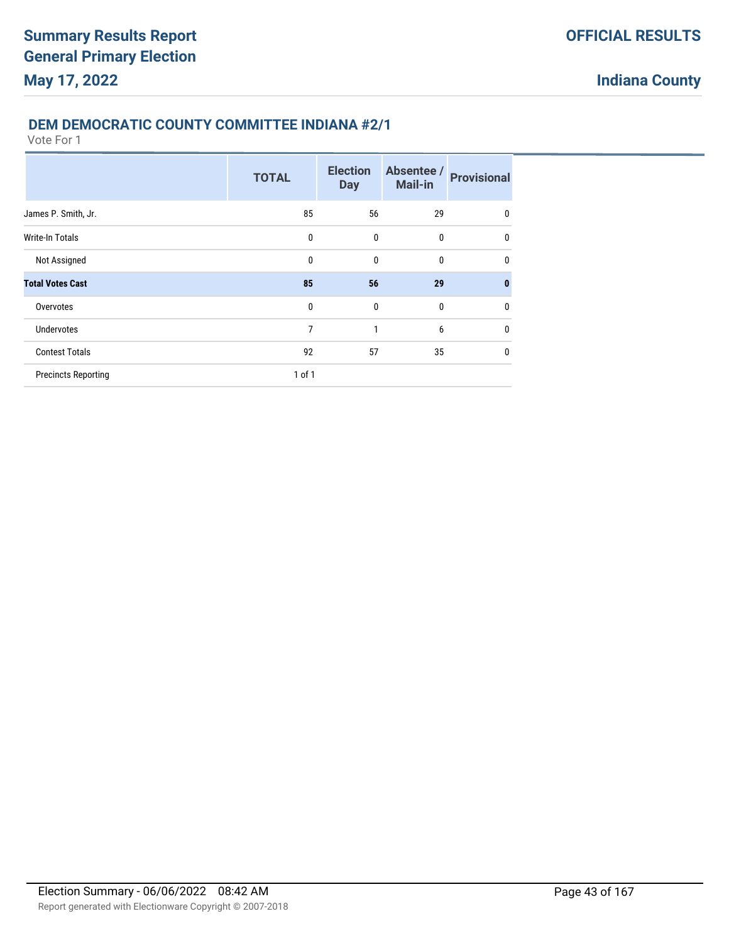## **DEM DEMOCRATIC COUNTY COMMITTEE INDIANA #2/1**

|                            | <b>TOTAL</b> | <b>Election</b><br><b>Day</b> | Absentee /<br><b>Mail-in</b> | <b>Provisional</b> |
|----------------------------|--------------|-------------------------------|------------------------------|--------------------|
| James P. Smith, Jr.        | 85           | 56                            | 29                           | 0                  |
| <b>Write-In Totals</b>     | $\mathbf 0$  | $\mathbf{0}$                  | $\mathbf{0}$                 | $\mathbf 0$        |
| Not Assigned               | 0            | $\mathbf{0}$                  | $\bf{0}$                     | $\mathbf{0}$       |
| <b>Total Votes Cast</b>    | 85           | 56                            | 29                           | $\bf{0}$           |
| Overvotes                  | $\mathbf{0}$ | $\mathbf{0}$                  | $\mathbf{0}$                 | $\mathbf{0}$       |
| <b>Undervotes</b>          | 7            | 1                             | 6                            | $\mathbf{0}$       |
| <b>Contest Totals</b>      | 92           | 57                            | 35                           | $\mathbf{0}$       |
| <b>Precincts Reporting</b> | 1 of 1       |                               |                              |                    |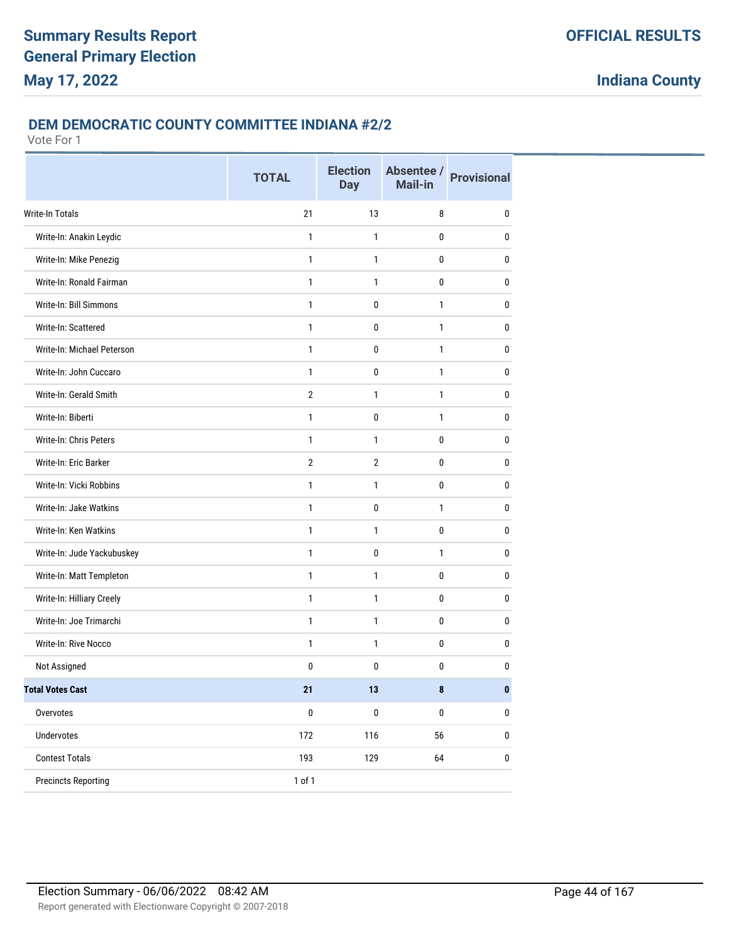### **DEM DEMOCRATIC COUNTY COMMITTEE INDIANA #2/2**

|                            | <b>TOTAL</b>   | <b>Election</b><br><b>Day</b> | Absentee /<br>Mail-in | <b>Provisional</b> |
|----------------------------|----------------|-------------------------------|-----------------------|--------------------|
| <b>Write-In Totals</b>     | 21             | 13                            | 8                     | 0                  |
| Write-In: Anakin Leydic    | 1              | 1                             | 0                     | 0                  |
| Write-In: Mike Penezig     | $\mathbf{1}$   | 1                             | 0                     | 0                  |
| Write-In: Ronald Fairman   | $\mathbf{1}$   | $\mathbf{1}$                  | 0                     | $\pmb{0}$          |
| Write-In: Bill Simmons     | 1              | 0                             | 1                     | 0                  |
| Write-In: Scattered        | 1              | 0                             | 1                     | 0                  |
| Write-In: Michael Peterson | 1              | 0                             | $\mathbf{1}$          | 0                  |
| Write-In: John Cuccaro     | 1              | 0                             | 1                     | $\mathbf{0}$       |
| Write-In: Gerald Smith     | $\overline{2}$ | 1                             | 1                     | $\pmb{0}$          |
| Write-In: Biberti          | $\mathbf{1}$   | $\mathbf 0$                   | $\mathbf{1}$          | 0                  |
| Write-In: Chris Peters     | 1              | 1                             | 0                     | $\pmb{0}$          |
| Write-In: Eric Barker      | $\overline{2}$ | $\overline{2}$                | 0                     | 0                  |
| Write-In: Vicki Robbins    | 1              | 1                             | 0                     | $\mathbf{0}$       |
| Write-In: Jake Watkins     | 1              | 0                             | 1                     | $\mathbf{0}$       |
| Write-In: Ken Watkins      | $\mathbf{1}$   | 1                             | 0                     | 0                  |
| Write-In: Jude Yackubuskey | $\mathbf{1}$   | $\mathbf 0$                   | $\mathbf{1}$          | $\pmb{0}$          |
| Write-In: Matt Templeton   | 1              | 1                             | 0                     | 0                  |
| Write-In: Hilliary Creely  | 1              | 1                             | 0                     | 0                  |
| Write-In: Joe Trimarchi    | 1              | 1                             | 0                     | 0                  |
| Write-In: Rive Nocco       | 1              | 1                             | 0                     | $\mathbf{0}$       |
| Not Assigned               | 0              | 0                             | 0                     | 0                  |
| <b>Total Votes Cast</b>    | 21             | 13                            | ö                     | $\mathbf{0}$       |
| Overvotes                  | $\pmb{0}$      | $\pmb{0}$                     | $\pmb{0}$             | $\pmb{0}$          |
| Undervotes                 | 172            | 116                           | 56                    | $\pmb{0}$          |
| <b>Contest Totals</b>      | 193            | 129                           | 64                    | $\pmb{0}$          |
| <b>Precincts Reporting</b> | 1 of 1         |                               |                       |                    |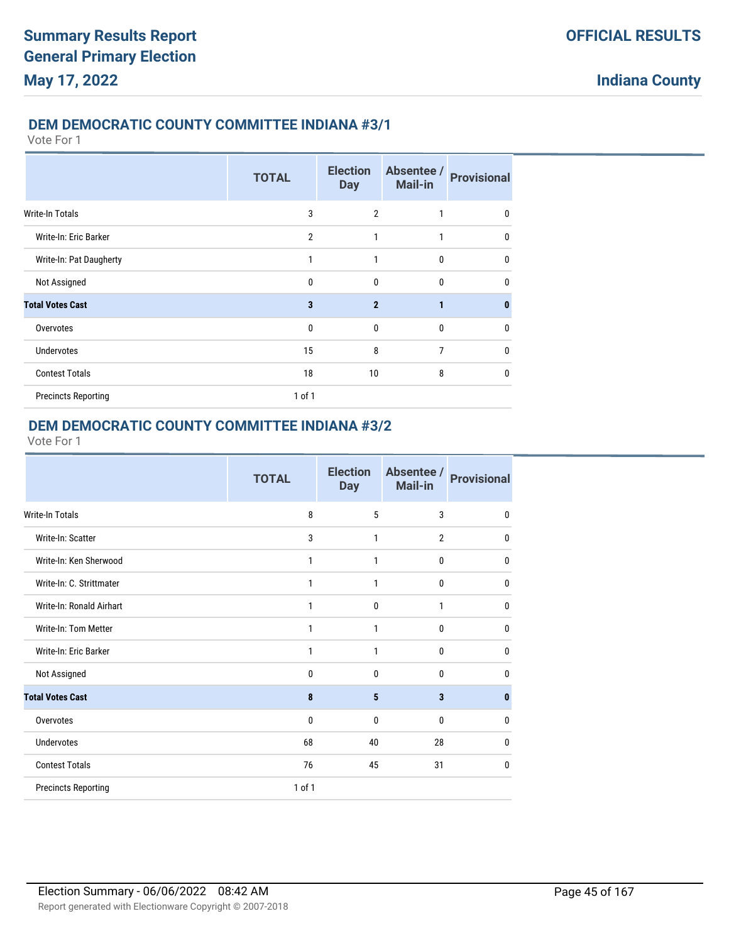#### **DEM DEMOCRATIC COUNTY COMMITTEE INDIANA #3/1**

Vote For 1

|                            | <b>TOTAL</b>   | <b>Election</b><br><b>Day</b> | Absentee /<br><b>Mail-in</b> | <b>Provisional</b> |
|----------------------------|----------------|-------------------------------|------------------------------|--------------------|
| <b>Write-In Totals</b>     | 3              | $\overline{2}$                | 1                            | 0                  |
| Write-In: Eric Barker      | $\overline{2}$ | 1                             | 1                            | $\mathbf{0}$       |
| Write-In: Pat Daugherty    | 1              | 1                             | $\mathbf{0}$                 | $\mathbf{0}$       |
| Not Assigned               | $\mathbf 0$    | 0                             | $\mathbf{0}$                 | $\mathbf{0}$       |
| <b>Total Votes Cast</b>    | 3              | $\overline{2}$                | 1                            | $\mathbf{0}$       |
| Overvotes                  | $\mathbf 0$    | 0                             | $\bf{0}$                     | 0                  |
| <b>Undervotes</b>          | 15             | 8                             | 7                            | $\mathbf{0}$       |
| <b>Contest Totals</b>      | 18             | 10                            | 8                            | $\mathbf{0}$       |
| <b>Precincts Reporting</b> | $1$ of $1$     |                               |                              |                    |

# **DEM DEMOCRATIC COUNTY COMMITTEE INDIANA #3/2**

|                            | <b>TOTAL</b> | <b>Election</b><br><b>Day</b> | Absentee /<br>Mail-in | <b>Provisional</b> |
|----------------------------|--------------|-------------------------------|-----------------------|--------------------|
| <b>Write-In Totals</b>     | 8            | 5                             | 3                     | 0                  |
| Write-In: Scatter          | 3            | 1                             | $\overline{2}$        | 0                  |
| Write-In: Ken Sherwood     | 1            | 1                             | 0                     | 0                  |
| Write-In: C. Strittmater   | 1            | 1                             | 0                     | 0                  |
| Write-In: Ronald Airhart   | 1            | 0                             | 1                     | 0                  |
| Write-In: Tom Metter       | 1            | 1                             | 0                     | 0                  |
| Write-In: Eric Barker      | 1            | 1                             | 0                     | 0                  |
| Not Assigned               | 0            | 0                             | 0                     | 0                  |
| <b>Total Votes Cast</b>    | 8            | 5                             | 3                     | 0                  |
| Overvotes                  | 0            | 0                             | 0                     | 0                  |
| <b>Undervotes</b>          | 68           | 40                            | 28                    | 0                  |
| <b>Contest Totals</b>      | 76           | 45                            | 31                    | 0                  |
| <b>Precincts Reporting</b> | 1 of 1       |                               |                       |                    |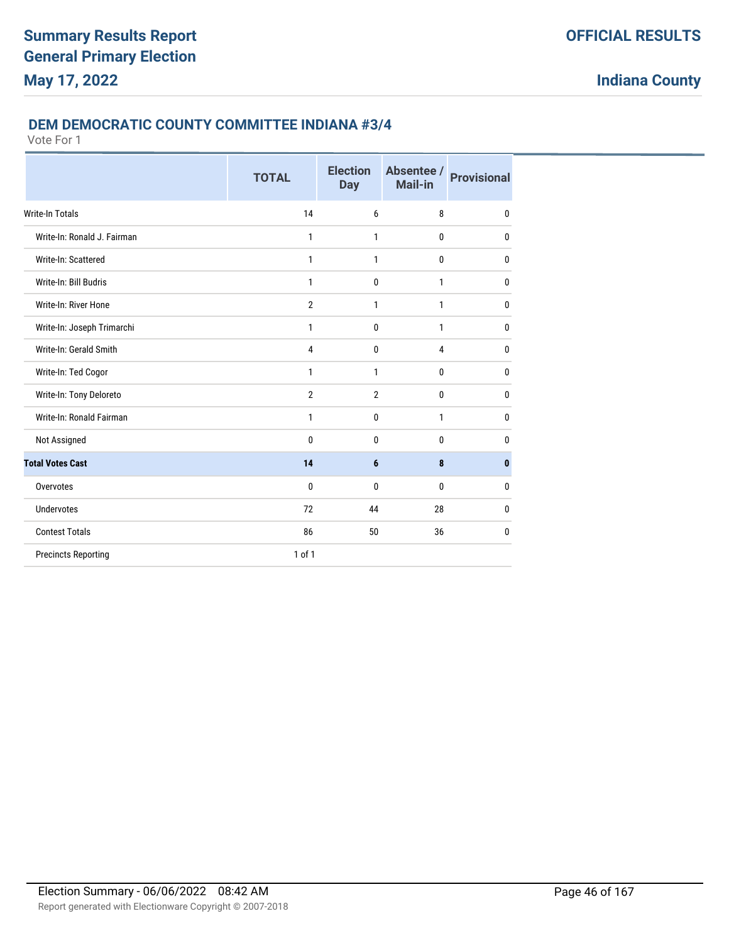### **DEM DEMOCRATIC COUNTY COMMITTEE INDIANA #3/4**

|                             | <b>TOTAL</b>   | <b>Election</b><br><b>Day</b> | Absentee /<br>Mail-in | <b>Provisional</b> |
|-----------------------------|----------------|-------------------------------|-----------------------|--------------------|
| <b>Write-In Totals</b>      | 14             | 6                             | 8                     | $\mathbf{0}$       |
| Write-In: Ronald J. Fairman | $\mathbf{1}$   | 1                             | $\mathbf{0}$          | $\mathbf{0}$       |
| Write-In: Scattered         | 1              | 1                             | 0                     | 0                  |
| Write-In: Bill Budris       | 1              | $\mathbf{0}$                  | 1                     | 0                  |
| Write-In: River Hone        | $\overline{2}$ | 1                             | 1                     | $\mathbf{0}$       |
| Write-In: Joseph Trimarchi  | 1              | $\mathbf{0}$                  | 1                     | $\mathbf{0}$       |
| Write-In: Gerald Smith      | 4              | $\mathbf 0$                   | 4                     | 0                  |
| Write-In: Ted Cogor         | 1              | 1                             | 0                     | 0                  |
| Write-In: Tony Deloreto     | $\overline{2}$ | $\overline{2}$                | 0                     | 0                  |
| Write-In: Ronald Fairman    | $\mathbf{1}$   | $\mathbf{0}$                  | 1                     | $\mathbf{0}$       |
| Not Assigned                | $\mathbf{0}$   | $\mathbf{0}$                  | 0                     | 0                  |
| <b>Total Votes Cast</b>     | 14             | $6\phantom{1}$                | 8                     | $\mathbf{0}$       |
| Overvotes                   | $\mathbf{0}$   | $\mathbf{0}$                  | $\mathbf{0}$          | $\mathbf{0}$       |
| Undervotes                  | 72             | 44                            | 28                    | $\mathbf{0}$       |
| <b>Contest Totals</b>       | 86             | 50                            | 36                    | 0                  |
| <b>Precincts Reporting</b>  | $1$ of $1$     |                               |                       |                    |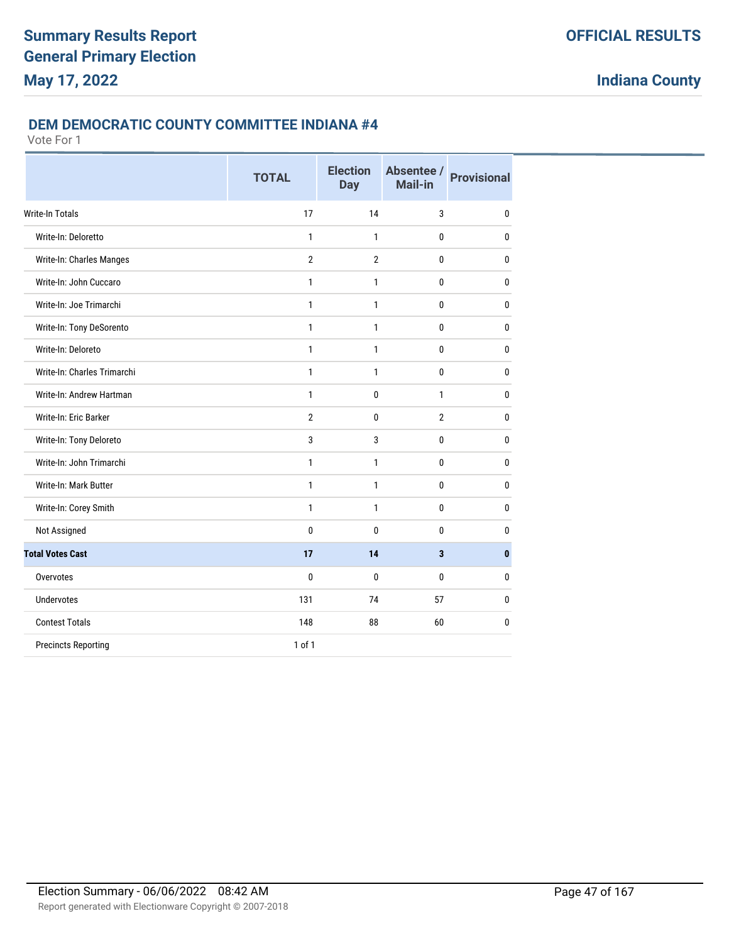### **DEM DEMOCRATIC COUNTY COMMITTEE INDIANA #4**

|                             | <b>TOTAL</b>   | <b>Election</b><br><b>Day</b> | Absentee /<br>Mail-in | <b>Provisional</b> |
|-----------------------------|----------------|-------------------------------|-----------------------|--------------------|
| <b>Write-In Totals</b>      | 17             | 14                            | 3                     | $\mathbf{0}$       |
| Write-In: Deloretto         | $\mathbf{1}$   | 1                             | 0                     | $\mathbf{0}$       |
| Write-In: Charles Manges    | $\overline{2}$ | $\overline{2}$                | 0                     | $\mathbf{0}$       |
| Write-In: John Cuccaro      | $\mathbf{1}$   | 1                             | 0                     | $\bf{0}$           |
| Write-In: Joe Trimarchi     | 1              | 1                             | 0                     | $\mathbf{0}$       |
| Write-In: Tony DeSorento    | 1              | 1                             | 0                     | $\mathbf{0}$       |
| Write-In: Deloreto          | $\mathbf{1}$   | 1                             | 0                     | $\mathbf{0}$       |
| Write-In: Charles Trimarchi | 1              | 1                             | 0                     | $\mathbf{0}$       |
| Write-In: Andrew Hartman    | $\mathbf{1}$   | 0                             | $\mathbf{1}$          | $\mathbf{0}$       |
| Write-In: Eric Barker       | $\overline{2}$ | 0                             | $\overline{2}$        | $\mathbf{0}$       |
| Write-In: Tony Deloreto     | 3              | 3                             | 0                     | $\mathbf{0}$       |
| Write-In: John Trimarchi    | $\mathbf{1}$   | $\mathbf{1}$                  | 0                     | $\mathbf{0}$       |
| Write-In: Mark Butter       | 1              | 1                             | 0                     | $\mathbf{0}$       |
| Write-In: Corey Smith       | 1              | 1                             | 0                     | $\mathbf{0}$       |
| Not Assigned                | 0              | 0                             | 0                     | $\mathbf{0}$       |
| <b>Total Votes Cast</b>     | 17             | 14                            | 3                     | $\bf{0}$           |
| Overvotes                   | 0              | 0                             | 0                     | $\mathbf{0}$       |
| <b>Undervotes</b>           | 131            | 74                            | 57                    | $\mathbf{0}$       |
| <b>Contest Totals</b>       | 148            | 88                            | 60                    | 0                  |
| <b>Precincts Reporting</b>  | 1 of 1         |                               |                       |                    |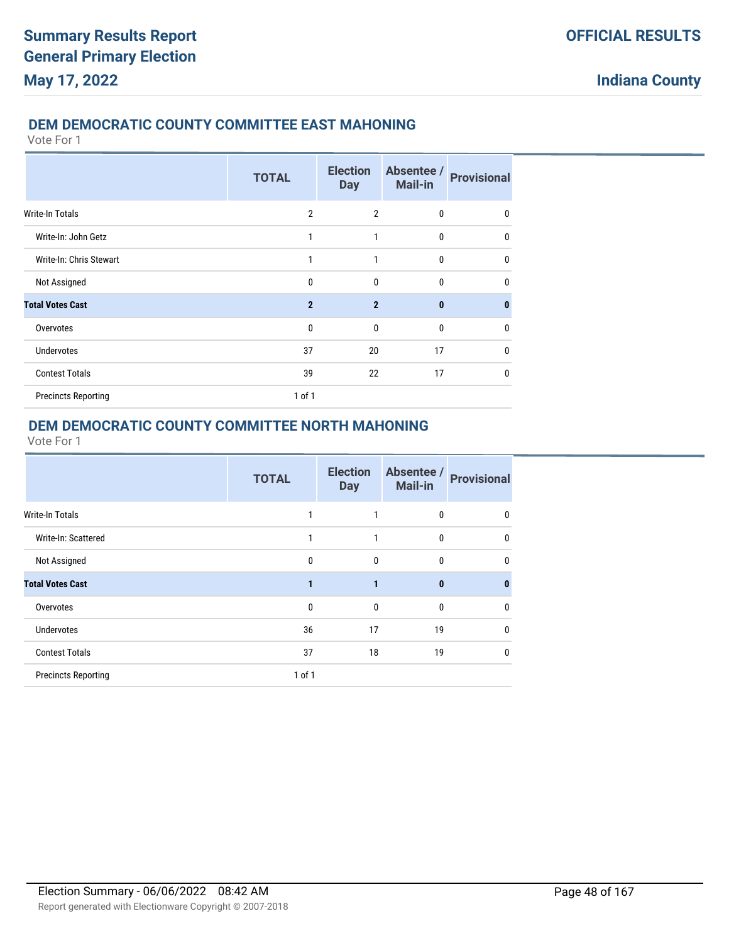## **DEM DEMOCRATIC COUNTY COMMITTEE EAST MAHONING**

Vote For 1

|                            | <b>TOTAL</b>   | <b>Election</b><br><b>Day</b> | Absentee /<br><b>Mail-in</b> | <b>Provisional</b> |
|----------------------------|----------------|-------------------------------|------------------------------|--------------------|
| Write-In Totals            | $\overline{2}$ | $\overline{2}$                | $\mathbf 0$                  | 0                  |
| Write-In: John Getz        | 1              | 1                             | $\mathbf{0}$                 | 0                  |
| Write-In: Chris Stewart    | 1              | 1                             | $\mathbf{0}$                 | 0                  |
| Not Assigned               | $\mathbf{0}$   | $\mathbf{0}$                  | $\mathbf{0}$                 | 0                  |
| <b>Total Votes Cast</b>    | $\overline{2}$ | $\mathbf{2}$                  | $\bf{0}$                     | $\bf{0}$           |
| Overvotes                  | $\mathbf{0}$   | $\mathbf{0}$                  | $\bf{0}$                     | 0                  |
| <b>Undervotes</b>          | 37             | 20                            | 17                           | 0                  |
| <b>Contest Totals</b>      | 39             | 22                            | 17                           | $\mathbf{0}$       |
| <b>Precincts Reporting</b> | 1 of 1         |                               |                              |                    |

## **DEM DEMOCRATIC COUNTY COMMITTEE NORTH MAHONING**

|                            | <b>TOTAL</b> | <b>Election</b><br><b>Day</b> | Absentee /<br>Mail-in | <b>Provisional</b> |
|----------------------------|--------------|-------------------------------|-----------------------|--------------------|
| <b>Write-In Totals</b>     |              |                               | 0                     | 0                  |
| Write-In: Scattered        | 1            | 1                             | 0                     | 0                  |
| Not Assigned               | 0            | $\mathbf 0$                   | 0                     | 0                  |
| <b>Total Votes Cast</b>    |              | 1                             | $\bf{0}$              | $\bf{0}$           |
| Overvotes                  | 0            | $\mathbf{0}$                  | 0                     | 0                  |
| <b>Undervotes</b>          | 36           | 17                            | 19                    | 0                  |
| <b>Contest Totals</b>      | 37           | 18                            | 19                    | 0                  |
| <b>Precincts Reporting</b> | $1$ of $1$   |                               |                       |                    |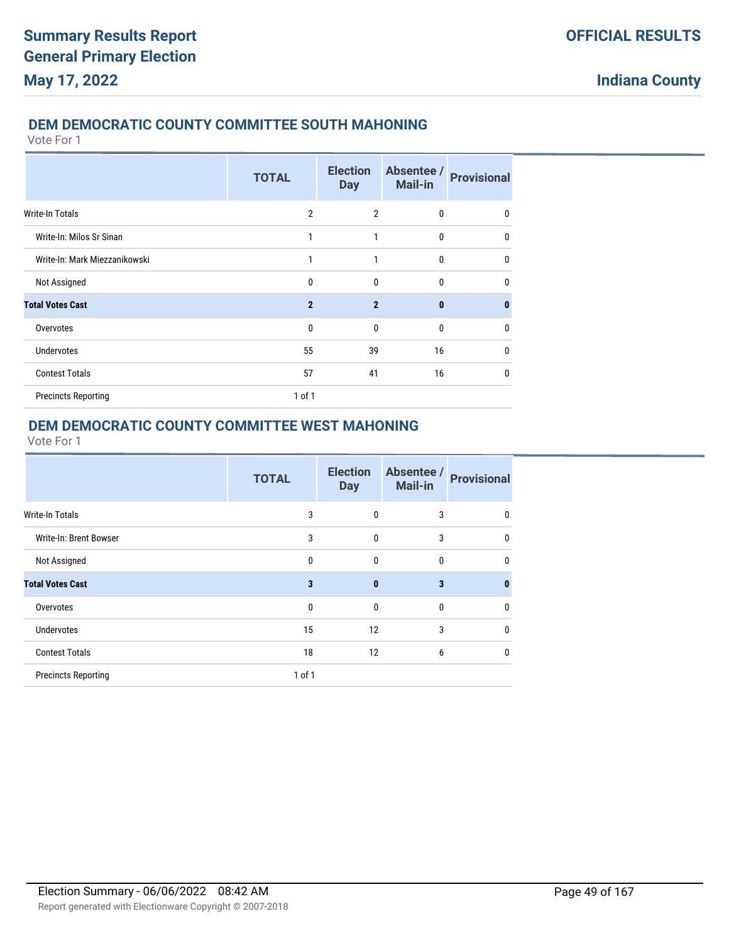## **DEM DEMOCRATIC COUNTY COMMITTEE SOUTH MAHONING**

Vote For 1

|                               | <b>TOTAL</b>   | <b>Election</b><br><b>Day</b> | Absentee /<br>Mail-in | <b>Provisional</b> |
|-------------------------------|----------------|-------------------------------|-----------------------|--------------------|
| Write-In Totals               | $\overline{2}$ | $\overline{2}$                | 0                     | 0                  |
| Write-In: Milos Sr Sinan      | 1              | 1                             | 0                     | $\mathbf{0}$       |
| Write-In: Mark Miezzanikowski | 1              | 1                             | $\mathbf{0}$          | $\mathbf{0}$       |
| Not Assigned                  | 0              | 0                             | 0                     | $\mathbf{0}$       |
| <b>Total Votes Cast</b>       | $\overline{2}$ | $\overline{2}$                | $\bf{0}$              | $\mathbf{0}$       |
| Overvotes                     | $\mathbf{0}$   | $\mathbf{0}$                  | $\bf{0}$              | 0                  |
| <b>Undervotes</b>             | 55             | 39                            | 16                    | $\mathbf{0}$       |
| <b>Contest Totals</b>         | 57             | 41                            | 16                    | $\mathbf{0}$       |
| <b>Precincts Reporting</b>    | 1 of 1         |                               |                       |                    |

# **DEM DEMOCRATIC COUNTY COMMITTEE WEST MAHONING**

|                            | <b>TOTAL</b> | <b>Election</b><br><b>Day</b> | Absentee /<br>Mail-in | <b>Provisional</b> |
|----------------------------|--------------|-------------------------------|-----------------------|--------------------|
| Write-In Totals            | 3            | 0                             | 3                     | 0                  |
| Write-In: Brent Bowser     | 3            | 0                             | 3                     | $\mathbf{0}$       |
| Not Assigned               | 0            | 0                             | 0                     | $\mathbf{0}$       |
| <b>Total Votes Cast</b>    | 3            | $\bf{0}$                      | 3                     | $\bf{0}$           |
| Overvotes                  | 0            | 0                             | 0                     | $\mathbf{0}$       |
| <b>Undervotes</b>          | 15           | 12                            | 3                     | $\mathbf{0}$       |
| <b>Contest Totals</b>      | 18           | 12                            | 6                     | 0                  |
| <b>Precincts Reporting</b> | $1$ of $1$   |                               |                       |                    |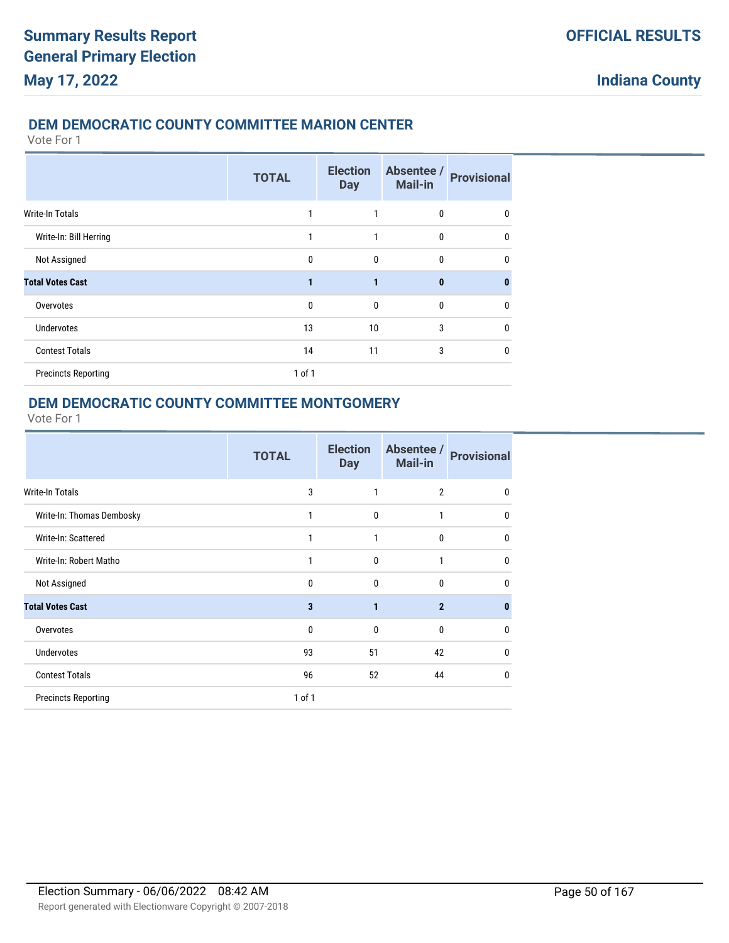## **DEM DEMOCRATIC COUNTY COMMITTEE MARION CENTER**

Vote For 1

|                            | <b>TOTAL</b> | <b>Election</b><br><b>Day</b> | Absentee /<br><b>Mail-in</b> | <b>Provisional</b> |
|----------------------------|--------------|-------------------------------|------------------------------|--------------------|
| <b>Write-In Totals</b>     | 1            | 1                             | 0                            | 0                  |
| Write-In: Bill Herring     | $\mathbf{1}$ | 1                             | 0                            | 0                  |
| Not Assigned               | $\mathbf{0}$ | $\mathbf{0}$                  | 0                            | 0                  |
| <b>Total Votes Cast</b>    | $\mathbf{1}$ | 1                             | $\bf{0}$                     | $\bf{0}$           |
| Overvotes                  | $\mathbf{0}$ | $\mathbf{0}$                  | $\mathbf{0}$                 | 0                  |
| <b>Undervotes</b>          | 13           | 10                            | 3                            | 0                  |
| <b>Contest Totals</b>      | 14           | 11                            | 3                            | $\mathbf{0}$       |
| <b>Precincts Reporting</b> | 1 of 1       |                               |                              |                    |

### **DEM DEMOCRATIC COUNTY COMMITTEE MONTGOMERY**

|                            | <b>TOTAL</b> | <b>Election</b><br><b>Day</b> | Absentee /<br><b>Mail-in</b> | <b>Provisional</b> |
|----------------------------|--------------|-------------------------------|------------------------------|--------------------|
| <b>Write-In Totals</b>     | 3            | 1                             | $\overline{2}$               | 0                  |
| Write-In: Thomas Dembosky  | 1            | $\mathbf{0}$                  | 1                            | $\mathbf{0}$       |
| Write-In: Scattered        | 1            | 1                             | 0                            | $\mathbf{0}$       |
| Write-In: Robert Matho     | 1            | $\mathbf{0}$                  | 1                            | $\mathbf{0}$       |
| Not Assigned               | 0            | $\mathbf{0}$                  | 0                            | $\Omega$           |
| <b>Total Votes Cast</b>    | 3            | 1                             | $\overline{2}$               | $\bf{0}$           |
| Overvotes                  | $\Omega$     | $\Omega$                      | $\mathbf{0}$                 | 0                  |
| <b>Undervotes</b>          | 93           | 51                            | 42                           | 0                  |
| <b>Contest Totals</b>      | 96           | 52                            | 44                           | 0                  |
| <b>Precincts Reporting</b> | $1$ of $1$   |                               |                              |                    |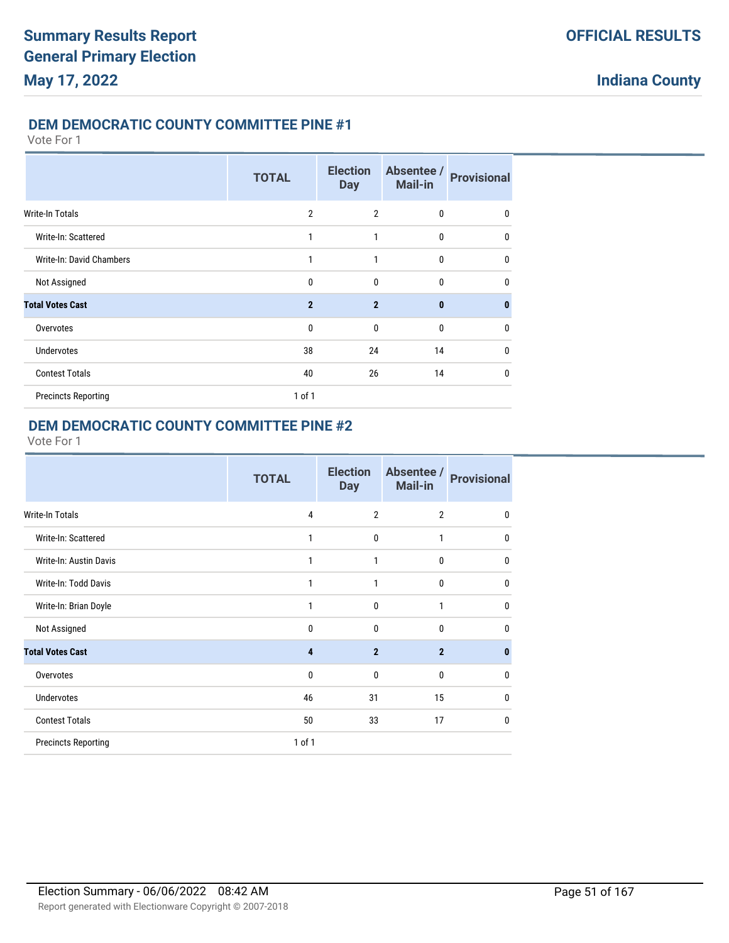### **DEM DEMOCRATIC COUNTY COMMITTEE PINE #1**

#### Vote For 1

|                            | <b>TOTAL</b>   | <b>Election</b><br><b>Day</b> | Absentee /<br><b>Mail-in</b> | <b>Provisional</b> |
|----------------------------|----------------|-------------------------------|------------------------------|--------------------|
| <b>Write-In Totals</b>     | $\overline{2}$ | $\overline{2}$                | 0                            | 0                  |
| Write-In: Scattered        | 1              | 1                             | $\mathbf{0}$                 | 0                  |
| Write-In: David Chambers   | 1              | 1                             | $\mathbf{0}$                 | $\mathbf 0$        |
| Not Assigned               | $\mathbf 0$    | $\mathbf 0$                   | 0                            | 0                  |
| <b>Total Votes Cast</b>    | $\overline{2}$ | $\overline{2}$                | $\mathbf{0}$                 | $\bf{0}$           |
| Overvotes                  | $\mathbf{0}$   | $\mathbf{0}$                  | 0                            | 0                  |
| <b>Undervotes</b>          | 38             | 24                            | 14                           | $\mathbf 0$        |
| <b>Contest Totals</b>      | 40             | 26                            | 14                           | 0                  |
| <b>Precincts Reporting</b> | $1$ of $1$     |                               |                              |                    |

### **DEM DEMOCRATIC COUNTY COMMITTEE PINE #2**

|                            | <b>TOTAL</b> | <b>Election</b><br><b>Day</b> | Absentee /<br>Mail-in | <b>Provisional</b> |
|----------------------------|--------------|-------------------------------|-----------------------|--------------------|
| <b>Write-In Totals</b>     | 4            | $\overline{2}$                | $\overline{2}$        | $\mathbf{0}$       |
| Write-In: Scattered        | 1            | $\mathbf 0$                   | 1                     | $\mathbf{0}$       |
| Write-In: Austin Davis     | 1            | 1                             | 0                     | $\mathbf{0}$       |
| Write-In: Todd Davis       | 1            | 1                             | 0                     | $\mathbf{0}$       |
| Write-In: Brian Doyle      | 1            | $\mathbf{0}$                  | 1                     | $\mathbf{0}$       |
| Not Assigned               | $\mathbf{0}$ | $\mathbf 0$                   | 0                     | $\mathbf{0}$       |
| <b>Total Votes Cast</b>    | 4            | $\overline{2}$                | $\overline{2}$        | $\bf{0}$           |
| Overvotes                  | $\mathbf{0}$ | $\mathbf 0$                   | 0                     | $\mathbf{0}$       |
| <b>Undervotes</b>          | 46           | 31                            | 15                    | $\mathbf{0}$       |
| <b>Contest Totals</b>      | 50           | 33                            | 17                    | $\mathbf{0}$       |
| <b>Precincts Reporting</b> | 1 of 1       |                               |                       |                    |
|                            |              |                               |                       |                    |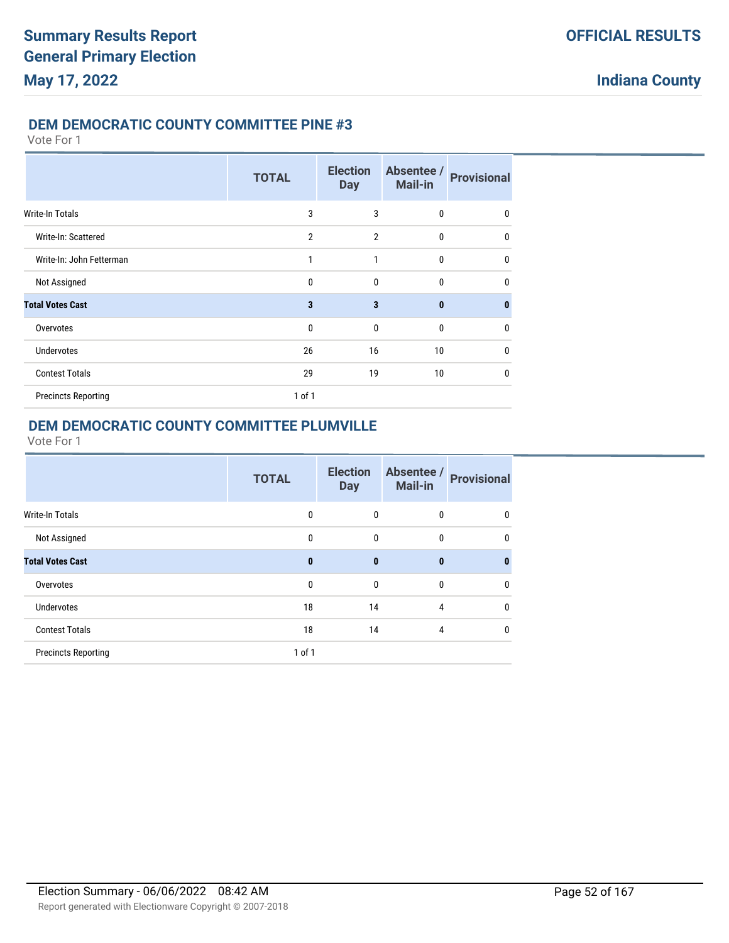### **DEM DEMOCRATIC COUNTY COMMITTEE PINE #3**

Vote For 1

|                            | <b>TOTAL</b>   | <b>Election</b><br><b>Day</b> | Absentee /<br>Mail-in | <b>Provisional</b> |
|----------------------------|----------------|-------------------------------|-----------------------|--------------------|
| Write-In Totals            | 3              | 3                             | $\mathbf 0$           | 0                  |
| Write-In: Scattered        | $\overline{2}$ | $\overline{2}$                | $\bf{0}$              | $\mathbf 0$        |
| Write-In: John Fetterman   | $\mathbf{1}$   | $\mathbf{1}$                  | $\mathbf{0}$          | 0                  |
| Not Assigned               | 0              | $\mathbf 0$                   | $\mathbf{0}$          | 0                  |
| <b>Total Votes Cast</b>    | 3              | 3                             | $\bf{0}$              | $\bf{0}$           |
| Overvotes                  | $\mathbf{0}$   | $\mathbf{0}$                  | $\mathbf{0}$          | 0                  |
| <b>Undervotes</b>          | 26             | 16                            | 10 <sup>°</sup>       | $\mathbf{0}$       |
| <b>Contest Totals</b>      | 29             | 19                            | 10 <sup>°</sup>       | $\mathbf{0}$       |
| <b>Precincts Reporting</b> | $1$ of $1$     |                               |                       |                    |

# **DEM DEMOCRATIC COUNTY COMMITTEE PLUMVILLE**

|                            | <b>TOTAL</b> | <b>Election</b><br><b>Day</b> | Absentee /<br><b>Mail-in</b> | <b>Provisional</b> |
|----------------------------|--------------|-------------------------------|------------------------------|--------------------|
| <b>Write-In Totals</b>     | 0            | 0                             | 0                            | 0                  |
| Not Assigned               | 0            | 0                             | 0                            | 0                  |
| <b>Total Votes Cast</b>    | 0            | $\bf{0}$                      | $\bf{0}$                     | 0                  |
| Overvotes                  | 0            | 0                             | 0                            | 0                  |
| <b>Undervotes</b>          | 18           | 14                            | 4                            | 0                  |
| <b>Contest Totals</b>      | 18           | 14                            | 4                            | 0                  |
| <b>Precincts Reporting</b> | $1$ of $1$   |                               |                              |                    |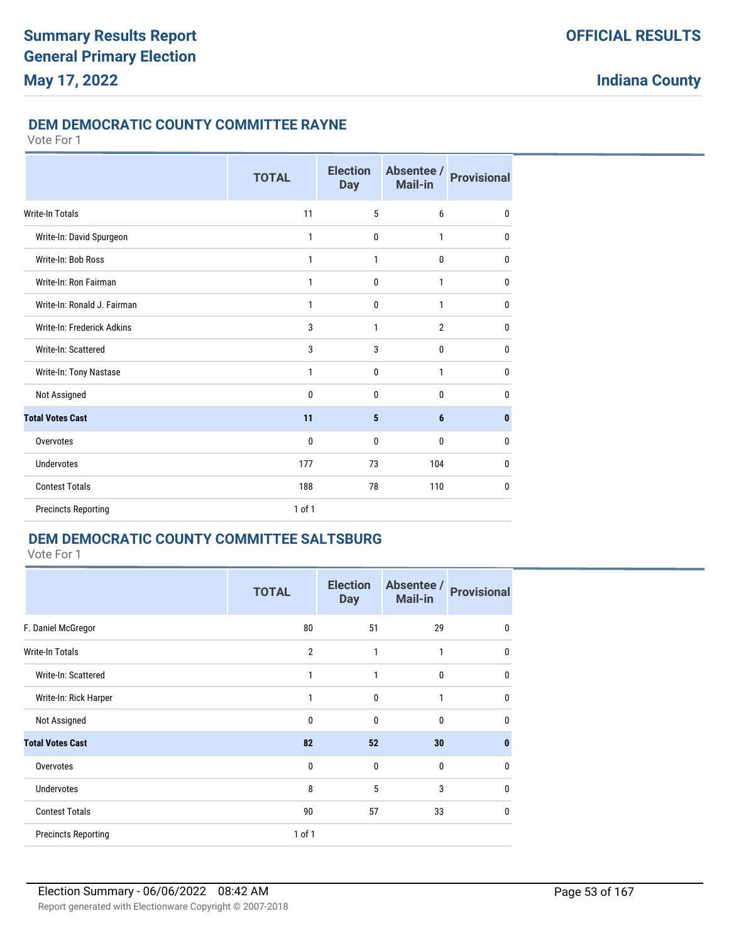### **DEM DEMOCRATIC COUNTY COMMITTEE RAYNE**

Vote For 1

|                             | <b>TOTAL</b> | <b>Election</b><br><b>Day</b> | Absentee /<br>Mail-in | <b>Provisional</b> |
|-----------------------------|--------------|-------------------------------|-----------------------|--------------------|
| Write-In Totals             | 11           | 5                             | 6                     | $\mathbf{0}$       |
| Write-In: David Spurgeon    | 1            | $\mathbf{0}$                  | $\mathbf{1}$          | 0                  |
| Write-In: Bob Ross          | 1            | 1                             | 0                     | $\mathbf{0}$       |
| Write-In: Ron Fairman       | 1            | $\mathbf 0$                   | 1                     | $\mathbf{0}$       |
| Write-In: Ronald J. Fairman | 1            | $\mathbf{0}$                  | $\mathbf{1}$          | 0                  |
| Write-In: Frederick Adkins  | 3            | $\mathbf{1}$                  | $\overline{2}$        | $\mathbf{0}$       |
| Write-In: Scattered         | 3            | 3                             | $\mathbf{0}$          | $\mathbf{0}$       |
| Write-In: Tony Nastase      | 1            | 0                             | 1                     | $\mathbf{0}$       |
| Not Assigned                | 0            | $\mathbf{0}$                  | 0                     | 0                  |
| <b>Total Votes Cast</b>     | 11           | $5\phantom{.0}$               | 6                     | $\bf{0}$           |
| Overvotes                   | 0            | $\mathbf 0$                   | 0                     | 0                  |
| <b>Undervotes</b>           | 177          | 73                            | 104                   | $\mathbf{0}$       |
| <b>Contest Totals</b>       | 188          | 78                            | 110                   | $\mathbf{0}$       |
| <b>Precincts Reporting</b>  | 1 of 1       |                               |                       |                    |

# **DEM DEMOCRATIC COUNTY COMMITTEE SALTSBURG**

|                            | <b>TOTAL</b>   | <b>Election</b><br><b>Day</b> | Absentee /<br><b>Mail-in</b> | <b>Provisional</b> |
|----------------------------|----------------|-------------------------------|------------------------------|--------------------|
| F. Daniel McGregor         | 80             | 51                            | 29                           | $\mathbf{0}$       |
| <b>Write-In Totals</b>     | $\overline{2}$ | 1                             | 1                            | 0                  |
| Write-In: Scattered        | 1              | 1                             | 0                            | 0                  |
| Write-In: Rick Harper      | 1              | 0                             | 1                            | 0                  |
| Not Assigned               | $\Omega$       | 0                             | $\mathbf{0}$                 | 0                  |
| <b>Total Votes Cast</b>    | 82             | 52                            | 30                           | $\bf{0}$           |
| Overvotes                  | $\mathbf{0}$   | 0                             | $\mathbf{0}$                 | 0                  |
| <b>Undervotes</b>          | 8              | 5                             | 3                            | 0                  |
| <b>Contest Totals</b>      | 90             | 57                            | 33                           | 0                  |
| <b>Precincts Reporting</b> | $1$ of $1$     |                               |                              |                    |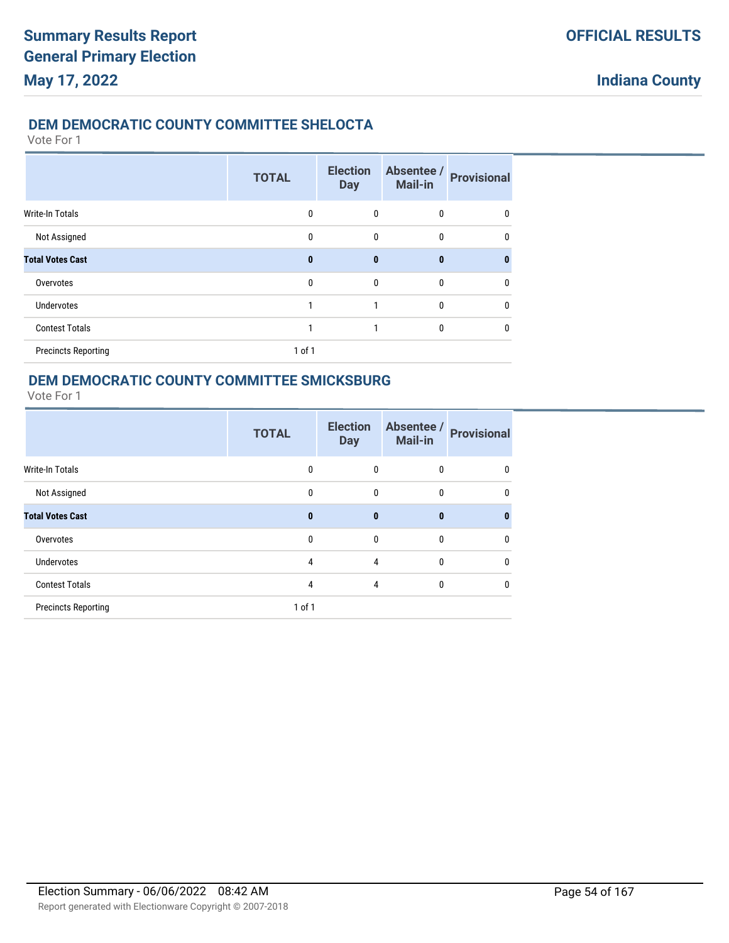## **DEM DEMOCRATIC COUNTY COMMITTEE SHELOCTA**

Vote For 1

|                            | <b>TOTAL</b> | <b>Election</b><br><b>Day</b> | Absentee /<br>Mail-in | <b>Provisional</b> |
|----------------------------|--------------|-------------------------------|-----------------------|--------------------|
| Write-In Totals            | $\mathbf{0}$ | 0                             | $\bf{0}$              | 0                  |
| Not Assigned               | $\mathbf{0}$ | 0                             | $\mathbf{0}$          | 0                  |
| <b>Total Votes Cast</b>    | $\bf{0}$     | $\bf{0}$                      | $\bf{0}$              | n                  |
| Overvotes                  | $\mathbf{0}$ | $\mathbf{0}$                  | $\mathbf{0}$          | 0                  |
| <b>Undervotes</b>          | 1            |                               | $\mathbf{0}$          | 0                  |
| <b>Contest Totals</b>      | 1            |                               | $\mathbf{0}$          | 0                  |
| <b>Precincts Reporting</b> | 1 of 1       |                               |                       |                    |

## **DEM DEMOCRATIC COUNTY COMMITTEE SMICKSBURG**

|                            | <b>TOTAL</b> | <b>Election</b><br><b>Day</b> | Absentee /<br>Mail-in | <b>Provisional</b> |
|----------------------------|--------------|-------------------------------|-----------------------|--------------------|
| <b>Write-In Totals</b>     | $\mathbf{0}$ | $\mathbf{0}$                  | 0                     | 0                  |
| Not Assigned               | $\mathbf{0}$ | $\mathbf{0}$                  | 0                     | 0                  |
| <b>Total Votes Cast</b>    | $\mathbf{0}$ | $\bf{0}$                      | $\bf{0}$              | 0                  |
| Overvotes                  | $\mathbf{0}$ | $\mathbf{0}$                  | $\mathbf{0}$          | 0                  |
| <b>Undervotes</b>          | 4            | 4                             | 0                     | 0                  |
| <b>Contest Totals</b>      | 4            | 4                             | 0                     | 0                  |
| <b>Precincts Reporting</b> | $1$ of $1$   |                               |                       |                    |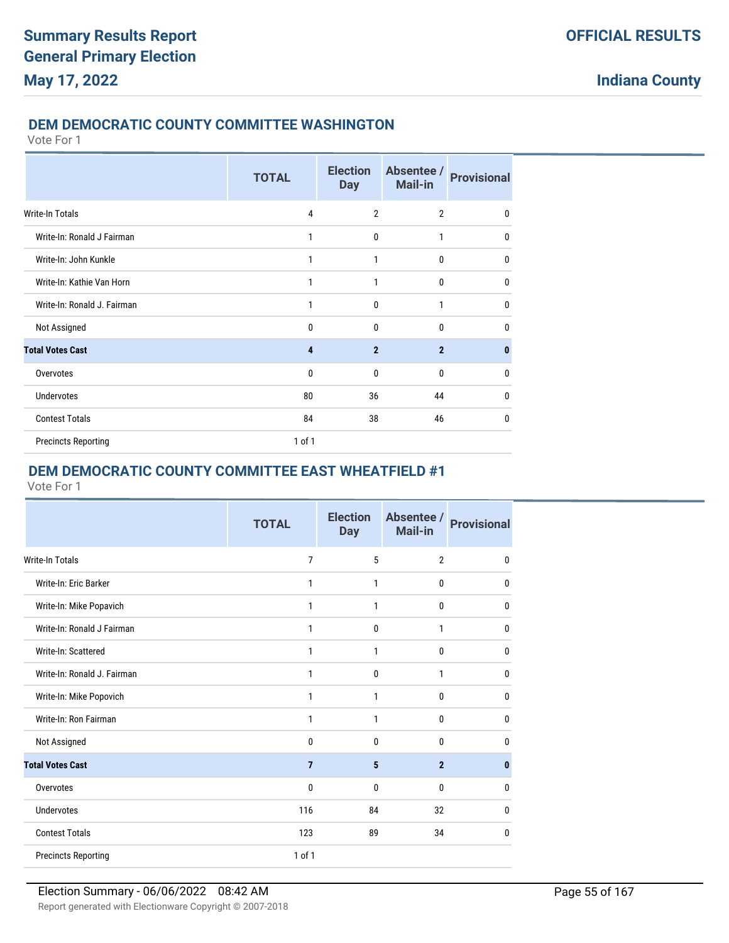## **DEM DEMOCRATIC COUNTY COMMITTEE WASHINGTON**

Vote For 1

|                             | <b>TOTAL</b>   | <b>Election</b><br><b>Day</b> | Absentee /<br><b>Mail-in</b> | <b>Provisional</b> |
|-----------------------------|----------------|-------------------------------|------------------------------|--------------------|
| Write-In Totals             | $\overline{4}$ | $\overline{2}$                | $\overline{2}$               | 0                  |
| Write-In: Ronald J Fairman  | 1              | $\mathbf{0}$                  | $\mathbf{1}$                 | 0                  |
| Write-In: John Kunkle       | 1              | 1                             | $\mathbf 0$                  | 0                  |
| Write-In: Kathie Van Horn   | 1              | 1                             | $\mathbf 0$                  | 0                  |
| Write-In: Ronald J. Fairman | 1              | $\mathbf{0}$                  | $\mathbf{1}$                 | $\mathbf{0}$       |
| Not Assigned                | 0              | 0                             | $\mathbf{0}$                 | 0                  |
| <b>Total Votes Cast</b>     | 4              | $\overline{2}$                | $\overline{2}$               | $\bf{0}$           |
| Overvotes                   | 0              | $\mathbf{0}$                  | $\mathbf{0}$                 | 0                  |
| <b>Undervotes</b>           | 80             | 36                            | 44                           | 0                  |
| <b>Contest Totals</b>       | 84             | 38                            | 46                           | 0                  |
| <b>Precincts Reporting</b>  | 1 of 1         |                               |                              |                    |

# **DEM DEMOCRATIC COUNTY COMMITTEE EAST WHEATFIELD #1**

|                             | <b>TOTAL</b>   | <b>Election</b><br><b>Day</b> | Absentee /<br>Mail-in | <b>Provisional</b> |
|-----------------------------|----------------|-------------------------------|-----------------------|--------------------|
| Write-In Totals             | $\overline{7}$ | 5                             | $\overline{2}$        | 0                  |
| Write-In: Eric Barker       | $\mathbf{1}$   | 1                             | 0                     | 0                  |
| Write-In: Mike Popavich     | 1              | 1                             | 0                     | 0                  |
| Write-In: Ronald J Fairman  | $\mathbf{1}$   | 0                             | 1                     | 0                  |
| Write-In: Scattered         | $\mathbf{1}$   | 1                             | 0                     | $\mathbf{0}$       |
| Write-In: Ronald J. Fairman | 1              | 0                             | 1                     | $\mathbf{0}$       |
| Write-In: Mike Popovich     | $\mathbf{1}$   | 1                             | 0                     | $\mathbf 0$        |
| Write-In: Ron Fairman       | 1              | 1                             | 0                     | $\mathbf{0}$       |
| Not Assigned                | $\mathbf{0}$   | $\mathbf{0}$                  | 0                     | $\mathbf{0}$       |
| <b>Total Votes Cast</b>     | $\overline{7}$ | 5                             | $\overline{2}$        | $\mathbf{0}$       |
| Overvotes                   | 0              | 0                             | 0                     | $\mathbf{0}$       |
| <b>Undervotes</b>           | 116            | 84                            | 32                    | 0                  |
| <b>Contest Totals</b>       | 123            | 89                            | 34                    | 0                  |
| <b>Precincts Reporting</b>  | 1 of 1         |                               |                       |                    |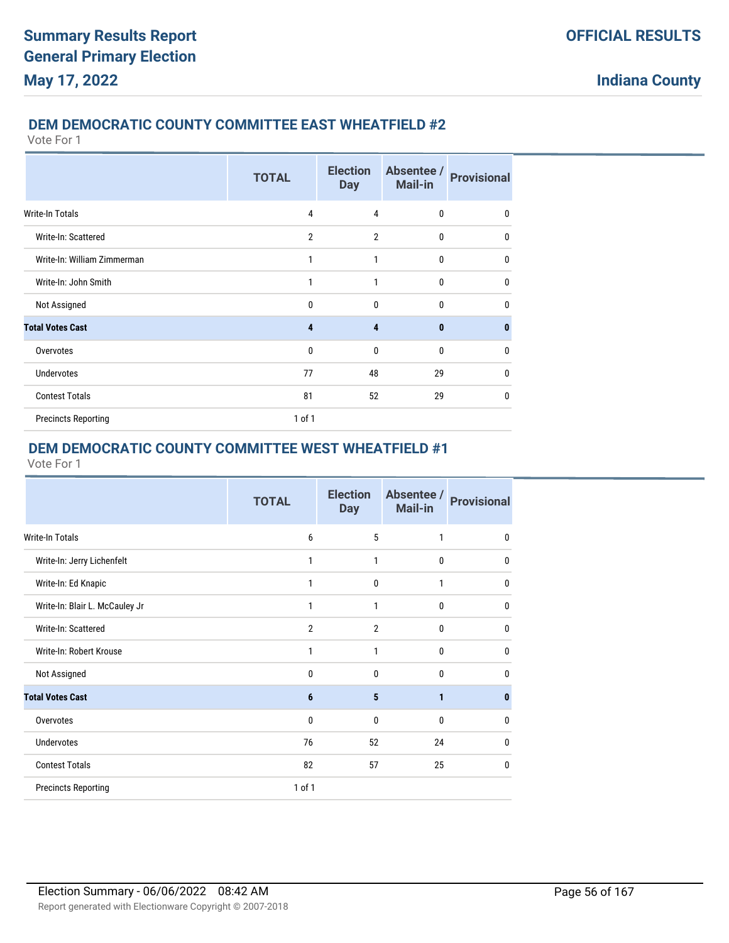### **DEM DEMOCRATIC COUNTY COMMITTEE EAST WHEATFIELD #2**

Vote For 1

|                             | <b>TOTAL</b>   | <b>Election</b><br><b>Day</b> | Absentee /<br><b>Mail-in</b> | <b>Provisional</b> |
|-----------------------------|----------------|-------------------------------|------------------------------|--------------------|
| <b>Write-In Totals</b>      | 4              | 4                             | 0                            | 0                  |
| Write-In: Scattered         | $\overline{2}$ | $\overline{2}$                | $\mathbf{0}$                 | 0                  |
| Write-In: William Zimmerman | 1              | 1                             | $\mathbf 0$                  | 0                  |
| Write-In: John Smith        | 1              | 1                             | 0                            | $\mathbf 0$        |
| Not Assigned                | $\Omega$       | $\mathbf{0}$                  | $\Omega$                     | 0                  |
| <b>Total Votes Cast</b>     | 4              | 4                             | $\bf{0}$                     | $\bf{0}$           |
| Overvotes                   | $\mathbf{0}$   | $\mathbf{0}$                  | 0                            | 0                  |
| <b>Undervotes</b>           | 77             | 48                            | 29                           | 0                  |
| <b>Contest Totals</b>       | 81             | 52                            | 29                           | 0                  |
| <b>Precincts Reporting</b>  | $1$ of $1$     |                               |                              |                    |

# **DEM DEMOCRATIC COUNTY COMMITTEE WEST WHEATFIELD #1**

|                                | <b>TOTAL</b>   | <b>Election</b><br><b>Day</b> | Absentee /<br>Mail-in | <b>Provisional</b> |
|--------------------------------|----------------|-------------------------------|-----------------------|--------------------|
| <b>Write-In Totals</b>         | 6              | 5                             | $\mathbf{1}$          | $\mathbf{0}$       |
| Write-In: Jerry Lichenfelt     | 1              | 1                             | $\mathbf 0$           | 0                  |
| Write-In: Ed Knapic            | 1              | $\mathbf{0}$                  | 1                     | 0                  |
| Write-In: Blair L. McCauley Jr | 1              | 1                             | $\mathbf{0}$          | 0                  |
| Write-In: Scattered            | $\overline{2}$ | $\overline{2}$                | $\mathbf{0}$          | $\mathbf{0}$       |
| Write-In: Robert Krouse        | 1              | 1                             | $\mathbf{0}$          | 0                  |
| Not Assigned                   | $\mathbf{0}$   | $\mathbf{0}$                  | $\Omega$              | 0                  |
| <b>Total Votes Cast</b>        | 6              | 5                             | $\mathbf{1}$          | 0                  |
| Overvotes                      | $\bf{0}$       | $\mathbf{0}$                  | $\mathbf{0}$          | 0                  |
| Undervotes                     | 76             | 52                            | 24                    | 0                  |
| <b>Contest Totals</b>          | 82             | 57                            | 25                    | $\mathbf{0}$       |
| <b>Precincts Reporting</b>     | 1 of 1         |                               |                       |                    |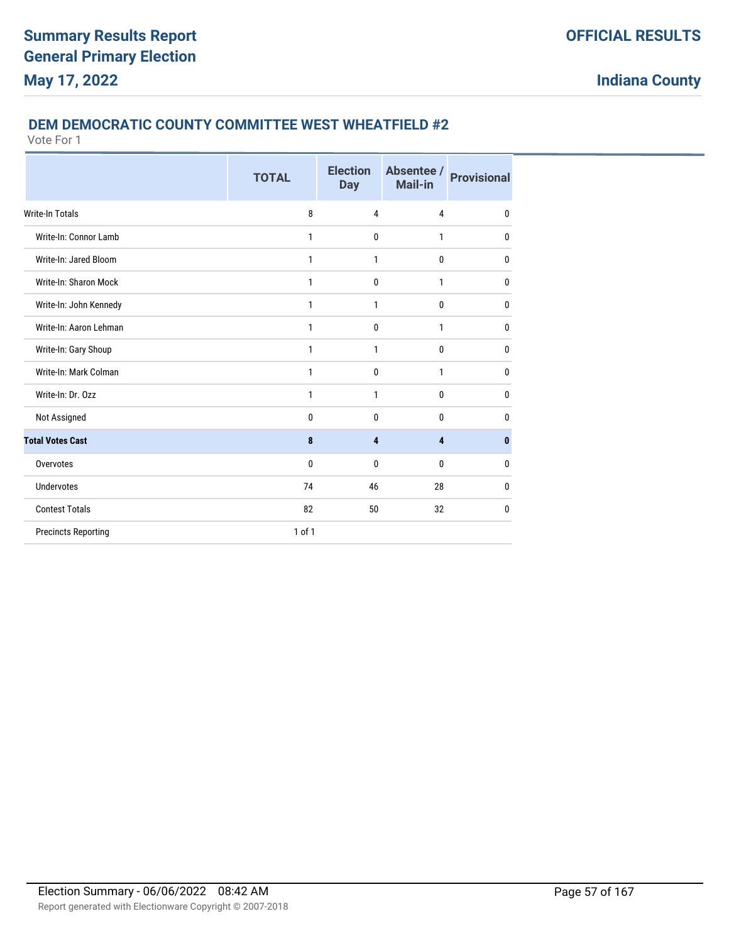### **DEM DEMOCRATIC COUNTY COMMITTEE WEST WHEATFIELD #2**

|                            | <b>TOTAL</b> | <b>Election</b><br><b>Day</b> | Absentee /<br>Mail-in | <b>Provisional</b> |
|----------------------------|--------------|-------------------------------|-----------------------|--------------------|
| <b>Write-In Totals</b>     | 8            | $\overline{4}$                | 4                     | $\mathbf 0$        |
| Write-In: Connor Lamb      | 1            | $\mathbf 0$                   | 1                     | $\bf{0}$           |
| Write-In: Jared Bloom      | 1            | 1                             | 0                     | $\mathbf 0$        |
| Write-In: Sharon Mock      | 1            | $\mathbf 0$                   | 1                     | 0                  |
| Write-In: John Kennedy     | 1            | 1                             | 0                     | $\mathbf{0}$       |
| Write-In: Aaron Lehman     | 1            | $\mathbf 0$                   | 1                     | $\mathbf{0}$       |
| Write-In: Gary Shoup       | 1            | 1                             | 0                     | 0                  |
| Write-In: Mark Colman      | 1            | $\mathbf{0}$                  | 1                     | $\mathbf{0}$       |
| Write-In: Dr. Ozz          | 1            | $\mathbf{1}$                  | 0                     | $\mathbf 0$        |
| Not Assigned               | 0            | $\mathbf{0}$                  | 0                     | $\mathbf{0}$       |
| <b>Total Votes Cast</b>    | 8            | 4                             | 4                     | $\bf{0}$           |
| Overvotes                  | 0            | $\mathbf{0}$                  | 0                     | $\mathbf{0}$       |
| Undervotes                 | 74           | 46                            | 28                    | $\mathbf{0}$       |
| <b>Contest Totals</b>      | 82           | 50                            | 32                    | 0                  |
| <b>Precincts Reporting</b> | $1$ of $1$   |                               |                       |                    |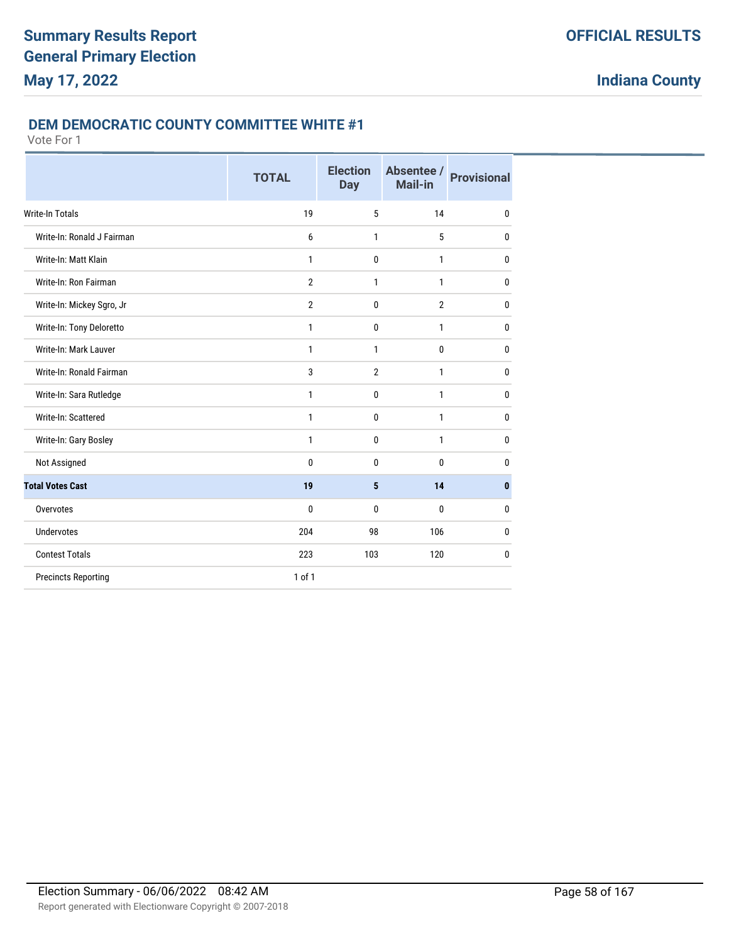### **DEM DEMOCRATIC COUNTY COMMITTEE WHITE #1**

|                            | <b>TOTAL</b>   | <b>Election</b><br><b>Day</b> | Absentee /<br>Mail-in | <b>Provisional</b> |
|----------------------------|----------------|-------------------------------|-----------------------|--------------------|
| <b>Write-In Totals</b>     | 19             | 5                             | 14                    | 0                  |
| Write-In: Ronald J Fairman | 6              | $\mathbf{1}$                  | 5                     | 0                  |
| Write-In: Matt Klain       | 1              | $\mathbf 0$                   | $\mathbf{1}$          | 0                  |
| Write-In: Ron Fairman      | $\overline{2}$ | $\mathbf{1}$                  | $\mathbf{1}$          | $\bf{0}$           |
| Write-In: Mickey Sgro, Jr  | $\overline{2}$ | $\mathbf 0$                   | $\overline{2}$        | $\bf{0}$           |
| Write-In: Tony Deloretto   | $\mathbf{1}$   | $\mathbf 0$                   | $\mathbf{1}$          | $\bf{0}$           |
| Write-In: Mark Lauver      | 1              | $\mathbf{1}$                  | $\mathbf{0}$          | $\bf{0}$           |
| Write-In: Ronald Fairman   | 3              | $\overline{2}$                | 1                     | $\mathbf{0}$       |
| Write-In: Sara Rutledge    | 1              | $\mathbf 0$                   | $\mathbf{1}$          | $\mathbf{0}$       |
| Write-In: Scattered        | 1              | $\mathbf{0}$                  | 1                     | $\mathbf{0}$       |
| Write-In: Gary Bosley      | 1              | $\mathbf{0}$                  | $\mathbf{1}$          | $\bf{0}$           |
| Not Assigned               | 0              | $\mathbf{0}$                  | $\theta$              | 0                  |
| <b>Total Votes Cast</b>    | 19             | 5                             | 14                    | $\bf{0}$           |
| Overvotes                  | 0              | $\Omega$                      | $\mathbf{0}$          | 0                  |
| <b>Undervotes</b>          | 204            | 98                            | 106                   | 0                  |
| <b>Contest Totals</b>      | 223            | 103                           | 120                   | $\bf{0}$           |
| <b>Precincts Reporting</b> | $1$ of $1$     |                               |                       |                    |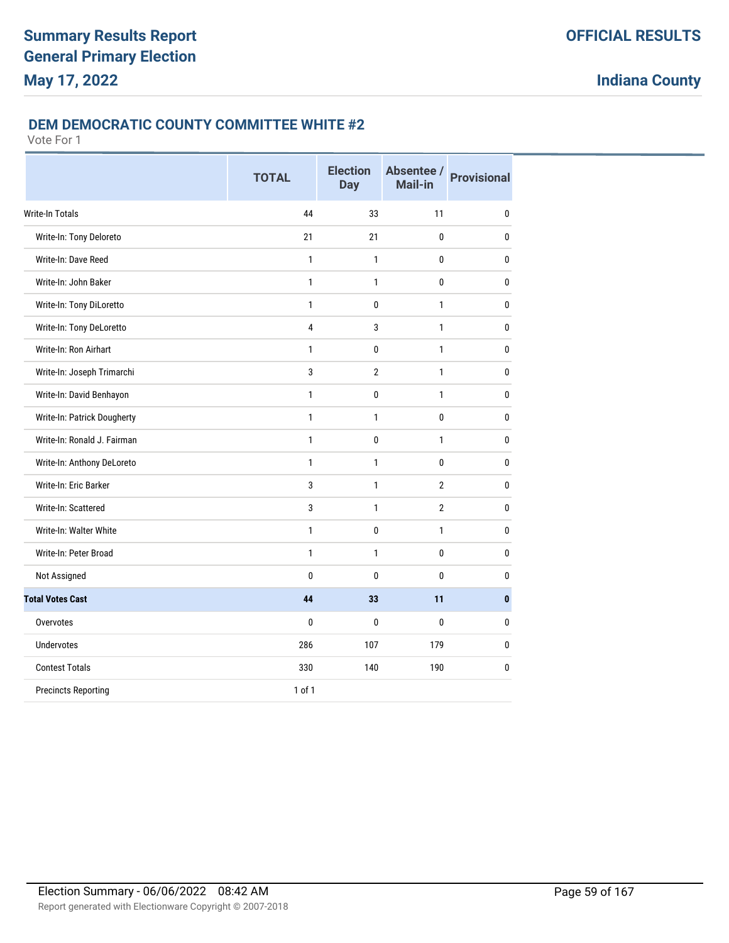### **DEM DEMOCRATIC COUNTY COMMITTEE WHITE #2**

|                             | <b>TOTAL</b>   | <b>Election</b><br><b>Day</b> | Absentee /<br>Mail-in | <b>Provisional</b> |
|-----------------------------|----------------|-------------------------------|-----------------------|--------------------|
| <b>Write-In Totals</b>      | 44             | 33                            | 11                    | 0                  |
| Write-In: Tony Deloreto     | 21             | 21                            | 0                     | 0                  |
| Write-In: Dave Reed         | $\mathbf{1}$   | $\mathbf{1}$                  | 0                     | 0                  |
| Write-In: John Baker        | $\mathbf{1}$   | 1                             | 0                     | 0                  |
| Write-In: Tony DiLoretto    | $\mathbf{1}$   | $\mathbf{0}$                  | $\mathbf{1}$          | $\mathbf{0}$       |
| Write-In: Tony DeLoretto    | $\overline{4}$ | 3                             | $\mathbf{1}$          | $\mathbf{0}$       |
| Write-In: Ron Airhart       | $\mathbf{1}$   | $\mathbf{0}$                  | $\mathbf{1}$          | $\mathbf{0}$       |
| Write-In: Joseph Trimarchi  | 3              | $\overline{2}$                | $\mathbf{1}$          | $\mathbf 0$        |
| Write-In: David Benhayon    | $\mathbf{1}$   | 0                             | 1                     | 0                  |
| Write-In: Patrick Dougherty | $\mathbf{1}$   | $\mathbf{1}$                  | $\bf{0}$              | 0                  |
| Write-In: Ronald J. Fairman | $\mathbf{1}$   | 0                             | $\mathbf{1}$          | 0                  |
| Write-In: Anthony DeLoreto  | $\mathbf{1}$   | $\mathbf{1}$                  | 0                     | 0                  |
| Write-In: Eric Barker       | 3              | 1                             | $\overline{2}$        | $\mathbf 0$        |
| Write-In: Scattered         | 3              | $\mathbf{1}$                  | $\overline{2}$        | $\mathbf{0}$       |
| Write-In: Walter White      | $\mathbf{1}$   | 0                             | $\mathbf{1}$          | $\mathbf{0}$       |
| Write-In: Peter Broad       | $\mathbf{1}$   | $\mathbf{1}$                  | 0                     | $\mathbf{0}$       |
| Not Assigned                | $\mathbf{0}$   | $\mathbf{0}$                  | 0                     | $\mathbf 0$        |
| <b>Total Votes Cast</b>     | 44             | 33                            | 11                    | $\mathbf{0}$       |
| Overvotes                   | $\bf{0}$       | $\mathbf{0}$                  | $\mathbf{0}$          | $\bf{0}$           |
| Undervotes                  | 286            | 107                           | 179                   | 0                  |
| <b>Contest Totals</b>       | 330            | 140                           | 190                   | $\mathbf{0}$       |
| <b>Precincts Reporting</b>  | $1$ of $1$     |                               |                       |                    |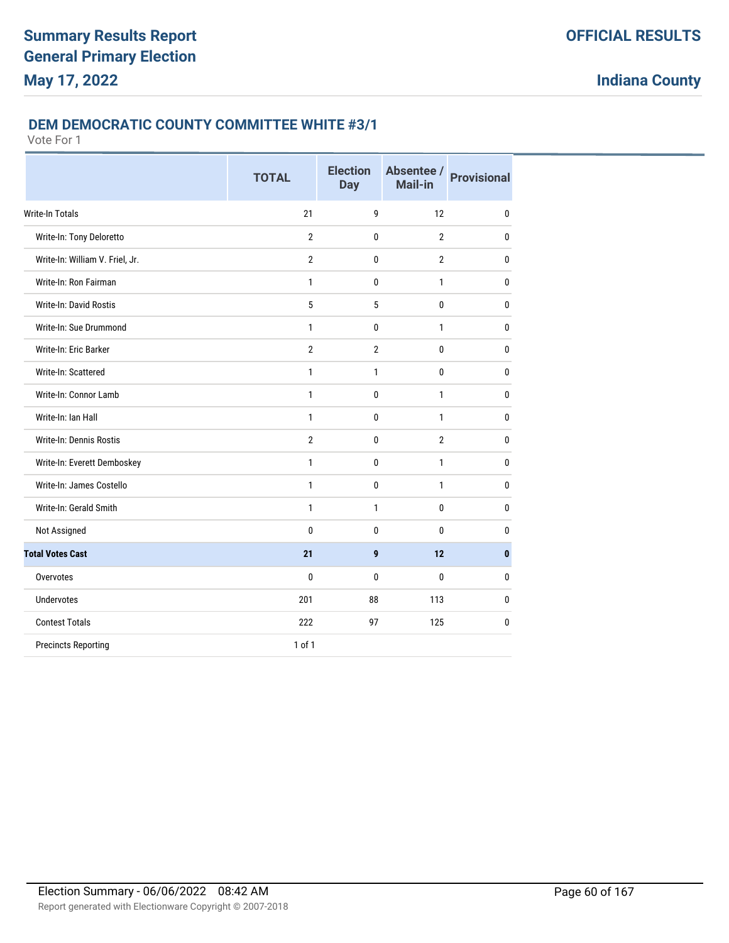### **DEM DEMOCRATIC COUNTY COMMITTEE WHITE #3/1**

|                                 | <b>TOTAL</b>   | <b>Election</b><br><b>Day</b> | Absentee /<br>Mail-in | <b>Provisional</b> |
|---------------------------------|----------------|-------------------------------|-----------------------|--------------------|
| <b>Write-In Totals</b>          | 21             | 9                             | 12                    | $\mathbf{0}$       |
| Write-In: Tony Deloretto        | $\overline{2}$ | 0                             | $\overline{2}$        | $\mathbf{0}$       |
| Write-In: William V. Friel, Jr. | $\overline{2}$ | 0                             | $\overline{2}$        | $\mathbf{0}$       |
| Write-In: Ron Fairman           | $\mathbf{1}$   | 0                             | $\mathbf{1}$          | $\bf{0}$           |
| <b>Write-In: David Rostis</b>   | 5              | 5                             | 0                     | 0                  |
| Write-In: Sue Drummond          | $\mathbf{1}$   | 0                             | 1                     | $\mathbf{0}$       |
| Write-In: Eric Barker           | $\overline{2}$ | $\overline{2}$                | 0                     | $\mathbf{0}$       |
| Write-In: Scattered             | 1              | 1                             | 0                     | $\mathbf{0}$       |
| Write-In: Connor Lamb           | 1              | 0                             | $\mathbf{1}$          | $\mathbf{0}$       |
| Write-In: Ian Hall              | 1              | 0                             | 1                     | $\mathbf{0}$       |
| Write-In: Dennis Rostis         | $\overline{2}$ | 0                             | $\overline{2}$        | 0                  |
| Write-In: Everett Demboskey     | $\mathbf{1}$   | $\mathbf{0}$                  | $\mathbf{1}$          | $\mathbf{0}$       |
| Write-In: James Costello        | 1              | 0                             | 1                     | $\mathbf{0}$       |
| Write-In: Gerald Smith          | 1              | 1                             | 0                     | $\mathbf{0}$       |
| Not Assigned                    | 0              | 0                             | 0                     | 0                  |
| <b>Total Votes Cast</b>         | 21             | 9                             | 12                    | $\bf{0}$           |
| Overvotes                       | 0              | 0                             | 0                     | 0                  |
| <b>Undervotes</b>               | 201            | 88                            | 113                   | $\mathbf{0}$       |
| <b>Contest Totals</b>           | 222            | 97                            | 125                   | 0                  |
| <b>Precincts Reporting</b>      | 1 of 1         |                               |                       |                    |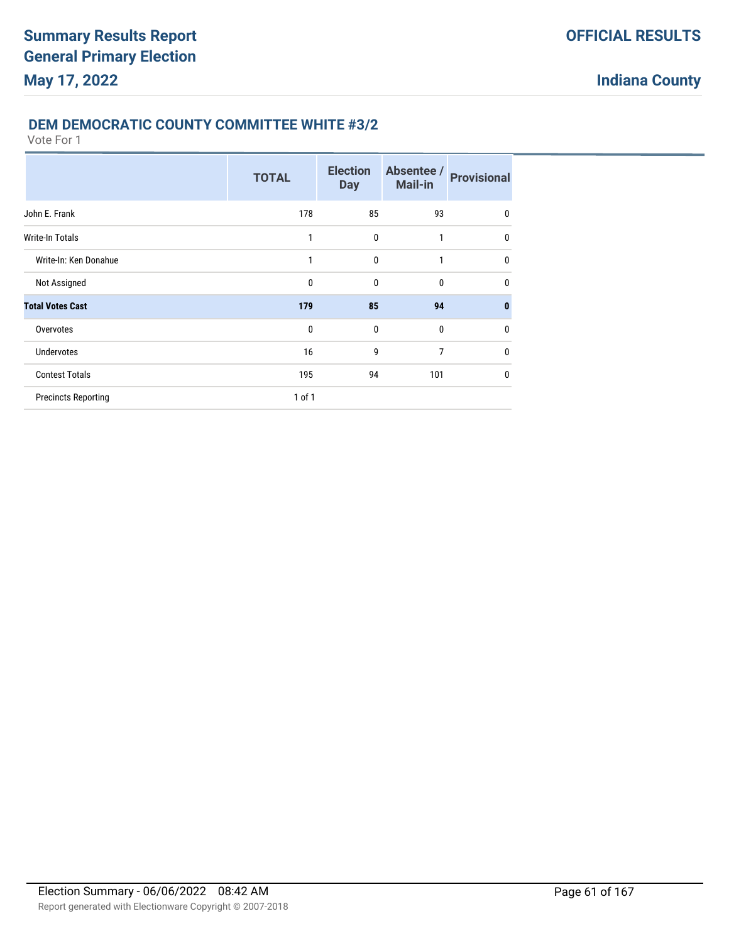# **DEM DEMOCRATIC COUNTY COMMITTEE WHITE #3/2**

|                            | <b>TOTAL</b> | <b>Election</b><br><b>Day</b> | Absentee /<br><b>Mail-in</b> | <b>Provisional</b> |
|----------------------------|--------------|-------------------------------|------------------------------|--------------------|
| John E. Frank              | 178          | 85                            | 93                           | $\mathbf 0$        |
| <b>Write-In Totals</b>     | 1            | 0                             | 1                            | 0                  |
| Write-In: Ken Donahue      | 1            | $\mathbf{0}$                  | 1                            | $\mathbf{0}$       |
| Not Assigned               | $\mathbf 0$  | $\mathbf{0}$                  | $\mathbf{0}$                 | 0                  |
| <b>Total Votes Cast</b>    | 179          | 85                            | 94                           | $\bf{0}$           |
| Overvotes                  | $\mathbf{0}$ | $\mathbf{0}$                  | $\mathbf{0}$                 | $\mathbf{0}$       |
| Undervotes                 | 16           | 9                             | $\overline{7}$               | $\mathbf 0$        |
| <b>Contest Totals</b>      | 195          | 94                            | 101                          | $\mathbf{0}$       |
| <b>Precincts Reporting</b> | $1$ of $1$   |                               |                              |                    |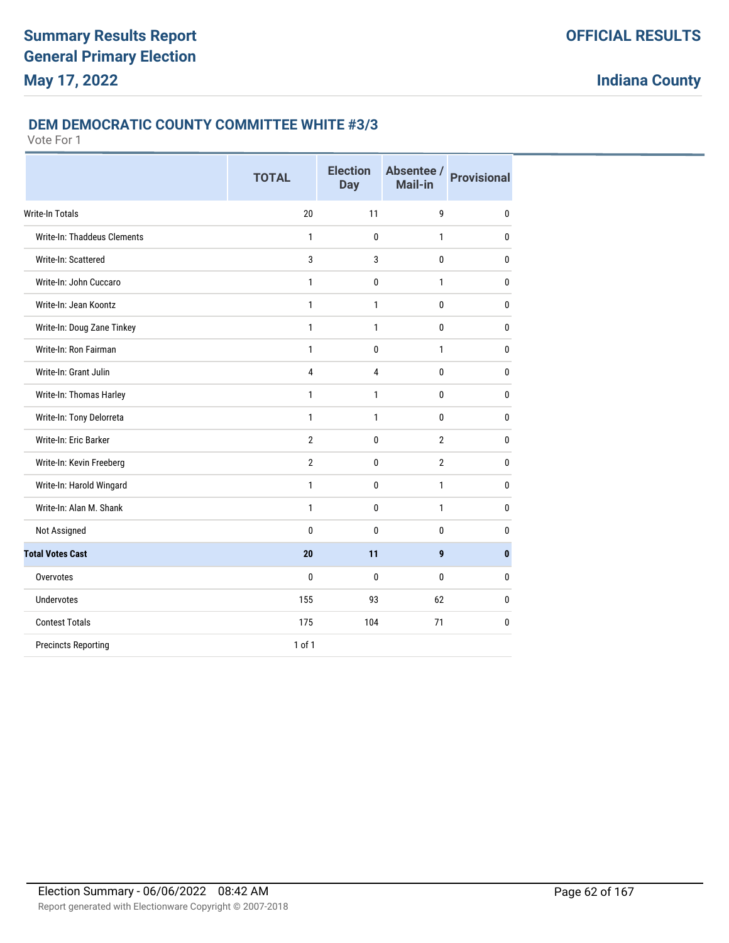### **DEM DEMOCRATIC COUNTY COMMITTEE WHITE #3/3**

|                             | <b>TOTAL</b>   | <b>Election</b><br><b>Day</b> | Absentee /<br>Mail-in | <b>Provisional</b> |
|-----------------------------|----------------|-------------------------------|-----------------------|--------------------|
| <b>Write-In Totals</b>      | 20             | 11                            | 9                     | $\mathbf{0}$       |
| Write-In: Thaddeus Clements | $\mathbf{1}$   | 0                             | 1                     | $\mathbf{0}$       |
| Write-In: Scattered         | 3              | 3                             | 0                     | $\mathbf{0}$       |
| Write-In: John Cuccaro      | $\mathbf{1}$   | 0                             | 1                     | $\mathbf{0}$       |
| Write-In: Jean Koontz       | 1              | 1                             | 0                     | 0                  |
| Write-In: Doug Zane Tinkey  | $\mathbf{1}$   | 1                             | 0                     | $\bf{0}$           |
| Write-In: Ron Fairman       | 1              | 0                             | 1                     | $\mathbf 0$        |
| Write-In: Grant Julin       | $\overline{4}$ | 4                             | 0                     | $\mathbf{0}$       |
| Write-In: Thomas Harley     | $\mathbf{1}$   | 1                             | 0                     | $\mathbf{0}$       |
| Write-In: Tony Delorreta    | 1              | 1                             | 0                     | 0                  |
| Write-In: Eric Barker       | $\overline{2}$ | 0                             | $\overline{2}$        | $\mathbf{0}$       |
| Write-In: Kevin Freeberg    | $\overline{2}$ | $\mathbf 0$                   | $\overline{2}$        | $\bf{0}$           |
| Write-In: Harold Wingard    | 1              | 0                             | 1                     | 0                  |
| Write-In: Alan M. Shank     | $\mathbf{1}$   | 0                             | $\mathbf{1}$          | $\mathbf{0}$       |
| Not Assigned                | 0              | 0                             | 0                     | $\mathbf{0}$       |
| <b>Total Votes Cast</b>     | 20             | 11                            | 9                     | $\mathbf{0}$       |
| Overvotes                   | $\mathbf{0}$   | 0                             | 0                     | $\mathbf{0}$       |
| <b>Undervotes</b>           | 155            | 93                            | 62                    | 0                  |
| <b>Contest Totals</b>       | 175            | 104                           | 71                    | $\mathbf 0$        |
| <b>Precincts Reporting</b>  | 1 of 1         |                               |                       |                    |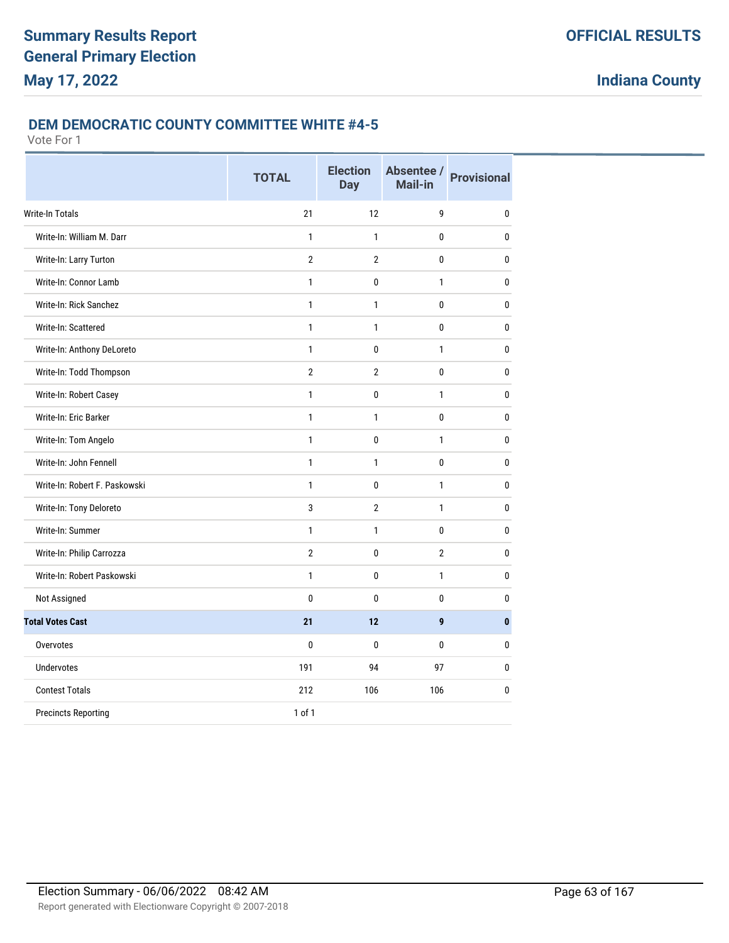### **DEM DEMOCRATIC COUNTY COMMITTEE WHITE #4-5**

|                               | <b>TOTAL</b>   | <b>Election</b><br><b>Day</b> | Absentee /<br><b>Mail-in</b> | <b>Provisional</b> |
|-------------------------------|----------------|-------------------------------|------------------------------|--------------------|
| <b>Write-In Totals</b>        | 21             | 12                            | 9                            | 0                  |
| Write-In: William M. Darr     | $\mathbf{1}$   | $\mathbf{1}$                  | $\mathbf{0}$                 | $\mathbf{0}$       |
| Write-In: Larry Turton        | $\overline{2}$ | $\overline{2}$                | $\mathbf{0}$                 | $\mathbf{0}$       |
| Write-In: Connor Lamb         | $\mathbf{1}$   | 0                             | $\mathbf{1}$                 | 0                  |
| Write-In: Rick Sanchez        | $\mathbf{1}$   | 1                             | 0                            | 0                  |
| Write-In: Scattered           | $\mathbf{1}$   | 1                             | 0                            | 0                  |
| Write-In: Anthony DeLoreto    | $\mathbf{1}$   | 0                             | $\mathbf{1}$                 | 0                  |
| Write-In: Todd Thompson       | $\overline{2}$ | $\overline{2}$                | $\mathbf{0}$                 | 0                  |
| Write-In: Robert Casey        | $\mathbf{1}$   | 0                             | $\mathbf{1}$                 | 0                  |
| Write-In: Eric Barker         | $\mathbf{1}$   | 1                             | $\mathbf{0}$                 | $\mathbf{0}$       |
| Write-In: Tom Angelo          | $\mathbf{1}$   | 0                             | $\mathbf{1}$                 | $\mathbf{0}$       |
| Write-In: John Fennell        | $\mathbf{1}$   | $\mathbf{1}$                  | $\mathbf{0}$                 | $\mathbf{0}$       |
| Write-In: Robert F. Paskowski | $\mathbf{1}$   | 0                             | $\mathbf{1}$                 | 0                  |
| Write-In: Tony Deloreto       | 3              | $\overline{2}$                | $\mathbf{1}$                 | $\pmb{0}$          |
| Write-In: Summer              | $\mathbf{1}$   | $\mathbf{1}$                  | 0                            | 0                  |
| Write-In: Philip Carrozza     | $\overline{2}$ | 0                             | $\overline{2}$               | 0                  |
| Write-In: Robert Paskowski    | $\mathbf{1}$   | 0                             | $\mathbf{1}$                 | 0                  |
| Not Assigned                  | 0              | 0                             | $\mathbf 0$                  | 0                  |
| <b>Total Votes Cast</b>       | 21             | 12                            | 9                            | $\mathbf{0}$       |
| Overvotes                     | 0              | $\mathbf{0}$                  | $\mathbf{0}$                 | 0                  |
| <b>Undervotes</b>             | 191            | 94                            | 97                           | $\mathbf{0}$       |
| <b>Contest Totals</b>         | 212            | 106                           | 106                          | 0                  |
| <b>Precincts Reporting</b>    | 1 of 1         |                               |                              |                    |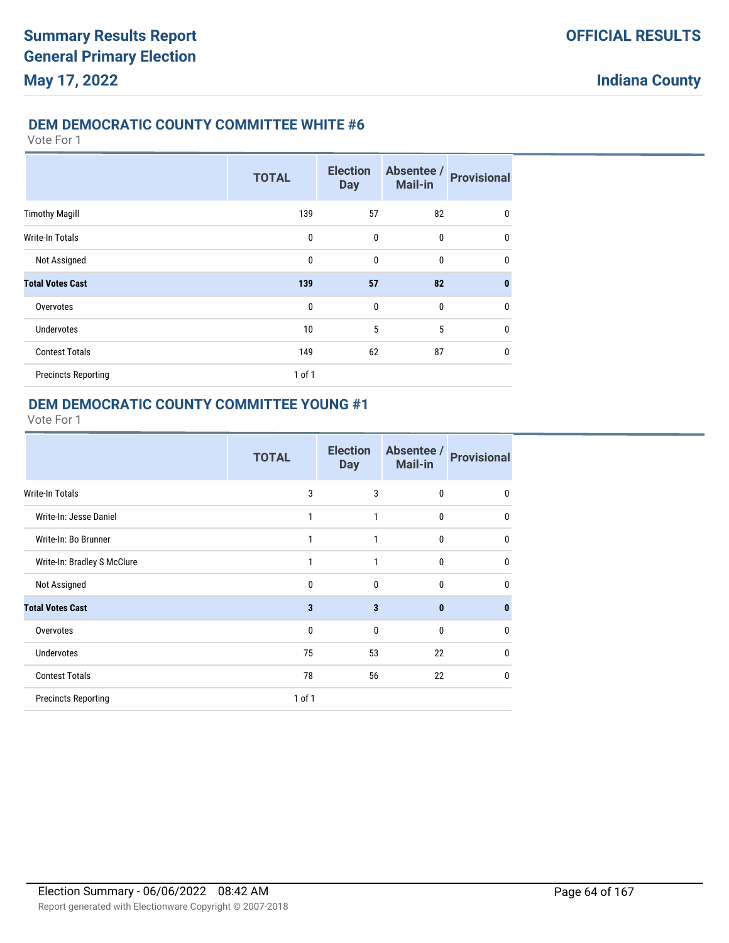## **DEM DEMOCRATIC COUNTY COMMITTEE WHITE #6**

Vote For 1

|                            | <b>TOTAL</b> | <b>Election</b><br><b>Day</b> | Absentee /<br><b>Mail-in</b> | <b>Provisional</b> |
|----------------------------|--------------|-------------------------------|------------------------------|--------------------|
| <b>Timothy Magill</b>      | 139          | 57                            | 82                           | $\mathbf 0$        |
| Write-In Totals            | $\mathbf 0$  | $\mathbf{0}$                  | $\mathbf{0}$                 | $\mathbf{0}$       |
| Not Assigned               | 0            | $\mathbf{0}$                  | $\mathbf 0$                  | $\mathbf{0}$       |
| <b>Total Votes Cast</b>    | 139          | 57                            | 82                           | $\bf{0}$           |
| Overvotes                  | $\mathbf{0}$ | $\mathbf{0}$                  | $\mathbf{0}$                 | 0                  |
| <b>Undervotes</b>          | 10           | 5                             | 5                            | $\mathbf{0}$       |
| <b>Contest Totals</b>      | 149          | 62                            | 87                           | $\mathbf 0$        |
| <b>Precincts Reporting</b> | $1$ of $1$   |                               |                              |                    |

## **DEM DEMOCRATIC COUNTY COMMITTEE YOUNG #1**

|                             | <b>TOTAL</b> | <b>Election</b><br><b>Day</b> | Absentee /<br><b>Mail-in</b> | <b>Provisional</b> |
|-----------------------------|--------------|-------------------------------|------------------------------|--------------------|
| <b>Write-In Totals</b>      | 3            | 3                             | $\mathbf{0}$                 | 0                  |
| Write-In: Jesse Daniel      | 1            | 1                             | $\mathbf 0$                  | 0                  |
| Write-In: Bo Brunner        | 1            | 1                             | $\mathbf{0}$                 | $\mathbf{0}$       |
| Write-In: Bradley S McClure | 1            | 1                             | $\mathbf{0}$                 | $\mathbf{0}$       |
| Not Assigned                | $\mathbf{0}$ | 0                             | $\mathbf{0}$                 | $\mathbf{0}$       |
| <b>Total Votes Cast</b>     | 3            | 3                             | $\bf{0}$                     | $\bf{0}$           |
| Overvotes                   | $\mathbf{0}$ | 0                             | $\mathbf{0}$                 | 0                  |
| <b>Undervotes</b>           | 75           | 53                            | 22                           | 0                  |
| <b>Contest Totals</b>       | 78           | 56                            | 22                           | 0                  |
| <b>Precincts Reporting</b>  | 1 of 1       |                               |                              |                    |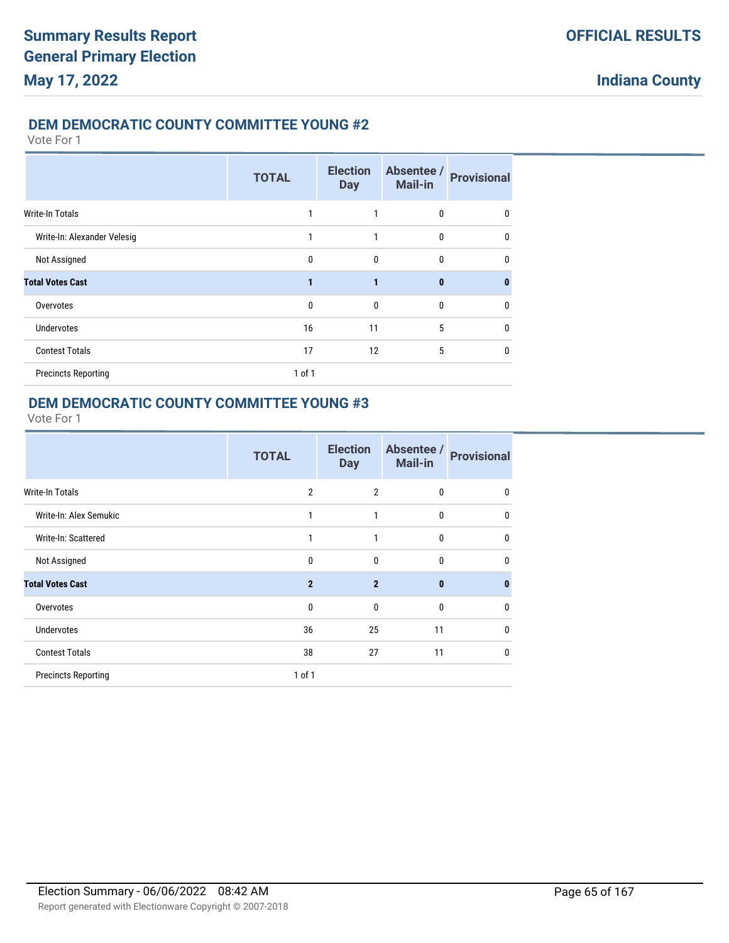## **DEM DEMOCRATIC COUNTY COMMITTEE YOUNG #2**

Vote For 1

|                             | <b>TOTAL</b> | <b>Election</b><br><b>Day</b> | Absentee /<br><b>Mail-in</b> | <b>Provisional</b> |
|-----------------------------|--------------|-------------------------------|------------------------------|--------------------|
| <b>Write-In Totals</b>      |              |                               | 0                            | 0                  |
| Write-In: Alexander Velesig | 1            | 1                             | 0                            | $\Omega$           |
| Not Assigned                | $\mathbf{0}$ | $\mathbf{0}$                  | 0                            | 0                  |
| <b>Total Votes Cast</b>     | 1            | 1                             | $\bf{0}$                     | $\bf{0}$           |
| Overvotes                   | $\mathbf{0}$ | $\mathbf{0}$                  | 0                            | 0                  |
| <b>Undervotes</b>           | 16           | 11                            | 5                            | $\mathbf{0}$       |
| <b>Contest Totals</b>       | 17           | 12                            | 5                            | 0                  |
| <b>Precincts Reporting</b>  | 1 of 1       |                               |                              |                    |

## **DEM DEMOCRATIC COUNTY COMMITTEE YOUNG #3**

|                            | <b>TOTAL</b>   | <b>Election</b><br><b>Day</b> | Absentee /<br>Mail-in | <b>Provisional</b> |
|----------------------------|----------------|-------------------------------|-----------------------|--------------------|
| Write-In Totals            | $\overline{2}$ | $\overline{2}$                | 0                     | 0                  |
| Write-In: Alex Semukic     | 1              | 1                             | 0                     | $\mathbf{0}$       |
| Write-In: Scattered        | 1              | 1                             | $\mathbf{0}$          | $\mathbf{0}$       |
| Not Assigned               | $\mathbf 0$    | $\mathbf{0}$                  | 0                     | $\mathbf{0}$       |
| <b>Total Votes Cast</b>    | $\overline{2}$ | $\overline{2}$                | $\bf{0}$              | $\bf{0}$           |
| Overvotes                  | $\mathbf 0$    | $\mathbf{0}$                  | 0                     | 0                  |
| <b>Undervotes</b>          | 36             | 25                            | 11                    | $\mathbf{0}$       |
| <b>Contest Totals</b>      | 38             | 27                            | 11                    | $\mathbf{0}$       |
| <b>Precincts Reporting</b> | $1$ of $1$     |                               |                       |                    |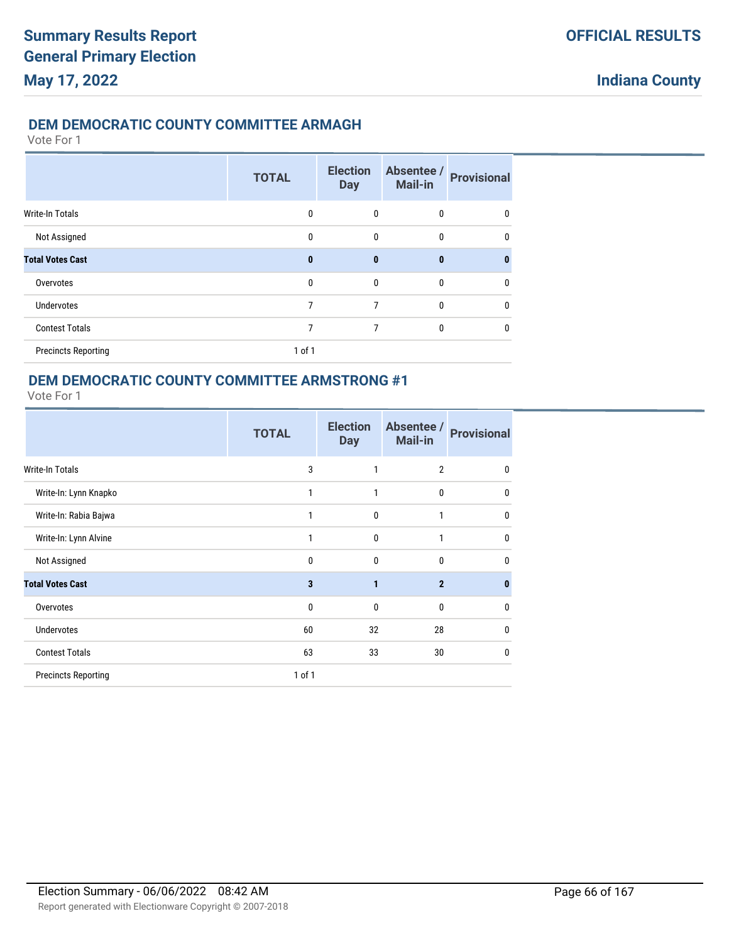## **DEM DEMOCRATIC COUNTY COMMITTEE ARMAGH**

Vote For 1

|                            | <b>TOTAL</b> | <b>Election</b><br><b>Day</b> | Absentee /<br>Mail-in | <b>Provisional</b> |
|----------------------------|--------------|-------------------------------|-----------------------|--------------------|
| <b>Write-In Totals</b>     | 0            | 0                             | $\mathbf{0}$          | $\mathbf{0}$       |
| Not Assigned               | $\Omega$     | 0                             | $\mathbf{0}$          | 0                  |
| <b>Total Votes Cast</b>    | $\bf{0}$     | $\mathbf{0}$                  | $\mathbf{0}$          | n                  |
| Overvotes                  | $\mathbf{0}$ | $\mathbf{0}$                  | $\mathbf{0}$          | 0                  |
| <b>Undervotes</b>          | 7            | 7                             | $\mathbf{0}$          | 0                  |
| <b>Contest Totals</b>      | 7            | 7                             | $\mathbf{0}$          | 0                  |
| <b>Precincts Reporting</b> | $1$ of $1$   |                               |                       |                    |

## **DEM DEMOCRATIC COUNTY COMMITTEE ARMSTRONG #1**

|                            | <b>TOTAL</b> | <b>Election</b><br><b>Day</b> | Absentee /<br><b>Mail-in</b> | <b>Provisional</b> |
|----------------------------|--------------|-------------------------------|------------------------------|--------------------|
| Write-In Totals            | 3            | 1                             | $\overline{2}$               | 0                  |
| Write-In: Lynn Knapko      | 1            | 1                             | $\mathbf 0$                  | $\mathbf{0}$       |
| Write-In: Rabia Bajwa      | 1            | 0                             | 1                            | 0                  |
| Write-In: Lynn Alvine      | 1            | $\mathbf{0}$                  | 1                            | 0                  |
| Not Assigned               | 0            | $\mathbf{0}$                  | $\mathbf{0}$                 | $\mathbf{0}$       |
| <b>Total Votes Cast</b>    | 3            | 1                             | $\overline{2}$               | $\bf{0}$           |
| Overvotes                  | $\mathbf{0}$ | $\mathbf{0}$                  | 0                            | 0                  |
| <b>Undervotes</b>          | 60           | 32                            | 28                           | 0                  |
| <b>Contest Totals</b>      | 63           | 33                            | 30                           | 0                  |
| <b>Precincts Reporting</b> | 1 of 1       |                               |                              |                    |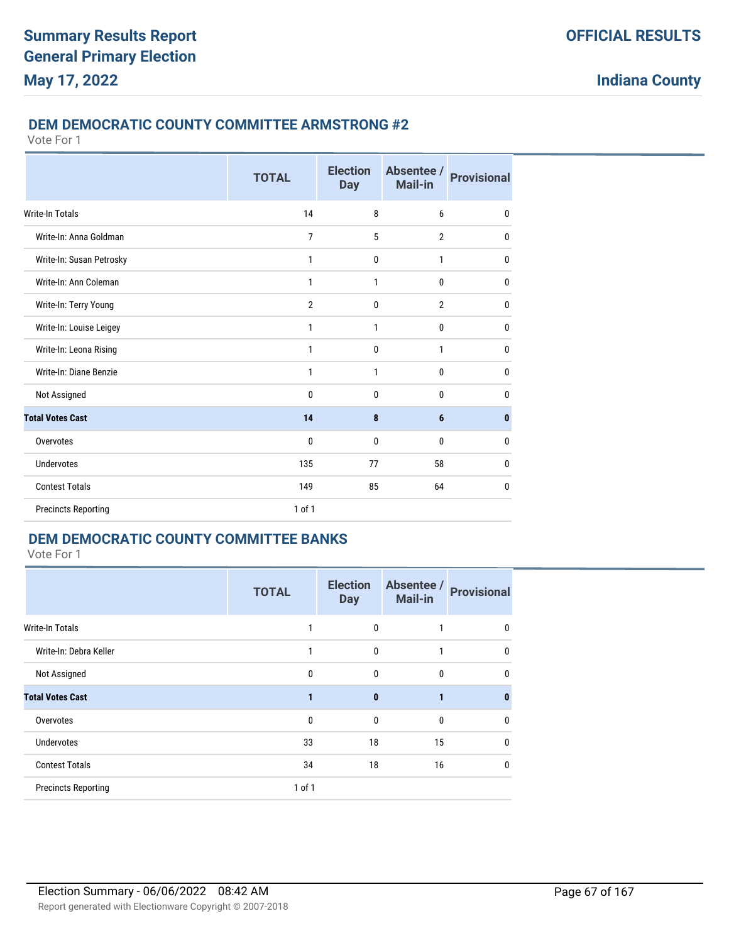#### **DEM DEMOCRATIC COUNTY COMMITTEE ARMSTRONG #2**

Vote For 1

|                            | <b>TOTAL</b>   | <b>Election</b><br><b>Day</b> | Absentee /<br>Mail-in | <b>Provisional</b> |
|----------------------------|----------------|-------------------------------|-----------------------|--------------------|
| <b>Write-In Totals</b>     | 14             | 8                             | 6                     | 0                  |
| Write-In: Anna Goldman     | 7              | 5                             | $\overline{2}$        | $\mathbf{0}$       |
| Write-In: Susan Petrosky   | $\mathbf{1}$   | 0                             | $\mathbf{1}$          | $\mathbf{0}$       |
| Write-In: Ann Coleman      | $\mathbf{1}$   | 1                             | 0                     | $\mathbf{0}$       |
| Write-In: Terry Young      | $\overline{2}$ | 0                             | $\overline{2}$        | $\mathbf{0}$       |
| Write-In: Louise Leigey    | 1              | 1                             | $\bf{0}$              | $\mathbf{0}$       |
| Write-In: Leona Rising     | 1              | 0                             | 1                     | 0                  |
| Write-In: Diane Benzie     | 1              | 1                             | $\bf{0}$              | 0                  |
| Not Assigned               | $\mathbf{0}$   | 0                             | $\mathbf{0}$          | $\mathbf 0$        |
| <b>Total Votes Cast</b>    | 14             | 8                             | $6\phantom{1}$        | $\bf{0}$           |
| Overvotes                  | 0              | 0                             | $\mathbf{0}$          | 0                  |
| Undervotes                 | 135            | 77                            | 58                    | $\mathbf{0}$       |
| <b>Contest Totals</b>      | 149            | 85                            | 64                    | $\mathbf{0}$       |
| <b>Precincts Reporting</b> | $1$ of $1$     |                               |                       |                    |

# **DEM DEMOCRATIC COUNTY COMMITTEE BANKS**

|                            | <b>TOTAL</b> | <b>Election</b><br><b>Day</b> | Absentee /<br><b>Mail-in</b> | <b>Provisional</b> |
|----------------------------|--------------|-------------------------------|------------------------------|--------------------|
| <b>Write-In Totals</b>     |              | $\mathbf{0}$                  |                              | 0                  |
| Write-In: Debra Keller     |              | $\mathbf{0}$                  | 1                            | 0                  |
| Not Assigned               | $\mathbf{0}$ | $\mathbf{0}$                  | $\mathbf 0$                  | 0                  |
| <b>Total Votes Cast</b>    |              | $\mathbf{0}$                  | 1                            | 0                  |
| Overvotes                  | $\mathbf{0}$ | $\mathbf{0}$                  | $\mathbf{0}$                 | 0                  |
| <b>Undervotes</b>          | 33           | 18                            | 15                           | 0                  |
| <b>Contest Totals</b>      | 34           | 18                            | 16                           | $\mathbf{0}$       |
| <b>Precincts Reporting</b> | $1$ of $1$   |                               |                              |                    |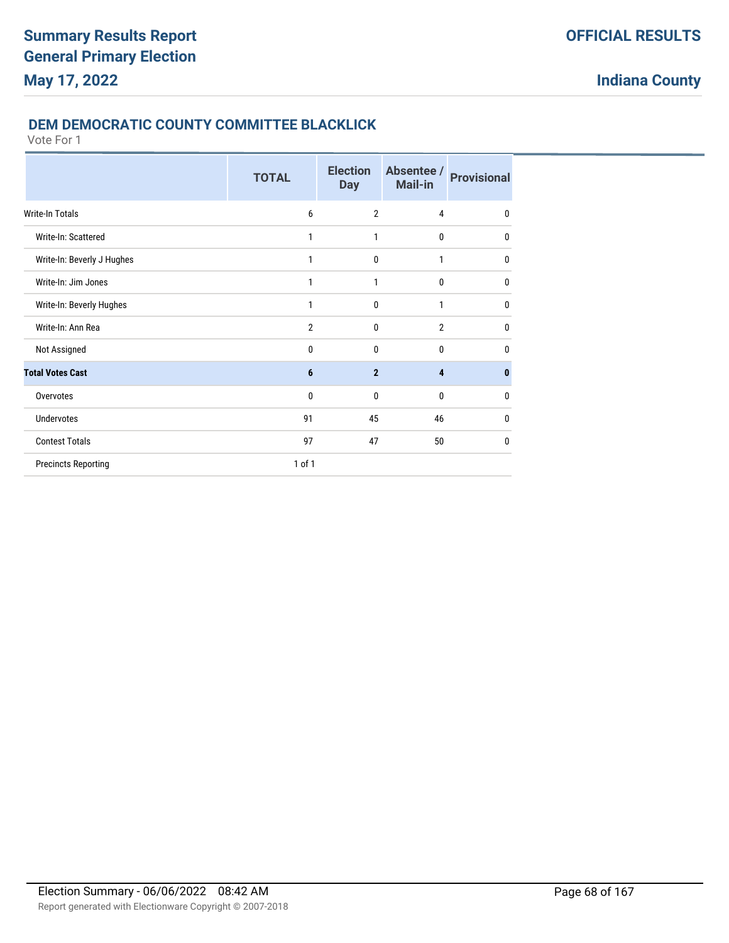### **DEM DEMOCRATIC COUNTY COMMITTEE BLACKLICK**

|                            | <b>TOTAL</b>   | <b>Election</b><br><b>Day</b> | Absentee /<br><b>Mail-in</b> | <b>Provisional</b> |
|----------------------------|----------------|-------------------------------|------------------------------|--------------------|
| Write-In Totals            | 6              | $\overline{2}$                | $\overline{4}$               | $\bf{0}$           |
| Write-In: Scattered        | 1              | 1                             | 0                            | $\mathbf{0}$       |
| Write-In: Beverly J Hughes | 1              | $\mathbf{0}$                  | 1                            | $\mathbf{0}$       |
| Write-In: Jim Jones        | 1              | 1                             | $\mathbf{0}$                 | $\mathbf{0}$       |
| Write-In: Beverly Hughes   | 1              | $\mathbf{0}$                  | 1                            | $\mathbf{0}$       |
| Write-In: Ann Rea          | $\overline{2}$ | $\mathbf{0}$                  | $\overline{2}$               | $\mathbf{0}$       |
| Not Assigned               | 0              | $\mathbf{0}$                  | $\mathbf 0$                  | $\mathbf{0}$       |
| <b>Total Votes Cast</b>    | 6              | $\overline{2}$                | 4                            | $\bf{0}$           |
| Overvotes                  | $\mathbf{0}$   | $\mathbf{0}$                  | $\mathbf{0}$                 | $\mathbf{0}$       |
| <b>Undervotes</b>          | 91             | 45                            | 46                           | $\mathbf{0}$       |
| <b>Contest Totals</b>      | 97             | 47                            | 50                           | $\mathbf{0}$       |
| <b>Precincts Reporting</b> | 1 of 1         |                               |                              |                    |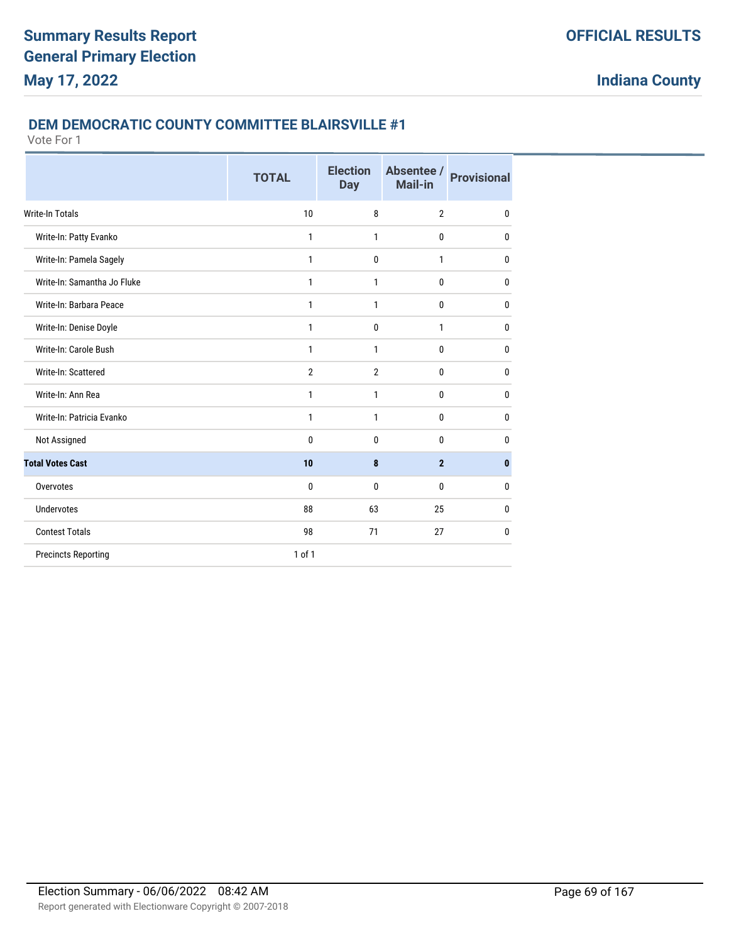### **DEM DEMOCRATIC COUNTY COMMITTEE BLAIRSVILLE #1**

|                             | <b>TOTAL</b>   | <b>Election</b><br><b>Day</b> | Absentee /<br><b>Mail-in</b> | <b>Provisional</b> |
|-----------------------------|----------------|-------------------------------|------------------------------|--------------------|
| Write-In Totals             | 10             | 8                             | $\overline{2}$               | $\mathbf{0}$       |
| Write-In: Patty Evanko      | 1              | $\mathbf{1}$                  | $\mathbf{0}$                 | 0                  |
| Write-In: Pamela Sagely     | 1              | $\mathbf{0}$                  | 1                            | 0                  |
| Write-In: Samantha Jo Fluke | 1              | 1                             | $\mathbf{0}$                 | 0                  |
| Write-In: Barbara Peace     | 1              | 1                             | $\mathbf{0}$                 | $\bf{0}$           |
| Write-In: Denise Doyle      | 1              | $\mathbf 0$                   | 1                            | $\mathbf{0}$       |
| Write-In: Carole Bush       | 1              | 1                             | 0                            | $\mathbf{0}$       |
| Write-In: Scattered         | $\overline{2}$ | $\overline{2}$                | 0                            | $\mathbf{0}$       |
| Write-In: Ann Rea           | 1              | $\mathbf{1}$                  | 0                            | $\bf{0}$           |
| Write-In: Patricia Evanko   | 1              | $\mathbf{1}$                  | 0                            | $\mathbf{0}$       |
| Not Assigned                | 0              | $\mathbf{0}$                  | $\mathbf{0}$                 | 0                  |
| <b>Total Votes Cast</b>     | 10             | 8                             | $\overline{2}$               | $\mathbf{0}$       |
| Overvotes                   | 0              | $\mathbf{0}$                  | $\mathbf{0}$                 | $\mathbf{0}$       |
| <b>Undervotes</b>           | 88             | 63                            | 25                           | $\mathbf{0}$       |
| <b>Contest Totals</b>       | 98             | 71                            | 27                           | $\mathbf{0}$       |
| <b>Precincts Reporting</b>  | 1 of 1         |                               |                              |                    |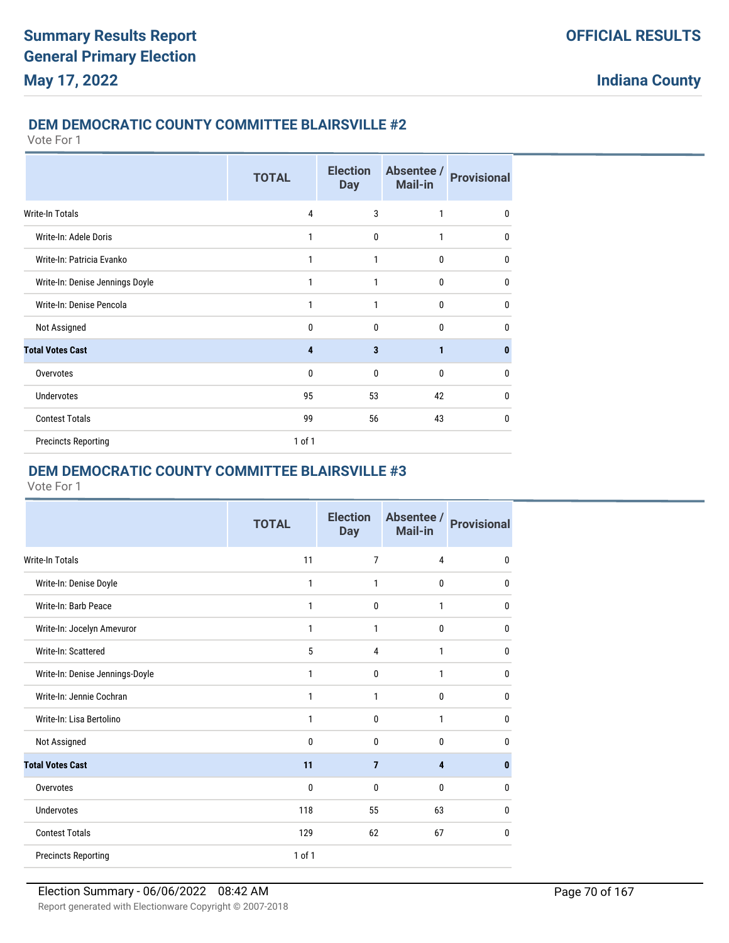#### **DEM DEMOCRATIC COUNTY COMMITTEE BLAIRSVILLE #2**

Vote For 1

|                                 | <b>TOTAL</b>   | <b>Election</b><br><b>Day</b> | Absentee /<br>Mail-in | <b>Provisional</b> |
|---------------------------------|----------------|-------------------------------|-----------------------|--------------------|
| Write-In Totals                 | $\overline{4}$ | 3                             | 1                     | 0                  |
| Write-In: Adele Doris           | 1              | 0                             | 1                     | 0                  |
| Write-In: Patricia Evanko       | 1              | 1                             | $\mathbf{0}$          | 0                  |
| Write-In: Denise Jennings Doyle | 1              | 1                             | $\mathbf 0$           | 0                  |
| Write-In: Denise Pencola        | 1              | 1                             | $\mathbf{0}$          | 0                  |
| Not Assigned                    | $\mathbf{0}$   | $\mathbf{0}$                  | $\mathbf{0}$          | 0                  |
| <b>Total Votes Cast</b>         | 4              | $\overline{\mathbf{3}}$       | $\mathbf{1}$          | $\bf{0}$           |
| Overvotes                       | $\mathbf{0}$   | $\mathbf{0}$                  | $\mathbf{0}$          | 0                  |
| Undervotes                      | 95             | 53                            | 42                    | 0                  |
| <b>Contest Totals</b>           | 99             | 56                            | 43                    | 0                  |
| <b>Precincts Reporting</b>      | 1 of 1         |                               |                       |                    |

# **DEM DEMOCRATIC COUNTY COMMITTEE BLAIRSVILLE #3**

|                                 | <b>TOTAL</b> | <b>Election</b><br><b>Day</b> | Absentee /<br>Mail-in | <b>Provisional</b> |
|---------------------------------|--------------|-------------------------------|-----------------------|--------------------|
| Write-In Totals                 | 11           | 7                             | $\overline{4}$        | 0                  |
| Write-In: Denise Doyle          | $\mathbf{1}$ | 1                             | 0                     | 0                  |
| Write-In: Barb Peace            | 1            | 0                             | 1                     | 0                  |
| Write-In: Jocelyn Amevuror      | $\mathbf{1}$ | 1                             | 0                     | 0                  |
| Write-In: Scattered             | 5            | 4                             | 1                     | $\mathbf{0}$       |
| Write-In: Denise Jennings-Doyle | 1            | 0                             | 1                     | $\mathbf{0}$       |
| Write-In: Jennie Cochran        | $\mathbf{1}$ | 1                             | 0                     | $\mathbf 0$        |
| Write-In: Lisa Bertolino        | 1            | 0                             | 1                     | $\mathbf{0}$       |
| Not Assigned                    | $\mathbf{0}$ | $\mathbf{0}$                  | 0                     | $\mathbf{0}$       |
| <b>Total Votes Cast</b>         | 11           | $\overline{7}$                | 4                     | $\mathbf{0}$       |
| Overvotes                       | $\mathbf 0$  | 0                             | 0                     | $\mathbf{0}$       |
| <b>Undervotes</b>               | 118          | 55                            | 63                    | 0                  |
| <b>Contest Totals</b>           | 129          | 62                            | 67                    | 0                  |
| <b>Precincts Reporting</b>      | 1 of 1       |                               |                       |                    |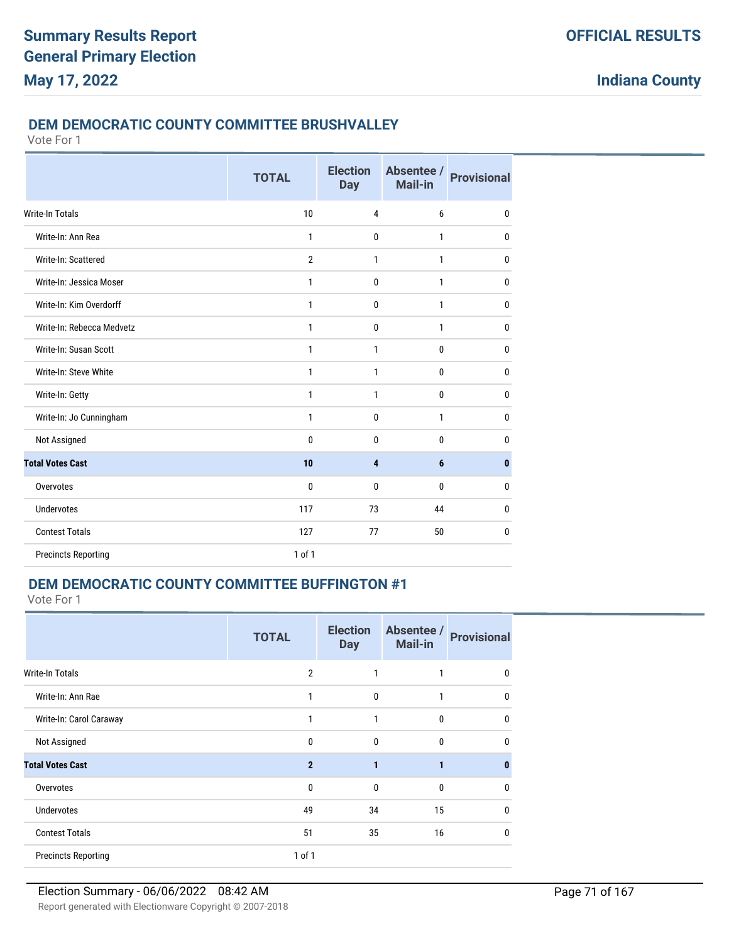#### **DEM DEMOCRATIC COUNTY COMMITTEE BRUSHVALLEY**

Vote For 1

|                            | <b>TOTAL</b>   | <b>Election</b><br><b>Day</b> | Absentee /<br>Mail-in | <b>Provisional</b> |
|----------------------------|----------------|-------------------------------|-----------------------|--------------------|
| <b>Write-In Totals</b>     | 10             | 4                             | 6                     | 0                  |
| Write-In: Ann Rea          | 1              | $\mathbf{0}$                  | 1                     | $\mathbf 0$        |
| Write-In: Scattered        | $\overline{2}$ | 1                             | 1                     | 0                  |
| Write-In: Jessica Moser    | 1              | $\mathbf{0}$                  | 1                     | $\mathbf 0$        |
| Write-In: Kim Overdorff    | 1              | $\mathbf{0}$                  | 1                     | $\mathbf 0$        |
| Write-In: Rebecca Medvetz  | 1              | $\mathbf{0}$                  | $\mathbf{1}$          | $\mathbf 0$        |
| Write-In: Susan Scott      | 1              | 1                             | $\mathbf 0$           | $\mathbf 0$        |
| Write-In: Steve White      | 1              | 1                             | $\mathbf 0$           | $\mathbf 0$        |
| Write-In: Getty            | 1              | 1                             | $\mathbf 0$           | $\mathbf 0$        |
| Write-In: Jo Cunningham    | 1              | $\mathbf{0}$                  | $\mathbf{1}$          | $\mathbf 0$        |
| Not Assigned               | 0              | $\mathbf{0}$                  | 0                     | $\mathbf 0$        |
| <b>Total Votes Cast</b>    | 10             | 4                             | 6                     | $\bf{0}$           |
| Overvotes                  | 0              | $\mathbf{0}$                  | 0                     | 0                  |
| Undervotes                 | 117            | 73                            | 44                    | $\mathbf 0$        |
| <b>Contest Totals</b>      | 127            | 77                            | 50                    | 0                  |
| <b>Precincts Reporting</b> | 1 of 1         |                               |                       |                    |

# **DEM DEMOCRATIC COUNTY COMMITTEE BUFFINGTON #1**

|                            | <b>TOTAL</b>   | <b>Election</b><br><b>Day</b> | Absentee /<br>Mail-in | <b>Provisional</b> |
|----------------------------|----------------|-------------------------------|-----------------------|--------------------|
| <b>Write-In Totals</b>     | $\overline{2}$ | 1                             | 1                     | 0                  |
| Write-In: Ann Rae          | 1              | $\mathbf{0}$                  | 1                     | $\mathbf{0}$       |
| Write-In: Carol Caraway    | 1              | 1                             | $\mathbf{0}$          | $\mathbf{0}$       |
| Not Assigned               | $\mathbf{0}$   | $\mathbf{0}$                  | $\mathbf{0}$          | $\mathbf{0}$       |
| <b>Total Votes Cast</b>    | $\overline{2}$ | 1                             | 1                     | $\bf{0}$           |
| Overvotes                  | $\mathbf{0}$   | $\mathbf{0}$                  | $\mathbf{0}$          | $\mathbf{0}$       |
| <b>Undervotes</b>          | 49             | 34                            | 15                    | $\mathbf{0}$       |
| <b>Contest Totals</b>      | 51             | 35                            | 16                    | $\mathbf{0}$       |
| <b>Precincts Reporting</b> | 1 of 1         |                               |                       |                    |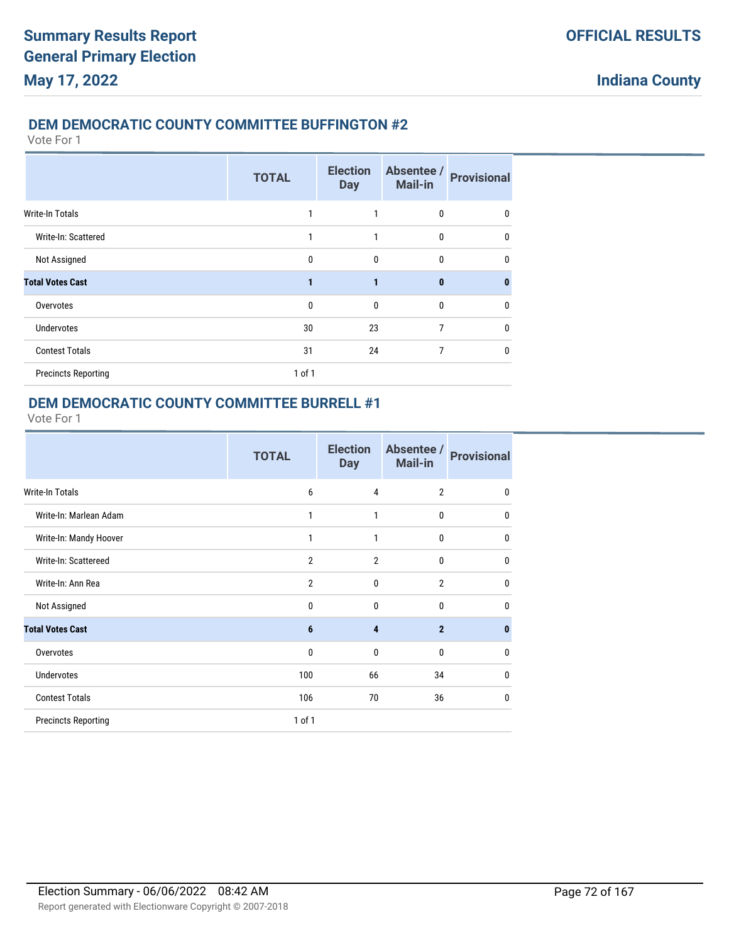### **DEM DEMOCRATIC COUNTY COMMITTEE BUFFINGTON #2**

Vote For 1

|                            | <b>TOTAL</b> | <b>Election</b><br><b>Day</b> | Absentee /<br><b>Mail-in</b> | <b>Provisional</b> |
|----------------------------|--------------|-------------------------------|------------------------------|--------------------|
| <b>Write-In Totals</b>     | 1            | 1                             | 0                            | 0                  |
| Write-In: Scattered        | 1            | 1                             | $\mathbf{0}$                 | $\mathbf{0}$       |
| Not Assigned               | $\mathbf{0}$ | $\mathbf{0}$                  | 0                            | 0                  |
| <b>Total Votes Cast</b>    | 1            | $\blacksquare$                | $\bf{0}$                     | $\bf{0}$           |
| Overvotes                  | $\mathbf{0}$ | $\mathbf{0}$                  | 0                            | $\mathbf{0}$       |
| <b>Undervotes</b>          | 30           | 23                            | 7                            | $\mathbf{0}$       |
| <b>Contest Totals</b>      | 31           | 24                            | 7                            | $\mathbf{0}$       |
| <b>Precincts Reporting</b> | $1$ of $1$   |                               |                              |                    |

### **DEM DEMOCRATIC COUNTY COMMITTEE BURRELL #1**

|                            | <b>TOTAL</b>   | <b>Election</b><br><b>Day</b> | Absentee /<br><b>Mail-in</b> | <b>Provisional</b> |
|----------------------------|----------------|-------------------------------|------------------------------|--------------------|
| <b>Write-In Totals</b>     | 6              | $\overline{4}$                | $\overline{2}$               | $\mathbf{0}$       |
| Write-In: Marlean Adam     | $\mathbf{1}$   | 1                             | $\mathbf{0}$                 | $\mathbf 0$        |
| Write-In: Mandy Hoover     | $\mathbf{1}$   | 1                             | $\mathbf{0}$                 | $\mathbf 0$        |
| Write-In: Scattereed       | $\overline{2}$ | $\overline{2}$                | $\mathbf{0}$                 | 0                  |
| Write-In: Ann Rea          | $\overline{2}$ | 0                             | $\overline{2}$               | 0                  |
| Not Assigned               | $\mathbf{0}$   | $\Omega$                      | $\Omega$                     | 0                  |
| <b>Total Votes Cast</b>    | 6              | $\overline{\mathbf{4}}$       | $\overline{2}$               | $\bf{0}$           |
| Overvotes                  | $\mathbf{0}$   | 0                             | $\mathbf{0}$                 | 0                  |
| <b>Undervotes</b>          | 100            | 66                            | 34                           | 0                  |
| <b>Contest Totals</b>      | 106            | 70                            | 36                           | $\mathbf{0}$       |
| <b>Precincts Reporting</b> | $1$ of $1$     |                               |                              |                    |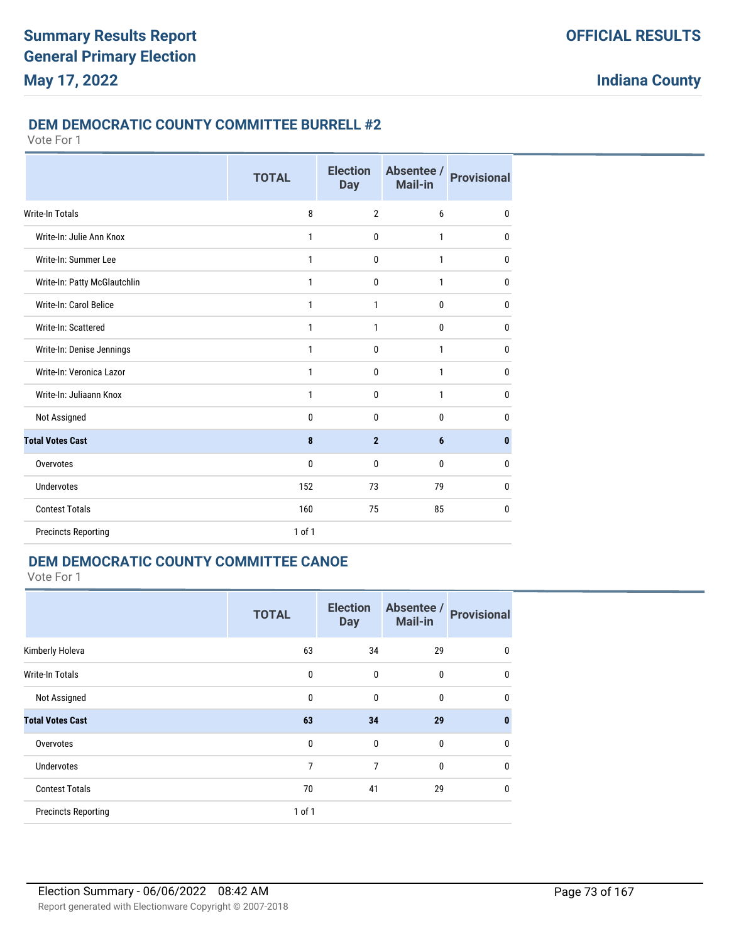#### **DEM DEMOCRATIC COUNTY COMMITTEE BURRELL #2**

Vote For 1

|                              | <b>TOTAL</b> | <b>Election</b><br><b>Day</b> | Absentee /<br><b>Mail-in</b> | <b>Provisional</b> |
|------------------------------|--------------|-------------------------------|------------------------------|--------------------|
| Write-In Totals              | 8            | $\overline{2}$                | 6                            | 0                  |
| Write-In: Julie Ann Knox     | $\mathbf{1}$ | $\mathbf{0}$                  | 1                            | $\mathbf{0}$       |
| Write-In: Summer Lee         | $\mathbf{1}$ | $\mathbf{0}$                  | $\mathbf{1}$                 | 0                  |
| Write-In: Patty McGlautchlin | 1            | $\mathbf 0$                   | 1                            | $\mathbf{0}$       |
| Write-In: Carol Belice       | 1            | 1                             | 0                            | $\mathbf{0}$       |
| Write-In: Scattered          | 1            | 1                             | 0                            | 0                  |
| Write-In: Denise Jennings    | 1            | $\mathbf{0}$                  | 1                            | 0                  |
| Write-In: Veronica Lazor     | $\mathbf{1}$ | $\mathbf{0}$                  | $\mathbf{1}$                 | $\mathbf{0}$       |
| Write-In: Juliaann Knox      | 1            | $\mathbf 0$                   | 1                            | $\mathbf{0}$       |
| Not Assigned                 | 0            | $\Omega$                      | 0                            | 0                  |
| <b>Total Votes Cast</b>      | 8            | $\overline{2}$                | 6                            | 0                  |
| Overvotes                    | $\mathbf{0}$ | $\mathbf{0}$                  | $\mathbf{0}$                 | $\mathbf{0}$       |
| Undervotes                   | 152          | 73                            | 79                           | 0                  |
| <b>Contest Totals</b>        | 160          | 75                            | 85                           | $\mathbf{0}$       |
| <b>Precincts Reporting</b>   | $1$ of $1$   |                               |                              |                    |

### **DEM DEMOCRATIC COUNTY COMMITTEE CANOE**

|                            | <b>TOTAL</b> | <b>Election</b><br><b>Day</b> | Absentee /<br><b>Mail-in</b> | <b>Provisional</b> |
|----------------------------|--------------|-------------------------------|------------------------------|--------------------|
| Kimberly Holeva            | 63           | 34                            | 29                           | 0                  |
| Write-In Totals            | 0            | 0                             | 0                            | $\mathbf{0}$       |
| Not Assigned               | 0            | $\mathbf 0$                   | 0                            | $\mathbf{0}$       |
| <b>Total Votes Cast</b>    | 63           | 34                            | 29                           | $\mathbf{0}$       |
| Overvotes                  | 0            | $\mathbf{0}$                  | 0                            | 0                  |
| <b>Undervotes</b>          | 7            | 7                             | 0                            | 0                  |
| <b>Contest Totals</b>      | 70           | 41                            | 29                           | 0                  |
| <b>Precincts Reporting</b> | $1$ of $1$   |                               |                              |                    |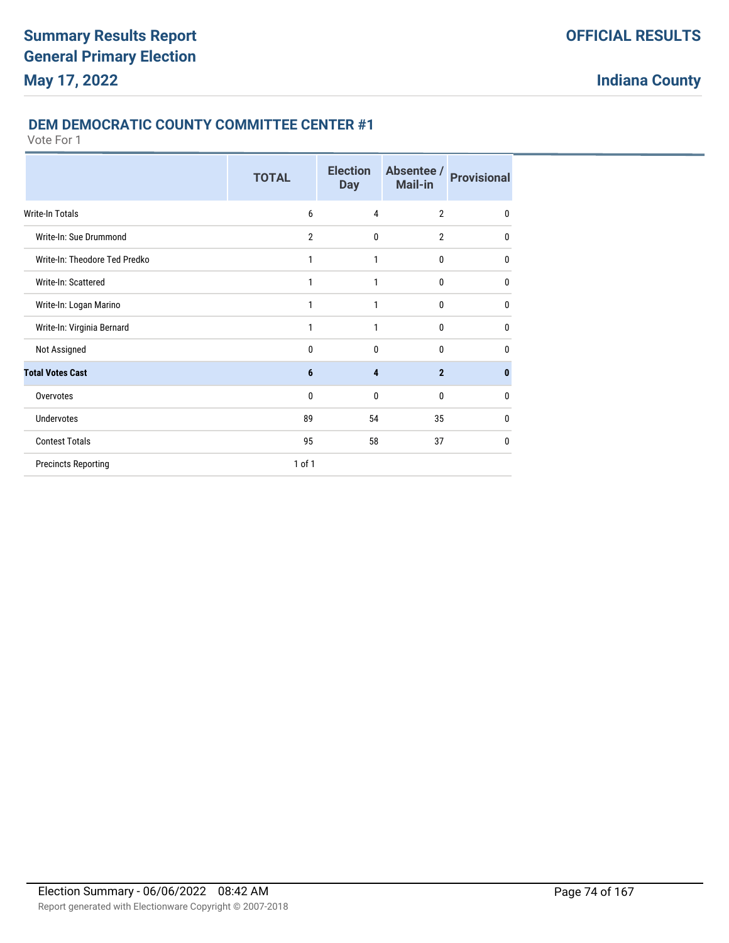#### **DEM DEMOCRATIC COUNTY COMMITTEE CENTER #1**

|                               | <b>TOTAL</b>   | <b>Election</b><br><b>Day</b> | Absentee /<br>Mail-in | <b>Provisional</b> |
|-------------------------------|----------------|-------------------------------|-----------------------|--------------------|
| Write-In Totals               | 6              | 4                             | $\overline{2}$        | $\mathbf 0$        |
| Write-In: Sue Drummond        | $\overline{2}$ | 0                             | $\overline{2}$        | $\mathbf{0}$       |
| Write-In: Theodore Ted Predko | 1              | 1                             | $\bf{0}$              | $\mathbf{0}$       |
| Write-In: Scattered           | 1              | 1                             | $\mathbf{0}$          | $\mathbf{0}$       |
| Write-In: Logan Marino        | 1              | 1                             | $\mathbf{0}$          | $\mathbf{0}$       |
| Write-In: Virginia Bernard    | 1              | 1                             | $\bf{0}$              | $\mathbf{0}$       |
| Not Assigned                  | 0              | $\mathbf{0}$                  | $\mathbf{0}$          | 0                  |
| <b>Total Votes Cast</b>       | 6              | $\overline{\mathbf{4}}$       | $\overline{2}$        | $\bf{0}$           |
| Overvotes                     | $\mathbf{0}$   | $\mathbf{0}$                  | $\mathbf{0}$          | $\mathbf{0}$       |
| <b>Undervotes</b>             | 89             | 54                            | 35                    | $\mathbf{0}$       |
| <b>Contest Totals</b>         | 95             | 58                            | 37                    | $\mathbf{0}$       |
| <b>Precincts Reporting</b>    | $1$ of $1$     |                               |                       |                    |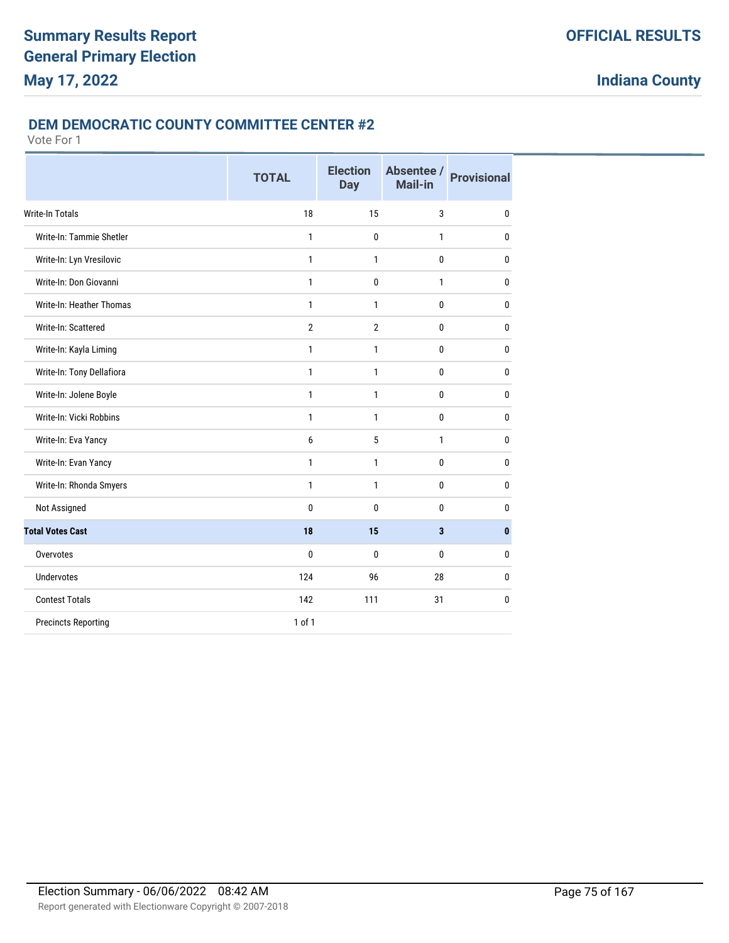#### **DEM DEMOCRATIC COUNTY COMMITTEE CENTER #2**

|                            | <b>TOTAL</b>   | <b>Election</b><br><b>Day</b> | Absentee /<br>Mail-in | <b>Provisional</b> |
|----------------------------|----------------|-------------------------------|-----------------------|--------------------|
| <b>Write-In Totals</b>     | 18             | 15                            | 3                     | $\bf{0}$           |
| Write-In: Tammie Shetler   | 1              | 0                             | $\mathbf{1}$          | $\mathbf{0}$       |
| Write-In: Lyn Vresilovic   | $\mathbf{1}$   | 1                             | 0                     | $\bf{0}$           |
| Write-In: Don Giovanni     | 1              | 0                             | $\mathbf{1}$          | $\bf{0}$           |
| Write-In: Heather Thomas   | 1              | 1                             | 0                     | $\bf{0}$           |
| Write-In: Scattered        | $\overline{2}$ | $\overline{2}$                | 0                     | $\bf{0}$           |
| Write-In: Kayla Liming     | 1              | 1                             | 0                     | $\bf{0}$           |
| Write-In: Tony Dellafiora  | 1              | 1                             | 0                     | $\mathbf 0$        |
| Write-In: Jolene Boyle     | 1              | 1                             | 0                     | $\bf{0}$           |
| Write-In: Vicki Robbins    | 1              | 1                             | 0                     | 0                  |
| Write-In: Eva Yancy        | 6              | 5                             | $\mathbf{1}$          | $\mathbf{0}$       |
| Write-In: Evan Yancy       | 1              | 1                             | 0                     | $\bf{0}$           |
| Write-In: Rhonda Smyers    | $\mathbf{1}$   | 1                             | 0                     | $\bf{0}$           |
| Not Assigned               | 0              | 0                             | 0                     | $\mathbf{0}$       |
| <b>Total Votes Cast</b>    | 18             | 15                            | 3                     | $\mathbf{0}$       |
| Overvotes                  | 0              | 0                             | 0                     | 0                  |
| Undervotes                 | 124            | 96                            | 28                    | $\mathbf{0}$       |
| <b>Contest Totals</b>      | 142            | 111                           | 31                    | $\bf{0}$           |
| <b>Precincts Reporting</b> | 1 of 1         |                               |                       |                    |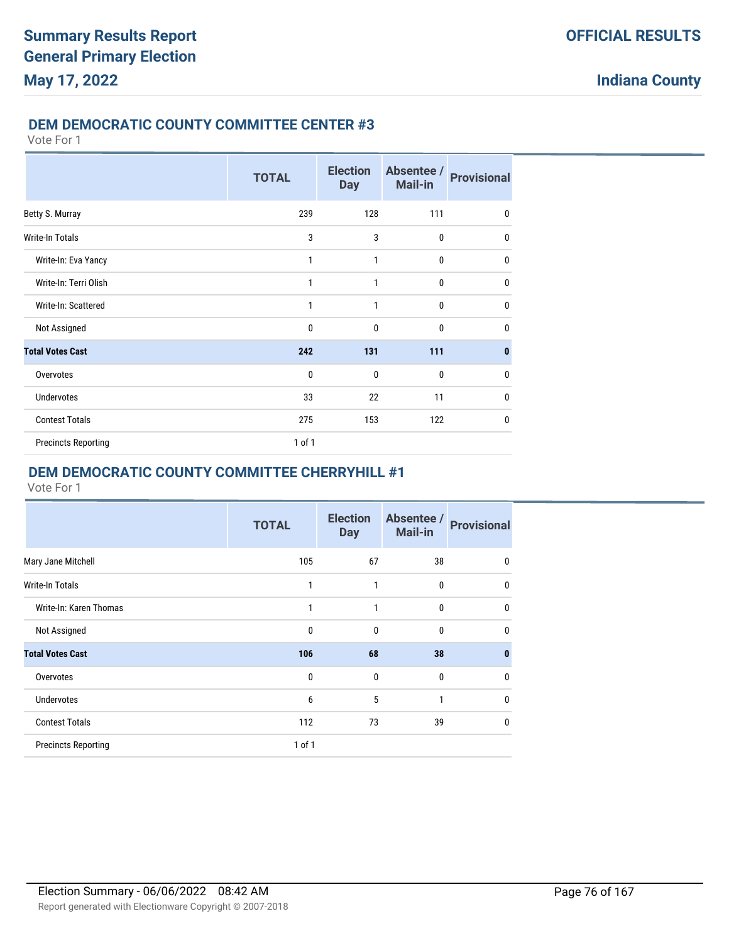### **DEM DEMOCRATIC COUNTY COMMITTEE CENTER #3**

Vote For 1

|                            | <b>TOTAL</b> | <b>Election</b><br><b>Day</b> | Absentee /<br><b>Mail-in</b> | <b>Provisional</b> |
|----------------------------|--------------|-------------------------------|------------------------------|--------------------|
| Betty S. Murray            | 239          | 128                           | 111                          | 0                  |
| Write-In Totals            | 3            | 3                             | $\mathbf 0$                  | $\mathbf{0}$       |
| Write-In: Eva Yancy        | 1            | 1                             | $\mathbf{0}$                 | $\mathbf{0}$       |
| Write-In: Terri Olish      | 1            | 1                             | $\bf{0}$                     | 0                  |
| Write-In: Scattered        | 1            | 1                             | $\mathbf{0}$                 | 0                  |
| Not Assigned               | $\mathbf 0$  | $\mathbf{0}$                  | $\mathbf{0}$                 | $\mathbf{0}$       |
| <b>Total Votes Cast</b>    | 242          | 131                           | 111                          | 0                  |
| Overvotes                  | $\mathbf 0$  | $\mathbf{0}$                  | $\mathbf{0}$                 | 0                  |
| <b>Undervotes</b>          | 33           | 22                            | 11                           | $\mathbf 0$        |
| <b>Contest Totals</b>      | 275          | 153                           | 122                          | 0                  |
| <b>Precincts Reporting</b> | 1 of 1       |                               |                              |                    |

### **DEM DEMOCRATIC COUNTY COMMITTEE CHERRYHILL #1**

|                            | <b>TOTAL</b> | <b>Election</b><br><b>Day</b> | Absentee /<br><b>Mail-in</b> | <b>Provisional</b> |
|----------------------------|--------------|-------------------------------|------------------------------|--------------------|
| Mary Jane Mitchell         | 105          | 67                            | 38                           | 0                  |
| <b>Write-In Totals</b>     | 1            | 1                             | $\bf{0}$                     | $\mathbf{0}$       |
| Write-In: Karen Thomas     | 1            | 1                             | 0                            | $\mathbf{0}$       |
| Not Assigned               | 0            | $\mathbf{0}$                  | $\mathbf{0}$                 | $\mathbf{0}$       |
| <b>Total Votes Cast</b>    | 106          | 68                            | 38                           | $\bf{0}$           |
| Overvotes                  | 0            | 0                             | $\mathbf{0}$                 | $\mathbf{0}$       |
| <b>Undervotes</b>          | 6            | 5                             | 1                            | $\mathbf{0}$       |
| <b>Contest Totals</b>      | 112          | 73                            | 39                           | $\mathbf{0}$       |
| <b>Precincts Reporting</b> | $1$ of $1$   |                               |                              |                    |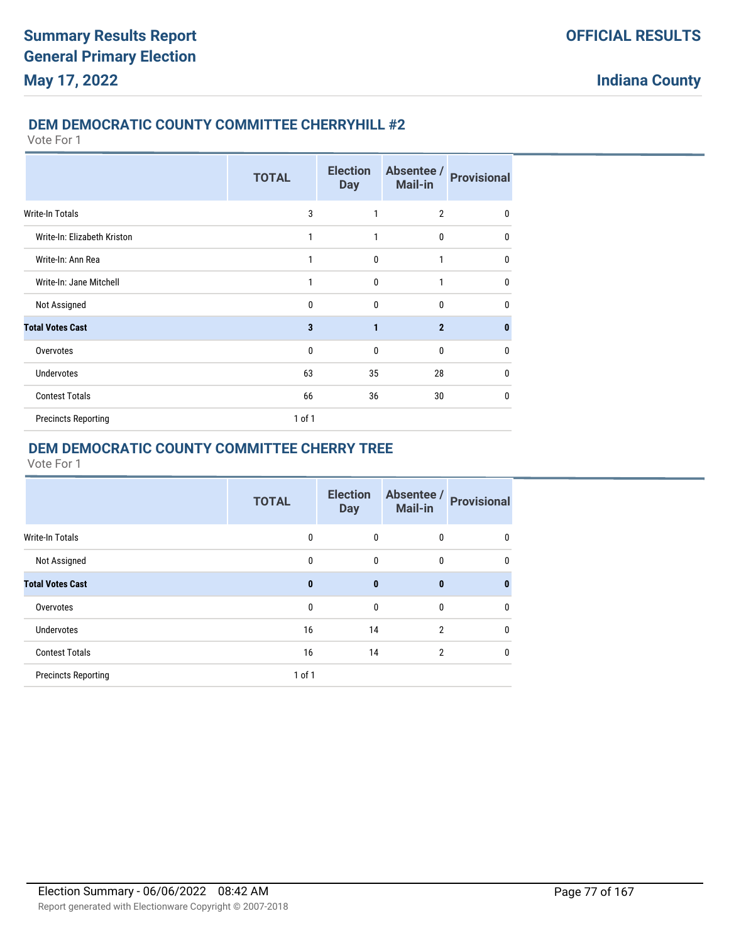#### **DEM DEMOCRATIC COUNTY COMMITTEE CHERRYHILL #2**

Vote For 1

|                             | <b>TOTAL</b> | <b>Election</b><br><b>Day</b> | Absentee /<br><b>Mail-in</b> | <b>Provisional</b> |
|-----------------------------|--------------|-------------------------------|------------------------------|--------------------|
| Write-In Totals             | 3            | 1                             | $\overline{2}$               | $\mathbf{0}$       |
| Write-In: Elizabeth Kriston | 1            | 1                             | 0                            | 0                  |
| Write-In: Ann Rea           | 1            | 0                             | 1                            | $\mathbf{0}$       |
| Write-In: Jane Mitchell     | 1            | $\mathbf{0}$                  | 1                            | $\mathbf{0}$       |
| Not Assigned                | $\Omega$     | $\mathbf{0}$                  | $\mathbf{0}$                 | 0                  |
| <b>Total Votes Cast</b>     | 3            | $\mathbf{1}$                  | $\mathbf{2}$                 | $\bf{0}$           |
| Overvotes                   | 0            | $\mathbf{0}$                  | 0                            | 0                  |
| <b>Undervotes</b>           | 63           | 35                            | 28                           | $\mathbf{0}$       |
| <b>Contest Totals</b>       | 66           | 36                            | 30                           | $\mathbf{0}$       |
| <b>Precincts Reporting</b>  | $1$ of $1$   |                               |                              |                    |

## **DEM DEMOCRATIC COUNTY COMMITTEE CHERRY TREE**

|                            | <b>TOTAL</b> | <b>Election</b><br><b>Day</b> | Absentee /<br><b>Mail-in</b> | <b>Provisional</b> |
|----------------------------|--------------|-------------------------------|------------------------------|--------------------|
| Write-In Totals            | 0            | 0                             | 0                            | 0                  |
| Not Assigned               | $\mathbf{0}$ | $\mathbf{0}$                  | $\mathbf{0}$                 | 0                  |
| <b>Total Votes Cast</b>    | $\bf{0}$     | $\mathbf{0}$                  | $\mathbf{0}$                 | 0                  |
| Overvotes                  | 0            | $\mathbf{0}$                  | 0                            | 0                  |
| <b>Undervotes</b>          | 16           | 14                            | $\overline{2}$               | 0                  |
| <b>Contest Totals</b>      | 16           | 14                            | $\overline{2}$               | 0                  |
| <b>Precincts Reporting</b> | $1$ of $1$   |                               |                              |                    |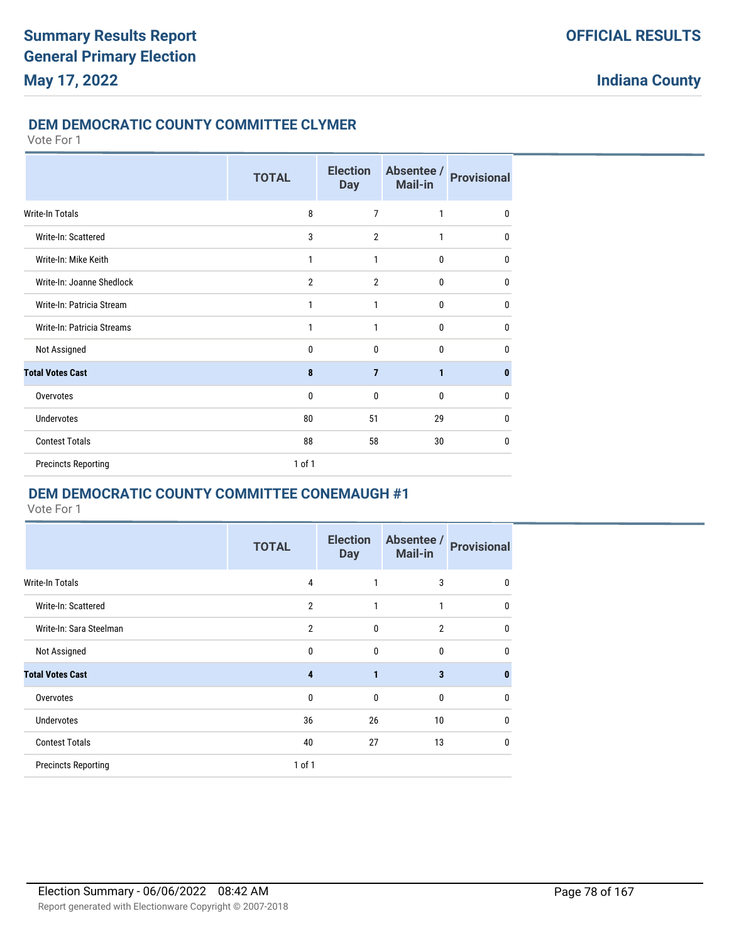#### **DEM DEMOCRATIC COUNTY COMMITTEE CLYMER**

Vote For 1

|                            | <b>TOTAL</b>   | <b>Election</b><br><b>Day</b> | Absentee /<br><b>Mail-in</b> | <b>Provisional</b> |
|----------------------------|----------------|-------------------------------|------------------------------|--------------------|
| Write-In Totals            | 8              | 7                             | 1                            | $\mathbf 0$        |
| Write-In: Scattered        | 3              | $\overline{2}$                | 1                            | $\mathbf 0$        |
| Write-In: Mike Keith       | 1              | 1                             | $\mathbf{0}$                 | $\mathbf 0$        |
| Write-In: Joanne Shedlock  | $\overline{2}$ | $\overline{2}$                | $\mathbf 0$                  | $\mathbf{0}$       |
| Write-In: Patricia Stream  | 1              | 1                             | $\mathbf 0$                  | $\mathbf 0$        |
| Write-In: Patricia Streams | 1              | 1                             | $\mathbf{0}$                 | $\mathbf 0$        |
| Not Assigned               | 0              | 0                             | $\mathbf{0}$                 | $\mathbf{0}$       |
| <b>Total Votes Cast</b>    | 8              | $\overline{7}$                | $\mathbf{1}$                 | $\mathbf{0}$       |
| Overvotes                  | 0              | 0                             | $\mathbf 0$                  | $\mathbf 0$        |
| <b>Undervotes</b>          | 80             | 51                            | 29                           | $\mathbf 0$        |
| <b>Contest Totals</b>      | 88             | 58                            | 30                           | $\mathbf{0}$       |
| <b>Precincts Reporting</b> | 1 of 1         |                               |                              |                    |

### **DEM DEMOCRATIC COUNTY COMMITTEE CONEMAUGH #1**

|                            | <b>TOTAL</b>   | <b>Election</b><br><b>Day</b> | Absentee /<br><b>Mail-in</b> | <b>Provisional</b> |
|----------------------------|----------------|-------------------------------|------------------------------|--------------------|
| Write-In Totals            | 4              |                               | 3                            | $\mathbf{0}$       |
| Write-In: Scattered        | $\overline{2}$ | $\mathbf{1}$                  | $\mathbf{1}$                 | $\mathbf 0$        |
| Write-In: Sara Steelman    | $\overline{2}$ | $\mathbf{0}$                  | $\overline{2}$               | $\mathbf{0}$       |
| Not Assigned               | 0              | $\mathbf{0}$                  | $\mathbf{0}$                 | $\mathbf{0}$       |
| <b>Total Votes Cast</b>    | 4              | 1                             | 3                            | $\mathbf{0}$       |
| Overvotes                  | 0              | $\mathbf{0}$                  | $\mathbf{0}$                 | $\mathbf 0$        |
| <b>Undervotes</b>          | 36             | 26                            | 10                           | $\mathbf{0}$       |
| <b>Contest Totals</b>      | 40             | 27                            | 13                           | $\mathbf{0}$       |
| <b>Precincts Reporting</b> | 1 of 1         |                               |                              |                    |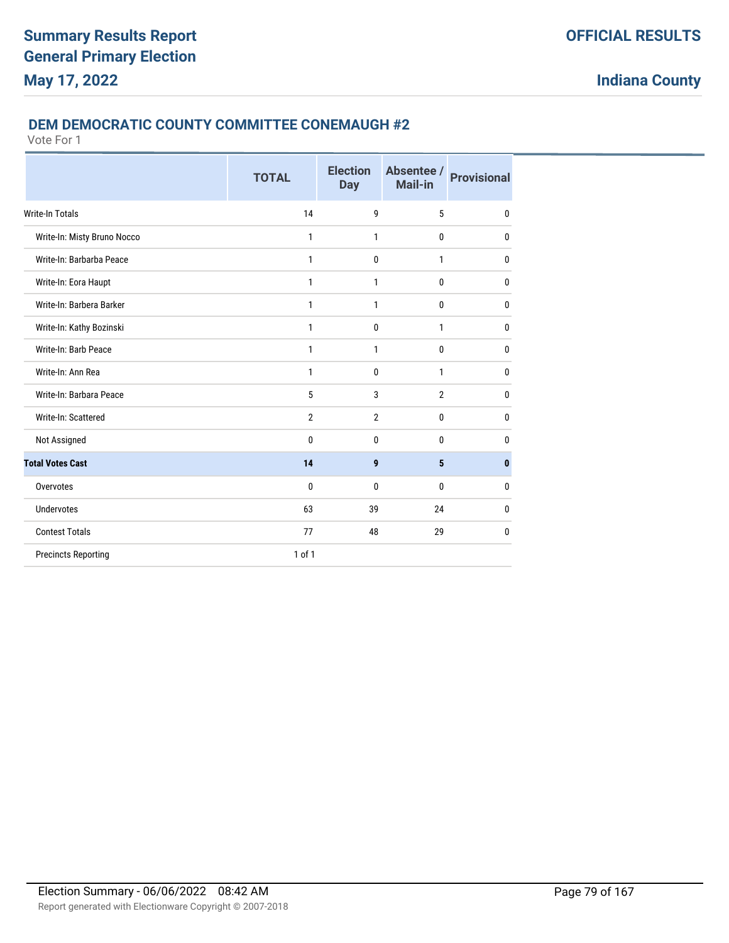#### **DEM DEMOCRATIC COUNTY COMMITTEE CONEMAUGH #2**

|                             | <b>TOTAL</b>   | <b>Election</b><br><b>Day</b> | Absentee /<br><b>Mail-in</b> | <b>Provisional</b> |
|-----------------------------|----------------|-------------------------------|------------------------------|--------------------|
| Write-In Totals             | 14             | 9                             | 5                            | $\mathbf{0}$       |
| Write-In: Misty Bruno Nocco | 1              | $\mathbf{1}$                  | $\mathbf{0}$                 | 0                  |
| Write-In: Barbarba Peace    | 1              | $\mathbf{0}$                  | 1                            | 0                  |
| Write-In: Eora Haupt        | 1              | 1                             | $\mathbf{0}$                 | 0                  |
| Write-In: Barbera Barker    | 1              | 1                             | $\mathbf{0}$                 | $\mathbf{0}$       |
| Write-In: Kathy Bozinski    | 1              | $\mathbf 0$                   | 1                            | $\mathbf 0$        |
| Write-In: Barb Peace        | 1              | 1                             | 0                            | $\mathbf 0$        |
| Write-In: Ann Rea           | 1              | $\mathbf 0$                   | 1                            | $\mathbf 0$        |
| Write-In: Barbara Peace     | 5              | 3                             | $\overline{2}$               | $\mathbf{0}$       |
| Write-In: Scattered         | $\overline{2}$ | $\overline{2}$                | 0                            | $\mathbf{0}$       |
| Not Assigned                | 0              | $\mathbf{0}$                  | $\mathbf{0}$                 | 0                  |
| <b>Total Votes Cast</b>     | 14             | 9                             | 5                            | $\mathbf{0}$       |
| Overvotes                   | 0              | $\mathbf{0}$                  | $\mathbf{0}$                 | $\mathbf{0}$       |
| <b>Undervotes</b>           | 63             | 39                            | 24                           | $\mathbf 0$        |
| <b>Contest Totals</b>       | 77             | 48                            | 29                           | $\mathbf 0$        |
| <b>Precincts Reporting</b>  | 1 of 1         |                               |                              |                    |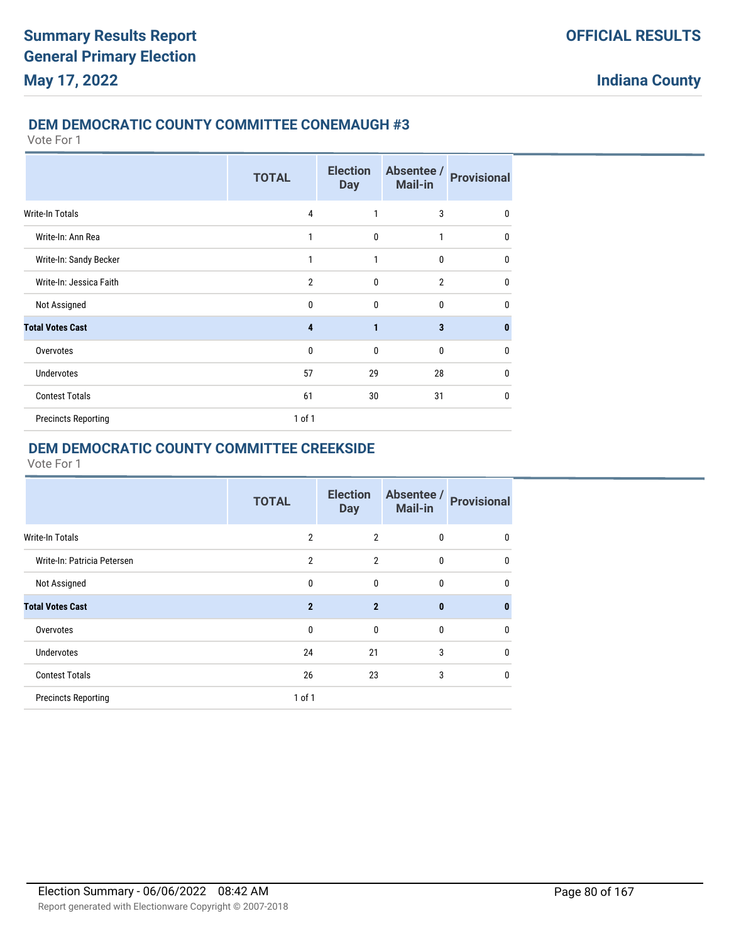#### **DEM DEMOCRATIC COUNTY COMMITTEE CONEMAUGH #3**

Vote For 1

|                            | <b>TOTAL</b>   | <b>Election</b><br><b>Day</b> | Absentee /<br><b>Mail-in</b> | <b>Provisional</b> |
|----------------------------|----------------|-------------------------------|------------------------------|--------------------|
| <b>Write-In Totals</b>     | 4              | 1                             | 3                            | $\mathbf{0}$       |
| Write-In: Ann Rea          | 1              | 0                             | 1                            | $\mathbf{0}$       |
| Write-In: Sandy Becker     | $\mathbf{1}$   | 1                             | $\mathbf 0$                  | $\mathbf{0}$       |
| Write-In: Jessica Faith    | $\overline{2}$ | $\mathbf{0}$                  | $\overline{2}$               | $\mathbf{0}$       |
| Not Assigned               | $\mathbf{0}$   | $\mathbf{0}$                  | $\mathbf{0}$                 | 0                  |
| <b>Total Votes Cast</b>    | 4              | 1                             | $\overline{\mathbf{3}}$      | $\bf{0}$           |
| Overvotes                  | $\mathbf{0}$   | $\mathbf{0}$                  | $\mathbf{0}$                 | 0                  |
| <b>Undervotes</b>          | 57             | 29                            | 28                           | $\mathbf{0}$       |
| <b>Contest Totals</b>      | 61             | 30                            | 31                           | $\mathbf{0}$       |
| <b>Precincts Reporting</b> | 1 of 1         |                               |                              |                    |

## **DEM DEMOCRATIC COUNTY COMMITTEE CREEKSIDE**

|                             | <b>TOTAL</b>   | <b>Election</b><br><b>Day</b> | Absentee /<br><b>Mail-in</b> | <b>Provisional</b> |
|-----------------------------|----------------|-------------------------------|------------------------------|--------------------|
| Write-In Totals             | $\overline{2}$ | $\overline{2}$                | 0                            | 0                  |
| Write-In: Patricia Petersen | $\overline{2}$ | $\overline{2}$                | $\mathbf{0}$                 | 0                  |
| Not Assigned                | $\mathbf{0}$   | $\mathbf{0}$                  | $\mathbf{0}$                 | 0                  |
| <b>Total Votes Cast</b>     | $\overline{2}$ | $\overline{2}$                | $\bf{0}$                     | $\bf{0}$           |
| Overvotes                   | $\mathbf 0$    | 0                             | 0                            | 0                  |
| <b>Undervotes</b>           | 24             | 21                            | 3                            | 0                  |
| <b>Contest Totals</b>       | 26             | 23                            | 3                            | 0                  |
| <b>Precincts Reporting</b>  | $1$ of $1$     |                               |                              |                    |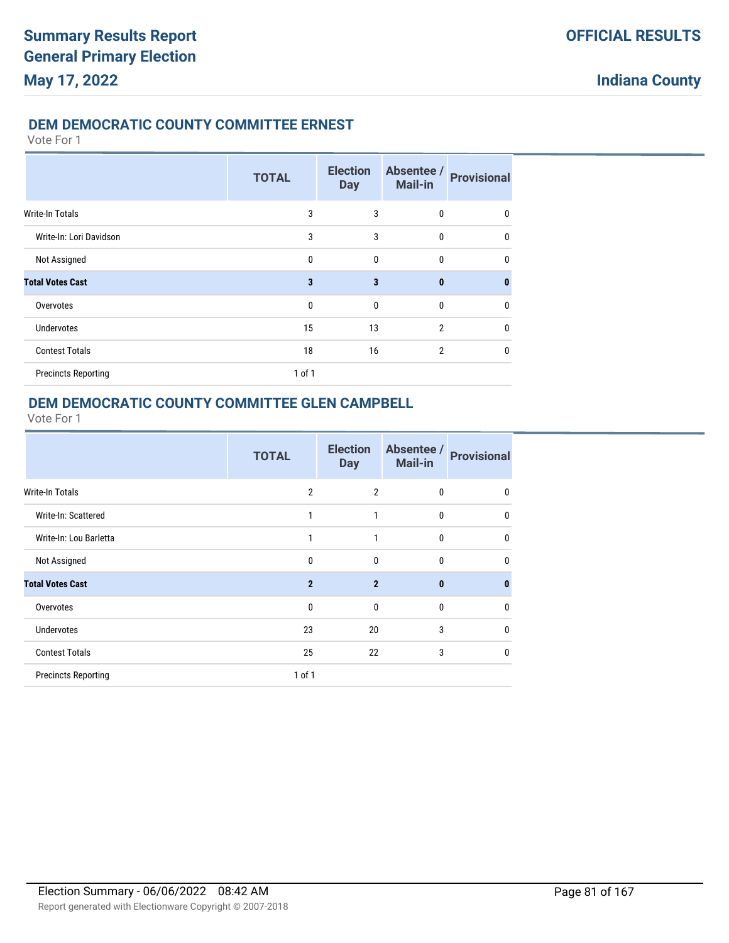#### **DEM DEMOCRATIC COUNTY COMMITTEE ERNEST**

#### Vote For 1

|                            | <b>TOTAL</b> | <b>Election</b><br><b>Day</b> | Absentee /<br><b>Mail-in</b> | <b>Provisional</b> |
|----------------------------|--------------|-------------------------------|------------------------------|--------------------|
| <b>Write-In Totals</b>     | 3            | 3                             | 0                            | 0                  |
| Write-In: Lori Davidson    | 3            | 3                             | 0                            | 0                  |
| Not Assigned               | $\mathbf{0}$ | $\mathbf{0}$                  | 0                            | 0                  |
| <b>Total Votes Cast</b>    | 3            | 3                             | $\bf{0}$                     | $\bf{0}$           |
| Overvotes                  | $\mathbf{0}$ | $\mathbf{0}$                  | 0                            | 0                  |
| <b>Undervotes</b>          | 15           | 13                            | 2                            | 0                  |
| <b>Contest Totals</b>      | 18           | 16                            | $\overline{2}$               | 0                  |
| <b>Precincts Reporting</b> | 1 of 1       |                               |                              |                    |

### **DEM DEMOCRATIC COUNTY COMMITTEE GLEN CAMPBELL**

|                            | <b>TOTAL</b>   | <b>Election</b><br><b>Day</b> | Absentee /<br><b>Mail-in</b> | <b>Provisional</b> |
|----------------------------|----------------|-------------------------------|------------------------------|--------------------|
| <b>Write-In Totals</b>     | $\overline{2}$ | $\overline{2}$                | $\bf{0}$                     | 0                  |
| Write-In: Scattered        | 1              | 1                             | $\bf{0}$                     | 0                  |
| Write-In: Lou Barletta     | $\mathbf{1}$   | 1                             | $\mathbf{0}$                 | $\mathbf{0}$       |
| Not Assigned               | $\mathbf{0}$   | $\mathbf{0}$                  | $\mathbf{0}$                 | 0                  |
| <b>Total Votes Cast</b>    | $\overline{2}$ | $\overline{2}$                | $\bf{0}$                     | $\bf{0}$           |
| Overvotes                  | $\mathbf{0}$   | $\mathbf{0}$                  | 0                            | 0                  |
| <b>Undervotes</b>          | 23             | 20                            | 3                            | 0                  |
| <b>Contest Totals</b>      | 25             | 22                            | 3                            | $\mathbf{0}$       |
| <b>Precincts Reporting</b> | $1$ of $1$     |                               |                              |                    |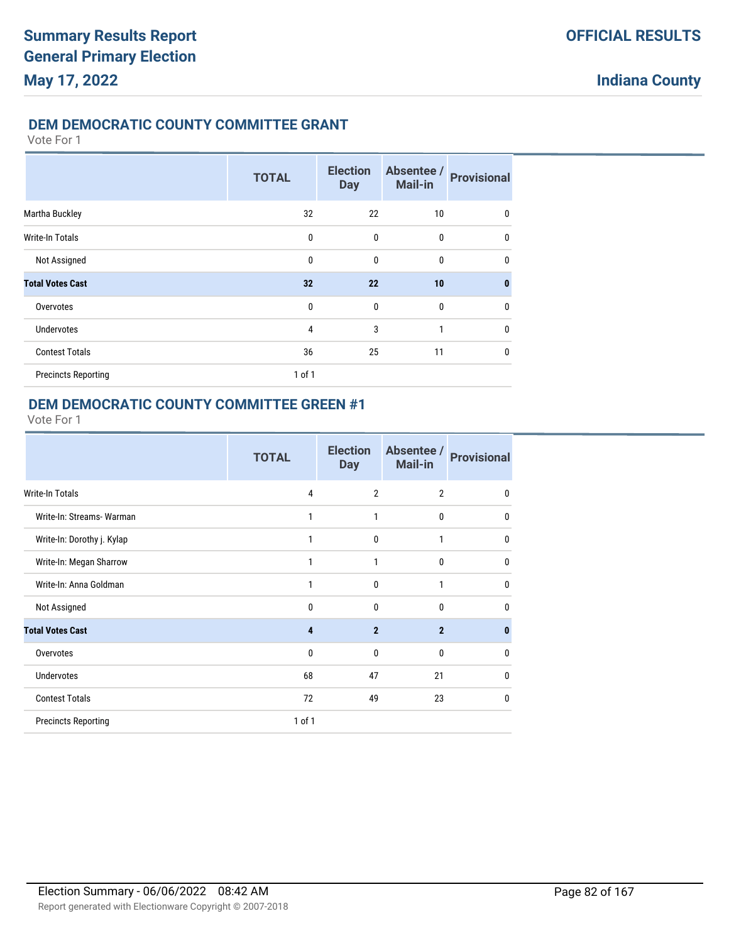### **DEM DEMOCRATIC COUNTY COMMITTEE GRANT**

Vote For 1

|                            | <b>TOTAL</b> | <b>Election</b><br><b>Day</b> | Absentee /<br><b>Mail-in</b> | <b>Provisional</b> |
|----------------------------|--------------|-------------------------------|------------------------------|--------------------|
| Martha Buckley             | 32           | 22                            | 10                           | 0                  |
| Write-In Totals            | 0            | 0                             | $\mathbf{0}$                 | $\mathbf{0}$       |
| Not Assigned               | $\mathbf{0}$ | $\mathbf{0}$                  | $\bf{0}$                     | $\mathbf{0}$       |
| <b>Total Votes Cast</b>    | 32           | 22                            | 10                           | $\mathbf{0}$       |
| Overvotes                  | $\mathbf{0}$ | $\mathbf{0}$                  | $\mathbf{0}$                 | $\mathbf{0}$       |
| <b>Undervotes</b>          | 4            | 3                             | 1                            | $\mathbf{0}$       |
| <b>Contest Totals</b>      | 36           | 25                            | 11                           | $\mathbf{0}$       |
| <b>Precincts Reporting</b> | 1 of 1       |                               |                              |                    |

### **DEM DEMOCRATIC COUNTY COMMITTEE GREEN #1**

|                            | <b>TOTAL</b> | <b>Election</b><br><b>Day</b> | Absentee /<br><b>Mail-in</b> | <b>Provisional</b> |
|----------------------------|--------------|-------------------------------|------------------------------|--------------------|
| <b>Write-In Totals</b>     | 4            | $\overline{2}$                | $\overline{2}$               | 0                  |
| Write-In: Streams- Warman  | 1            | 1                             | $\mathbf{0}$                 | 0                  |
| Write-In: Dorothy j. Kylap | 1            | $\mathbf{0}$                  | 1                            | 0                  |
| Write-In: Megan Sharrow    | 1            | 1                             | 0                            | 0                  |
| Write-In: Anna Goldman     | 1            | $\mathbf{0}$                  | 1                            | $\mathbf{0}$       |
| Not Assigned               | $\mathbf{0}$ | $\mathbf{0}$                  | $\mathbf{0}$                 | 0                  |
| <b>Total Votes Cast</b>    | 4            | $\overline{2}$                | $\overline{2}$               | 0                  |
| Overvotes                  | $\mathbf{0}$ | $\mathbf{0}$                  | $\mathbf{0}$                 | 0                  |
| <b>Undervotes</b>          | 68           | 47                            | 21                           | $\mathbf{0}$       |
| <b>Contest Totals</b>      | 72           | 49                            | 23                           | 0                  |
| <b>Precincts Reporting</b> | $1$ of $1$   |                               |                              |                    |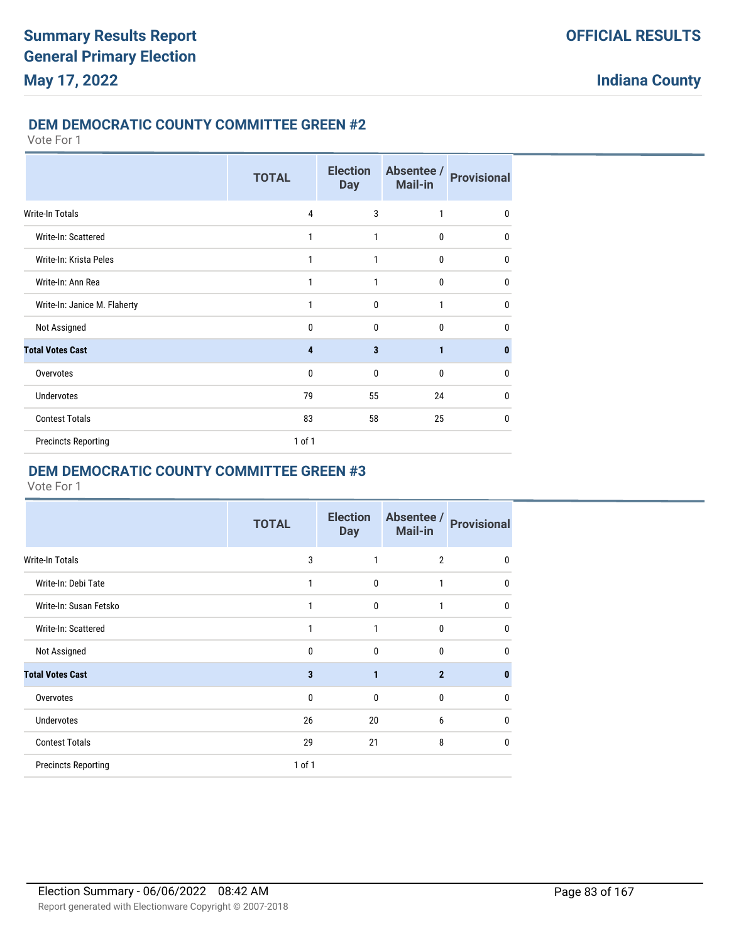#### **DEM DEMOCRATIC COUNTY COMMITTEE GREEN #2**

#### Vote For 1

|                              | <b>TOTAL</b>   | <b>Election</b><br><b>Day</b> | Absentee /<br><b>Mail-in</b> | <b>Provisional</b> |
|------------------------------|----------------|-------------------------------|------------------------------|--------------------|
| <b>Write-In Totals</b>       | $\overline{4}$ | 3                             | 1                            | $\mathbf{0}$       |
| Write-In: Scattered          | 1              | 1                             | $\mathbf{0}$                 | $\mathbf{0}$       |
| Write-In: Krista Peles       | 1              | 1                             | 0                            | $\mathbf{0}$       |
| Write-In: Ann Rea            | 1              | 1                             | $\mathbf{0}$                 | $\mathbf{0}$       |
| Write-In: Janice M. Flaherty | 1              | $\mathbf{0}$                  | 1                            | $\mathbf{0}$       |
| Not Assigned                 | $\mathbf{0}$   | $\mathbf{0}$                  | $\mathbf{0}$                 | $\mathbf{0}$       |
| <b>Total Votes Cast</b>      | 4              | 3                             | $\mathbf{1}$                 | 0                  |
| Overvotes                    | $\mathbf{0}$   | $\mathbf{0}$                  | $\mathbf{0}$                 | 0                  |
| <b>Undervotes</b>            | 79             | 55                            | 24                           | 0                  |
| <b>Contest Totals</b>        | 83             | 58                            | 25                           | $\mathbf{0}$       |
| <b>Precincts Reporting</b>   | $1$ of $1$     |                               |                              |                    |

### **DEM DEMOCRATIC COUNTY COMMITTEE GREEN #3**

|                            | <b>TOTAL</b> | <b>Election</b><br><b>Day</b> | Absentee /<br><b>Mail-in</b> | <b>Provisional</b> |
|----------------------------|--------------|-------------------------------|------------------------------|--------------------|
| Write-In Totals            | 3            | 1                             | $\overline{2}$               | 0                  |
| Write-In: Debi Tate        | 1            | $\mathbf{0}$                  | 1                            | $\mathbf{0}$       |
| Write-In: Susan Fetsko     | 1            | $\mathbf{0}$                  | 1                            | $\mathbf{0}$       |
| Write-In: Scattered        | 1            | 1                             | 0                            | $\mathbf{0}$       |
| Not Assigned               | 0            | 0                             | 0                            | 0                  |
| <b>Total Votes Cast</b>    | 3            | $\mathbf{1}$                  | $\mathbf{2}$                 | $\bf{0}$           |
| Overvotes                  | $\mathbf{0}$ | $\mathbf{0}$                  | 0                            | 0                  |
| <b>Undervotes</b>          | 26           | 20                            | 6                            | $\mathbf{0}$       |
| <b>Contest Totals</b>      | 29           | 21                            | 8                            | $\mathbf{0}$       |
| <b>Precincts Reporting</b> | 1 of 1       |                               |                              |                    |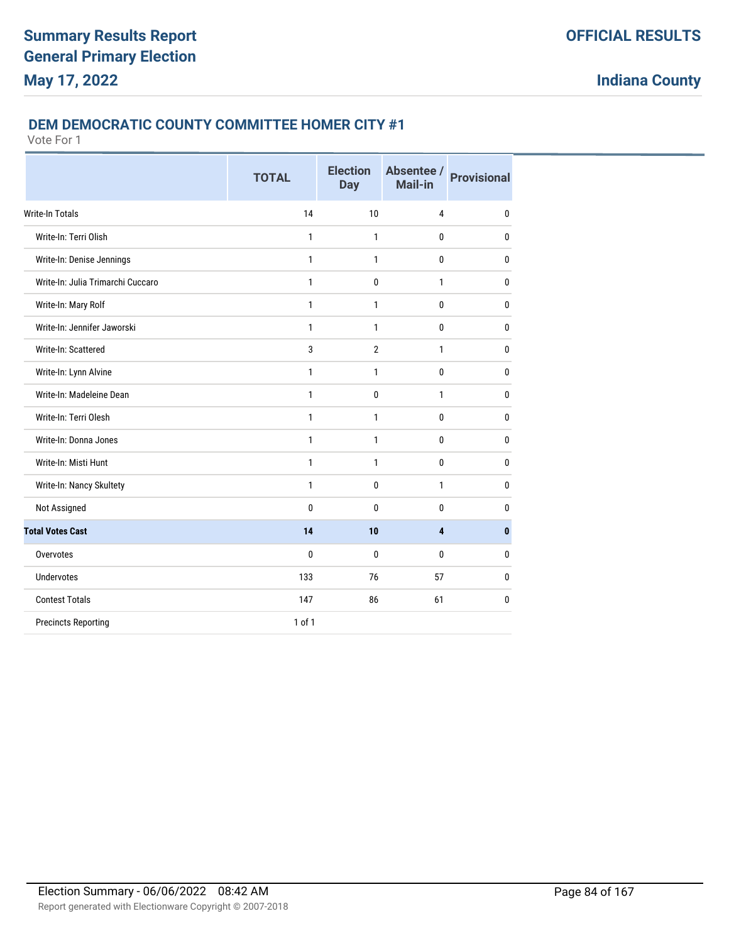#### **DEM DEMOCRATIC COUNTY COMMITTEE HOMER CITY #1**

|                                   | <b>TOTAL</b> | <b>Election</b><br><b>Day</b> | Absentee /<br>Mail-in | <b>Provisional</b> |
|-----------------------------------|--------------|-------------------------------|-----------------------|--------------------|
| Write-In Totals                   | 14           | 10                            | 4                     | $\mathbf{0}$       |
| Write-In: Terri Olish             | 1            | 1                             | 0                     | $\mathbf{0}$       |
| Write-In: Denise Jennings         | 1            | 1                             | 0                     | $\mathbf{0}$       |
| Write-In: Julia Trimarchi Cuccaro | $\mathbf{1}$ | 0                             | $\mathbf{1}$          | $\mathbf{0}$       |
| Write-In: Mary Rolf               | $\mathbf{1}$ | 1                             | 0                     | $\mathbf{0}$       |
| Write-In: Jennifer Jaworski       | 1            | 1                             | 0                     | $\mathbf{0}$       |
| Write-In: Scattered               | 3            | $\overline{2}$                | 1                     | $\mathbf{0}$       |
| Write-In: Lynn Alvine             | 1            | $\mathbf{1}$                  | $\bf{0}$              | $\mathbf{0}$       |
| Write-In: Madeleine Dean          | $\mathbf{1}$ | 0                             | $\mathbf{1}$          | $\mathbf{0}$       |
| Write-In: Terri Olesh             | $\mathbf{1}$ | $\mathbf{1}$                  | 0                     | $\mathbf{0}$       |
| Write-In: Donna Jones             | 1            | $\mathbf{1}$                  | 0                     | $\mathbf{0}$       |
| Write-In: Misti Hunt              | $\mathbf{1}$ | 1                             | $\mathbf{0}$          | 0                  |
| Write-In: Nancy Skultety          | $\mathbf{1}$ | 0                             | $\mathbf{1}$          | $\mathbf{0}$       |
| Not Assigned                      | $\mathbf{0}$ | 0                             | 0                     | $\mathbf{0}$       |
| <b>Total Votes Cast</b>           | 14           | 10                            | 4                     | $\mathbf{0}$       |
| Overvotes                         | 0            | 0                             | $\mathbf{0}$          | $\mathbf{0}$       |
| <b>Undervotes</b>                 | 133          | 76                            | 57                    | $\mathbf 0$        |
| <b>Contest Totals</b>             | 147          | 86                            | 61                    | $\mathbf 0$        |
| <b>Precincts Reporting</b>        | $1$ of $1$   |                               |                       |                    |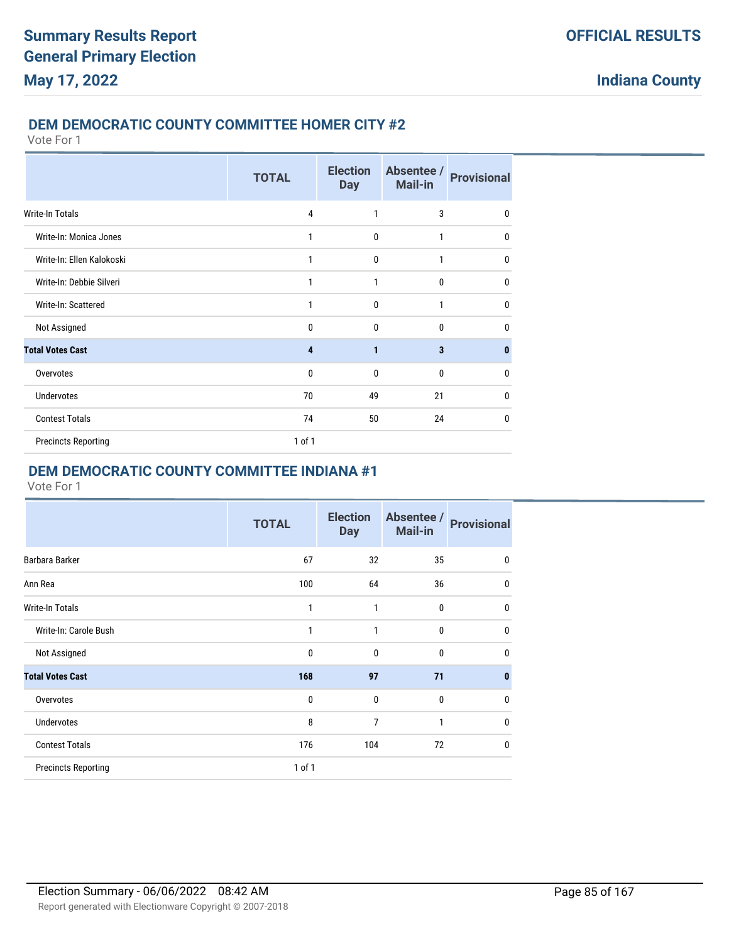#### **DEM DEMOCRATIC COUNTY COMMITTEE HOMER CITY #2**

Vote For 1

|                            | <b>TOTAL</b>   | <b>Election</b><br><b>Day</b> | Absentee /<br><b>Mail-in</b> | <b>Provisional</b> |
|----------------------------|----------------|-------------------------------|------------------------------|--------------------|
| Write-In Totals            | $\overline{4}$ | 1                             | 3                            | $\mathbf{0}$       |
| Write-In: Monica Jones     | 1              | $\mathbf{0}$                  | $\mathbf{1}$                 | 0                  |
| Write-In: Ellen Kalokoski  | 1              | $\mathbf{0}$                  | $\mathbf{1}$                 | 0                  |
| Write-In: Debbie Silveri   | 1              | 1                             | $\mathbf{0}$                 | 0                  |
| Write-In: Scattered        | 1              | $\mathbf{0}$                  | $\mathbf{1}$                 | $\mathbf{0}$       |
| Not Assigned               | $\mathbf{0}$   | 0                             | $\mathbf{0}$                 | 0                  |
| <b>Total Votes Cast</b>    | 4              | 1                             | 3                            | 0                  |
| Overvotes                  | 0              | $\mathbf{0}$                  | $\mathbf{0}$                 | 0                  |
| <b>Undervotes</b>          | 70             | 49                            | 21                           | 0                  |
| <b>Contest Totals</b>      | 74             | 50                            | 24                           | $\mathbf{0}$       |
| <b>Precincts Reporting</b> | 1 of 1         |                               |                              |                    |

### **DEM DEMOCRATIC COUNTY COMMITTEE INDIANA #1**

|                            | <b>TOTAL</b> | <b>Election</b><br><b>Day</b> | Absentee /<br><b>Mail-in</b> | <b>Provisional</b> |
|----------------------------|--------------|-------------------------------|------------------------------|--------------------|
| Barbara Barker             | 67           | 32                            | 35                           | $\mathbf{0}$       |
| Ann Rea                    | 100          | 64                            | 36                           | $\mathbf{0}$       |
| <b>Write-In Totals</b>     | 1            | 1                             | $\mathbf 0$                  | $\mathbf{0}$       |
| Write-In: Carole Bush      | 1            | 1                             | $\mathbf 0$                  | $\mathbf{0}$       |
| Not Assigned               | $\mathbf 0$  | $\mathbf{0}$                  | $\mathbf{0}$                 | $\mathbf{0}$       |
| <b>Total Votes Cast</b>    | 168          | 97                            | 71                           | $\bf{0}$           |
| Overvotes                  | $\mathbf{0}$ | $\Omega$                      | $\mathbf{0}$                 | $\mathbf{0}$       |
| <b>Undervotes</b>          | 8            | 7                             | $\mathbf{1}$                 | $\mathbf{0}$       |
| <b>Contest Totals</b>      | 176          | 104                           | 72                           | 0                  |
| <b>Precincts Reporting</b> | 1 of 1       |                               |                              |                    |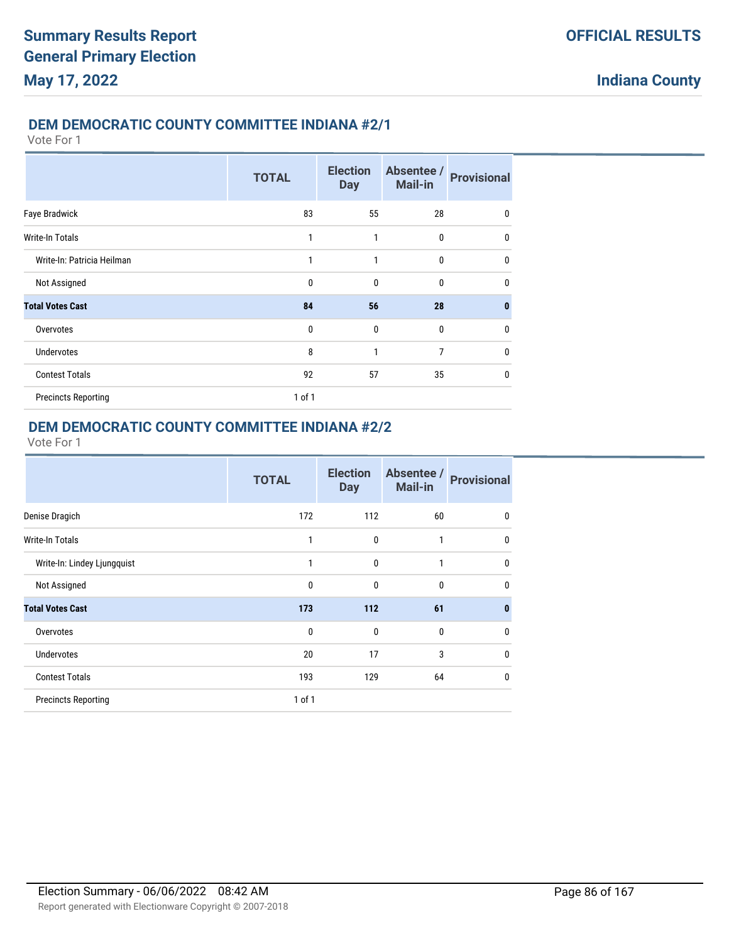#### **DEM DEMOCRATIC COUNTY COMMITTEE INDIANA #2/1**

Vote For 1

|                            | <b>TOTAL</b> | <b>Election</b><br><b>Day</b> | Absentee /<br>Mail-in | <b>Provisional</b> |
|----------------------------|--------------|-------------------------------|-----------------------|--------------------|
| Faye Bradwick              | 83           | 55                            | 28                    | 0                  |
| Write-In Totals            | 1            | 1                             | 0                     | $\mathbf{0}$       |
| Write-In: Patricia Heilman | 1            | 1                             | $\mathbf 0$           | 0                  |
| Not Assigned               | 0            | 0                             | 0                     | $\mathbf{0}$       |
| <b>Total Votes Cast</b>    | 84           | 56                            | 28                    | $\bf{0}$           |
| Overvotes                  | $\mathbf{0}$ | $\mathbf{0}$                  | $\mathbf 0$           | $\mathbf{0}$       |
| <b>Undervotes</b>          | 8            | 1                             | 7                     | $\mathbf{0}$       |
| <b>Contest Totals</b>      | 92           | 57                            | 35                    | $\mathbf{0}$       |
| <b>Precincts Reporting</b> | $1$ of $1$   |                               |                       |                    |

## **DEM DEMOCRATIC COUNTY COMMITTEE INDIANA #2/2**

| <b>TOTAL</b> | <b>Election</b><br><b>Day</b> | Absentee /<br>Mail-in | <b>Provisional</b> |
|--------------|-------------------------------|-----------------------|--------------------|
| 172          | 112                           | 60                    | $\mathbf{0}$       |
| 1            | 0                             | $\mathbf{1}$          | $\mathbf{0}$       |
| 1            | 0                             | 1                     | $\mathbf{0}$       |
| 0            | 0                             | $\mathbf 0$           | $\mathbf{0}$       |
| 173          | 112                           | 61                    | $\mathbf{0}$       |
| 0            | 0                             | 0                     | $\mathbf{0}$       |
| 20           | 17                            | 3                     | $\mathbf{0}$       |
| 193          | 129                           | 64                    | $\mathbf{0}$       |
| 1 of 1       |                               |                       |                    |
|              |                               |                       |                    |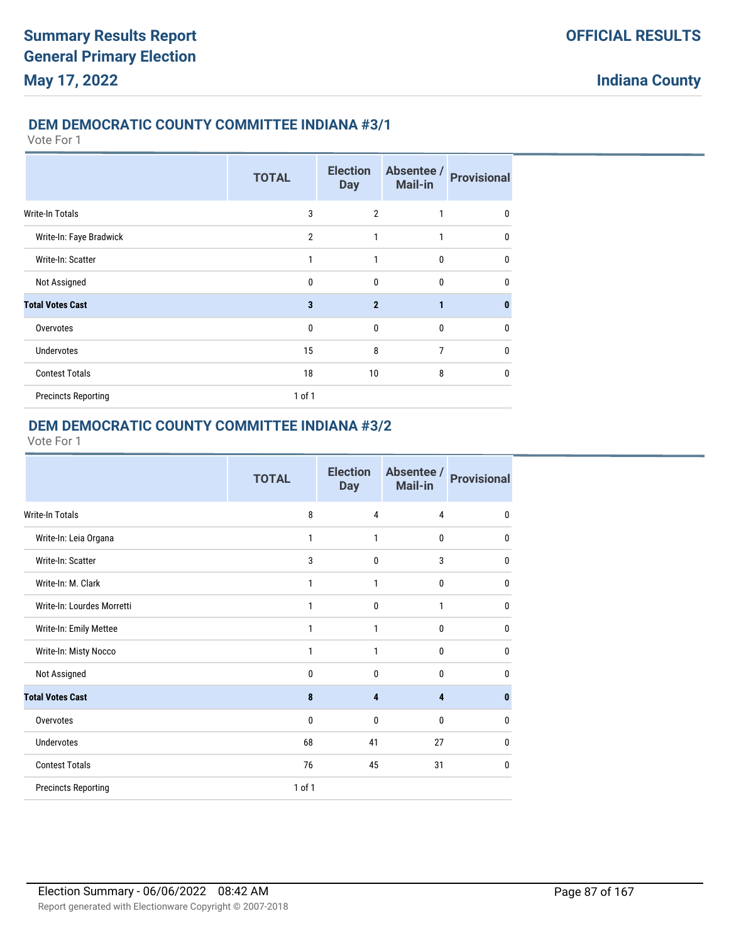#### **DEM DEMOCRATIC COUNTY COMMITTEE INDIANA #3/1**

Vote For 1

|                            | <b>TOTAL</b>   | <b>Election</b><br><b>Day</b> | Absentee /<br><b>Mail-in</b> | <b>Provisional</b> |
|----------------------------|----------------|-------------------------------|------------------------------|--------------------|
| <b>Write-In Totals</b>     | 3              | $\overline{2}$                | 1                            | 0                  |
| Write-In: Faye Bradwick    | $\overline{2}$ | 1                             | 1                            | $\mathbf{0}$       |
| Write-In: Scatter          | 1              | 1                             | $\mathbf{0}$                 | $\mathbf{0}$       |
| Not Assigned               | $\mathbf 0$    | 0                             | $\mathbf 0$                  | $\mathbf{0}$       |
| <b>Total Votes Cast</b>    | 3              | $\overline{2}$                | 1                            | $\bf{0}$           |
| Overvotes                  | $\mathbf{0}$   | 0                             | $\bf{0}$                     | $\mathbf{0}$       |
| <b>Undervotes</b>          | 15             | 8                             | 7                            | $\mathbf{0}$       |
| <b>Contest Totals</b>      | 18             | 10                            | 8                            | $\mathbf{0}$       |
| <b>Precincts Reporting</b> | $1$ of $1$     |                               |                              |                    |

### **DEM DEMOCRATIC COUNTY COMMITTEE INDIANA #3/2**

|                            | <b>TOTAL</b> | <b>Election</b><br><b>Day</b> | Absentee /<br>Mail-in | <b>Provisional</b> |
|----------------------------|--------------|-------------------------------|-----------------------|--------------------|
| <b>Write-In Totals</b>     | 8            | 4                             | $\overline{4}$        | $\mathbf{0}$       |
| Write-In: Leia Organa      | 1            | 1                             | 0                     | $\mathbf{0}$       |
| Write-In: Scatter          | 3            | $\mathbf 0$                   | 3                     | $\mathbf{0}$       |
| Write-In: M. Clark         | 1            | 1                             | 0                     | $\mathbf{0}$       |
| Write-In: Lourdes Morretti | 1            | $\mathbf{0}$                  | 1                     | $\mathbf{0}$       |
| Write-In: Emily Mettee     | 1            | 1                             | 0                     | $\mathbf{0}$       |
| Write-In: Misty Nocco      | $\mathbf{1}$ | 1                             | 0                     | $\mathbf{0}$       |
| Not Assigned               | $\mathbf{0}$ | $\mathbf{0}$                  | 0                     | $\mathbf{0}$       |
| <b>Total Votes Cast</b>    | 8            | 4                             | 4                     | 0                  |
| Overvotes                  | $\mathbf{0}$ | $\mathbf{0}$                  | $\mathbf{0}$          | $\mathbf{0}$       |
| <b>Undervotes</b>          | 68           | 41                            | 27                    | $\mathbf{0}$       |
| <b>Contest Totals</b>      | 76           | 45                            | 31                    | $\mathbf{0}$       |
| <b>Precincts Reporting</b> | 1 of 1       |                               |                       |                    |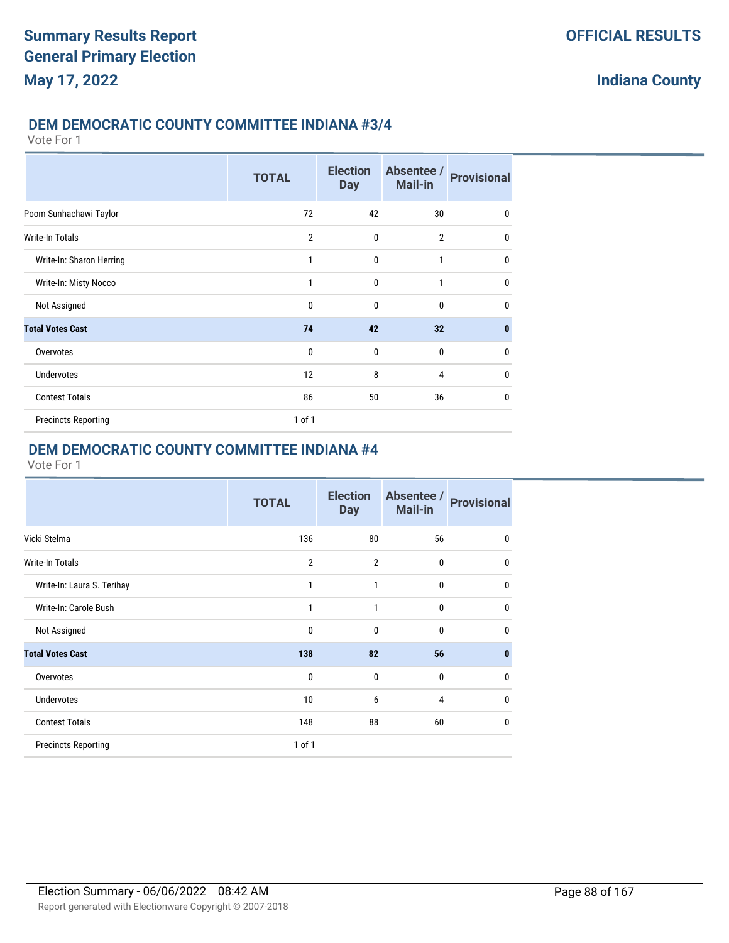#### **DEM DEMOCRATIC COUNTY COMMITTEE INDIANA #3/4**

Vote For 1

|                            | <b>TOTAL</b>   | <b>Election</b><br><b>Day</b> | Absentee /<br><b>Mail-in</b> | <b>Provisional</b> |
|----------------------------|----------------|-------------------------------|------------------------------|--------------------|
| Poom Sunhachawi Taylor     | 72             | 42                            | 30                           | 0                  |
| Write-In Totals            | $\overline{2}$ | $\mathbf{0}$                  | $\overline{2}$               | 0                  |
| Write-In: Sharon Herring   | $\mathbf{1}$   | $\mathbf{0}$                  | 1                            | $\mathbf 0$        |
| Write-In: Misty Nocco      | 1              | $\mathbf{0}$                  | 1                            | $\mathbf{0}$       |
| Not Assigned               | $\mathbf{0}$   | $\mathbf{0}$                  | $\mathbf{0}$                 | $\mathbf{0}$       |
| <b>Total Votes Cast</b>    | 74             | 42                            | 32                           | $\bf{0}$           |
| Overvotes                  | $\mathbf{0}$   | 0                             | $\mathbf{0}$                 | 0                  |
| <b>Undervotes</b>          | 12             | 8                             | 4                            | $\mathbf{0}$       |
| <b>Contest Totals</b>      | 86             | 50                            | 36                           | 0                  |
| <b>Precincts Reporting</b> | $1$ of $1$     |                               |                              |                    |

### **DEM DEMOCRATIC COUNTY COMMITTEE INDIANA #4**

|                            | <b>TOTAL</b>   | <b>Election</b><br><b>Day</b> | Absentee /<br><b>Mail-in</b> | <b>Provisional</b> |
|----------------------------|----------------|-------------------------------|------------------------------|--------------------|
| Vicki Stelma               | 136            | 80                            | 56                           | $\mathbf{0}$       |
| <b>Write-In Totals</b>     | $\overline{2}$ | $\overline{2}$                | $\bf{0}$                     | $\mathbf{0}$       |
| Write-In: Laura S. Terihay | 1              | 1                             | 0                            | 0                  |
| Write-In: Carole Bush      | 1              | 1                             | 0                            | 0                  |
| Not Assigned               | $\mathbf 0$    | 0                             | $\bf{0}$                     | $\mathbf{0}$       |
| <b>Total Votes Cast</b>    | 138            | 82                            | 56                           | $\bf{0}$           |
| Overvotes                  | $\mathbf{0}$   | $\mathbf{0}$                  | $\bf{0}$                     | 0                  |
| <b>Undervotes</b>          | 10             | 6                             | 4                            | $\mathbf{0}$       |
| <b>Contest Totals</b>      | 148            | 88                            | 60                           | $\mathbf{0}$       |
| <b>Precincts Reporting</b> | 1 of 1         |                               |                              |                    |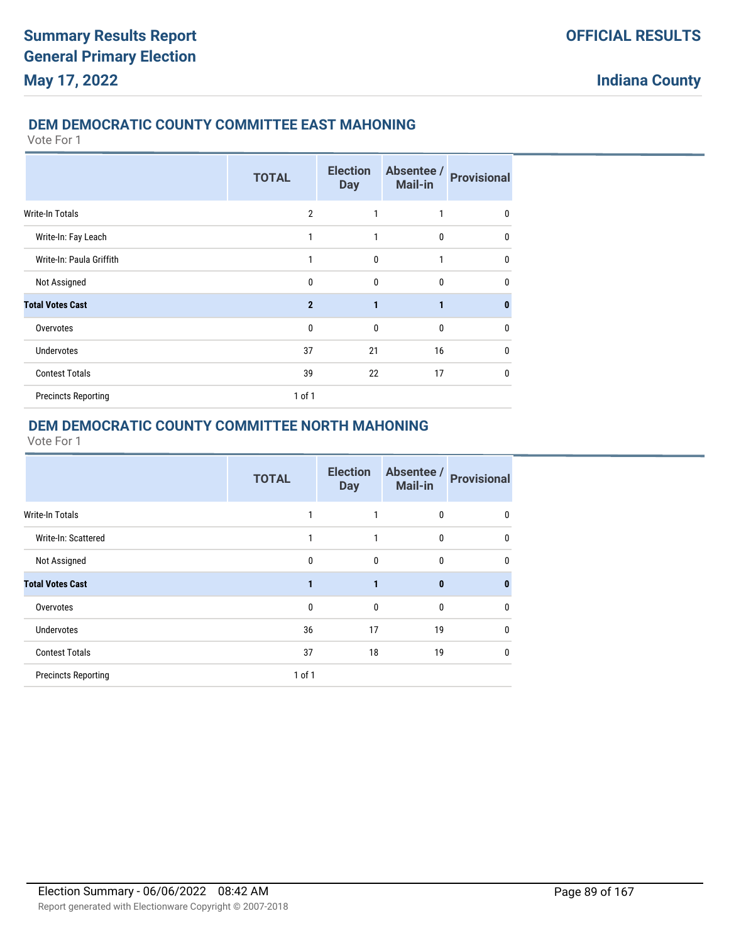### **DEM DEMOCRATIC COUNTY COMMITTEE EAST MAHONING**

Vote For 1

|                            | <b>TOTAL</b>   | <b>Election</b><br><b>Day</b> | Absentee /<br><b>Mail-in</b> | <b>Provisional</b> |
|----------------------------|----------------|-------------------------------|------------------------------|--------------------|
| <b>Write-In Totals</b>     | $\overline{2}$ | 1                             | 1                            | 0                  |
| Write-In: Fay Leach        | 1              | 1                             | $\mathbf{0}$                 | $\mathbf{0}$       |
| Write-In: Paula Griffith   | 1              | $\mathbf{0}$                  | 1                            | $\mathbf{0}$       |
| Not Assigned               | 0              | $\mathbf{0}$                  | $\mathbf{0}$                 | $\mathbf{0}$       |
| <b>Total Votes Cast</b>    | $\mathbf{2}$   | $\mathbf{1}$                  | $\mathbf{1}$                 | $\bf{0}$           |
| Overvotes                  | $\mathbf{0}$   | $\mathbf{0}$                  | $\mathbf{0}$                 | 0                  |
| <b>Undervotes</b>          | 37             | 21                            | 16                           | $\mathbf{0}$       |
| <b>Contest Totals</b>      | 39             | 22                            | 17                           | $\mathbf{0}$       |
| <b>Precincts Reporting</b> | 1 of 1         |                               |                              |                    |

### **DEM DEMOCRATIC COUNTY COMMITTEE NORTH MAHONING**

|                            | <b>TOTAL</b> | <b>Election</b><br><b>Day</b> | Absentee /<br>Mail-in | <b>Provisional</b> |
|----------------------------|--------------|-------------------------------|-----------------------|--------------------|
| <b>Write-In Totals</b>     |              |                               | 0                     | 0                  |
| Write-In: Scattered        |              |                               | 0                     | 0                  |
| Not Assigned               | 0            | 0                             | 0                     | 0                  |
| <b>Total Votes Cast</b>    | 1            | 1                             | $\bf{0}$              | $\bf{0}$           |
| Overvotes                  | 0            | 0                             | 0                     | 0                  |
| <b>Undervotes</b>          | 36           | 17                            | 19                    | 0                  |
| <b>Contest Totals</b>      | 37           | 18                            | 19                    | 0                  |
| <b>Precincts Reporting</b> | $1$ of $1$   |                               |                       |                    |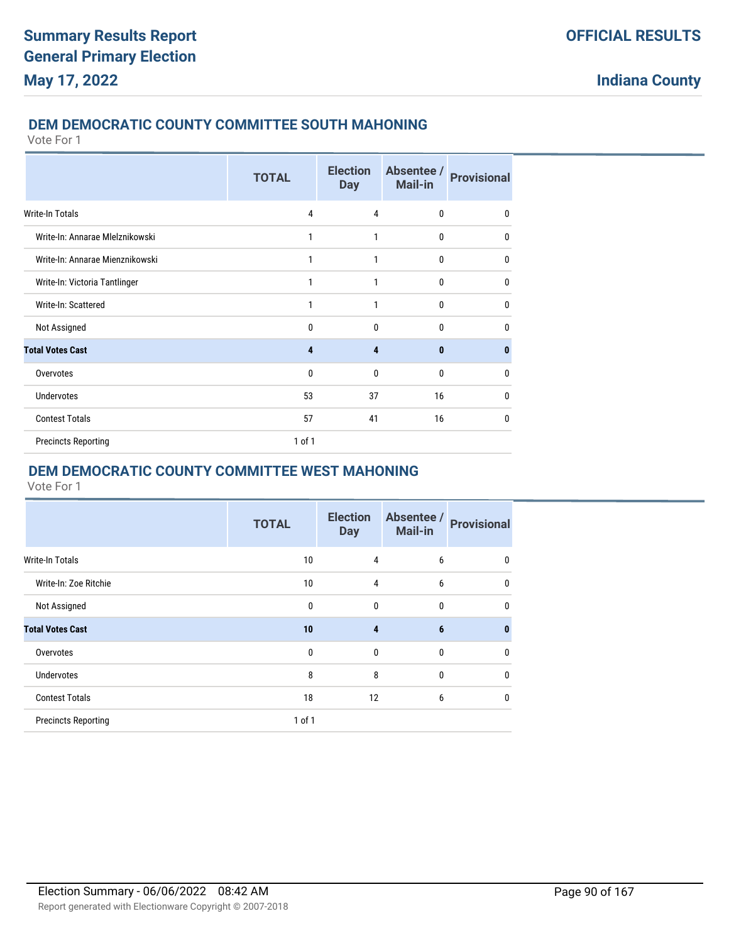#### **DEM DEMOCRATIC COUNTY COMMITTEE SOUTH MAHONING**

Vote For 1

|                                 | <b>TOTAL</b> | <b>Election</b><br><b>Day</b> | Absentee /<br><b>Mail-in</b> | <b>Provisional</b> |
|---------------------------------|--------------|-------------------------------|------------------------------|--------------------|
| Write-In Totals                 | 4            | $\overline{4}$                | $\mathbf{0}$                 | 0                  |
| Write-In: Annarae Mlelznikowski | 1            | 1                             | $\mathbf{0}$                 | 0                  |
| Write-In: Annarae Mienznikowski | 1            | 1                             | $\mathbf{0}$                 | 0                  |
| Write-In: Victoria Tantlinger   | 1            | 1                             | 0                            | 0                  |
| Write-In: Scattered             | 1            | 1                             | $\mathbf{0}$                 | 0                  |
| Not Assigned                    | 0            | 0                             | $\mathbf{0}$                 | 0                  |
| <b>Total Votes Cast</b>         | 4            | 4                             | $\bf{0}$                     | $\bf{0}$           |
| Overvotes                       | 0            | $\mathbf{0}$                  | $\mathbf{0}$                 | 0                  |
| <b>Undervotes</b>               | 53           | 37                            | 16                           | 0                  |
| <b>Contest Totals</b>           | 57           | 41                            | 16                           | 0                  |
| <b>Precincts Reporting</b>      | 1 of 1       |                               |                              |                    |

## **DEM DEMOCRATIC COUNTY COMMITTEE WEST MAHONING**

|                            | <b>TOTAL</b> | <b>Election</b><br><b>Day</b> | Absentee /<br><b>Mail-in</b> | <b>Provisional</b> |
|----------------------------|--------------|-------------------------------|------------------------------|--------------------|
| <b>Write-In Totals</b>     | 10           | 4                             | 6                            | 0                  |
| Write-In: Zoe Ritchie      | 10           | $\overline{4}$                | 6                            | $\mathbf 0$        |
| Not Assigned               | $\mathbf{0}$ | $\mathbf 0$                   | 0                            | 0                  |
| <b>Total Votes Cast</b>    | 10           | $\overline{\mathbf{4}}$       | 6                            | $\bf{0}$           |
| Overvotes                  | $\mathbf{0}$ | $\mathbf{0}$                  | $\mathbf{0}$                 | 0                  |
| <b>Undervotes</b>          | 8            | 8                             | 0                            | $\mathbf 0$        |
| <b>Contest Totals</b>      | 18           | 12                            | 6                            | 0                  |
| <b>Precincts Reporting</b> | $1$ of $1$   |                               |                              |                    |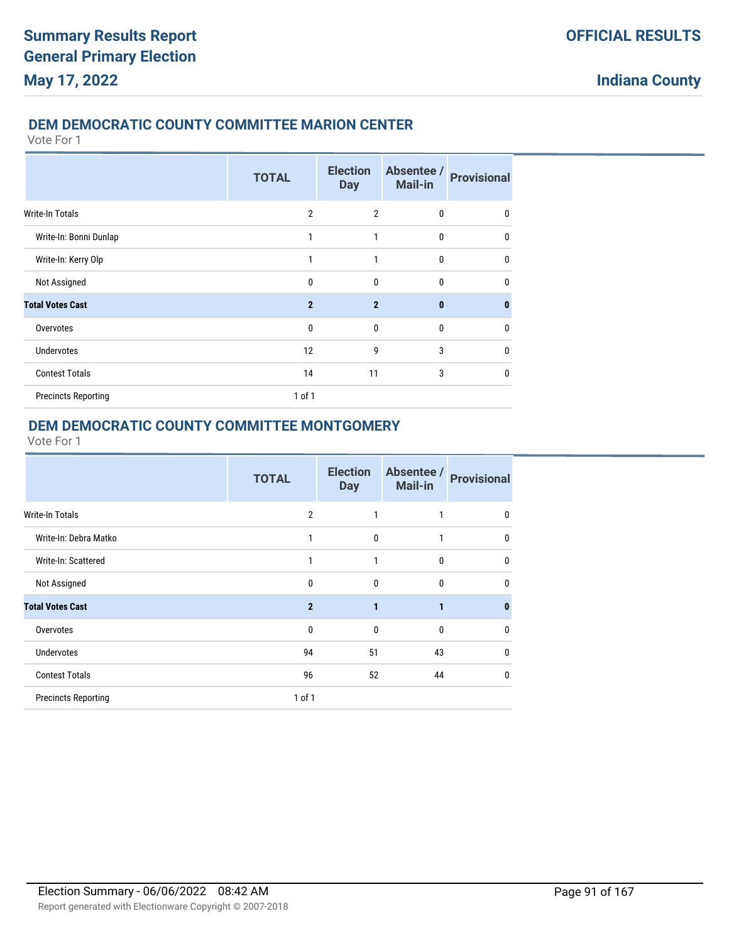### **DEM DEMOCRATIC COUNTY COMMITTEE MARION CENTER**

Vote For 1

|                            | <b>TOTAL</b>   | <b>Election</b><br><b>Day</b> | Absentee /<br>Mail-in | <b>Provisional</b> |
|----------------------------|----------------|-------------------------------|-----------------------|--------------------|
| Write-In Totals            | $\overline{2}$ | $\overline{2}$                | $\mathbf 0$           | 0                  |
| Write-In: Bonni Dunlap     | 1              | 1                             | 0                     | $\mathbf{0}$       |
| Write-In: Kerry Olp        | $\mathbf{1}$   | 1                             | $\mathbf 0$           | 0                  |
| Not Assigned               | 0              | 0                             | 0                     | $\mathbf{0}$       |
| <b>Total Votes Cast</b>    | $\overline{2}$ | $\overline{2}$                | $\mathbf{0}$          | $\bf{0}$           |
| Overvotes                  | $\mathbf{0}$   | $\mathbf{0}$                  | 0                     | 0                  |
| <b>Undervotes</b>          | 12             | 9                             | 3                     | $\mathbf{0}$       |
| <b>Contest Totals</b>      | 14             | 11                            | 3                     | $\mathbf{0}$       |
| <b>Precincts Reporting</b> | 1 of 1         |                               |                       |                    |

### **DEM DEMOCRATIC COUNTY COMMITTEE MONTGOMERY**

|                            | <b>TOTAL</b>   | <b>Election</b><br><b>Day</b> | Absentee /<br>Mail-in | <b>Provisional</b> |
|----------------------------|----------------|-------------------------------|-----------------------|--------------------|
| Write-In Totals            | 2              |                               |                       | 0                  |
| Write-In: Debra Matko      | 1              | 0                             | 1                     | 0                  |
| Write-In: Scattered        | 1              | 1                             | 0                     | 0                  |
| Not Assigned               | 0              | 0                             | 0                     | 0                  |
| <b>Total Votes Cast</b>    | $\overline{2}$ | 1                             | 1                     | 0                  |
| Overvotes                  | 0              | 0                             | 0                     | 0                  |
| <b>Undervotes</b>          | 94             | 51                            | 43                    | 0                  |
| <b>Contest Totals</b>      | 96             | 52                            | 44                    | 0                  |
| <b>Precincts Reporting</b> | 1 of 1         |                               |                       |                    |
|                            |                |                               |                       |                    |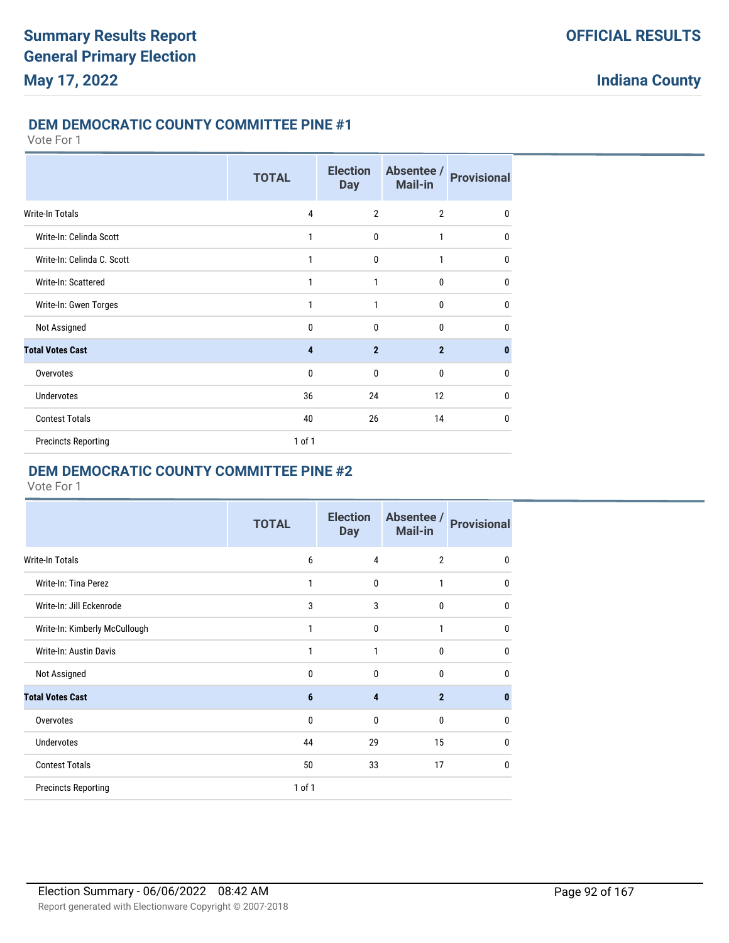### **DEM DEMOCRATIC COUNTY COMMITTEE PINE #1**

#### Vote For 1

|                            | <b>TOTAL</b>            | <b>Election</b><br><b>Day</b> | Absentee /<br><b>Mail-in</b> | <b>Provisional</b> |
|----------------------------|-------------------------|-------------------------------|------------------------------|--------------------|
| Write-In Totals            | 4                       | $\overline{2}$                | $\overline{2}$               | $\mathbf{0}$       |
| Write-In: Celinda Scott    | 1                       | $\mathbf{0}$                  | 1                            | $\mathbf{0}$       |
| Write-In: Celinda C. Scott | 1                       | 0                             | 1                            | $\mathbf{0}$       |
| Write-In: Scattered        | 1                       | 1                             | $\mathbf 0$                  | $\mathbf{0}$       |
| Write-In: Gwen Torges      | 1                       | 1                             | $\mathbf{0}$                 | $\mathbf{0}$       |
| Not Assigned               | 0                       | $\mathbf{0}$                  | $\mathbf{0}$                 | $\mathbf{0}$       |
| <b>Total Votes Cast</b>    | $\overline{\mathbf{4}}$ | $\overline{2}$                | $\overline{2}$               | 0                  |
| Overvotes                  | 0                       | $\mathbf{0}$                  | $\mathbf{0}$                 | 0                  |
| <b>Undervotes</b>          | 36                      | 24                            | 12                           | $\mathbf{0}$       |
| <b>Contest Totals</b>      | 40                      | 26                            | 14                           | $\mathbf{0}$       |
| <b>Precincts Reporting</b> | $1$ of $1$              |                               |                              |                    |

### **DEM DEMOCRATIC COUNTY COMMITTEE PINE #2**

|                               | <b>TOTAL</b> | <b>Election</b><br><b>Day</b> | Absentee /<br><b>Mail-in</b> | <b>Provisional</b> |
|-------------------------------|--------------|-------------------------------|------------------------------|--------------------|
| Write-In Totals               | 6            | 4                             | $\overline{2}$               | 0                  |
| Write-In: Tina Perez          | 1            | $\mathbf{0}$                  | 1                            | 0                  |
| Write-In: Jill Eckenrode      | 3            | 3                             | $\mathbf{0}$                 | $\mathbf{0}$       |
| Write-In: Kimberly McCullough | 1            | $\mathbf{0}$                  | 1                            | 0                  |
| Write-In: Austin Davis        | 1            | 1                             | $\mathbf{0}$                 | 0                  |
| Not Assigned                  | $\Omega$     | $\mathbf{0}$                  | $\Omega$                     | 0                  |
| <b>Total Votes Cast</b>       | 6            | $\overline{\mathbf{4}}$       | $\overline{2}$               | $\bf{0}$           |
| Overvotes                     | $\mathbf{0}$ | 0                             | $\mathbf{0}$                 | 0                  |
| <b>Undervotes</b>             | 44           | 29                            | 15                           | 0                  |
| <b>Contest Totals</b>         | 50           | 33                            | 17                           | $\mathbf{0}$       |
| <b>Precincts Reporting</b>    | 1 of 1       |                               |                              |                    |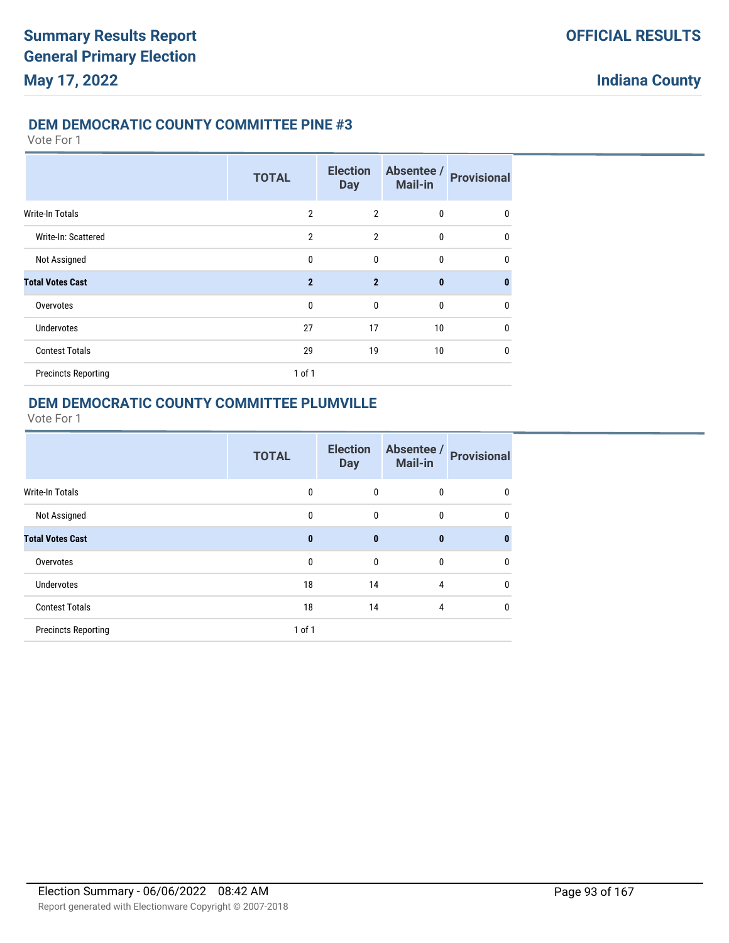#### **DEM DEMOCRATIC COUNTY COMMITTEE PINE #3**

Vote For 1

|                            | <b>TOTAL</b>   | <b>Election</b><br><b>Day</b> | Absentee /<br><b>Mail-in</b> | <b>Provisional</b> |
|----------------------------|----------------|-------------------------------|------------------------------|--------------------|
| Write-In Totals            | $\overline{2}$ | $\overline{2}$                | $\mathbf{0}$                 | 0                  |
| Write-In: Scattered        | $\overline{2}$ | $\overline{2}$                | $\mathbf{0}$                 | $\mathbf{0}$       |
| Not Assigned               | $\mathbf{0}$   | $\mathbf{0}$                  | $\mathbf{0}$                 | $\mathbf{0}$       |
| <b>Total Votes Cast</b>    | $\overline{2}$ | $\overline{2}$                | $\mathbf{0}$                 | $\bf{0}$           |
| Overvotes                  | $\mathbf 0$    | $\mathbf{0}$                  | $\mathbf{0}$                 | 0                  |
| <b>Undervotes</b>          | 27             | 17                            | 10 <sup>°</sup>              | 0                  |
| <b>Contest Totals</b>      | 29             | 19                            | 10 <sup>°</sup>              | 0                  |
| <b>Precincts Reporting</b> | $1$ of $1$     |                               |                              |                    |

### **DEM DEMOCRATIC COUNTY COMMITTEE PLUMVILLE**

|                            | <b>TOTAL</b> | <b>Election</b><br><b>Day</b> | Absentee /<br><b>Mail-in</b> | <b>Provisional</b> |
|----------------------------|--------------|-------------------------------|------------------------------|--------------------|
| Write-In Totals            | 0            | $\mathbf{0}$                  | 0                            | 0                  |
| Not Assigned               | $\mathbf{0}$ | $\mathbf{0}$                  | $\mathbf{0}$                 | $\mathbf{0}$       |
| <b>Total Votes Cast</b>    | $\mathbf{0}$ | $\bf{0}$                      | $\bf{0}$                     | 0                  |
| Overvotes                  | 0            | $\mathbf{0}$                  | $\mathbf{0}$                 | $\mathbf 0$        |
| Undervotes                 | 18           | 14                            | 4                            | $\mathbf 0$        |
| <b>Contest Totals</b>      | 18           | 14                            | 4                            | 0                  |
| <b>Precincts Reporting</b> | $1$ of $1$   |                               |                              |                    |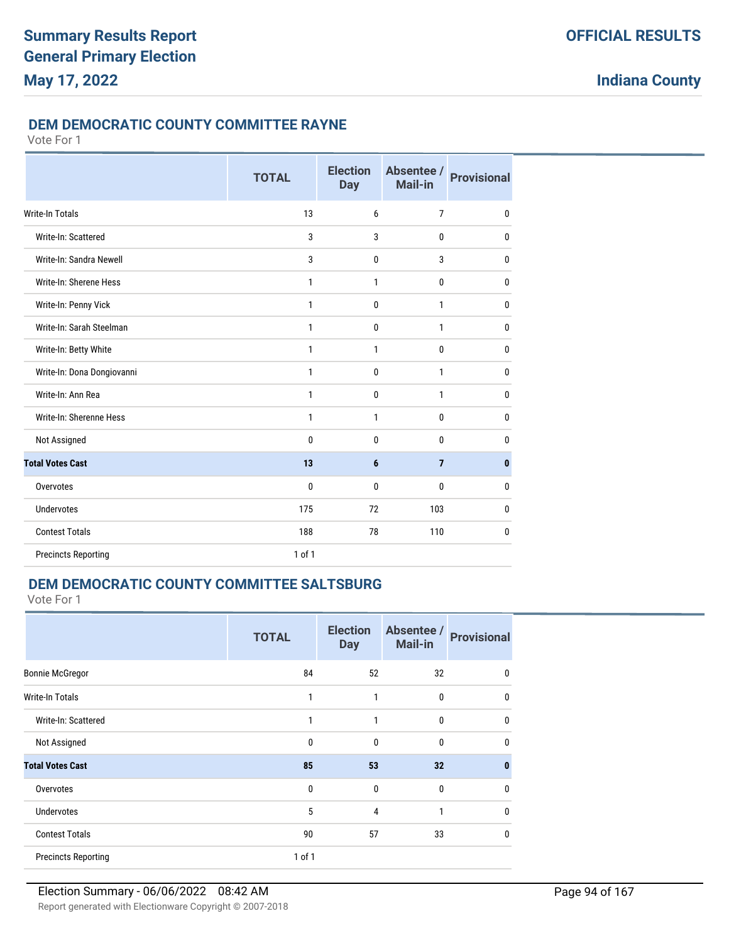### **DEM DEMOCRATIC COUNTY COMMITTEE RAYNE**

Vote For 1

|                            | <b>TOTAL</b> | <b>Election</b><br><b>Day</b> | Absentee /<br>Mail-in | <b>Provisional</b> |
|----------------------------|--------------|-------------------------------|-----------------------|--------------------|
| Write-In Totals            | 13           | 6                             | $\overline{7}$        | $\mathbf{0}$       |
| Write-In: Scattered        | 3            | 3                             | $\mathbf{0}$          | 0                  |
| Write-In: Sandra Newell    | 3            | 0                             | 3                     | 0                  |
| Write-In: Sherene Hess     | 1            | 1                             | 0                     | 0                  |
| Write-In: Penny Vick       | $\mathbf{1}$ | 0                             | $\mathbf{1}$          | 0                  |
| Write-In: Sarah Steelman   | $\mathbf{1}$ | 0                             | $\mathbf{1}$          | 0                  |
| Write-In: Betty White      | $\mathbf{1}$ | 1                             | 0                     | 0                  |
| Write-In: Dona Dongiovanni | $\mathbf{1}$ | $\mathbf{0}$                  | $\mathbf{1}$          | 0                  |
| Write-In: Ann Rea          | $\mathbf{1}$ | 0                             | $\mathbf{1}$          | 0                  |
| Write-In: Sherenne Hess    | $\mathbf{1}$ | 1                             | $\bf{0}$              | 0                  |
| Not Assigned               | $\mathbf{0}$ | 0                             | $\mathbf{0}$          | 0                  |
| <b>Total Votes Cast</b>    | 13           | 6                             | $\overline{7}$        | $\pmb{0}$          |
| Overvotes                  | $\mathbf{0}$ | 0                             | $\mathbf{0}$          | 0                  |
| <b>Undervotes</b>          | 175          | 72                            | 103                   | 0                  |
| <b>Contest Totals</b>      | 188          | 78                            | 110                   | 0                  |
| <b>Precincts Reporting</b> | 1 of 1       |                               |                       |                    |

## **DEM DEMOCRATIC COUNTY COMMITTEE SALTSBURG**

|                            | <b>TOTAL</b> | <b>Election</b><br><b>Day</b> | Absentee /<br><b>Mail-in</b> | <b>Provisional</b> |
|----------------------------|--------------|-------------------------------|------------------------------|--------------------|
| <b>Bonnie McGregor</b>     | 84           | 52                            | 32                           | 0                  |
| Write-In Totals            | 1            | 1                             | $\mathbf 0$                  | $\mathbf{0}$       |
| Write-In: Scattered        | 1            | 1                             | $\mathbf{0}$                 | $\mathbf{0}$       |
| Not Assigned               | $\mathbf 0$  | $\mathbf{0}$                  | $\mathbf{0}$                 | $\mathbf{0}$       |
| <b>Total Votes Cast</b>    | 85           | 53                            | 32                           | $\bf{0}$           |
| Overvotes                  | $\mathbf 0$  | $\mathbf 0$                   | $\mathbf 0$                  | $\mathbf 0$        |
| <b>Undervotes</b>          | 5            | $\overline{4}$                | 1                            | $\mathbf 0$        |
| <b>Contest Totals</b>      | 90           | 57                            | 33                           | $\mathbf{0}$       |
| <b>Precincts Reporting</b> | 1 of 1       |                               |                              |                    |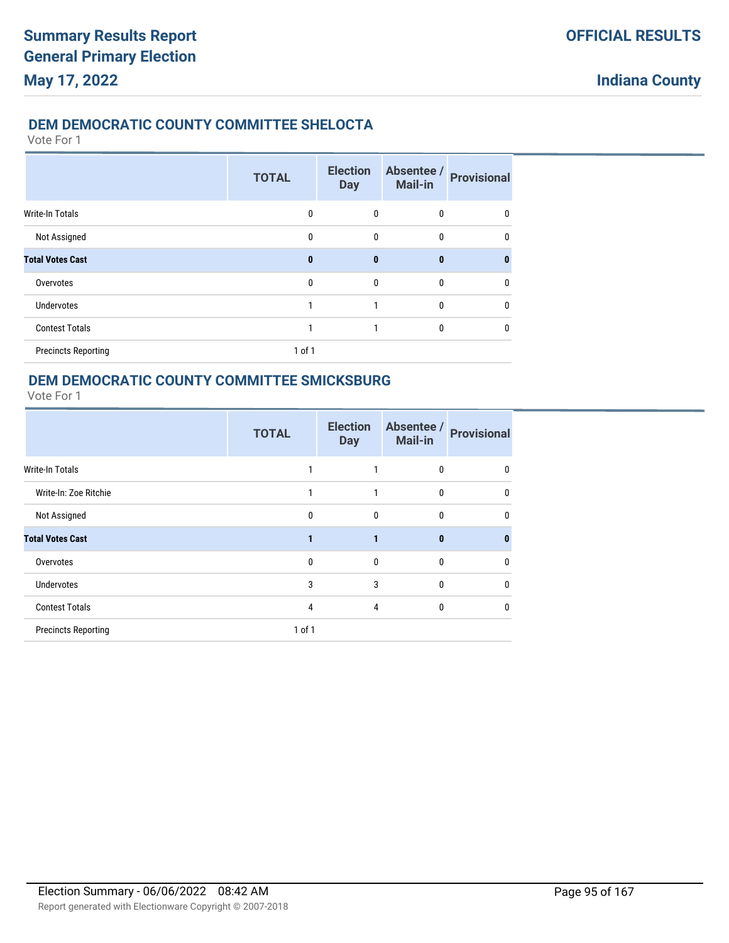### **DEM DEMOCRATIC COUNTY COMMITTEE SHELOCTA**

Vote For 1

|                            | <b>TOTAL</b> | <b>Election</b><br><b>Day</b> | Absentee /<br>Mail-in | <b>Provisional</b> |
|----------------------------|--------------|-------------------------------|-----------------------|--------------------|
| Write-In Totals            | $\mathbf{0}$ | 0                             | $\mathbf 0$           | 0                  |
| Not Assigned               | $\mathbf{0}$ | 0                             | $\mathbf{0}$          | 0                  |
| <b>Total Votes Cast</b>    | $\bf{0}$     | $\bf{0}$                      | $\bf{0}$              | n                  |
| Overvotes                  | $\mathbf{0}$ | $\mathbf{0}$                  | $\mathbf{0}$          | 0                  |
| <b>Undervotes</b>          | 1            |                               | $\mathbf{0}$          | 0                  |
| <b>Contest Totals</b>      | 1            |                               | $\mathbf{0}$          | 0                  |
| <b>Precincts Reporting</b> | 1 of 1       |                               |                       |                    |

### **DEM DEMOCRATIC COUNTY COMMITTEE SMICKSBURG**

|                            | <b>TOTAL</b> | <b>Election</b><br><b>Day</b> | Absentee /<br><b>Mail-in</b> | <b>Provisional</b> |
|----------------------------|--------------|-------------------------------|------------------------------|--------------------|
| <b>Write-In Totals</b>     |              |                               | $\Omega$                     | 0                  |
| Write-In: Zoe Ritchie      |              | 1                             | $\mathbf{0}$                 | 0                  |
| Not Assigned               | $\mathbf 0$  | $\mathbf{0}$                  | $\mathbf{0}$                 | 0                  |
| <b>Total Votes Cast</b>    |              |                               | $\mathbf{0}$                 | n                  |
| Overvotes                  | 0            | $\Omega$                      | $\Omega$                     | 0                  |
| <b>Undervotes</b>          | 3            | 3                             | $\mathbf{0}$                 | 0                  |
| <b>Contest Totals</b>      | 4            | 4                             | $\mathbf{0}$                 | 0                  |
| <b>Precincts Reporting</b> | $1$ of $1$   |                               |                              |                    |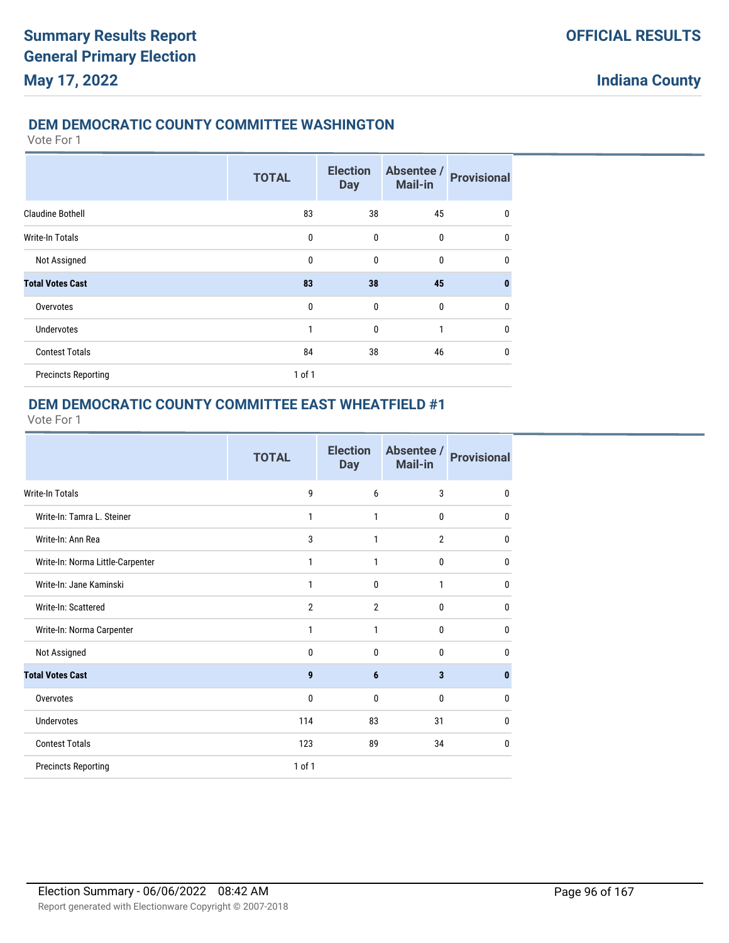### **DEM DEMOCRATIC COUNTY COMMITTEE WASHINGTON**

Vote For 1

|                            | <b>TOTAL</b> | <b>Election</b><br><b>Day</b> | Absentee /<br><b>Mail-in</b> | <b>Provisional</b> |
|----------------------------|--------------|-------------------------------|------------------------------|--------------------|
| <b>Claudine Bothell</b>    | 83           | 38                            | 45                           | 0                  |
| <b>Write-In Totals</b>     | $\mathbf{0}$ | $\mathbf 0$                   | 0                            | $\mathbf 0$        |
| Not Assigned               | 0            | $\mathbf{0}$                  | 0                            | $\mathbf{0}$       |
| <b>Total Votes Cast</b>    | 83           | 38                            | 45                           | $\bf{0}$           |
| Overvotes                  | $\mathbf{0}$ | $\mathbf{0}$                  | $\mathbf{0}$                 | $\mathbf{0}$       |
| <b>Undervotes</b>          | 1            | $\mathbf 0$                   | 1                            | $\mathbf{0}$       |
| <b>Contest Totals</b>      | 84           | 38                            | 46                           | 0                  |
| <b>Precincts Reporting</b> | $1$ of $1$   |                               |                              |                    |

### **DEM DEMOCRATIC COUNTY COMMITTEE EAST WHEATFIELD #1**

|                                  | <b>TOTAL</b>   | <b>Election</b><br><b>Day</b> | Absentee /<br><b>Mail-in</b> | <b>Provisional</b> |
|----------------------------------|----------------|-------------------------------|------------------------------|--------------------|
| Write-In Totals                  | 9              | 6                             | 3                            | $\mathbf 0$        |
| Write-In: Tamra L. Steiner       | 1              | 1                             | 0                            | 0                  |
| Write-In: Ann Rea                | 3              | 1                             | $\overline{2}$               | 0                  |
| Write-In: Norma Little-Carpenter | 1              | 1                             | 0                            | 0                  |
| Write-In: Jane Kaminski          | 1              | 0                             | 1                            | 0                  |
| Write-In: Scattered              | $\overline{2}$ | $\overline{2}$                | 0                            | 0                  |
| Write-In: Norma Carpenter        | 1              | 1                             | $\mathbf{0}$                 | 0                  |
| Not Assigned                     | $\mathbf{0}$   | $\mathbf{0}$                  | 0                            | 0                  |
| <b>Total Votes Cast</b>          | 9              | 6                             | 3                            | $\mathbf{0}$       |
| Overvotes                        | 0              | $\mathbf{0}$                  | 0                            | 0                  |
| <b>Undervotes</b>                | 114            | 83                            | 31                           | $\mathbf{0}$       |
| <b>Contest Totals</b>            | 123            | 89                            | 34                           | $\mathbf{0}$       |
| <b>Precincts Reporting</b>       | $1$ of $1$     |                               |                              |                    |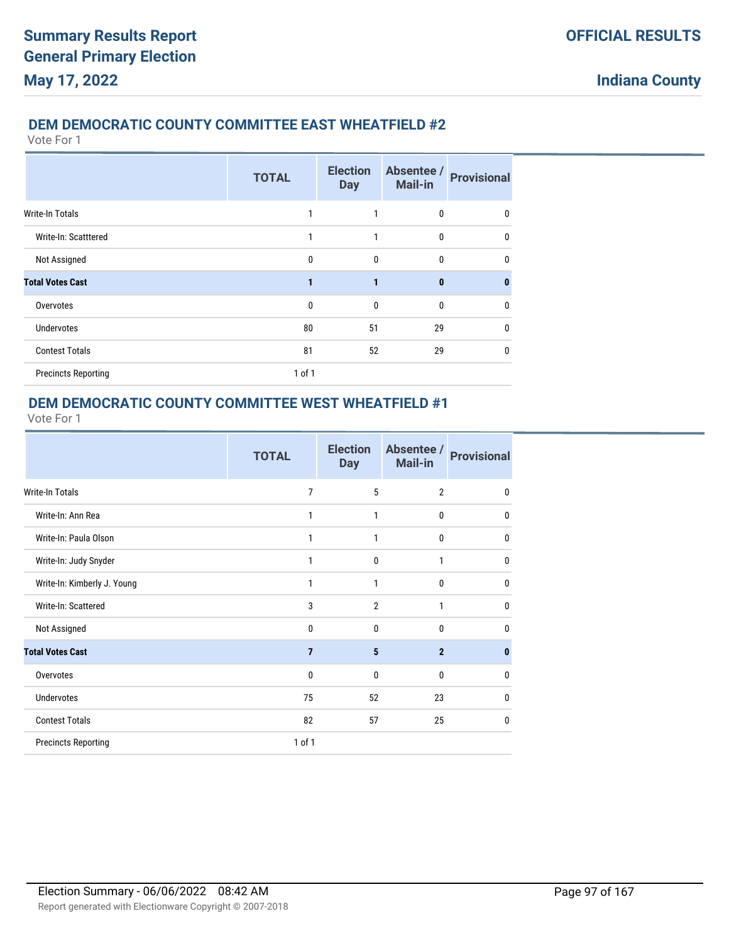### **DEM DEMOCRATIC COUNTY COMMITTEE EAST WHEATFIELD #2**

Vote For 1

|                            | <b>TOTAL</b> | <b>Election</b><br><b>Day</b> | Absentee /<br><b>Mail-in</b> | <b>Provisional</b> |
|----------------------------|--------------|-------------------------------|------------------------------|--------------------|
| <b>Write-In Totals</b>     | 1            | 1                             | 0                            | 0                  |
| Write-In: Scatttered       | 1            | 1                             | 0                            | 0                  |
| Not Assigned               | $\mathbf{0}$ | 0                             | 0                            | 0                  |
| <b>Total Votes Cast</b>    | 1            | $\mathbf{1}$                  | $\mathbf{0}$                 | $\bf{0}$           |
| Overvotes                  | $\mathbf{0}$ | $\mathbf{0}$                  | 0                            | 0                  |
| <b>Undervotes</b>          | 80           | 51                            | 29                           | 0                  |
| <b>Contest Totals</b>      | 81           | 52                            | 29                           | 0                  |
| <b>Precincts Reporting</b> | 1 of 1       |                               |                              |                    |

### **DEM DEMOCRATIC COUNTY COMMITTEE WEST WHEATFIELD #1**

|                             | <b>TOTAL</b>   | <b>Election</b><br><b>Day</b> | Absentee /<br><b>Mail-in</b> | <b>Provisional</b> |
|-----------------------------|----------------|-------------------------------|------------------------------|--------------------|
| Write-In Totals             | 7              | 5                             | $\overline{2}$               | $\mathbf{0}$       |
| Write-In: Ann Rea           | 1              | $\mathbf{1}$                  | 0                            | $\mathbf 0$        |
| Write-In: Paula Olson       | 1              | 1                             | 0                            | $\mathbf{0}$       |
| Write-In: Judy Snyder       | 1              | $\mathbf{0}$                  | $\mathbf{1}$                 | $\mathbf{0}$       |
| Write-In: Kimberly J. Young | 1              | 1                             | $\mathbf{0}$                 | $\mathbf{0}$       |
| Write-In: Scattered         | 3              | $\overline{2}$                | 1                            | $\mathbf{0}$       |
| Not Assigned                | 0              | $\mathbf{0}$                  | $\mathbf{0}$                 | $\mathbf{0}$       |
| <b>Total Votes Cast</b>     | $\overline{7}$ | 5                             | $\overline{2}$               | $\bf{0}$           |
| Overvotes                   | 0              | $\mathbf{0}$                  | $\mathbf{0}$                 | 0                  |
| <b>Undervotes</b>           | 75             | 52                            | 23                           | $\mathbf{0}$       |
| <b>Contest Totals</b>       | 82             | 57                            | 25                           | $\mathbf{0}$       |
| <b>Precincts Reporting</b>  | 1 of 1         |                               |                              |                    |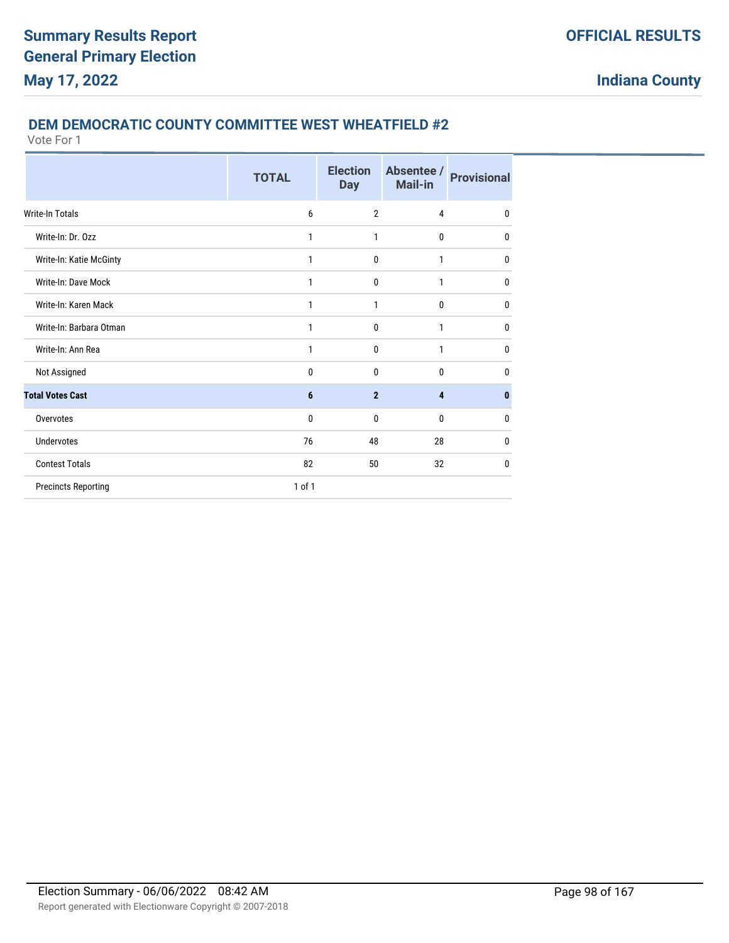#### **DEM DEMOCRATIC COUNTY COMMITTEE WEST WHEATFIELD #2**

|                            | <b>TOTAL</b> | <b>Election</b><br><b>Day</b> | Absentee /<br>Mail-in | <b>Provisional</b> |
|----------------------------|--------------|-------------------------------|-----------------------|--------------------|
| <b>Write-In Totals</b>     | 6            | $\overline{2}$                | 4                     | $\mathbf{0}$       |
| Write-In: Dr. Ozz          | 1            | 1                             | $\mathbf{0}$          | $\mathbf{0}$       |
| Write-In: Katie McGinty    | 1            | $\mathbf{0}$                  | 1                     | 0                  |
| Write-In: Dave Mock        | 1            | 0                             | 1                     | 0                  |
| Write-In: Karen Mack       | 1            | 1                             | $\mathbf{0}$          | $\bf{0}$           |
| Write-In: Barbara Otman    | 1            | 0                             | 1                     | $\mathbf{0}$       |
| Write-In: Ann Rea          | 1            | $\mathbf{0}$                  | 1                     | $\mathbf{0}$       |
| Not Assigned               | 0            | $\mathbf{0}$                  | $\mathbf{0}$          | $\mathbf{0}$       |
| <b>Total Votes Cast</b>    | 6            | $\overline{2}$                | 4                     | $\mathbf{0}$       |
| Overvotes                  | 0            | $\mathbf{0}$                  | $\mathbf{0}$          | $\mathbf{0}$       |
| Undervotes                 | 76           | 48                            | 28                    | $\mathbf{0}$       |
| <b>Contest Totals</b>      | 82           | 50                            | 32                    | $\mathbf{0}$       |
| <b>Precincts Reporting</b> | 1 of 1       |                               |                       |                    |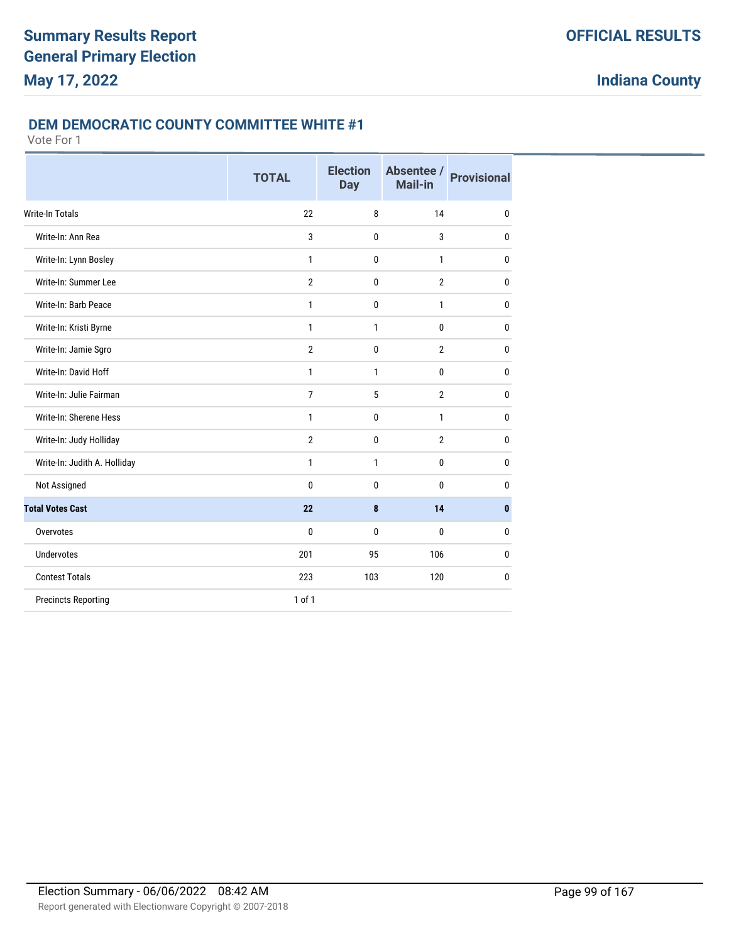#### **DEM DEMOCRATIC COUNTY COMMITTEE WHITE #1**

|                              | <b>TOTAL</b>   | <b>Election</b><br><b>Day</b> | Absentee /<br>Mail-in | <b>Provisional</b> |
|------------------------------|----------------|-------------------------------|-----------------------|--------------------|
| <b>Write-In Totals</b>       | 22             | 8                             | 14                    | $\mathbf{0}$       |
| Write-In: Ann Rea            | 3              | 0                             | 3                     | $\mathbf{0}$       |
| Write-In: Lynn Bosley        | $\mathbf{1}$   | 0                             | $\mathbf{1}$          | $\mathbf{0}$       |
| Write-In: Summer Lee         | $\overline{2}$ | 0                             | $\overline{2}$        | $\mathbf{0}$       |
| Write-In: Barb Peace         | $\mathbf{1}$   | 0                             | $\mathbf{1}$          | $\mathbf{0}$       |
| Write-In: Kristi Byrne       | $\mathbf{1}$   | 1                             | $\bf{0}$              | $\mathbf 0$        |
| Write-In: Jamie Sgro         | $\overline{2}$ | 0                             | $\overline{2}$        | $\mathbf{0}$       |
| Write-In: David Hoff         | 1              | $\mathbf{1}$                  | $\bf{0}$              | $\mathbf{0}$       |
| Write-In: Julie Fairman      | $\overline{7}$ | 5                             | $\overline{2}$        | $\mathbf{0}$       |
| Write-In: Sherene Hess       | $\mathbf{1}$   | 0                             | $\mathbf{1}$          | $\mathbf{0}$       |
| Write-In: Judy Holliday      | $\overline{2}$ | 0                             | $\overline{2}$        | $\mathbf{0}$       |
| Write-In: Judith A. Holliday | 1              | $\mathbf{1}$                  | 0                     | $\mathbf{0}$       |
| Not Assigned                 | $\mathbf{0}$   | 0                             | 0                     | 0                  |
| <b>Total Votes Cast</b>      | 22             | 8                             | 14                    | $\bf{0}$           |
| Overvotes                    | $\bf{0}$       | 0                             | $\bf{0}$              | $\mathbf 0$        |
| <b>Undervotes</b>            | 201            | 95                            | 106                   | $\mathbf 0$        |
| <b>Contest Totals</b>        | 223            | 103                           | 120                   | $\mathbf 0$        |
| <b>Precincts Reporting</b>   | 1 of 1         |                               |                       |                    |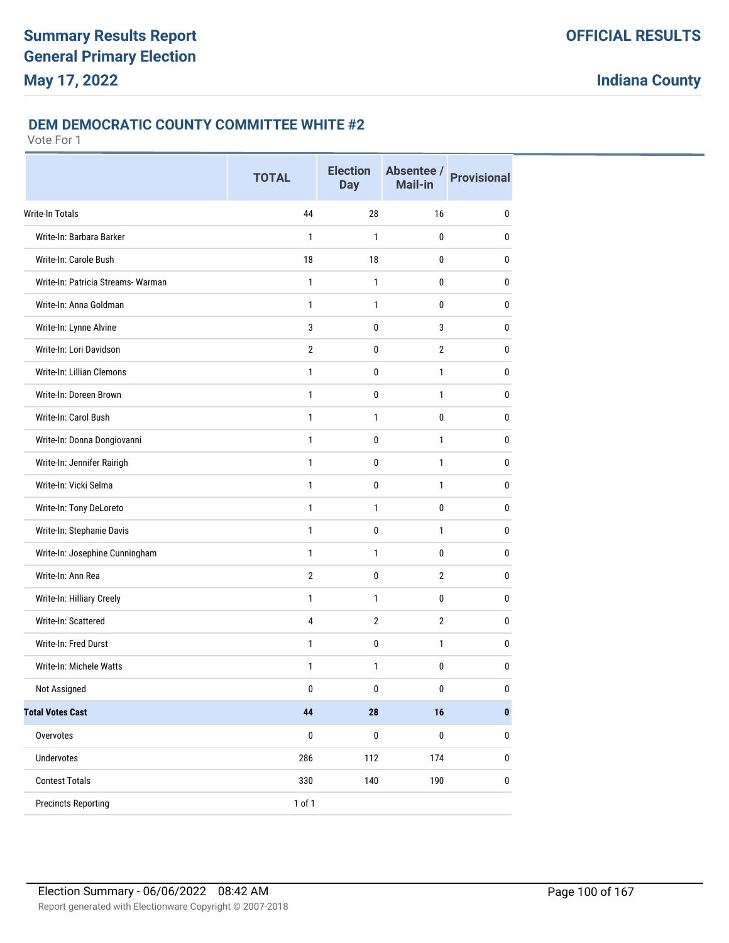#### **DEM DEMOCRATIC COUNTY COMMITTEE WHITE #2**

|                                    | <b>TOTAL</b>   | <b>Election</b><br><b>Day</b> | Absentee /<br><b>Mail-in</b> | <b>Provisional</b> |
|------------------------------------|----------------|-------------------------------|------------------------------|--------------------|
| Write-In Totals                    | 44             | 28                            | 16                           | 0                  |
| Write-In: Barbara Barker           | 1              | 1                             | 0                            | 0                  |
| Write-In: Carole Bush              | 18             | 18                            | 0                            | 0                  |
| Write-In: Patricia Streams- Warman | $\mathbf{1}$   | $\mathbf{1}$                  | 0                            | 0                  |
| Write-In: Anna Goldman             | $\mathbf{1}$   | 1                             | 0                            | 0                  |
| Write-In: Lynne Alvine             | 3              | 0                             | 3                            | 0                  |
| Write-In: Lori Davidson            | $\overline{2}$ | 0                             | $\overline{2}$               | 0                  |
| Write-In: Lillian Clemons          | 1              | $\pmb{0}$                     | $\mathbf{1}$                 | 0                  |
| Write-In: Doreen Brown             | 1              | 0                             | $\mathbf{1}$                 | 0                  |
| Write-In: Carol Bush               | $\mathbf{1}$   | 1                             | 0                            | 0                  |
| Write-In: Donna Dongiovanni        | $\mathbf{1}$   | $\mathbf 0$                   | $\mathbf{1}$                 | 0                  |
| Write-In: Jennifer Rairigh         | $\mathbf{1}$   | $\pmb{0}$                     | $\mathbf{1}$                 | 0                  |
| Write-In: Vicki Selma              | $\mathbf{1}$   | 0                             | $\mathbf{1}$                 | 0                  |
| Write-In: Tony DeLoreto            | $\mathbf{1}$   | 1                             | 0                            | 0                  |
| Write-In: Stephanie Davis          | $\mathbf{1}$   | 0                             | $\mathbf{1}$                 | 0                  |
| Write-In: Josephine Cunningham     | $\mathbf{1}$   | 1                             | 0                            | 0                  |
| Write-In: Ann Rea                  | $\overline{2}$ | $\mathbf 0$                   | $\overline{2}$               | 0                  |
| Write-In: Hilliary Creely          | $\mathbf{1}$   | 1                             | 0                            | 0                  |
| Write-In: Scattered                | 4              | $\overline{2}$                | $\overline{2}$               | 0                  |
| Write-In: Fred Durst               | 1              | $\pmb{0}$                     | $\mathbf{1}$                 | 0                  |
| Write-In: Michele Watts            | $\mathbf{1}$   | 1                             | 0                            | 0                  |
| Not Assigned                       | $\pmb{0}$      | 0                             | 0                            | 0                  |
| <b>Total Votes Cast</b>            | 44             | ${\bf 28}$                    | 16                           | $\pmb{0}$          |
| Overvotes                          | $\pmb{0}$      | $\pmb{0}$                     | $\pmb{0}$                    | 0                  |
| Undervotes                         | 286            | 112                           | 174                          | $\pmb{0}$          |
| <b>Contest Totals</b>              | 330            | 140                           | 190                          | 0                  |
| <b>Precincts Reporting</b>         | 1 of 1         |                               |                              |                    |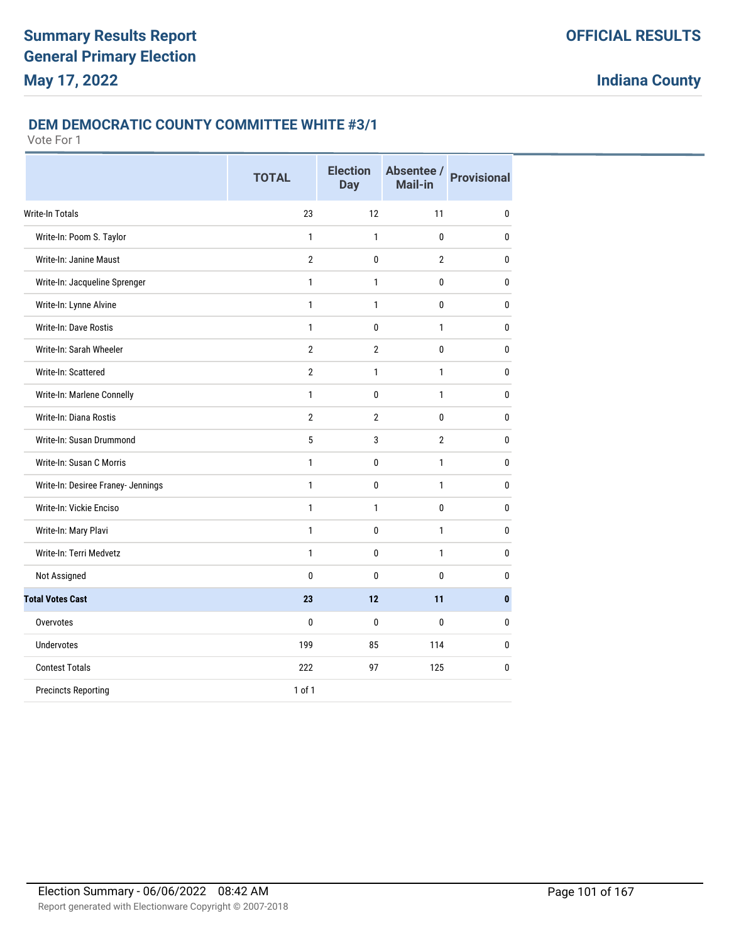#### **DEM DEMOCRATIC COUNTY COMMITTEE WHITE #3/1**

|                                    | <b>TOTAL</b>   | <b>Election</b><br><b>Day</b> | Absentee /<br><b>Mail-in</b> | <b>Provisional</b> |
|------------------------------------|----------------|-------------------------------|------------------------------|--------------------|
| <b>Write-In Totals</b>             | 23             | 12                            | 11                           | 0                  |
| Write-In: Poom S. Taylor           | $\mathbf{1}$   | 1                             | 0                            | $\mathbf{0}$       |
| Write-In: Janine Maust             | $\overline{2}$ | $\mathbf{0}$                  | 2                            | $\bf{0}$           |
| Write-In: Jacqueline Sprenger      | $\mathbf{1}$   | $\mathbf{1}$                  | 0                            | $\bf{0}$           |
| Write-In: Lynne Alvine             | $\mathbf{1}$   | $\mathbf{1}$                  | 0                            | $\mathbf{0}$       |
| Write-In: Dave Rostis              | $\mathbf{1}$   | 0                             | 1                            | $\mathbf{0}$       |
| Write-In: Sarah Wheeler            | $\overline{2}$ | $\overline{2}$                | 0                            | $\mathbf{0}$       |
| Write-In: Scattered                | $\overline{2}$ | $\mathbf{1}$                  | $\mathbf{1}$                 | 0                  |
| Write-In: Marlene Connelly         | $\mathbf{1}$   | $\mathbf{0}$                  | $\mathbf{1}$                 | $\mathbf{0}$       |
| Write-In: Diana Rostis             | $\overline{2}$ | $\overline{2}$                | 0                            | $\mathbf{0}$       |
| Write-In: Susan Drummond           | 5              | 3                             | $\overline{2}$               | $\mathbf{0}$       |
| Write-In: Susan C Morris           | $\mathbf{1}$   | $\mathbf 0$                   | $\mathbf{1}$                 | $\mathbf{0}$       |
| Write-In: Desiree Franey- Jennings | $\mathbf{1}$   | 0                             | 1                            | 0                  |
| Write-In: Vickie Enciso            | $\mathbf{1}$   | $\mathbf{1}$                  | 0                            | $\mathbf{0}$       |
| Write-In: Mary Plavi               | $\mathbf{1}$   | $\mathbf{0}$                  | $\mathbf{1}$                 | $\mathbf{0}$       |
| Write-In: Terri Medvetz            | $\mathbf{1}$   | $\mathbf{0}$                  | $\mathbf{1}$                 | $\mathbf{0}$       |
| Not Assigned                       | $\mathbf{0}$   | $\mathbf{0}$                  | $\mathbf{0}$                 | 0                  |
| <b>Total Votes Cast</b>            | 23             | 12                            | 11                           | $\mathbf{0}$       |
| Overvotes                          | $\mathbf{0}$   | $\mathbf{0}$                  | 0                            | $\mathbf{0}$       |
| <b>Undervotes</b>                  | 199            | 85                            | 114                          | 0                  |
| <b>Contest Totals</b>              | 222            | 97                            | 125                          | 0                  |
| <b>Precincts Reporting</b>         | $1$ of $1$     |                               |                              |                    |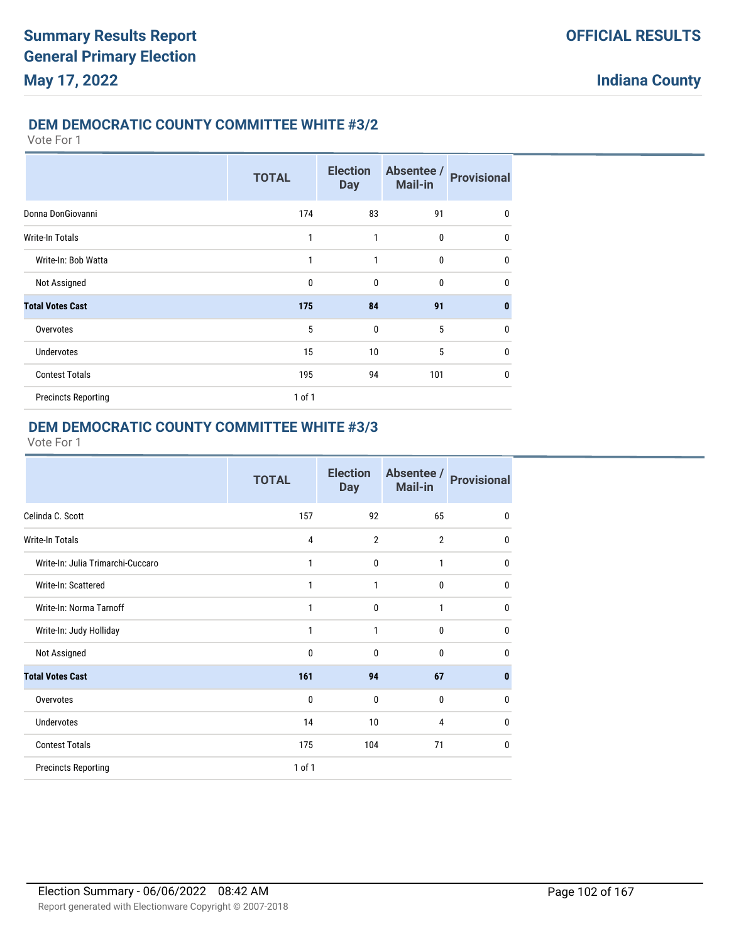#### **DEM DEMOCRATIC COUNTY COMMITTEE WHITE #3/2**

Vote For 1

|                            | <b>TOTAL</b> | <b>Election</b><br><b>Day</b> | Absentee /<br><b>Mail-in</b> | <b>Provisional</b> |
|----------------------------|--------------|-------------------------------|------------------------------|--------------------|
| Donna DonGiovanni          | 174          | 83                            | 91                           | 0                  |
| Write-In Totals            | 1            | 1                             | 0                            | $\mathbf{0}$       |
| Write-In: Bob Watta        | 1            | 1                             | $\mathbf 0$                  | $\mathbf{0}$       |
| Not Assigned               | 0            | 0                             | 0                            | $\mathbf{0}$       |
| <b>Total Votes Cast</b>    | 175          | 84                            | 91                           | $\mathbf{0}$       |
| Overvotes                  | 5            | $\mathbf{0}$                  | 5                            | $\mathbf{0}$       |
| <b>Undervotes</b>          | 15           | 10                            | 5                            | $\mathbf{0}$       |
| <b>Contest Totals</b>      | 195          | 94                            | 101                          | $\mathbf{0}$       |
| <b>Precincts Reporting</b> | $1$ of $1$   |                               |                              |                    |

## **DEM DEMOCRATIC COUNTY COMMITTEE WHITE #3/3**

|                                   | <b>TOTAL</b> | <b>Election</b><br><b>Day</b> | Absentee /<br>Mail-in | <b>Provisional</b> |
|-----------------------------------|--------------|-------------------------------|-----------------------|--------------------|
| Celinda C. Scott                  | 157          | 92                            | 65                    | $\mathbf{0}$       |
| <b>Write-In Totals</b>            | 4            | $\overline{2}$                | $\overline{2}$        | $\mathbf{0}$       |
| Write-In: Julia Trimarchi-Cuccaro | 1            | $\mathbf{0}$                  | 1                     | $\mathbf{0}$       |
| Write-In: Scattered               | 1            | 1                             | $\mathbf 0$           | $\mathbf{0}$       |
| Write-In: Norma Tarnoff           | 1            | $\mathbf{0}$                  | $\mathbf{1}$          | $\mathbf{0}$       |
| Write-In: Judy Holliday           | 1            | 1                             | $\mathbf 0$           | $\mathbf{0}$       |
| Not Assigned                      | $\mathbf 0$  | $\mathbf{0}$                  | $\mathbf{0}$          | $\mathbf{0}$       |
| <b>Total Votes Cast</b>           | 161          | 94                            | 67                    | $\mathbf{0}$       |
| Overvotes                         | $\mathbf 0$  | $\mathbf{0}$                  | $\bf{0}$              | $\mathbf{0}$       |
| <b>Undervotes</b>                 | 14           | 10                            | 4                     | $\mathbf{0}$       |
| <b>Contest Totals</b>             | 175          | 104                           | 71                    | 0                  |
| <b>Precincts Reporting</b>        | 1 of 1       |                               |                       |                    |
|                                   |              |                               |                       |                    |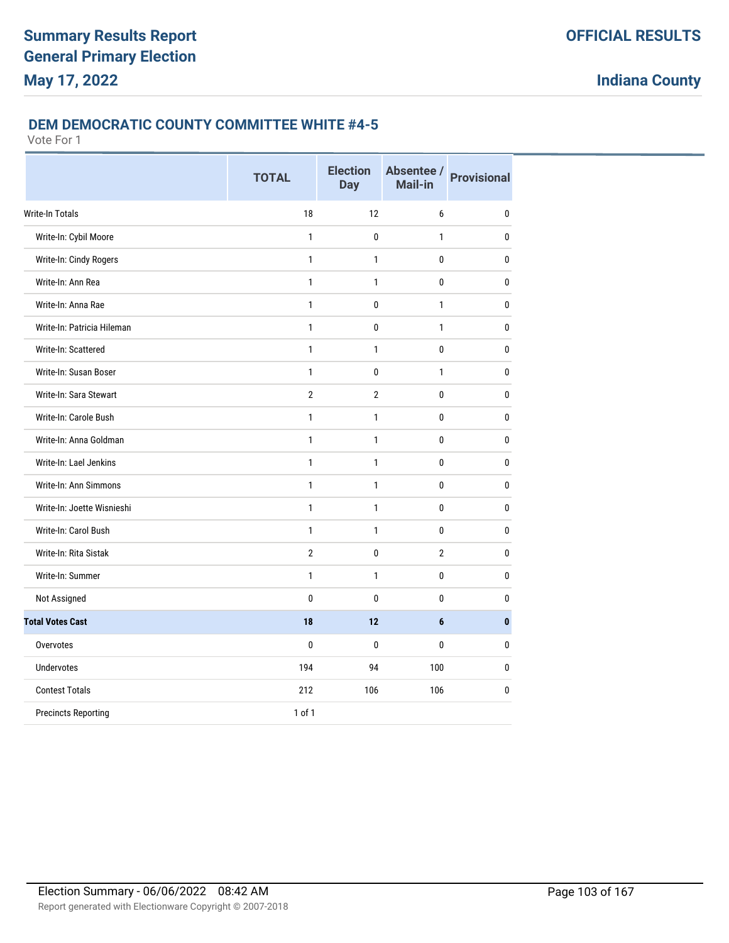#### **DEM DEMOCRATIC COUNTY COMMITTEE WHITE #4-5**

|                            | <b>TOTAL</b>   | <b>Election</b><br><b>Day</b> | Absentee /<br>Mail-in | <b>Provisional</b> |
|----------------------------|----------------|-------------------------------|-----------------------|--------------------|
| Write-In Totals            | 18             | 12                            | 6                     | 0                  |
| Write-In: Cybil Moore      | 1              | 0                             | $\mathbf{1}$          | 0                  |
| Write-In: Cindy Rogers     | $\mathbf{1}$   | 1                             | 0                     | $\bf{0}$           |
| Write-In: Ann Rea          | 1              | $\mathbf{1}$                  | 0                     | 0                  |
| Write-In: Anna Rae         | $\mathbf{1}$   | 0                             | $\mathbf{1}$          | $\bf{0}$           |
| Write-In: Patricia Hileman | 1              | 0                             | $\mathbf{1}$          | 0                  |
| Write-In: Scattered        | $\mathbf{1}$   | $\mathbf{1}$                  | $\mathbf{0}$          | $\bf{0}$           |
| Write-In: Susan Boser      | $\mathbf{1}$   | 0                             | $\mathbf{1}$          | $\bf{0}$           |
| Write-In: Sara Stewart     | $\overline{2}$ | $\overline{2}$                | $\mathbf{0}$          | $\bf{0}$           |
| Write-In: Carole Bush      | $\mathbf{1}$   | 1                             | 0                     | $\bf{0}$           |
| Write-In: Anna Goldman     | $\mathbf{1}$   | $\mathbf{1}$                  | 0                     | $\bf{0}$           |
| Write-In: Lael Jenkins     | $\mathbf{1}$   | $\mathbf{1}$                  | $\mathbf{0}$          | $\bf{0}$           |
| Write-In: Ann Simmons      | $\mathbf{1}$   | $\mathbf{1}$                  | 0                     | $\bf{0}$           |
| Write-In: Joette Wisnieshi | $\mathbf{1}$   | $\mathbf{1}$                  | 0                     | 0                  |
| Write-In: Carol Bush       | $\mathbf{1}$   | $\mathbf{1}$                  | 0                     | $\bf{0}$           |
| Write-In: Rita Sistak      | $\overline{2}$ | 0                             | $\overline{2}$        | $\bf{0}$           |
| Write-In: Summer           | $\mathbf{1}$   | 1                             | $\pmb{0}$             | $\bf{0}$           |
| Not Assigned               | $\mathbf{0}$   | $\mathbf{0}$                  | 0                     | $\bf{0}$           |
| <b>Total Votes Cast</b>    | 18             | 12                            | 6                     | $\bf{0}$           |
| Overvotes                  | $\mathbf{0}$   | $\mathbf{0}$                  | $\mathbf{0}$          | $\mathbf{0}$       |
| <b>Undervotes</b>          | 194            | 94                            | 100                   | $\pmb{0}$          |
| <b>Contest Totals</b>      | 212            | 106                           | 106                   | $\pmb{0}$          |
| <b>Precincts Reporting</b> | 1 of 1         |                               |                       |                    |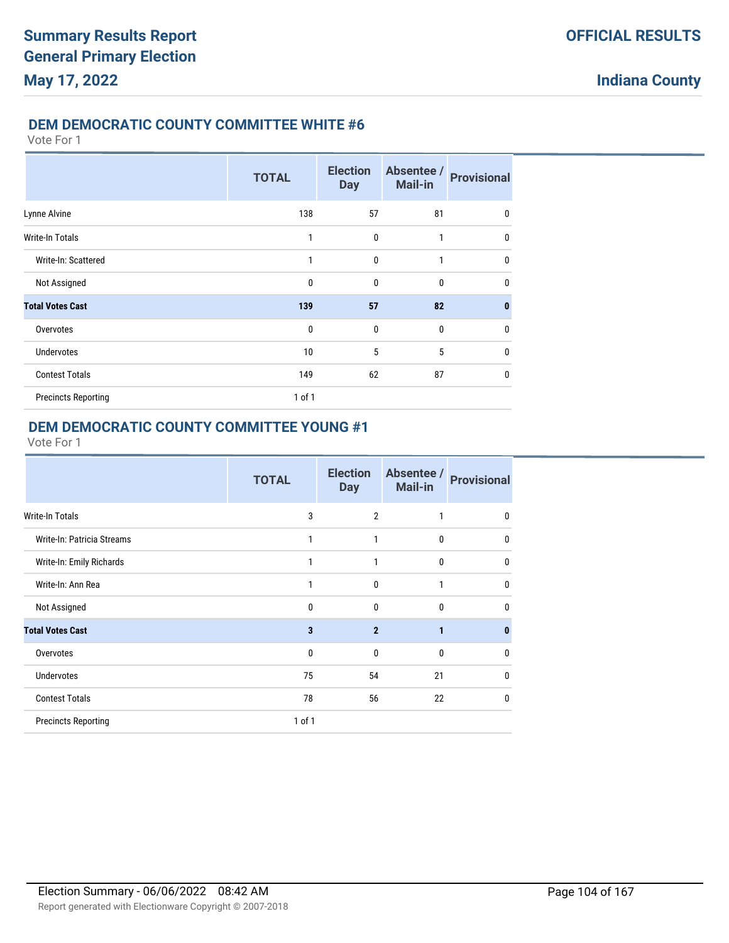#### **DEM DEMOCRATIC COUNTY COMMITTEE WHITE #6**

#### Vote For 1

|                            | <b>TOTAL</b> | <b>Election</b><br><b>Day</b> | Absentee /<br>Mail-in | <b>Provisional</b> |
|----------------------------|--------------|-------------------------------|-----------------------|--------------------|
| Lynne Alvine               | 138          | 57                            | 81                    | 0                  |
| <b>Write-In Totals</b>     | 1            | 0                             | 1                     | $\mathbf{0}$       |
| Write-In: Scattered        | 1            | $\mathbf{0}$                  | 1                     | 0                  |
| Not Assigned               | $\mathbf 0$  | 0                             | $\bf{0}$              | $\mathbf{0}$       |
| <b>Total Votes Cast</b>    | 139          | 57                            | 82                    | $\mathbf{0}$       |
| Overvotes                  | $\mathbf 0$  | 0                             | $\bf{0}$              | $\mathbf{0}$       |
| <b>Undervotes</b>          | 10           | 5                             | 5                     | $\mathbf{0}$       |
| <b>Contest Totals</b>      | 149          | 62                            | 87                    | $\mathbf{0}$       |
| <b>Precincts Reporting</b> | $1$ of $1$   |                               |                       |                    |

## **DEM DEMOCRATIC COUNTY COMMITTEE YOUNG #1**

|                            | <b>TOTAL</b> | <b>Election</b><br><b>Day</b> | Absentee /<br><b>Mail-in</b> | <b>Provisional</b> |
|----------------------------|--------------|-------------------------------|------------------------------|--------------------|
| Write-In Totals            | 3            | $\overline{2}$                | 1                            | $\pmb{0}$          |
| Write-In: Patricia Streams | 1            | 1                             | 0                            | $\mathbf{0}$       |
| Write-In: Emily Richards   | 1            | 1                             | 0                            | 0                  |
| Write-In: Ann Rea          | 1            | 0                             | 1                            | 0                  |
| Not Assigned               | 0            | 0                             | 0                            | 0                  |
| <b>Total Votes Cast</b>    | 3            | $\overline{2}$                | 1                            | $\bf{0}$           |
| Overvotes                  | 0            | 0                             | 0                            | $\mathbf{0}$       |
| <b>Undervotes</b>          | 75           | 54                            | 21                           | $\mathbf{0}$       |
| <b>Contest Totals</b>      | 78           | 56                            | 22                           | 0                  |
| <b>Precincts Reporting</b> | 1 of 1       |                               |                              |                    |
|                            |              |                               |                              |                    |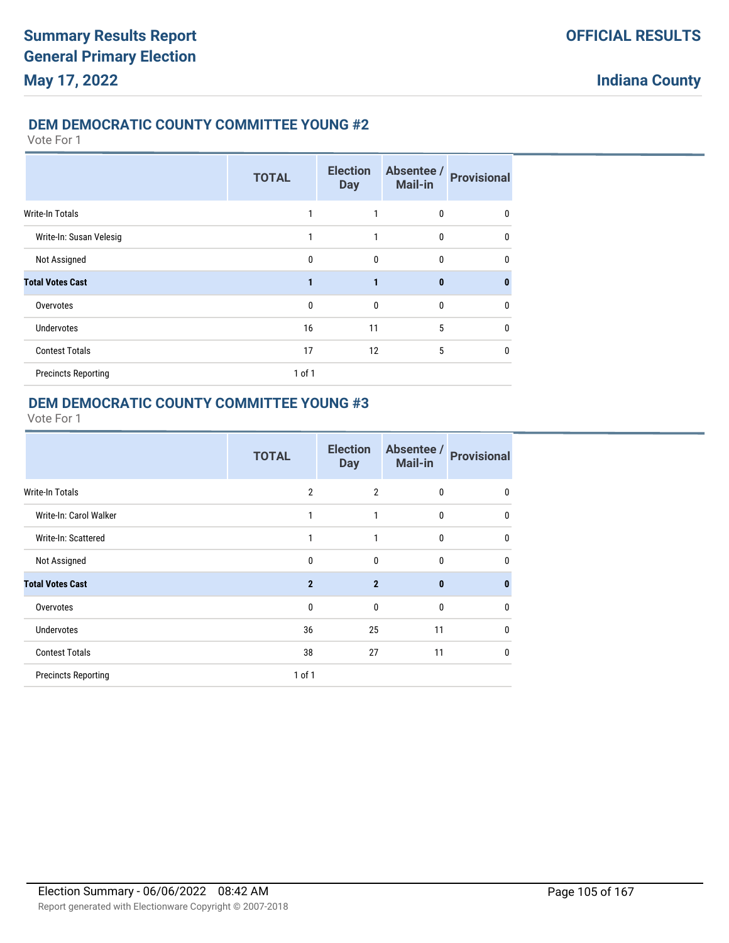### **DEM DEMOCRATIC COUNTY COMMITTEE YOUNG #2**

Vote For 1

|                            | <b>TOTAL</b> | <b>Election</b><br><b>Day</b> | Absentee /<br><b>Mail-in</b> | <b>Provisional</b> |
|----------------------------|--------------|-------------------------------|------------------------------|--------------------|
| <b>Write-In Totals</b>     |              |                               | 0                            | 0                  |
| Write-In: Susan Velesig    | 1            | 1                             | 0                            | $\Omega$           |
| Not Assigned               | $\mathbf{0}$ | $\mathbf{0}$                  | 0                            | 0                  |
| <b>Total Votes Cast</b>    | 1            | 1                             | $\bf{0}$                     | 0                  |
| Overvotes                  | $\mathbf{0}$ | $\mathbf{0}$                  | 0                            | 0                  |
| <b>Undervotes</b>          | 16           | 11                            | 5                            | $\mathbf{0}$       |
| <b>Contest Totals</b>      | 17           | 12                            | 5                            | 0                  |
| <b>Precincts Reporting</b> | 1 of 1       |                               |                              |                    |

### **DEM DEMOCRATIC COUNTY COMMITTEE YOUNG #3**

|                            | <b>TOTAL</b>   | <b>Election</b><br><b>Day</b> | Absentee /<br>Mail-in | <b>Provisional</b> |
|----------------------------|----------------|-------------------------------|-----------------------|--------------------|
| Write-In Totals            | $\overline{2}$ | $\overline{2}$                | 0                     | 0                  |
| Write-In: Carol Walker     | 1              | 1                             | 0                     | $\mathbf{0}$       |
| Write-In: Scattered        | 1              | 1                             | $\mathbf{0}$          | $\mathbf{0}$       |
| Not Assigned               | $\mathbf 0$    | $\mathbf{0}$                  | 0                     | $\mathbf{0}$       |
| <b>Total Votes Cast</b>    | $\overline{2}$ | $\overline{2}$                | $\bf{0}$              | $\bf{0}$           |
| Overvotes                  | $\mathbf 0$    | $\mathbf{0}$                  | 0                     | 0                  |
| <b>Undervotes</b>          | 36             | 25                            | 11                    | $\mathbf{0}$       |
| <b>Contest Totals</b>      | 38             | 27                            | 11                    | $\mathbf{0}$       |
| <b>Precincts Reporting</b> | $1$ of $1$     |                               |                       |                    |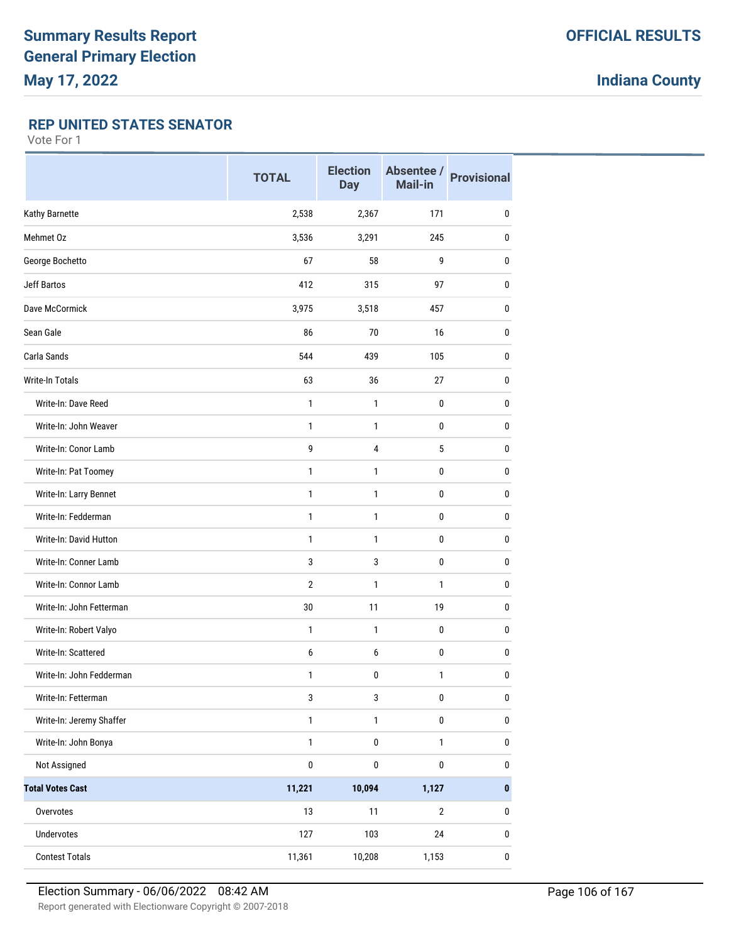### **REP UNITED STATES SENATOR**

|                          | <b>TOTAL</b>   | <b>Election</b><br><b>Day</b> | Absentee /<br><b>Mail-in</b> | <b>Provisional</b> |
|--------------------------|----------------|-------------------------------|------------------------------|--------------------|
| Kathy Barnette           | 2,538          | 2,367                         | 171                          | 0                  |
| Mehmet Oz                | 3,536          | 3,291                         | 245                          | $\mathbf{0}$       |
| George Bochetto          | 67             | 58                            | 9                            | $\mathbf{0}$       |
| <b>Jeff Bartos</b>       | 412            | 315                           | 97                           | $\mathbf{0}$       |
| Dave McCormick           | 3,975          | 3,518                         | 457                          | $\mathbf{0}$       |
| Sean Gale                | 86             | 70                            | 16                           | $\mathbf{0}$       |
| Carla Sands              | 544            | 439                           | 105                          | $\mathbf{0}$       |
| <b>Write-In Totals</b>   | 63             | 36                            | 27                           | $\mathbf{0}$       |
| Write-In: Dave Reed      | 1              | $\mathbf{1}$                  | 0                            | 0                  |
| Write-In: John Weaver    | $\mathbf{1}$   | 1                             | 0                            | 0                  |
| Write-In: Conor Lamb     | 9              | 4                             | 5                            | $\mathbf{0}$       |
| Write-In: Pat Toomey     | $\mathbf{1}$   | 1                             | 0                            | $\mathbf{0}$       |
| Write-In: Larry Bennet   | $\mathbf{1}$   | 1                             | 0                            | $\mathbf{0}$       |
| Write-In: Fedderman      | $\mathbf{1}$   | $\mathbf{1}$                  | 0                            | $\mathbf{0}$       |
| Write-In: David Hutton   | $\mathbf{1}$   | 1                             | 0                            | 0                  |
| Write-In: Conner Lamb    | 3              | 3                             | 0                            | 0                  |
| Write-In: Connor Lamb    | $\overline{2}$ | $\mathbf{1}$                  | $\mathbf{1}$                 | $\mathbf{0}$       |
| Write-In: John Fetterman | 30             | 11                            | 19                           | $\mathbf{0}$       |
| Write-In: Robert Valyo   | 1              | 1                             | 0                            | $\mathbf{0}$       |
| Write-In: Scattered      | 6              | 6                             | $\pmb{0}$                    | $\mathbf{0}$       |
| Write-In: John Fedderman | 1              | 0                             | $\mathbf{1}$                 | 0                  |
| Write-In: Fetterman      | $\mathbf{3}$   | 3                             | $\pmb{0}$                    | $\pmb{0}$          |
| Write-In: Jeremy Shaffer | $\mathbf{1}$   | $\mathbf{1}$                  | $\pmb{0}$                    | $\pmb{0}$          |
| Write-In: John Bonya     | $\mathbf{1}$   | $\pmb{0}$                     | $\mathbf{1}$                 | $\pmb{0}$          |
| Not Assigned             | $\pmb{0}$      | 0                             | $\pmb{0}$                    | $\pmb{0}$          |
| <b>Total Votes Cast</b>  | 11,221         | 10,094                        | 1,127                        | $\pmb{0}$          |
| Overvotes                | 13             | 11                            | $\sqrt{2}$                   | 0                  |
| Undervotes               | 127            | 103                           | 24                           | $\pmb{0}$          |
| <b>Contest Totals</b>    | 11,361         | 10,208                        | 1,153                        | $\pmb{0}$          |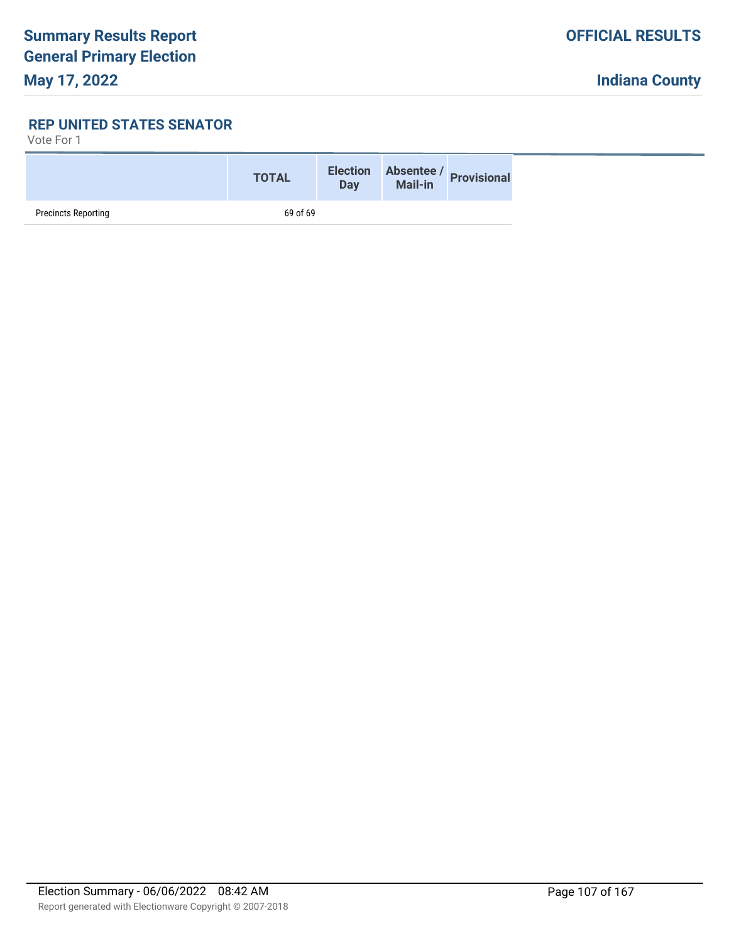### **REP UNITED STATES SENATOR**

|                            | <b>TOTAL</b> |  | Election Absentee / Provisional<br>Day Mail-in |  |
|----------------------------|--------------|--|------------------------------------------------|--|
| <b>Precincts Reporting</b> | 69 of 69     |  |                                                |  |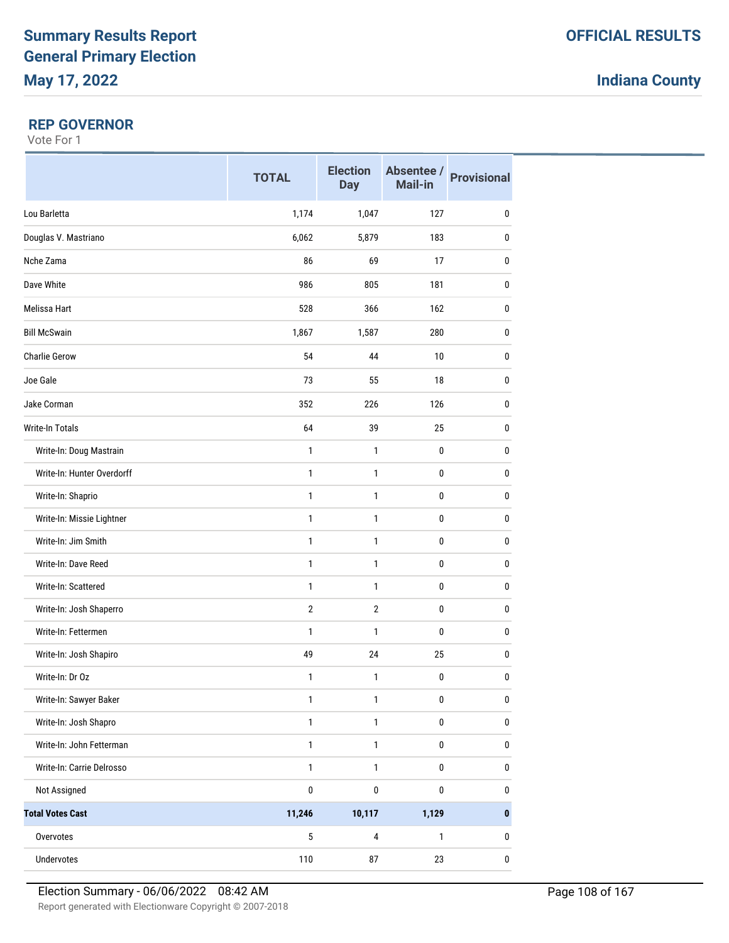### **REP GOVERNOR**

|                            | <b>TOTAL</b> | <b>Election</b><br><b>Day</b> | Mail-in      | Absentee / Provisional |
|----------------------------|--------------|-------------------------------|--------------|------------------------|
| Lou Barletta               | 1,174        | 1,047                         | 127          | $\pmb{0}$              |
| Douglas V. Mastriano       | 6,062        | 5,879                         | 183          | $\bf{0}$               |
| Nche Zama                  | 86           | 69                            | 17           | 0                      |
| Dave White                 | 986          | 805                           | 181          | $\pmb{0}$              |
| Melissa Hart               | 528          | 366                           | 162          | 0                      |
| <b>Bill McSwain</b>        | 1,867        | 1,587                         | 280          | 0                      |
| <b>Charlie Gerow</b>       | 54           | 44                            | 10           | $\pmb{0}$              |
| Joe Gale                   | 73           | 55                            | 18           | 0                      |
| Jake Corman                | 352          | 226                           | 126          | 0                      |
| Write-In Totals            | 64           | 39                            | 25           | $\pmb{0}$              |
| Write-In: Doug Mastrain    | 1            | $\mathbf{1}$                  | $\mathbf 0$  | $\pmb{0}$              |
| Write-In: Hunter Overdorff | 1            | 1                             | $\pmb{0}$    | 0                      |
| Write-In: Shaprio          | $\mathbf{1}$ | 1                             | 0            | 0                      |
| Write-In: Missie Lightner  | 1            | 1                             | 0            | $\pmb{0}$              |
| Write-In: Jim Smith        | $\mathbf{1}$ | 1                             | 0            | 0                      |
| Write-In: Dave Reed        | $\mathbf{1}$ | 1                             | 0            | 0                      |
| Write-In: Scattered        | $\mathbf{1}$ | $\mathbf{1}$                  | $\pmb{0}$    | $\pmb{0}$              |
| Write-In: Josh Shaperro    | $\mathbf{2}$ | $\overline{2}$                | $\pmb{0}$    | 0                      |
| Write-In: Fettermen        | 1            | 1                             | 0            | 0                      |
| Write-In: Josh Shapiro     | 49           | 24                            | 25           | $\pmb{0}$              |
| Write-In: Dr Oz            | 1            | $\mathbf{1}$                  | $\pmb{0}$    | 0                      |
| Write-In: Sawyer Baker     | $\mathbf{1}$ | 1                             | $\pmb{0}$    | 0                      |
| Write-In: Josh Shapro      | $\mathbf{1}$ | $\mathbf{1}$                  | $\pmb{0}$    | $\pmb{0}$              |
| Write-In: John Fetterman   | $\mathbf{1}$ | $\mathbf{1}$                  | $\pmb{0}$    | $\pmb{0}$              |
| Write-In: Carrie Delrosso  | $\mathbf{1}$ | $\mathbf{1}$                  | $\bf{0}$     | $\pmb{0}$              |
| Not Assigned               | $\pmb{0}$    | $\pmb{0}$                     | $\pmb{0}$    | $\pmb{0}$              |
| <b>Total Votes Cast</b>    | 11,246       | 10,117                        | 1,129        | $\pmb{0}$              |
| Overvotes                  | $\mathbf 5$  | $\overline{\mathbf{4}}$       | $\mathbf{1}$ | $\pmb{0}$              |
| Undervotes                 | 110          | ${\bf 87}$                    | 23           | 0                      |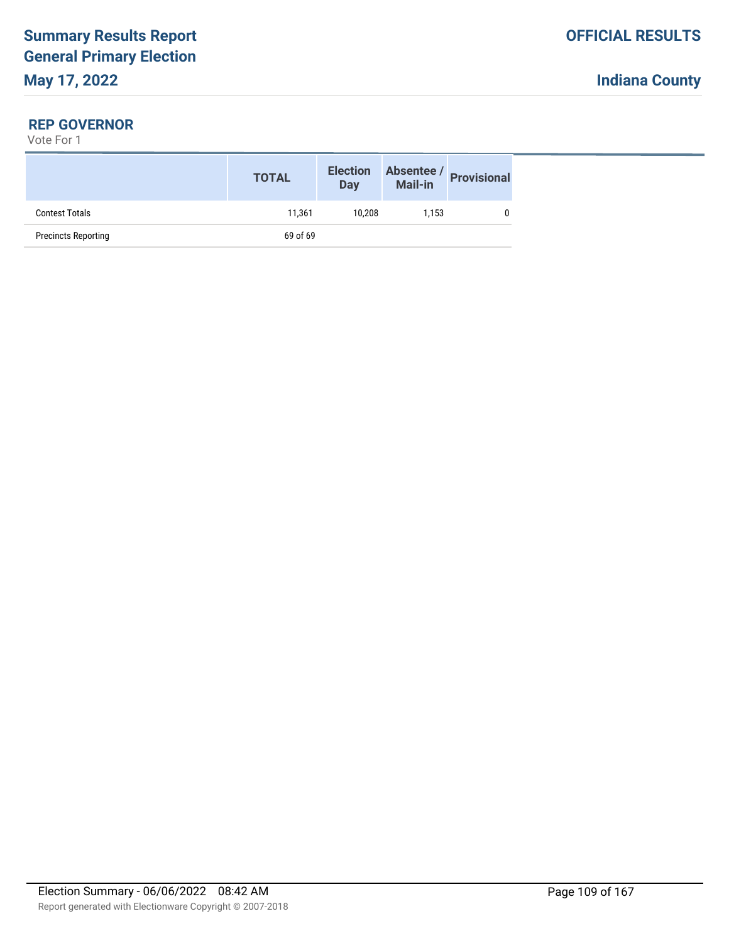### **REP GOVERNOR**

|                            | <b>TOTAL</b> | <b>Election</b><br>Day | Absentee /<br>Mail-in | <b>Provisional</b> |
|----------------------------|--------------|------------------------|-----------------------|--------------------|
| <b>Contest Totals</b>      | 11.361       | 10.208                 | 1.153                 |                    |
| <b>Precincts Reporting</b> | 69 of 69     |                        |                       |                    |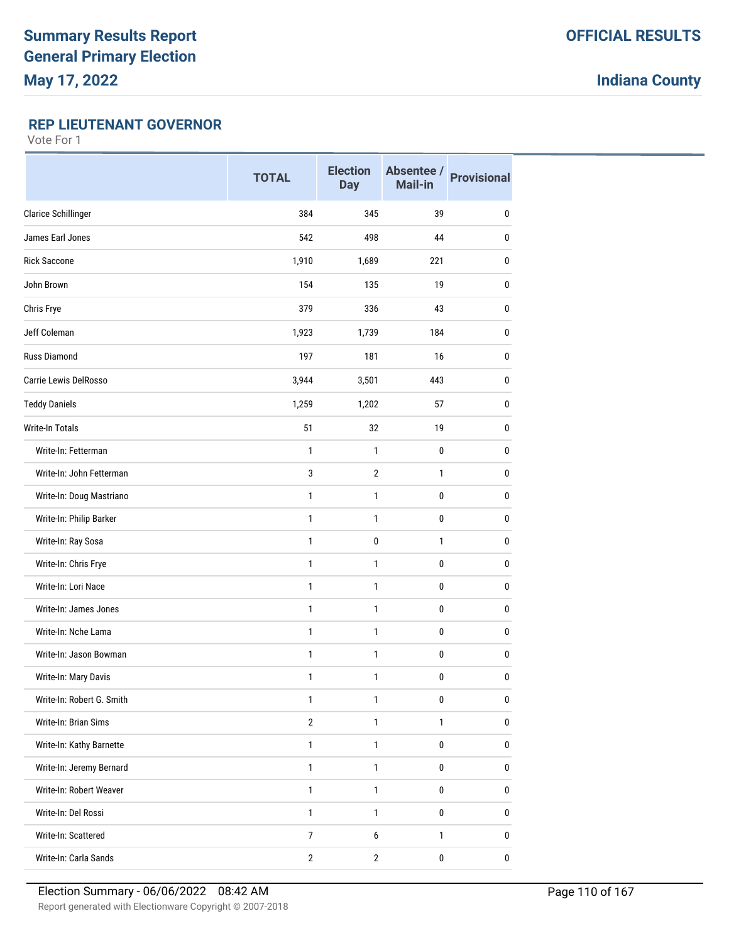### **REP LIEUTENANT GOVERNOR**

|                            | <b>TOTAL</b>   | <b>Election</b><br><b>Day</b> | Absentee /<br>Mail-in | <b>Provisional</b> |
|----------------------------|----------------|-------------------------------|-----------------------|--------------------|
| <b>Clarice Schillinger</b> | 384            | 345                           | 39                    | 0                  |
| James Earl Jones           | 542            | 498                           | 44                    | 0                  |
| <b>Rick Saccone</b>        | 1,910          | 1,689                         | 221                   | 0                  |
| John Brown                 | 154            | 135                           | 19                    | $\mathbf{0}$       |
| Chris Frye                 | 379            | 336                           | 43                    | $\mathbf{0}$       |
| Jeff Coleman               | 1,923          | 1,739                         | 184                   | 0                  |
| <b>Russ Diamond</b>        | 197            | 181                           | 16                    | $\mathbf{0}$       |
| Carrie Lewis DelRosso      | 3,944          | 3,501                         | 443                   | 0                  |
| <b>Teddy Daniels</b>       | 1,259          | 1,202                         | 57                    | 0                  |
| Write-In Totals            | 51             | 32                            | 19                    | $\mathbf{0}$       |
| Write-In: Fetterman        | 1              | 1                             | 0                     | $\mathbf{0}$       |
| Write-In: John Fetterman   | 3              | $\overline{2}$                | 1                     | 0                  |
| Write-In: Doug Mastriano   | $\mathbf{1}$   | $\mathbf{1}$                  | 0                     | $\pmb{0}$          |
| Write-In: Philip Barker    | 1              | 1                             | 0                     | 0                  |
| Write-In: Ray Sosa         | $\mathbf{1}$   | 0                             | 1                     | 0                  |
| Write-In: Chris Frye       | $\mathbf{1}$   | 1                             | 0                     | $\mathbf 0$        |
| Write-In: Lori Nace        | $\mathbf{1}$   | 1                             | 0                     | $\mathbf{0}$       |
| Write-In: James Jones      | $\mathbf{1}$   | 1                             | 0                     | $\mathbf{0}$       |
| Write-In: Nche Lama        | $\mathbf{1}$   | $\mathbf{1}$                  | 0                     | 0                  |
| Write-In: Jason Bowman     | 1              | 1                             | 0                     | 0                  |
| Write-In: Mary Davis       | 1              | 1                             | 0                     | 0                  |
| Write-In: Robert G. Smith  | $\mathbf{1}$   | 1                             | $\pmb{0}$             | $\pmb{0}$          |
| Write-In: Brian Sims       | $\sqrt{2}$     | $\mathbf{1}$                  | $\mathbf{1}$          | 0                  |
| Write-In: Kathy Barnette   | $\mathbf{1}$   | $\mathbf{1}$                  | 0                     | $\pmb{0}$          |
| Write-In: Jeremy Bernard   | $\mathbf{1}$   | $\mathbf{1}$                  | 0                     | $\pmb{0}$          |
| Write-In: Robert Weaver    | $\mathbf{1}$   | $\mathbf{1}$                  | 0                     | $\pmb{0}$          |
| Write-In: Del Rossi        | $\mathbf{1}$   | 1                             | 0                     | 0                  |
| Write-In: Scattered        | $\overline{7}$ | 6                             | $\mathbf{1}$          | $\pmb{0}$          |
| Write-In: Carla Sands      | $\mathbf{2}$   | $\overline{2}$                | $\pmb{0}$             | $\pmb{0}$          |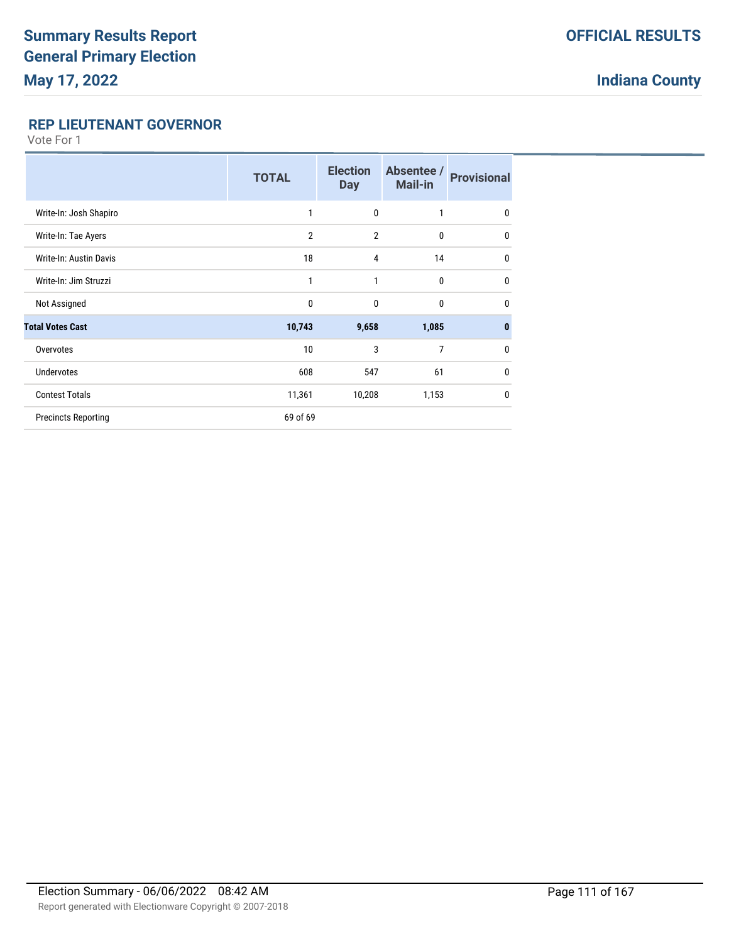### **REP LIEUTENANT GOVERNOR**

|                               | <b>TOTAL</b>   | <b>Election</b><br><b>Day</b> | Absentee /<br><b>Mail-in</b> | <b>Provisional</b> |
|-------------------------------|----------------|-------------------------------|------------------------------|--------------------|
| Write-In: Josh Shapiro        | 1              | $\mathbf 0$                   | $\mathbf{1}$                 | $\mathbf 0$        |
| Write-In: Tae Ayers           | $\overline{2}$ | $\overline{2}$                | $\mathbf{0}$                 | 0                  |
| <b>Write-In: Austin Davis</b> | 18             | $\overline{4}$                | 14                           | $\mathbf{0}$       |
| Write-In: Jim Struzzi         | 1              | 1                             | $\mathbf 0$                  | $\mathbf{0}$       |
| Not Assigned                  | $\mathbf{0}$   | $\mathbf{0}$                  | $\mathbf{0}$                 | $\mathbf{0}$       |
| <b>Total Votes Cast</b>       | 10,743         | 9,658                         | 1,085                        | $\bf{0}$           |
| Overvotes                     | 10             | 3                             | 7                            | $\mathbf{0}$       |
| <b>Undervotes</b>             | 608            | 547                           | 61                           | $\mathbf{0}$       |
| <b>Contest Totals</b>         | 11,361         | 10,208                        | 1,153                        | $\mathbf{0}$       |
| <b>Precincts Reporting</b>    | 69 of 69       |                               |                              |                    |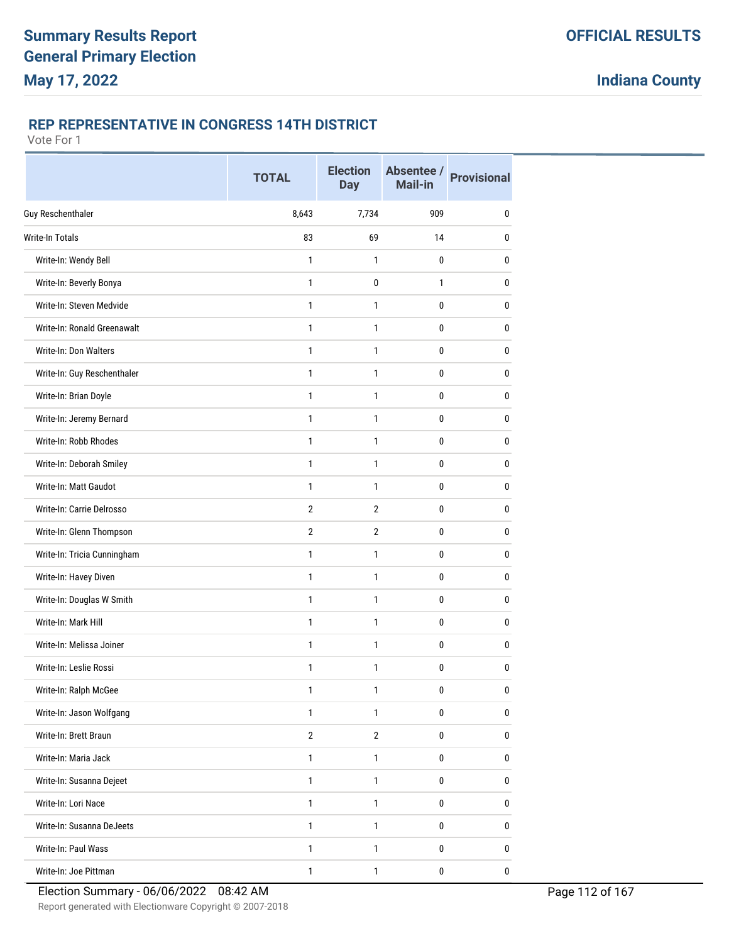### **REP REPRESENTATIVE IN CONGRESS 14TH DISTRICT**

|                             | <b>TOTAL</b>   | <b>Election</b><br><b>Day</b> | Absentee /<br><b>Mail-in</b> | <b>Provisional</b> |
|-----------------------------|----------------|-------------------------------|------------------------------|--------------------|
| <b>Guy Reschenthaler</b>    | 8,643          | 7,734                         | 909                          | $\mathbf{0}$       |
| <b>Write-In Totals</b>      | 83             | 69                            | 14                           | 0                  |
| Write-In: Wendy Bell        | 1              | 1                             | 0                            | 0                  |
| Write-In: Beverly Bonya     | $\mathbf{1}$   | 0                             | 1                            | 0                  |
| Write-In: Steven Medvide    | $\mathbf{1}$   | 1                             | 0                            | 0                  |
| Write-In: Ronald Greenawalt | $\mathbf{1}$   | 1                             | 0                            | $\mathbf{0}$       |
| Write-In: Don Walters       | $\mathbf{1}$   | $\mathbf{1}$                  | 0                            | 0                  |
| Write-In: Guy Reschenthaler | $\mathbf{1}$   | 1                             | 0                            | 0                  |
| Write-In: Brian Doyle       | $\mathbf{1}$   | $\mathbf{1}$                  | 0                            | 0                  |
| Write-In: Jeremy Bernard    | 1              | 1                             | 0                            | 0                  |
| Write-In: Robb Rhodes       | $\mathbf{1}$   | 1                             | 0                            | $\mathbf{0}$       |
| Write-In: Deborah Smiley    | 1              | 1                             | 0                            | 0                  |
| Write-In: Matt Gaudot       | 1              | 1                             | 0                            | 0                  |
| Write-In: Carrie Delrosso   | $\overline{2}$ | $\overline{2}$                | 0                            | $\mathbf{0}$       |
| Write-In: Glenn Thompson    | $\overline{2}$ | $\overline{2}$                | 0                            | 0                  |
| Write-In: Tricia Cunningham | 1              | 1                             | 0                            | 0                  |
| Write-In: Havey Diven       | $\mathbf{1}$   | 1                             | 0                            | 0                  |
| Write-In: Douglas W Smith   | $\mathbf{1}$   | 1                             | 0                            | 0                  |
| Write-In: Mark Hill         | $\mathbf{1}$   | $\mathbf{1}$                  | 0                            | $\mathbf{0}$       |
| Write-In: Melissa Joiner    | $\mathbf{1}$   | 1                             | 0                            | $\mathbf{0}$       |
| Write-In: Leslie Rossi      | $\mathbf{1}$   | 1                             | 0                            | 0                  |
| Write-In: Ralph McGee       | 1              | 1                             | 0                            | 0                  |
| Write-In: Jason Wolfgang    | $\mathbf{1}$   | $\mathbf{1}$                  | 0                            | 0                  |
| Write-In: Brett Braun       | $\overline{2}$ | $\overline{2}$                | 0                            | $\bf{0}$           |
| Write-In: Maria Jack        | $\mathbf{1}$   | $\mathbf{1}$                  | 0                            | $\pmb{0}$          |
| Write-In: Susanna Dejeet    | $\mathbf{1}$   | $\mathbf{1}$                  | 0                            | $\pmb{0}$          |
| Write-In: Lori Nace         | $\mathbf{1}$   | $\mathbf{1}$                  | 0                            | $\bf{0}$           |
| Write-In: Susanna DeJeets   | $\mathbf{1}$   | 1                             | 0                            | 0                  |
| Write-In: Paul Wass         | $\mathbf{1}$   | $\mathbf{1}$                  | 0                            | 0                  |
| Write-In: Joe Pittman       | $\mathbf{1}$   | $\mathbf{1}$                  | 0                            | $\pmb{0}$          |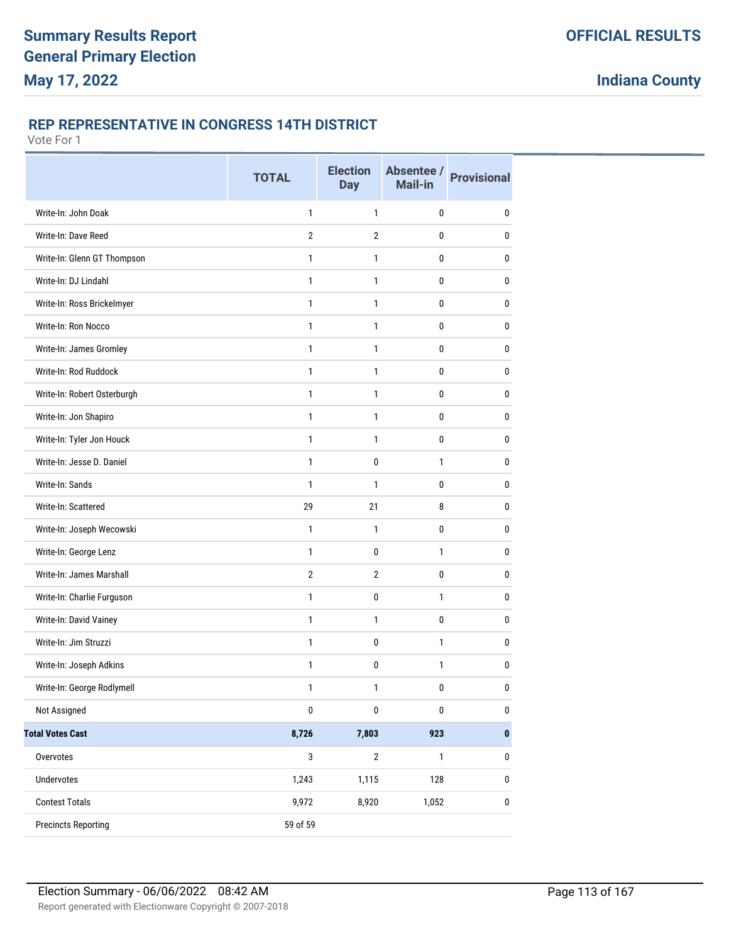### **REP REPRESENTATIVE IN CONGRESS 14TH DISTRICT**

|                             | <b>TOTAL</b>   | <b>Election</b><br><b>Day</b> | Absentee /<br><b>Mail-in</b> | <b>Provisional</b> |
|-----------------------------|----------------|-------------------------------|------------------------------|--------------------|
| Write-In: John Doak         | 1              | 1                             | 0                            | 0                  |
| Write-In: Dave Reed         | $\overline{2}$ | $\overline{2}$                | 0                            | 0                  |
| Write-In: Glenn GT Thompson | 1              | 1                             | 0                            | 0                  |
| Write-In: DJ Lindahl        | $\mathbf{1}$   | 1                             | 0                            | 0                  |
| Write-In: Ross Brickelmyer  | 1              | 1                             | 0                            | 0                  |
| Write-In: Ron Nocco         | $\mathbf{1}$   | 1                             | 0                            | 0                  |
| Write-In: James Gromley     | 1              | 1                             | 0                            | 0                  |
| Write-In: Rod Ruddock       | 1              | 1                             | 0                            | 0                  |
| Write-In: Robert Osterburgh | 1              | 1                             | 0                            | 0                  |
| Write-In: Jon Shapiro       | 1              | 1                             | 0                            | 0                  |
| Write-In: Tyler Jon Houck   | $\mathbf{1}$   | 1                             | 0                            | 0                  |
| Write-In: Jesse D. Daniel   | 1              | 0                             | 1                            | 0                  |
| Write-In: Sands             | 1              | 1                             | 0                            | 0                  |
| Write-In: Scattered         | 29             | 21                            | 8                            | 0                  |
| Write-In: Joseph Wecowski   | 1              | 1                             | 0                            | 0                  |
| Write-In: George Lenz       | $\mathbf{1}$   | 0                             | 1                            | 0                  |
| Write-In: James Marshall    | $\overline{2}$ | $\overline{2}$                | 0                            | 0                  |
| Write-In: Charlie Furguson  | $\mathbf{1}$   | 0                             | 1                            | 0                  |
| Write-In: David Vainey      | 1              | 1                             | 0                            | 0                  |
| Write-In: Jim Struzzi       | 1              | $\pmb{0}$                     | 1                            | 0                  |
| Write-In: Joseph Adkins     | 1              | 0                             | 1                            | 0                  |
| Write-In: George Rodlymell  | 1              | 1                             | 0                            | 0                  |
| Not Assigned                | $\pmb{0}$      | $\pmb{0}$                     | $\pmb{0}$                    | $\pmb{0}$          |
| <b>Total Votes Cast</b>     | 8,726          | 7,803                         | 923                          | $\pmb{0}$          |
| Overvotes                   | 3              | $\overline{2}$                | $\mathbf{1}$                 | $\bf{0}$           |
| Undervotes                  | 1,243          | 1,115                         | 128                          | $\pmb{0}$          |
| <b>Contest Totals</b>       | 9,972          | 8,920                         | 1,052                        | $\pmb{0}$          |
| <b>Precincts Reporting</b>  | 59 of 59       |                               |                              |                    |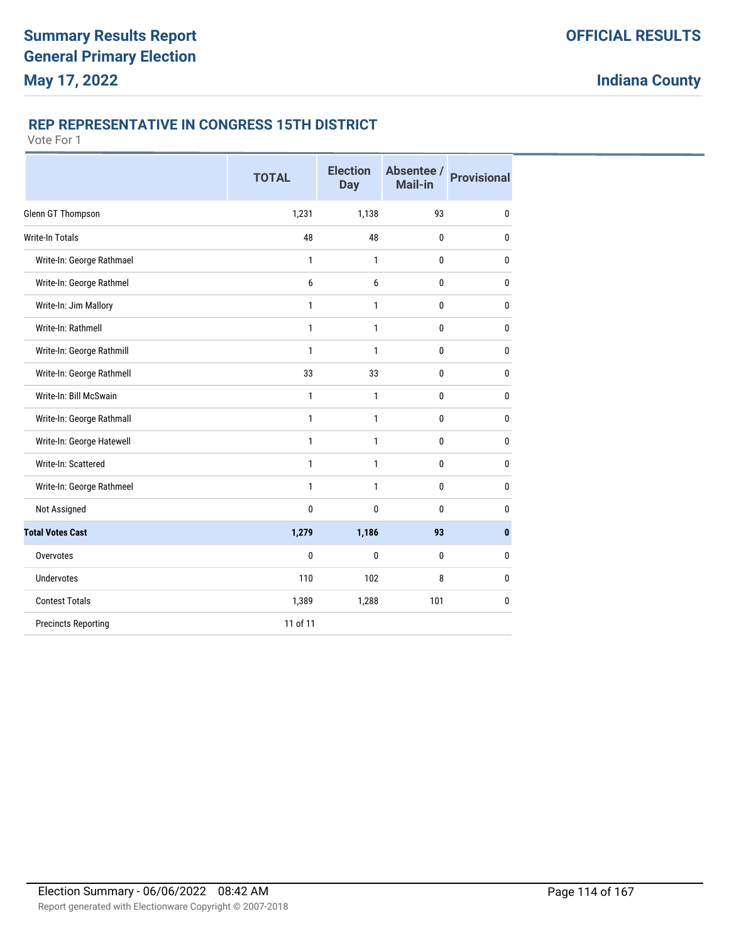### **REP REPRESENTATIVE IN CONGRESS 15TH DISTRICT**

|                            | <b>TOTAL</b> | <b>Election</b><br><b>Day</b> | Absentee /<br>Mail-in | <b>Provisional</b> |
|----------------------------|--------------|-------------------------------|-----------------------|--------------------|
| Glenn GT Thompson          | 1,231        | 1,138                         | 93                    | $\bf{0}$           |
| <b>Write-In Totals</b>     | 48           | 48                            | 0                     | 0                  |
| Write-In: George Rathmael  | 1            | 1                             | 0                     | 0                  |
| Write-In: George Rathmel   | 6            | 6                             | 0                     | 0                  |
| Write-In: Jim Mallory      | 1            | $\mathbf{1}$                  | 0                     | 0                  |
| Write-In: Rathmell         | 1            | 1                             | 0                     | 0                  |
| Write-In: George Rathmill  | 1            | $\mathbf{1}$                  | 0                     | 0                  |
| Write-In: George Rathmell  | 33           | 33                            | $\bf{0}$              | 0                  |
| Write-In: Bill McSwain     | $\mathbf{1}$ | $\mathbf{1}$                  | 0                     | 0                  |
| Write-In: George Rathmall  | 1            | 1                             | 0                     | 0                  |
| Write-In: George Hatewell  | $\mathbf{1}$ | $\mathbf{1}$                  | 0                     | 0                  |
| Write-In: Scattered        | 1            | $\mathbf{1}$                  | 0                     | 0                  |
| Write-In: George Rathmeel  | $\mathbf{1}$ | $\mathbf{1}$                  | 0                     | 0                  |
| Not Assigned               | 0            | $\mathbf{0}$                  | 0                     | 0                  |
| <b>Total Votes Cast</b>    | 1,279        | 1,186                         | 93                    | $\bf{0}$           |
| Overvotes                  | 0            | 0                             | 0                     | 0                  |
| <b>Undervotes</b>          | 110          | 102                           | 8                     | 0                  |
| <b>Contest Totals</b>      | 1,389        | 1,288                         | 101                   | 0                  |
| <b>Precincts Reporting</b> | 11 of 11     |                               |                       |                    |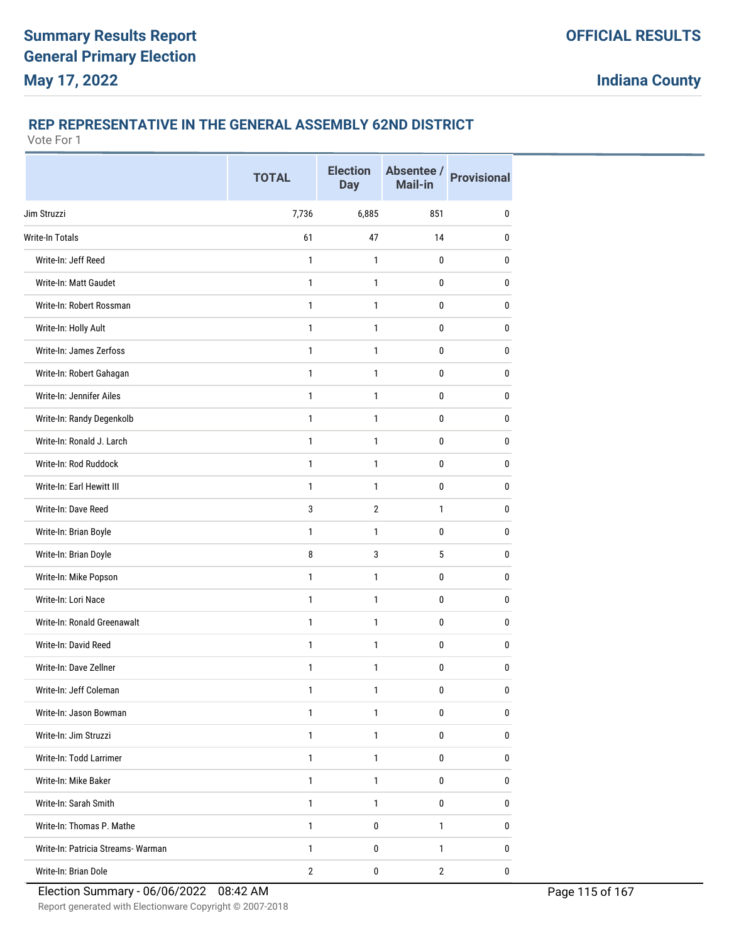# **REP REPRESENTATIVE IN THE GENERAL ASSEMBLY 62ND DISTRICT**

|                                    | <b>TOTAL</b>   | <b>Election</b><br><b>Day</b> | Absentee /<br><b>Mail-in</b> | <b>Provisional</b> |
|------------------------------------|----------------|-------------------------------|------------------------------|--------------------|
| Jim Struzzi                        | 7,736          | 6,885                         | 851                          | $\mathbf{0}$       |
| <b>Write-In Totals</b>             | 61             | 47                            | 14                           | 0                  |
| Write-In: Jeff Reed                | 1              | 1                             | 0                            | 0                  |
| Write-In: Matt Gaudet              | $\mathbf{1}$   | $\mathbf{1}$                  | 0                            | $\mathbf{0}$       |
| Write-In: Robert Rossman           | $\mathbf{1}$   | 1                             | 0                            | $\mathbf{0}$       |
| Write-In: Holly Ault               | $\mathbf{1}$   | 1                             | 0                            | $\mathbf{0}$       |
| Write-In: James Zerfoss            | $\mathbf{1}$   | $\mathbf{1}$                  | $\mathbf 0$                  | $\pmb{0}$          |
| Write-In: Robert Gahagan           | $\mathbf{1}$   | 1                             | 0                            | 0                  |
| Write-In: Jennifer Ailes           | $\mathbf{1}$   | 1                             | 0                            | $\mathbf{0}$       |
| Write-In: Randy Degenkolb          | $\mathbf{1}$   | $\mathbf{1}$                  | 0                            | 0                  |
| Write-In: Ronald J. Larch          | $\mathbf{1}$   | $\mathbf{1}$                  | 0                            | $\mathbf{0}$       |
| Write-In: Rod Ruddock              | $\mathbf{1}$   | $\mathbf{1}$                  | 0                            | 0                  |
| Write-In: Earl Hewitt III          | $\mathbf{1}$   | $\mathbf{1}$                  | 0                            | 0                  |
| Write-In: Dave Reed                | 3              | $\overline{2}$                | $\mathbf{1}$                 | $\mathbf{0}$       |
| Write-In: Brian Boyle              | 1              | 1                             | 0                            | 0                  |
| Write-In: Brian Doyle              | 8              | 3                             | 5                            | $\mathbf{0}$       |
| Write-In: Mike Popson              | $\mathbf{1}$   | $\mathbf{1}$                  | 0                            | $\mathbf{0}$       |
| Write-In: Lori Nace                | $\mathbf{1}$   | 1                             | 0                            | 0                  |
| Write-In: Ronald Greenawalt        | $\mathbf{1}$   | $\mathbf{1}$                  | $\mathbf 0$                  | $\mathbf 0$        |
| Write-In: David Reed               | $\mathbf{1}$   | $\mathbf{1}$                  | 0                            | $\mathbf{0}$       |
| Write-In: Dave Zellner             | 1              | 1                             | 0                            | $\mathbf{0}$       |
| Write-In: Jeff Coleman             | 1              | 1                             | $\pmb{0}$                    | $\pmb{0}$          |
| Write-In: Jason Bowman             | $\mathbf{1}$   | 1                             | $\mathbf 0$                  | 0                  |
| Write-In: Jim Struzzi              | $\mathbf{1}$   | $\mathbf{1}$                  | 0                            | 0                  |
| Write-In: Todd Larrimer            | $\mathbf{1}$   | $\mathbf{1}$                  | $\pmb{0}$                    | $\bf{0}$           |
| Write-In: Mike Baker               | $\mathbf{1}$   | 1                             | 0                            | 0                  |
| Write-In: Sarah Smith              | $\mathbf{1}$   | $\mathbf{1}$                  | 0                            | 0                  |
| Write-In: Thomas P. Mathe          | $\mathbf{1}$   | 0                             | 1                            | 0                  |
| Write-In: Patricia Streams- Warman | $\mathbf{1}$   | 0                             | $\mathbf{1}$                 | 0                  |
| Write-In: Brian Dole               | $\overline{2}$ | $\pmb{0}$                     | $\overline{2}$               | 0                  |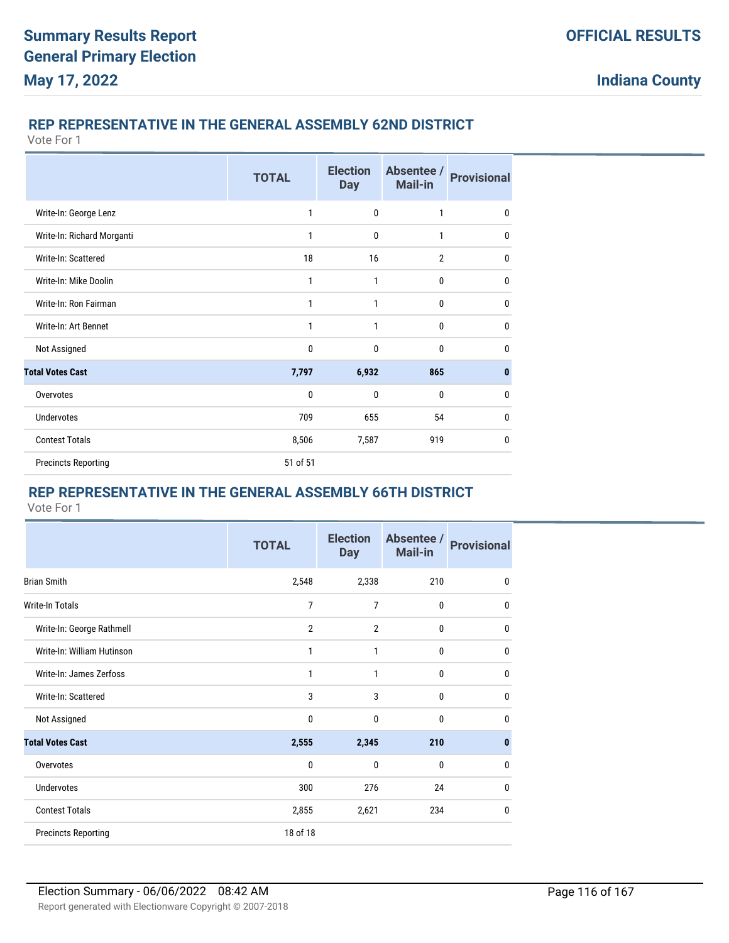### **REP REPRESENTATIVE IN THE GENERAL ASSEMBLY 62ND DISTRICT**

Vote For 1

|                            | <b>TOTAL</b> | <b>Election</b><br><b>Day</b> | Absentee /<br><b>Mail-in</b> | <b>Provisional</b> |
|----------------------------|--------------|-------------------------------|------------------------------|--------------------|
| Write-In: George Lenz      | 1            | $\mathbf 0$                   | 1                            | $\mathbf{0}$       |
| Write-In: Richard Morganti | 1            | $\mathbf{0}$                  | 1                            | 0                  |
| Write-In: Scattered        | 18           | 16                            | $\overline{2}$               | $\mathbf{0}$       |
| Write-In: Mike Doolin      | 1            | 1                             | $\mathbf 0$                  | $\mathbf{0}$       |
| Write-In: Ron Fairman      | 1            | 1                             | $\mathbf 0$                  | $\mathbf{0}$       |
| Write-In: Art Bennet       | 1            | 1                             | $\mathbf{0}$                 | 0                  |
| Not Assigned               | 0            | $\mathbf 0$                   | $\mathbf{0}$                 | $\mathbf{0}$       |
| <b>Total Votes Cast</b>    | 7,797        | 6,932                         | 865                          | $\bf{0}$           |
| Overvotes                  | 0            | $\mathbf{0}$                  | $\mathbf{0}$                 | $\mathbf{0}$       |
| <b>Undervotes</b>          | 709          | 655                           | 54                           | $\mathbf{0}$       |
| <b>Contest Totals</b>      | 8,506        | 7,587                         | 919                          | $\mathbf{0}$       |
| <b>Precincts Reporting</b> | 51 of 51     |                               |                              |                    |

# **REP REPRESENTATIVE IN THE GENERAL ASSEMBLY 66TH DISTRICT**

|                            | <b>TOTAL</b>   | <b>Election</b><br><b>Day</b> | Absentee /<br>Mail-in | <b>Provisional</b> |
|----------------------------|----------------|-------------------------------|-----------------------|--------------------|
| <b>Brian Smith</b>         | 2,548          | 2,338                         | 210                   | 0                  |
| Write-In Totals            | 7              | 7                             | 0                     | 0                  |
| Write-In: George Rathmell  | $\overline{2}$ | $\overline{2}$                | $\mathbf 0$           | 0                  |
| Write-In: William Hutinson | 1              | 1                             | 0                     | 0                  |
| Write-In: James Zerfoss    | $\mathbf{1}$   | 1                             | 0                     | 0                  |
| Write-In: Scattered        | 3              | 3                             | 0                     | 0                  |
| Not Assigned               | $\mathbf{0}$   | $\mathbf{0}$                  | 0                     | 0                  |
| <b>Total Votes Cast</b>    | 2,555          | 2,345                         | 210                   | $\bf{0}$           |
| Overvotes                  | 0              | $\mathbf 0$                   | 0                     | 0                  |
| <b>Undervotes</b>          | 300            | 276                           | 24                    | 0                  |
| <b>Contest Totals</b>      | 2,855          | 2,621                         | 234                   | 0                  |
| <b>Precincts Reporting</b> | 18 of 18       |                               |                       |                    |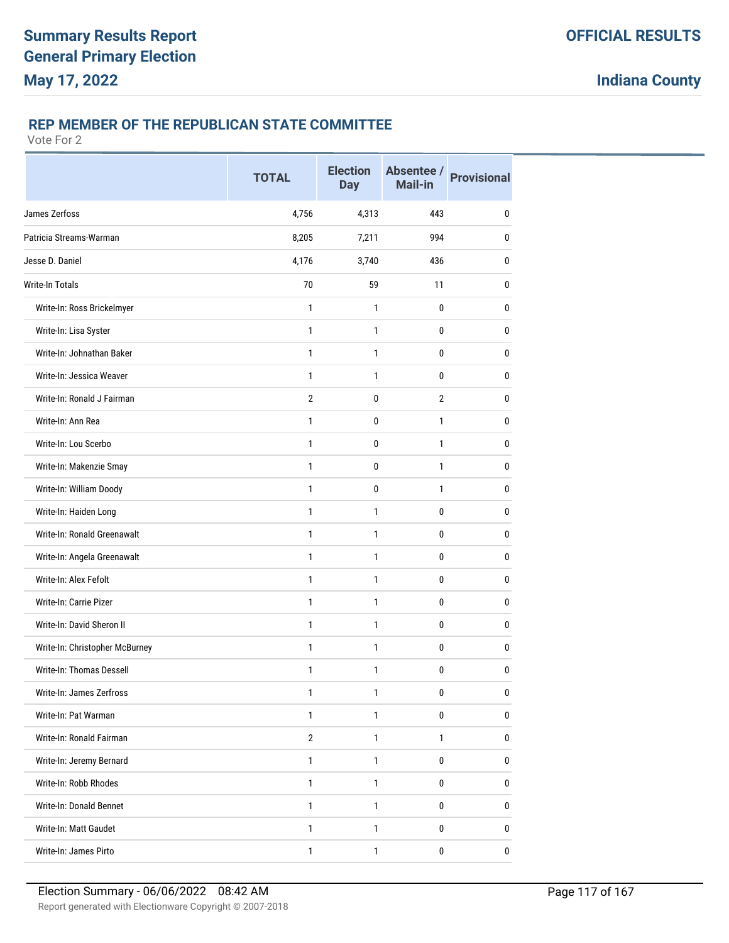### **REP MEMBER OF THE REPUBLICAN STATE COMMITTEE**

|                                | <b>TOTAL</b>   | <b>Election</b><br><b>Day</b> | Absentee /<br><b>Mail-in</b> | <b>Provisional</b> |
|--------------------------------|----------------|-------------------------------|------------------------------|--------------------|
| James Zerfoss                  | 4,756          | 4,313                         | 443                          | $\mathbf{0}$       |
| Patricia Streams-Warman        | 8,205          | 7,211                         | 994                          | 0                  |
| Jesse D. Daniel                | 4,176          | 3,740                         | 436                          | 0                  |
| Write-In Totals                | 70             | 59                            | 11                           | 0                  |
| Write-In: Ross Brickelmyer     | $\mathbf{1}$   | $\mathbf{1}$                  | $\mathbf{0}$                 | 0                  |
| Write-In: Lisa Syster          | $\mathbf{1}$   | $\mathbf{1}$                  | 0                            | 0                  |
| Write-In: Johnathan Baker      | $\mathbf{1}$   | 1                             | $\mathbf 0$                  | $\bf{0}$           |
| Write-In: Jessica Weaver       | 1              | 1                             | 0                            | 0                  |
| Write-In: Ronald J Fairman     | $\overline{2}$ | 0                             | $\overline{2}$               | 0                  |
| Write-In: Ann Rea              | 1              | 0                             | 1                            | 0                  |
| Write-In: Lou Scerbo           | $\mathbf{1}$   | 0                             | $\mathbf{1}$                 | 0                  |
| Write-In: Makenzie Smay        | $\mathbf{1}$   | 0                             | $\mathbf{1}$                 | 0                  |
| Write-In: William Doody        | 1              | 0                             | 1                            | 0                  |
| Write-In: Haiden Long          | $\mathbf{1}$   | $\mathbf{1}$                  | 0                            | 0                  |
| Write-In: Ronald Greenawalt    | $\mathbf{1}$   | 1                             | 0                            | 0                  |
| Write-In: Angela Greenawalt    | 1              | 1                             | 0                            | 0                  |
| Write-In: Alex Fefolt          | $\mathbf{1}$   | $\mathbf{1}$                  | $\mathbf{0}$                 | 0                  |
| Write-In: Carrie Pizer         | $\mathbf{1}$   | $\mathbf{1}$                  | 0                            | 0                  |
| Write-In: David Sheron II      | $\mathbf{1}$   | 1                             | $\mathbf 0$                  | $\bf{0}$           |
| Write-In: Christopher McBurney | 1              | 1                             | 0                            | 0                  |
| Write-In: Thomas Dessell       | 1              | 1                             | 0                            | 0                  |
| Write-In: James Zerfross       | 1              | 1                             | 0                            | $\pmb{0}$          |
| Write-In: Pat Warman           | $\mathbf{1}$   | $\mathbf{1}$                  | $\mathbf 0$                  | $\mathbf 0$        |
| Write-In: Ronald Fairman       | $\overline{2}$ | $\mathbf{1}$                  | $\mathbf{1}$                 | 0                  |
| Write-In: Jeremy Bernard       | $\mathbf{1}$   | 1                             | $\pmb{0}$                    | $\mathbf 0$        |
| Write-In: Robb Rhodes          | 1              | 1                             | 0                            | 0                  |
| Write-In: Donald Bennet        | $\mathbf{1}$   | $\mathbf{1}$                  | 0                            | 0                  |
| Write-In: Matt Gaudet          | 1              | 1                             | 0                            | 0                  |
| Write-In: James Pirto          | $\mathbf{1}$   | $\mathbf{1}$                  | $\pmb{0}$                    | 0                  |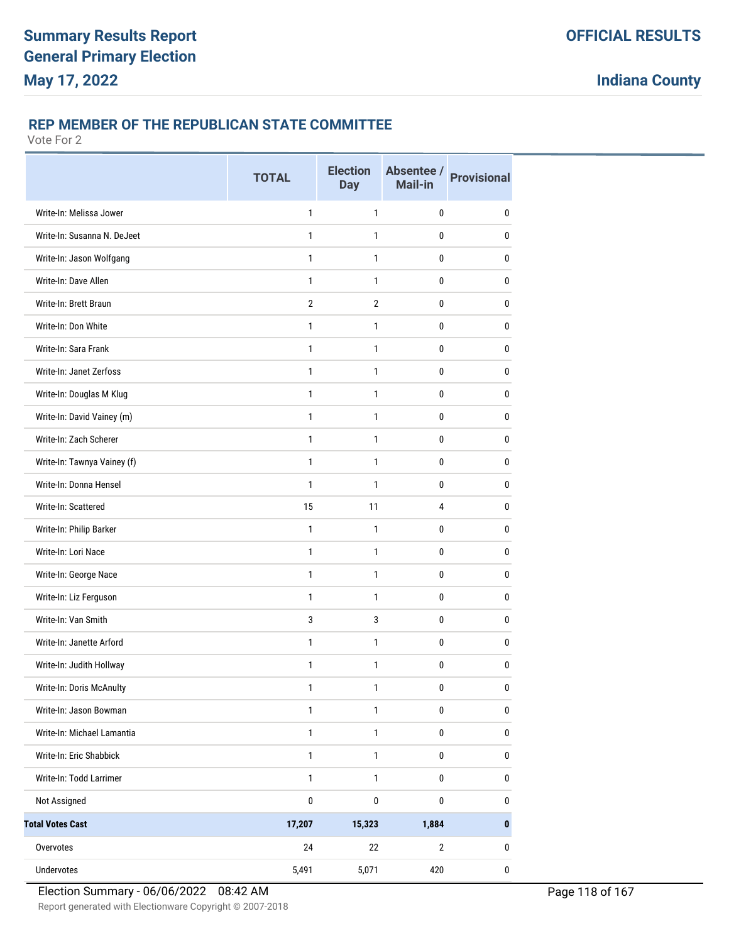### **REP MEMBER OF THE REPUBLICAN STATE COMMITTEE**

|                             | <b>TOTAL</b>   | <b>Election</b><br><b>Day</b> | Absentee /<br><b>Mail-in</b> | <b>Provisional</b> |
|-----------------------------|----------------|-------------------------------|------------------------------|--------------------|
| Write-In: Melissa Jower     | $\mathbf{1}$   | $\mathbf{1}$                  | 0                            | $\mathbf{0}$       |
| Write-In: Susanna N. DeJeet | 1              | 1                             | 0                            | 0                  |
| Write-In: Jason Wolfgang    | $\mathbf{1}$   | $\mathbf{1}$                  | 0                            | 0                  |
| Write-In: Dave Allen        | $\mathbf{1}$   | $\mathbf{1}$                  | $\mathbf{0}$                 | 0                  |
| Write-In: Brett Braun       | $\overline{2}$ | $\overline{2}$                | 0                            | 0                  |
| Write-In: Don White         | $\mathbf{1}$   | $\mathbf{1}$                  | 0                            | 0                  |
| Write-In: Sara Frank        | $\mathbf{1}$   | 1                             | 0                            | 0                  |
| Write-In: Janet Zerfoss     | $\mathbf{1}$   | 1                             | 0                            | $\mathbf{0}$       |
| Write-In: Douglas M Klug    | $\mathbf{1}$   | $\mathbf{1}$                  | 0                            | 0                  |
| Write-In: David Vainey (m)  | $\mathbf{1}$   | $\mathbf{1}$                  | 0                            | $\mathbf{0}$       |
| Write-In: Zach Scherer      | $\mathbf{1}$   | $\mathbf{1}$                  | $\mathbf 0$                  | $\mathbf 0$        |
| Write-In: Tawnya Vainey (f) | $\mathbf{1}$   | 1                             | 0                            | 0                  |
| Write-In: Donna Hensel      | $\mathbf{1}$   | $\mathbf{1}$                  | 0                            | 0                  |
| Write-In: Scattered         | 15             | 11                            | 4                            | 0                  |
| Write-In: Philip Barker     | $\mathbf{1}$   | $\mathbf{1}$                  | 0                            | 0                  |
| Write-In: Lori Nace         | $\mathbf{1}$   | $\mathbf{1}$                  | $\mathbf{0}$                 | $\mathbf{0}$       |
| Write-In: George Nace       | $\mathbf{1}$   | 1                             | 0                            | 0                  |
| Write-In: Liz Ferguson      | $\mathbf{1}$   | $\mathbf{1}$                  | 0                            | 0                  |
| Write-In: Van Smith         | 3              | 3                             | 0                            | 0                  |
| Write-In: Janette Arford    | $\mathbf{1}$   | 1                             | 0                            | $\mathbf{0}$       |
| Write-In: Judith Hollway    | $\mathbf{1}$   | $\mathbf{1}$                  | 0                            | 0                  |
| Write-In: Doris McAnulty    | 1              | 1                             | $\pmb{0}$                    | 0                  |
| Write-In: Jason Bowman      | $\mathbf{1}$   | $\mathbf{1}$                  | $\pmb{0}$                    | $\pmb{0}$          |
| Write-In: Michael Lamantia  | $\mathbf{1}$   | $\mathbf{1}$                  | $\pmb{0}$                    | $\pmb{0}$          |
| Write-In: Eric Shabbick     | $\mathbf{1}$   | $\mathbf{1}$                  | $\pmb{0}$                    | 0                  |
| Write-In: Todd Larrimer     | $\mathbf{1}$   | $\mathbf{1}$                  | $\pmb{0}$                    | $\pmb{0}$          |
| Not Assigned                | $\pmb{0}$      | $\pmb{0}$                     | $\pmb{0}$                    | $\pmb{0}$          |
| <b>Total Votes Cast</b>     | 17,207         | 15,323                        | 1,884                        | $\pmb{0}$          |
| Overvotes                   | 24             | 22                            | $\mathbf{2}$                 | 0                  |
| Undervotes                  | 5,491          | 5,071                         | 420                          | $\pmb{0}$          |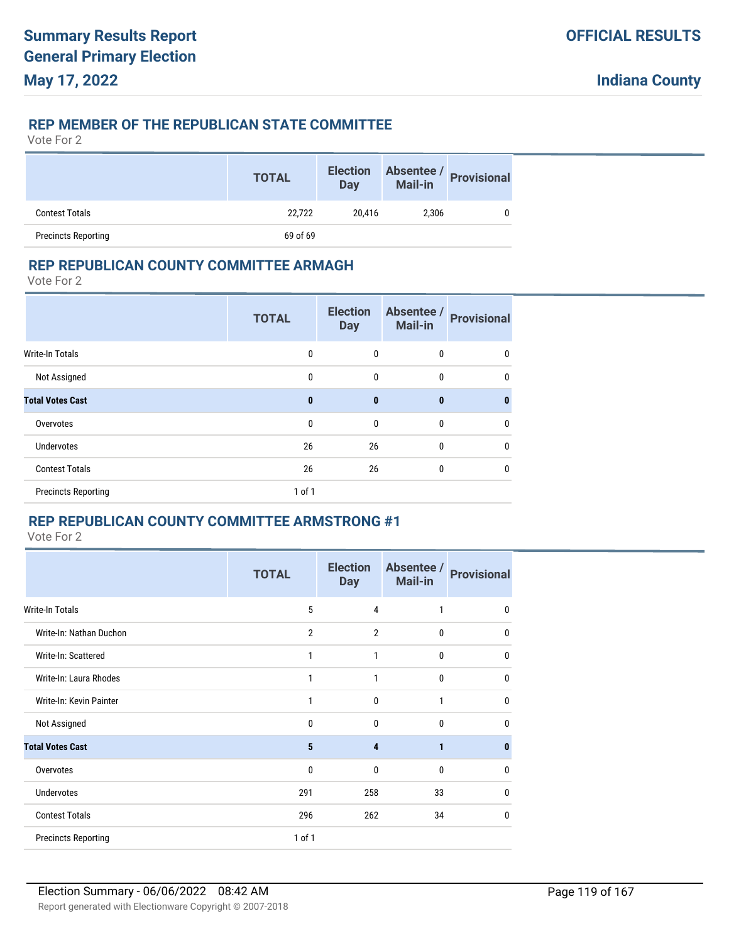### **REP MEMBER OF THE REPUBLICAN STATE COMMITTEE**

Vote For 2

|                            | <b>TOTAL</b> | <b>Election</b><br><b>Day</b> | Absentee /<br><b>Mail-in</b> | <b>Provisional</b> |
|----------------------------|--------------|-------------------------------|------------------------------|--------------------|
| <b>Contest Totals</b>      | 22.722       | 20.416                        | 2.306                        |                    |
| <b>Precincts Reporting</b> | 69 of 69     |                               |                              |                    |

### **REP REPUBLICAN COUNTY COMMITTEE ARMAGH**

Vote For 2

|                            | <b>TOTAL</b> | <b>Election</b><br><b>Day</b> | Absentee /<br>Mail-in | <b>Provisional</b> |
|----------------------------|--------------|-------------------------------|-----------------------|--------------------|
| Write-In Totals            | 0            | 0                             | $\mathbf 0$           | 0                  |
| Not Assigned               | 0            | 0                             | $\mathbf 0$           | $\mathbf 0$        |
| <b>Total Votes Cast</b>    | $\bf{0}$     | $\bf{0}$                      | $\bf{0}$              | $\bf{0}$           |
| Overvotes                  | 0            | $\mathbf{0}$                  | $\mathbf{0}$          | 0                  |
| Undervotes                 | 26           | 26                            | $\mathbf{0}$          | $\mathbf{0}$       |
| <b>Contest Totals</b>      | 26           | 26                            | $\mathbf{0}$          | 0                  |
| <b>Precincts Reporting</b> | $1$ of $1$   |                               |                       |                    |

# **REP REPUBLICAN COUNTY COMMITTEE ARMSTRONG #1**

|                            | <b>TOTAL</b>   | <b>Election</b><br><b>Day</b> | Absentee /<br><b>Mail-in</b> | <b>Provisional</b> |
|----------------------------|----------------|-------------------------------|------------------------------|--------------------|
| <b>Write-In Totals</b>     | 5              | 4                             | 1                            | 0                  |
| Write-In: Nathan Duchon    | $\overline{2}$ | $\overline{2}$                | 0                            | 0                  |
| Write-In: Scattered        | 1              | 1                             | 0                            | $\mathbf{0}$       |
| Write-In: Laura Rhodes     | 1              | 1                             | 0                            | 0                  |
| Write-In: Kevin Painter    | 1              | 0                             | 1                            | 0                  |
| Not Assigned               | $\mathbf{0}$   | 0                             | $\mathbf{0}$                 | 0                  |
| <b>Total Votes Cast</b>    | 5              | 4                             | 1                            | $\bf{0}$           |
| Overvotes                  | $\mathbf{0}$   | 0                             | $\mathbf{0}$                 | $\mathbf{0}$       |
| Undervotes                 | 291            | 258                           | 33                           | 0                  |
| <b>Contest Totals</b>      | 296            | 262                           | 34                           | 0                  |
| <b>Precincts Reporting</b> | 1 of 1         |                               |                              |                    |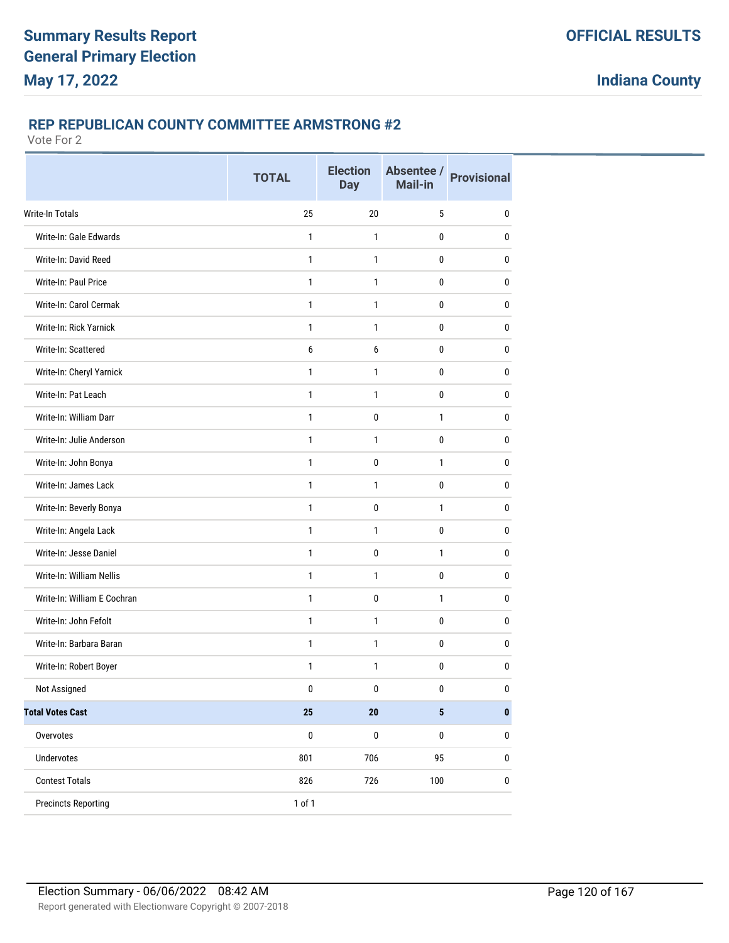### **REP REPUBLICAN COUNTY COMMITTEE ARMSTRONG #2**

|                               | <b>TOTAL</b> | <b>Election</b><br><b>Day</b> | Absentee /<br><b>Mail-in</b> | <b>Provisional</b> |
|-------------------------------|--------------|-------------------------------|------------------------------|--------------------|
| Write-In Totals               | 25           | 20                            | 5                            | 0                  |
| Write-In: Gale Edwards        | 1            | $\mathbf{1}$                  | 0                            | 0                  |
| Write-In: David Reed          | 1            | 1                             | 0                            | 0                  |
| Write-In: Paul Price          | $\mathbf{1}$ | $\mathbf{1}$                  | $\mathbf 0$                  | 0                  |
| Write-In: Carol Cermak        | 1            | 1                             | 0                            | 0                  |
| <b>Write-In: Rick Yarnick</b> | 1            | 1                             | 0                            | 0                  |
| Write-In: Scattered           | 6            | 6                             | 0                            | 0                  |
| Write-In: Cheryl Yarnick      | 1            | 1                             | $\bf{0}$                     | 0                  |
| Write-In: Pat Leach           | 1            | 1                             | 0                            | 0                  |
| Write-In: William Darr        | $\mathbf{1}$ | $\mathbf 0$                   | $\mathbf{1}$                 | 0                  |
| Write-In: Julie Anderson      | 1            | 1                             | $\bf{0}$                     | 0                  |
| Write-In: John Bonya          | 1            | 0                             | $\mathbf{1}$                 | 0                  |
| Write-In: James Lack          | $\mathbf{1}$ | 1                             | $\mathbf 0$                  | 0                  |
| Write-In: Beverly Bonya       | 1            | 0                             | $\mathbf{1}$                 | 0                  |
| Write-In: Angela Lack         | 1            | 1                             | 0                            | 0                  |
| Write-In: Jesse Daniel        | $\mathbf{1}$ | $\mathbf 0$                   | $\mathbf{1}$                 | $\pmb{0}$          |
| Write-In: William Nellis      | 1            | 1                             | 0                            | 0                  |
| Write-In: William E Cochran   | 1            | $\pmb{0}$                     | $\mathbf{1}$                 | 0                  |
| Write-In: John Fefolt         | 1            | 1                             | 0                            | 0                  |
| Write-In: Barbara Baran       | 1            | 1                             | $\bf{0}$                     | 0                  |
| Write-In: Robert Boyer        | 1            | 1                             | 0                            | 0                  |
| Not Assigned                  | $\pmb{0}$    | $\pmb{0}$                     | $\pmb{0}$                    | $\pmb{0}$          |
| <b>Total Votes Cast</b>       | 25           | ${\bf 20}$                    | $\overline{\mathbf{5}}$      | $\pmb{0}$          |
| Overvotes                     | $\pmb{0}$    | $\pmb{0}$                     | $\pmb{0}$                    | $\pmb{0}$          |
| Undervotes                    | 801          | 706                           | 95                           | $\pmb{0}$          |
| <b>Contest Totals</b>         | 826          | 726                           | 100                          | 0                  |
| <b>Precincts Reporting</b>    | 1 of 1       |                               |                              |                    |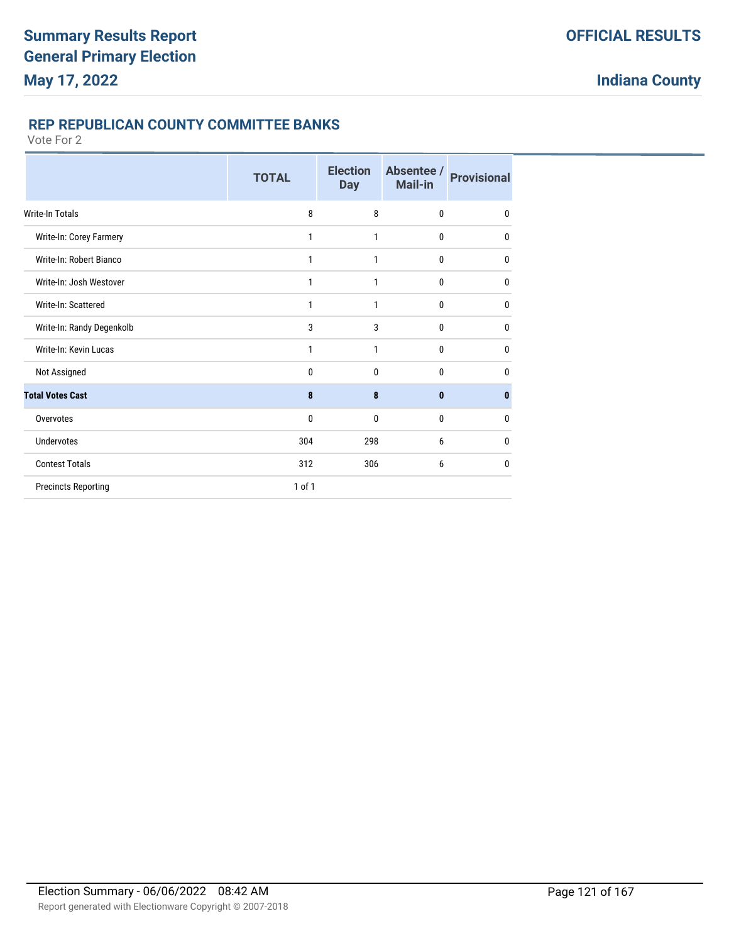### **REP REPUBLICAN COUNTY COMMITTEE BANKS**

|                            | <b>TOTAL</b> | <b>Election</b><br><b>Day</b> | Absentee /<br>Mail-in | <b>Provisional</b> |
|----------------------------|--------------|-------------------------------|-----------------------|--------------------|
| <b>Write-In Totals</b>     | 8            | 8                             | $\mathbf{0}$          | $\mathbf{0}$       |
| Write-In: Corey Farmery    | 1            | 1                             | $\mathbf{0}$          | $\mathbf{0}$       |
| Write-In: Robert Bianco    | 1            | 1                             | $\mathbf{0}$          | $\mathbf{0}$       |
| Write-In: Josh Westover    | 1            | 1                             | $\mathbf{0}$          | $\mathbf{0}$       |
| Write-In: Scattered        | 1            | 1                             | $\bf{0}$              | 0                  |
| Write-In: Randy Degenkolb  | 3            | 3                             | $\mathbf{0}$          | $\mathbf{0}$       |
| Write-In: Kevin Lucas      | 1            | 1                             | $\mathbf{0}$          | $\mathbf{0}$       |
| Not Assigned               | 0            | 0                             | 0                     | 0                  |
| <b>Total Votes Cast</b>    | 8            | 8                             | $\bf{0}$              | $\bf{0}$           |
| Overvotes                  | 0            | $\mathbf{0}$                  | $\mathbf{0}$          | 0                  |
| <b>Undervotes</b>          | 304          | 298                           | 6                     | 0                  |
| <b>Contest Totals</b>      | 312          | 306                           | 6                     | $\mathbf{0}$       |
| <b>Precincts Reporting</b> | $1$ of $1$   |                               |                       |                    |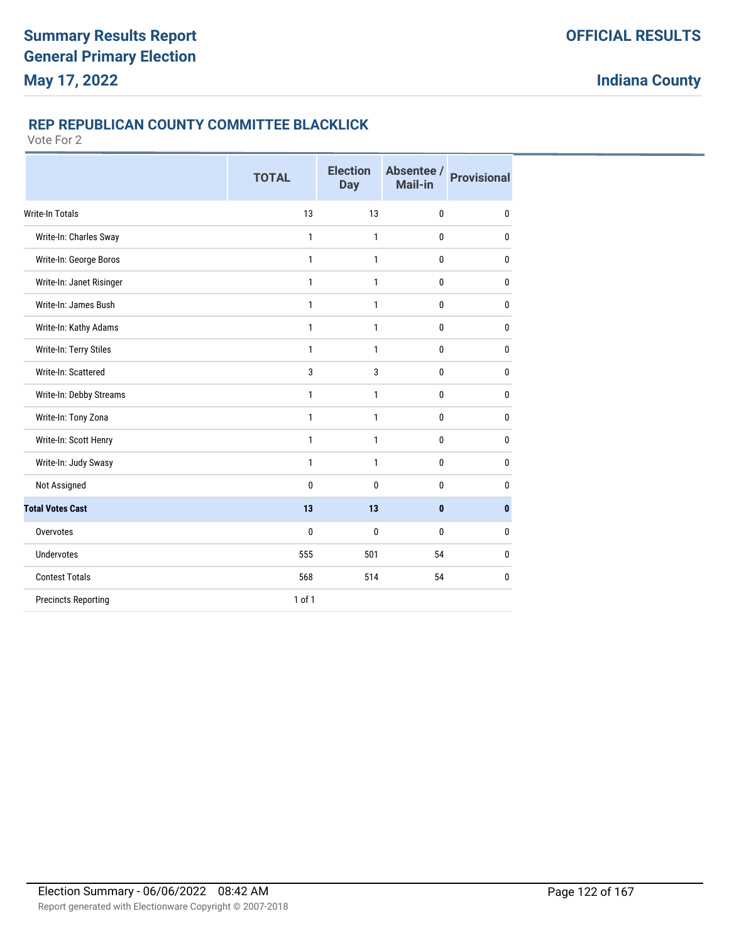### **REP REPUBLICAN COUNTY COMMITTEE BLACKLICK**

|                            | <b>TOTAL</b> | <b>Election</b><br><b>Day</b> | Absentee /<br><b>Mail-in</b> | <b>Provisional</b> |
|----------------------------|--------------|-------------------------------|------------------------------|--------------------|
| <b>Write-In Totals</b>     | 13           | 13                            | 0                            | $\pmb{0}$          |
| Write-In: Charles Sway     | 1            | 1                             | 0                            | 0                  |
| Write-In: George Boros     | 1            | 1                             | 0                            | $\mathbf{0}$       |
| Write-In: Janet Risinger   | 1            | 1                             | 0                            | $\mathbf{0}$       |
| Write-In: James Bush       | 1            | 1                             | 0                            | $\mathbf{0}$       |
| Write-In: Kathy Adams      | 1            | 1                             | 0                            | $\mathbf{0}$       |
| Write-In: Terry Stiles     | $\mathbf{1}$ | $\mathbf{1}$                  | 0                            | $\bf{0}$           |
| Write-In: Scattered        | 3            | 3                             | 0                            | $\mathbf{0}$       |
| Write-In: Debby Streams    | 1            | 1                             | 0                            | $\mathbf{0}$       |
| Write-In: Tony Zona        | 1            | 1                             | 0                            | $\mathbf{0}$       |
| Write-In: Scott Henry      | 1            | $\mathbf{1}$                  | 0                            | $\mathbf{0}$       |
| Write-In: Judy Swasy       | 1            | 1                             | 0                            | $\mathbf{0}$       |
| Not Assigned               | $\mathbf{0}$ | 0                             | 0                            | $\mathbf{0}$       |
| <b>Total Votes Cast</b>    | 13           | 13                            | $\mathbf{0}$                 | $\mathbf{0}$       |
| Overvotes                  | 0            | 0                             | 0                            | $\mathbf{0}$       |
| <b>Undervotes</b>          | 555          | 501                           | 54                           | 0                  |
| <b>Contest Totals</b>      | 568          | 514                           | 54                           | 0                  |
| <b>Precincts Reporting</b> | $1$ of $1$   |                               |                              |                    |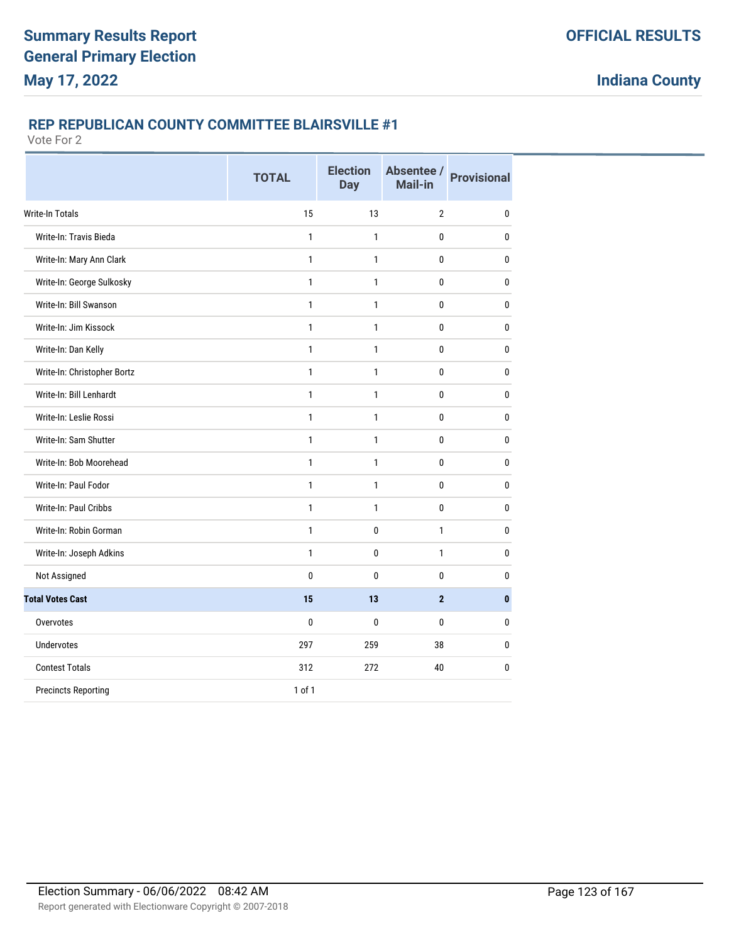### **REP REPUBLICAN COUNTY COMMITTEE BLAIRSVILLE #1**

|                             | <b>TOTAL</b> | <b>Election</b><br><b>Day</b> | Absentee /<br>Mail-in | <b>Provisional</b> |
|-----------------------------|--------------|-------------------------------|-----------------------|--------------------|
| <b>Write-In Totals</b>      | 15           | 13                            | $\overline{2}$        | $\mathbf 0$        |
| Write-In: Travis Bieda      | $\mathbf{1}$ | 1                             | 0                     | 0                  |
| Write-In: Mary Ann Clark    | $\mathbf{1}$ | $\mathbf{1}$                  | 0                     | 0                  |
| Write-In: George Sulkosky   | $\mathbf{1}$ | $\mathbf{1}$                  | 0                     | $\bf{0}$           |
| Write-In: Bill Swanson      | $\mathbf{1}$ | 1                             | 0                     | 0                  |
| Write-In: Jim Kissock       | $\mathbf{1}$ | $\mathbf{1}$                  | 0                     | $\bf{0}$           |
| Write-In: Dan Kelly         | $\mathbf{1}$ | $\mathbf{1}$                  | 0                     | 0                  |
| Write-In: Christopher Bortz | $\mathbf{1}$ | $\mathbf{1}$                  | 0                     | $\bf{0}$           |
| Write-In: Bill Lenhardt     | $\mathbf{1}$ | $\mathbf{1}$                  | 0                     | 0                  |
| Write-In: Leslie Rossi      | $\mathbf{1}$ | $\mathbf{1}$                  | 0                     | 0                  |
| Write-In: Sam Shutter       | $\mathbf{1}$ | $\mathbf{1}$                  | 0                     | 0                  |
| Write-In: Bob Moorehead     | $\mathbf{1}$ | 1                             | 0                     | 0                  |
| Write-In: Paul Fodor        | $\mathbf{1}$ | $\mathbf{1}$                  | 0                     | $\bf{0}$           |
| Write-In: Paul Cribbs       | $\mathbf{1}$ | 1                             | 0                     | $\mathbf{0}$       |
| Write-In: Robin Gorman      | $\mathbf{1}$ | 0                             | 1                     | $\mathbf{0}$       |
| Write-In: Joseph Adkins     | $\mathbf{1}$ | 0                             | 1                     | $\mathbf{0}$       |
| Not Assigned                | 0            | 0                             | 0                     | 0                  |
| <b>Total Votes Cast</b>     | 15           | 13                            | $\overline{2}$        | $\mathbf{0}$       |
| Overvotes                   | $\mathbf 0$  | $\mathbf{0}$                  | 0                     | $\mathbf{0}$       |
| <b>Undervotes</b>           | 297          | 259                           | 38                    | 0                  |
| <b>Contest Totals</b>       | 312          | 272                           | 40                    | 0                  |
| <b>Precincts Reporting</b>  | 1 of 1       |                               |                       |                    |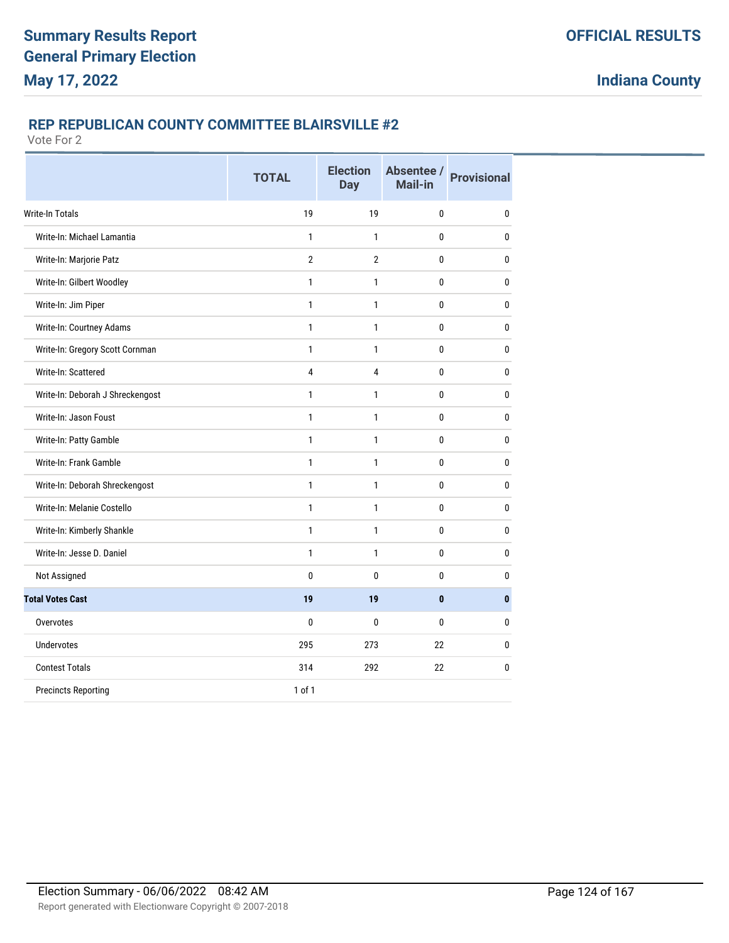### **REP REPUBLICAN COUNTY COMMITTEE BLAIRSVILLE #2**

|                                  | <b>TOTAL</b>   | <b>Election</b><br><b>Day</b> | Absentee /<br>Mail-in | <b>Provisional</b> |
|----------------------------------|----------------|-------------------------------|-----------------------|--------------------|
| <b>Write-In Totals</b>           | 19             | 19                            | $\mathbf{0}$          | 0                  |
| Write-In: Michael Lamantia       | 1              | 1                             | 0                     | $\mathbf{0}$       |
| Write-In: Marjorie Patz          | $\overline{2}$ | $\overline{2}$                | 0                     | $\mathbf{0}$       |
| Write-In: Gilbert Woodley        | $\mathbf{1}$   | 1                             | 0                     | $\mathbf{0}$       |
| Write-In: Jim Piper              | $\mathbf{1}$   | 1                             | 0                     | $\mathbf{0}$       |
| Write-In: Courtney Adams         | $\mathbf{1}$   | 1                             | 0                     | $\mathbf{0}$       |
| Write-In: Gregory Scott Cornman  | 1              | 1                             | 0                     | $\mathbf{0}$       |
| Write-In: Scattered              | 4              | 4                             | 0                     | $\mathbf{0}$       |
| Write-In: Deborah J Shreckengost | 1              | 1                             | 0                     | 0                  |
| Write-In: Jason Foust            | 1              | 1                             | 0                     | 0                  |
| Write-In: Patty Gamble           | 1              | 1                             | 0                     | $\mathbf{0}$       |
| Write-In: Frank Gamble           | 1              | 1                             | 0                     | $\mathbf{0}$       |
| Write-In: Deborah Shreckengost   | $\mathbf{1}$   | 1                             | 0                     | $\mathbf{0}$       |
| Write-In: Melanie Costello       | $\mathbf{1}$   | 1                             | 0                     | $\mathbf{0}$       |
| Write-In: Kimberly Shankle       | $\mathbf{1}$   | 1                             | 0                     | $\mathbf{0}$       |
| Write-In: Jesse D. Daniel        | 1              | 1                             | 0                     | $\mathbf{0}$       |
| Not Assigned                     | 0              | 0                             | 0                     | $\mathbf{0}$       |
| <b>Total Votes Cast</b>          | 19             | 19                            | 0                     | $\mathbf{0}$       |
| Overvotes                        | 0              | 0                             | 0                     | $\mathbf{0}$       |
| <b>Undervotes</b>                | 295            | 273                           | 22                    | $\mathbf{0}$       |
| <b>Contest Totals</b>            | 314            | 292                           | 22                    | $\mathbf{0}$       |
| <b>Precincts Reporting</b>       | $1$ of $1$     |                               |                       |                    |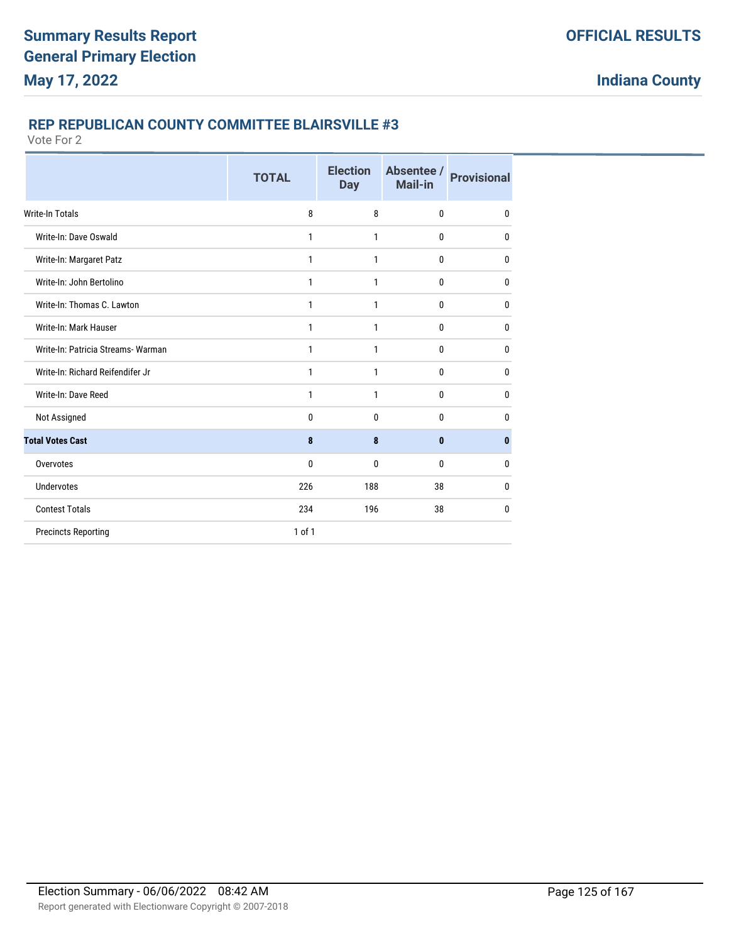#### **REP REPUBLICAN COUNTY COMMITTEE BLAIRSVILLE #3**

|                                    | <b>TOTAL</b> | <b>Election</b><br><b>Day</b> | Absentee /<br><b>Mail-in</b> | <b>Provisional</b> |
|------------------------------------|--------------|-------------------------------|------------------------------|--------------------|
| <b>Write-In Totals</b>             | 8            | 8                             | $\mathbf{0}$                 | $\mathbf{0}$       |
| Write-In: Dave Oswald              | 1            | $\mathbf{1}$                  | $\bf{0}$                     | $\mathbf{0}$       |
| Write-In: Margaret Patz            | 1            | 1                             | $\mathbf{0}$                 | $\mathbf{0}$       |
| Write-In: John Bertolino           | 1            | 1                             | $\bf{0}$                     | $\mathbf{0}$       |
| Write-In: Thomas C. Lawton         | 1            | 1                             | $\mathbf{0}$                 | $\mathbf{0}$       |
| Write-In: Mark Hauser              | 1            | 1                             | $\mathbf{0}$                 | $\mathbf{0}$       |
| Write-In: Patricia Streams- Warman | 1            | 1                             | $\bf{0}$                     | 0                  |
| Write-In: Richard Reifendifer Jr   | $\mathbf{1}$ | 1                             | $\mathbf 0$                  | 0                  |
| Write-In: Dave Reed                | 1            | 1                             | $\bf{0}$                     | $\mathbf{0}$       |
| Not Assigned                       | $\Omega$     | $\Omega$                      | $\mathbf{0}$                 | $\Omega$           |
| <b>Total Votes Cast</b>            | 8            | 8                             | $\mathbf{0}$                 | $\bf{0}$           |
| Overvotes                          | $\mathbf{0}$ | 0                             | $\mathbf{0}$                 | 0                  |
| Undervotes                         | 226          | 188                           | 38                           | $\mathbf{0}$       |
| <b>Contest Totals</b>              | 234          | 196                           | 38                           | 0                  |
| <b>Precincts Reporting</b>         | $1$ of $1$   |                               |                              |                    |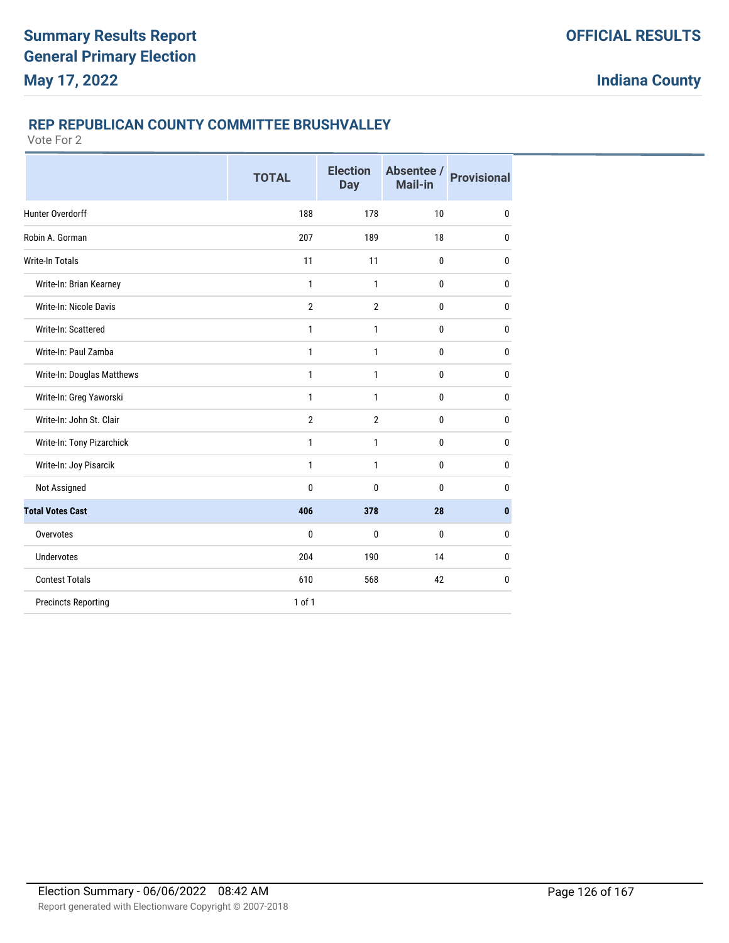### **REP REPUBLICAN COUNTY COMMITTEE BRUSHVALLEY**

|                               | <b>TOTAL</b>   | <b>Election</b><br><b>Day</b> | Absentee /<br>Mail-in | <b>Provisional</b> |
|-------------------------------|----------------|-------------------------------|-----------------------|--------------------|
| Hunter Overdorff              | 188            | 178                           | 10                    | 0                  |
| Robin A. Gorman               | 207            | 189                           | 18                    | $\mathbf{0}$       |
| <b>Write-In Totals</b>        | 11             | 11                            | 0                     | $\mathbf{0}$       |
| Write-In: Brian Kearney       | $\mathbf{1}$   | 1                             | 0                     | $\mathbf{0}$       |
| <b>Write-In: Nicole Davis</b> | $\overline{2}$ | $\overline{2}$                | 0                     | $\mathbf{0}$       |
| Write-In: Scattered           | 1              | 1                             | 0                     | $\mathbf{0}$       |
| Write-In: Paul Zamba          | 1              | 1                             | 0                     | $\mathbf{0}$       |
| Write-In: Douglas Matthews    | $\mathbf{1}$   | $\mathbf{1}$                  | 0                     | $\mathbf 0$        |
| Write-In: Greg Yaworski       | 1              | $\mathbf{1}$                  | 0                     | $\mathbf{0}$       |
| Write-In: John St. Clair      | $\overline{2}$ | $\overline{2}$                | 0                     | $\mathbf{0}$       |
| Write-In: Tony Pizarchick     | 1              | 1                             | 0                     | $\mathbf{0}$       |
| Write-In: Joy Pisarcik        | $\mathbf{1}$   | $\mathbf{1}$                  | 0                     | 0                  |
| Not Assigned                  | 0              | 0                             | 0                     | $\mathbf{0}$       |
| <b>Total Votes Cast</b>       | 406            | 378                           | 28                    | $\bf{0}$           |
| Overvotes                     | $\mathbf{0}$   | 0                             | $\mathbf{0}$          | $\bf{0}$           |
| <b>Undervotes</b>             | 204            | 190                           | 14                    | 0                  |
| <b>Contest Totals</b>         | 610            | 568                           | 42                    | 0                  |
| <b>Precincts Reporting</b>    | 1 of 1         |                               |                       |                    |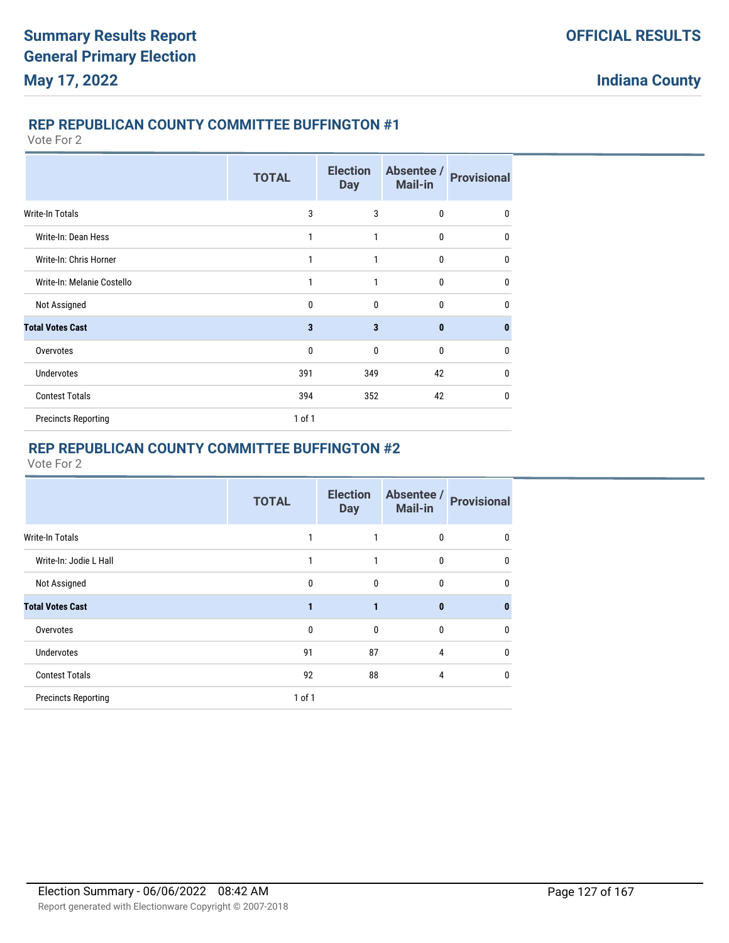#### **REP REPUBLICAN COUNTY COMMITTEE BUFFINGTON #1**

Vote For 2

|                            | <b>TOTAL</b> | <b>Election</b><br><b>Day</b> | Absentee /<br><b>Mail-in</b> | <b>Provisional</b> |
|----------------------------|--------------|-------------------------------|------------------------------|--------------------|
| Write-In Totals            | 3            | 3                             | 0                            | $\mathbf{0}$       |
| Write-In: Dean Hess        | 1            | 1                             | 0                            | 0                  |
| Write-In: Chris Horner     | 1            | 1                             | 0                            | $\mathbf{0}$       |
| Write-In: Melanie Costello | 1            | 1                             | 0                            | $\mathbf{0}$       |
| Not Assigned               | $\Omega$     | $\mathbf{0}$                  | $\mathbf{0}$                 | 0                  |
| <b>Total Votes Cast</b>    | 3            | 3                             | $\mathbf{0}$                 | $\mathbf{0}$       |
| Overvotes                  | 0            | $\mathbf{0}$                  | 0                            | 0                  |
| <b>Undervotes</b>          | 391          | 349                           | 42                           | $\mathbf{0}$       |
| <b>Contest Totals</b>      | 394          | 352                           | 42                           | $\mathbf{0}$       |
| <b>Precincts Reporting</b> | $1$ of $1$   |                               |                              |                    |

# **REP REPUBLICAN COUNTY COMMITTEE BUFFINGTON #2**

|                            | <b>TOTAL</b> | <b>Election</b><br><b>Day</b> | Absentee /<br><b>Mail-in</b> | <b>Provisional</b> |
|----------------------------|--------------|-------------------------------|------------------------------|--------------------|
| <b>Write-In Totals</b>     | 1            | 1                             | 0                            | 0                  |
| Write-In: Jodie L Hall     | 1            | 1                             | 0                            | 0                  |
| Not Assigned               | $\mathbf{0}$ | $\mathbf{0}$                  | $\mathbf{0}$                 | 0                  |
| <b>Total Votes Cast</b>    | 1            | 1                             | $\bf{0}$                     | $\bf{0}$           |
| Overvotes                  | $\mathbf{0}$ | $\mathbf{0}$                  | 0                            | 0                  |
| Undervotes                 | 91           | 87                            | 4                            | 0                  |
| <b>Contest Totals</b>      | 92           | 88                            | 4                            | 0                  |
| <b>Precincts Reporting</b> | $1$ of $1$   |                               |                              |                    |
|                            |              |                               |                              |                    |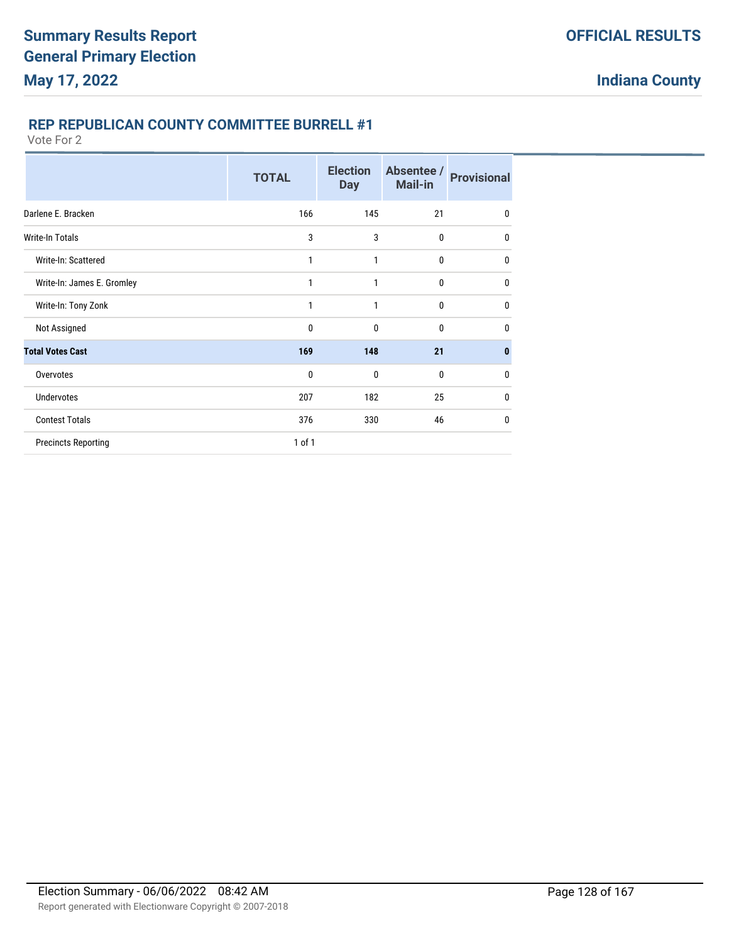### **REP REPUBLICAN COUNTY COMMITTEE BURRELL #1**

|                            | <b>TOTAL</b> | <b>Election</b><br><b>Day</b> | Absentee /<br><b>Mail-in</b> | <b>Provisional</b> |
|----------------------------|--------------|-------------------------------|------------------------------|--------------------|
| Darlene E. Bracken         | 166          | 145                           | 21                           | $\mathbf{0}$       |
| <b>Write-In Totals</b>     | 3            | 3                             | $\mathbf{0}$                 | 0                  |
| Write-In: Scattered        | 1            | 1                             | $\mathbf{0}$                 | $\mathbf{0}$       |
| Write-In: James E. Gromley | 1            | 1                             | $\mathbf{0}$                 | $\mathbf{0}$       |
| Write-In: Tony Zonk        | 1            | 1                             | $\bf{0}$                     | $\mathbf{0}$       |
| Not Assigned               | 0            | 0                             | $\mathbf{0}$                 | 0                  |
| <b>Total Votes Cast</b>    | 169          | 148                           | 21                           | $\bf{0}$           |
| Overvotes                  | 0            | 0                             | $\Omega$                     | $\mathbf{0}$       |
| <b>Undervotes</b>          | 207          | 182                           | 25                           | $\mathbf{0}$       |
| <b>Contest Totals</b>      | 376          | 330                           | 46                           | $\mathbf{0}$       |
| <b>Precincts Reporting</b> | $1$ of $1$   |                               |                              |                    |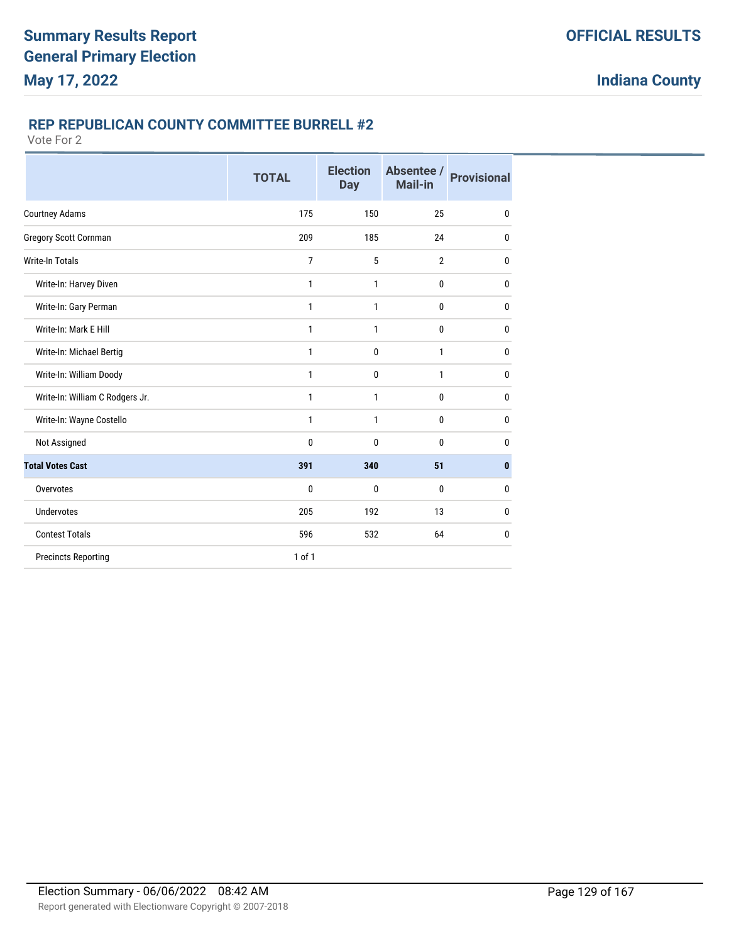### **REP REPUBLICAN COUNTY COMMITTEE BURRELL #2**

|                                 | <b>TOTAL</b>   | <b>Election</b><br><b>Day</b> | Absentee /<br><b>Mail-in</b> | <b>Provisional</b> |
|---------------------------------|----------------|-------------------------------|------------------------------|--------------------|
| <b>Courtney Adams</b>           | 175            | 150                           | 25                           | $\mathbf{0}$       |
| <b>Gregory Scott Cornman</b>    | 209            | 185                           | 24                           | $\mathbf{0}$       |
| Write-In Totals                 | $\overline{7}$ | 5                             | $\overline{2}$               | 0                  |
| Write-In: Harvey Diven          | 1              | 1                             | 0                            | 0                  |
| Write-In: Gary Perman           | 1              | 1                             | 0                            | 0                  |
| Write-In: Mark E Hill           | 1              | 1                             | $\bf{0}$                     | $\mathbf{0}$       |
| Write-In: Michael Bertig        | 1              | 0                             | $\mathbf{1}$                 | $\mathbf{0}$       |
| Write-In: William Doody         | 1              | 0                             | $\mathbf{1}$                 | $\mathbf{0}$       |
| Write-In: William C Rodgers Jr. | 1              | 1                             | $\bf{0}$                     | $\mathbf{0}$       |
| Write-In: Wayne Costello        | 1              | 1                             | $\bf{0}$                     | 0                  |
| Not Assigned                    | $\bf{0}$       | 0                             | $\bf{0}$                     | $\mathbf 0$        |
| <b>Total Votes Cast</b>         | 391            | 340                           | 51                           | $\bf{0}$           |
| Overvotes                       | 0              | 0                             | $\mathbf{0}$                 | $\mathbf{0}$       |
| <b>Undervotes</b>               | 205            | 192                           | 13                           | 0                  |
| <b>Contest Totals</b>           | 596            | 532                           | 64                           | 0                  |
| <b>Precincts Reporting</b>      | 1 of 1         |                               |                              |                    |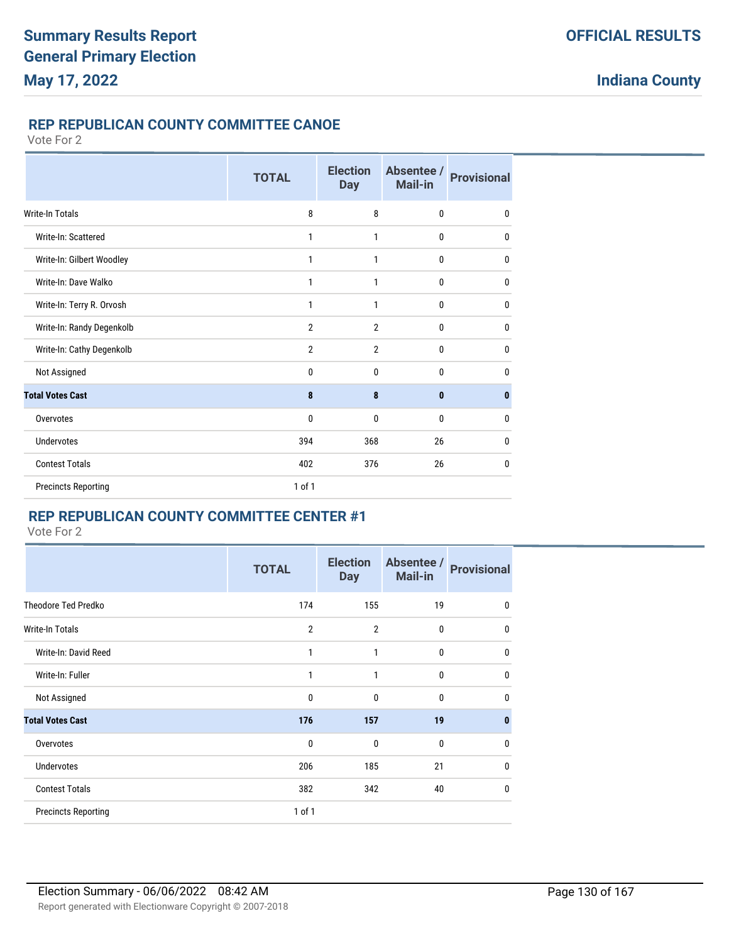# **REP REPUBLICAN COUNTY COMMITTEE CANOE**

#### Vote For 2

|                            | <b>TOTAL</b>   | <b>Election</b><br><b>Day</b> | Absentee /<br>Mail-in | <b>Provisional</b> |
|----------------------------|----------------|-------------------------------|-----------------------|--------------------|
| <b>Write-In Totals</b>     | 8              | 8                             | $\mathbf 0$           | $\mathbf{0}$       |
| Write-In: Scattered        | 1              | 1                             | $\mathbf{0}$          | $\mathbf{0}$       |
| Write-In: Gilbert Woodley  | 1              | $\mathbf{1}$                  | $\mathbf{0}$          | $\mathbf{0}$       |
| Write-In: Dave Walko       | 1              | 1                             | $\mathbf{0}$          | $\mathbf{0}$       |
| Write-In: Terry R. Orvosh  | 1              | 1                             | $\mathbf{0}$          | $\mathbf{0}$       |
| Write-In: Randy Degenkolb  | $\overline{2}$ | $\overline{2}$                | $\mathbf{0}$          | $\mathbf{0}$       |
| Write-In: Cathy Degenkolb  | $\overline{2}$ | $\overline{2}$                | $\mathbf{0}$          | $\mathbf{0}$       |
| Not Assigned               | 0              | 0                             | $\mathbf{0}$          | $\mathbf{0}$       |
| <b>Total Votes Cast</b>    | 8              | 8                             | $\mathbf{0}$          | $\mathbf{0}$       |
| Overvotes                  | 0              | $\mathbf{0}$                  | $\mathbf{0}$          | $\mathbf{0}$       |
| Undervotes                 | 394            | 368                           | 26                    | $\mathbf{0}$       |
| <b>Contest Totals</b>      | 402            | 376                           | 26                    | $\mathbf{0}$       |
| <b>Precincts Reporting</b> | $1$ of $1$     |                               |                       |                    |

#### **REP REPUBLICAN COUNTY COMMITTEE CENTER #1**

|                            | <b>TOTAL</b>   | <b>Election</b><br><b>Day</b> | Absentee /<br><b>Mail-in</b> | <b>Provisional</b> |
|----------------------------|----------------|-------------------------------|------------------------------|--------------------|
| Theodore Ted Predko        | 174            | 155                           | 19                           | $\mathbf 0$        |
| <b>Write-In Totals</b>     | $\overline{2}$ | $\overline{2}$                | 0                            | $\mathbf 0$        |
| Write-In: David Reed       | 1              | 1                             | 0                            | $\mathbf{0}$       |
| Write-In: Fuller           | 1              | 1                             | 0                            | $\mathbf{0}$       |
| Not Assigned               | 0              | $\mathbf{0}$                  | 0                            | $\mathbf{0}$       |
| <b>Total Votes Cast</b>    | 176            | 157                           | 19                           | $\mathbf{0}$       |
| Overvotes                  | 0              | 0                             | $\mathbf{0}$                 | $\mathbf 0$        |
| <b>Undervotes</b>          | 206            | 185                           | 21                           | $\mathbf{0}$       |
| <b>Contest Totals</b>      | 382            | 342                           | 40                           | $\mathbf{0}$       |
| <b>Precincts Reporting</b> | 1 of 1         |                               |                              |                    |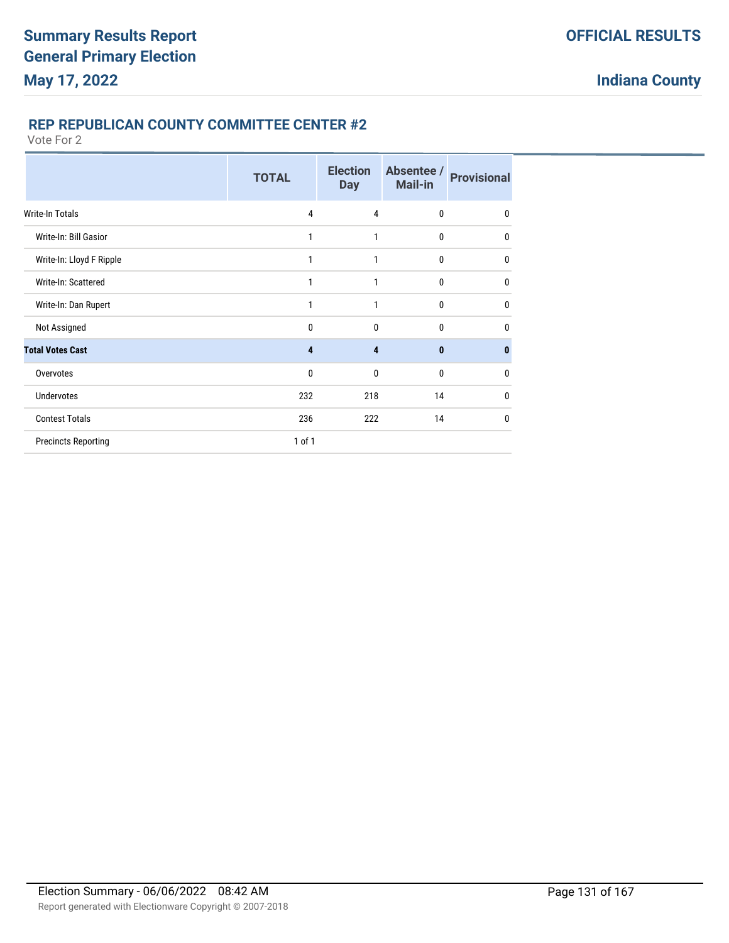### **REP REPUBLICAN COUNTY COMMITTEE CENTER #2**

|                            | <b>TOTAL</b> | <b>Election</b><br><b>Day</b> | Absentee /<br><b>Mail-in</b> | <b>Provisional</b> |
|----------------------------|--------------|-------------------------------|------------------------------|--------------------|
| <b>Write-In Totals</b>     | 4            | 4                             | $\mathbf{0}$                 | 0                  |
| Write-In: Bill Gasior      | 1            | 1                             | $\bf{0}$                     | 0                  |
| Write-In: Lloyd F Ripple   | 1            | 1                             | $\bf{0}$                     | 0                  |
| Write-In: Scattered        | 1            | 1                             | $\mathbf 0$                  | $\mathbf{0}$       |
| Write-In: Dan Rupert       | 1            | 1                             | $\mathbf{0}$                 | $\mathbf{0}$       |
| Not Assigned               | $\mathbf{0}$ | 0                             | $\mathbf{0}$                 | 0                  |
| <b>Total Votes Cast</b>    | 4            | 4                             | $\mathbf{0}$                 | 0                  |
| Overvotes                  | $\mathbf{0}$ | 0                             | $\mathbf{0}$                 | 0                  |
| <b>Undervotes</b>          | 232          | 218                           | 14                           | 0                  |
| <b>Contest Totals</b>      | 236          | 222                           | 14                           | 0                  |
| <b>Precincts Reporting</b> | 1 of 1       |                               |                              |                    |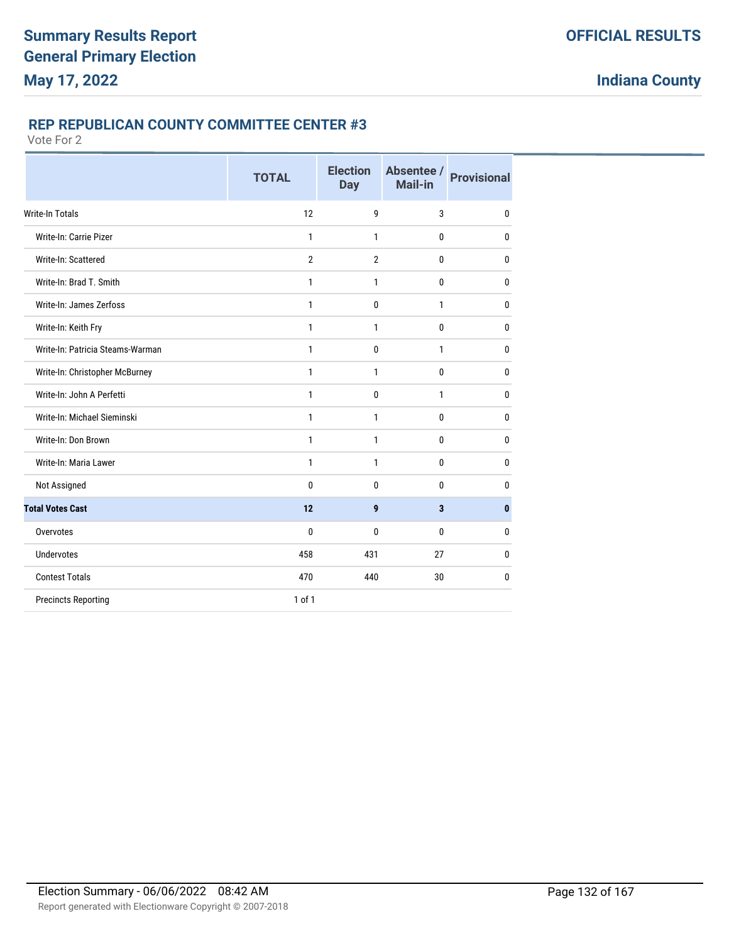### **REP REPUBLICAN COUNTY COMMITTEE CENTER #3**

|                                  | <b>TOTAL</b>   | <b>Election</b><br><b>Day</b> | Absentee /<br>Mail-in | <b>Provisional</b> |
|----------------------------------|----------------|-------------------------------|-----------------------|--------------------|
| <b>Write-In Totals</b>           | 12             | 9                             | 3                     | $\mathbf{0}$       |
| Write-In: Carrie Pizer           | 1              | 1                             | 0                     | $\mathbf{0}$       |
| Write-In: Scattered              | $\overline{2}$ | $\overline{2}$                | 0                     | $\mathbf{0}$       |
| Write-In: Brad T. Smith          | 1              | $\mathbf{1}$                  | 0                     | $\mathbf{0}$       |
| Write-In: James Zerfoss          | 1              | 0                             | 1                     | 0                  |
| Write-In: Keith Fry              | 1              | 1                             | 0                     | 0                  |
| Write-In: Patricia Steams-Warman | $\mathbf{1}$   | 0                             | 1                     | $\mathbf{0}$       |
| Write-In: Christopher McBurney   | $\mathbf{1}$   | 1                             | $\bf{0}$              | $\mathbf{0}$       |
| Write-In: John A Perfetti        | $\mathbf{1}$   | 0                             | 1                     | $\mathbf{0}$       |
| Write-In: Michael Sieminski      | 1              | 1                             | 0                     | $\mathbf{0}$       |
| Write-In: Don Brown              | 1              | $\mathbf{1}$                  | 0                     | $\mathbf{0}$       |
| Write-In: Maria Lawer            | 1              | $\mathbf{1}$                  | 0                     | $\mathbf{0}$       |
| Not Assigned                     | 0              | 0                             | 0                     | 0                  |
| <b>Total Votes Cast</b>          | 12             | 9                             | 3                     | $\mathbf{0}$       |
| Overvotes                        | 0              | 0                             | 0                     | 0                  |
| <b>Undervotes</b>                | 458            | 431                           | 27                    | 0                  |
| <b>Contest Totals</b>            | 470            | 440                           | 30                    | 0                  |
| <b>Precincts Reporting</b>       | $1$ of $1$     |                               |                       |                    |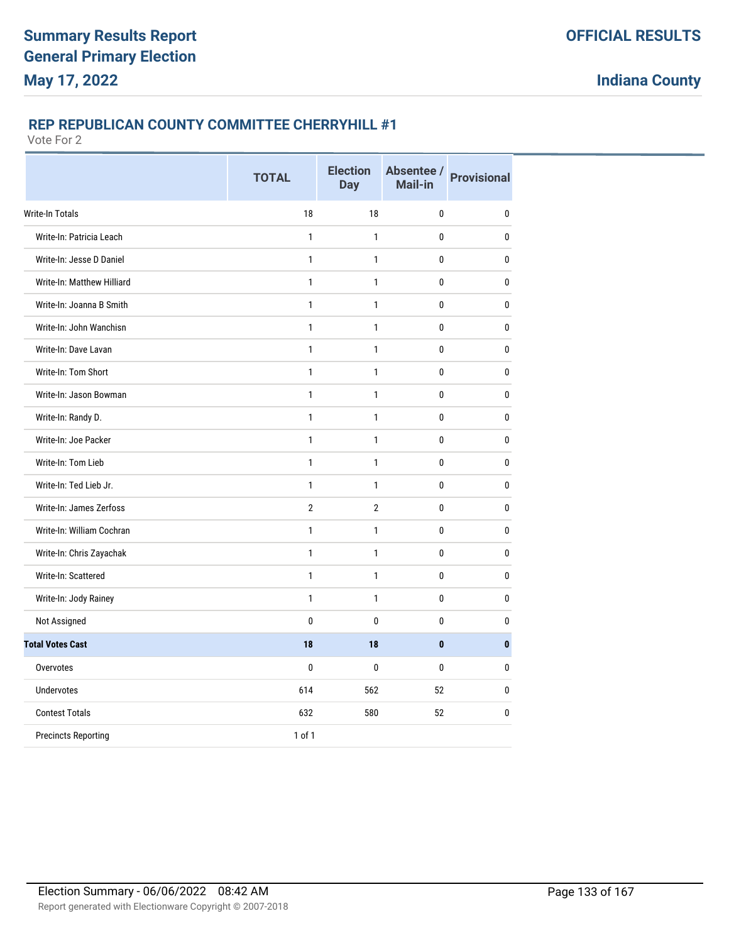#### **REP REPUBLICAN COUNTY COMMITTEE CHERRYHILL #1**

|                            | <b>TOTAL</b>   | <b>Election</b><br><b>Day</b> | Mail-in      | Absentee / Provisional |
|----------------------------|----------------|-------------------------------|--------------|------------------------|
| Write-In Totals            | 18             | 18                            | 0            | $\pmb{0}$              |
| Write-In: Patricia Leach   | $\mathbf{1}$   | $\mathbf{1}$                  | 0            | $\pmb{0}$              |
| Write-In: Jesse D Daniel   | $\mathbf{1}$   | 1                             | 0            | $\bf{0}$               |
| Write-In: Matthew Hilliard | $\mathbf{1}$   | $\mathbf{1}$                  | 0            | $\pmb{0}$              |
| Write-In: Joanna B Smith   | $\mathbf{1}$   | 1                             | 0            | $\bf{0}$               |
| Write-In: John Wanchisn    | $\mathbf{1}$   | $\mathbf{1}$                  | 0            | $\bf{0}$               |
| Write-In: Dave Lavan       | $\mathbf{1}$   | $\mathbf{1}$                  | 0            | $\bf{0}$               |
| Write-In: Tom Short        | $\mathbf{1}$   | $\mathbf{1}$                  | 0            | 0                      |
| Write-In: Jason Bowman     | $\mathbf{1}$   | $\mathbf{1}$                  | 0            | $\mathbf{0}$           |
| Write-In: Randy D.         | $\mathbf{1}$   | 1                             | 0            | 0                      |
| Write-In: Joe Packer       | $\mathbf{1}$   | 1                             | 0            | 0                      |
| Write-In: Tom Lieb         | $\mathbf{1}$   | $\mathbf{1}$                  | 0            | 0                      |
| Write-In: Ted Lieb Jr.     | $\mathbf{1}$   | 1                             | 0            | 0                      |
| Write-In: James Zerfoss    | $\overline{2}$ | $\overline{2}$                | 0            | 0                      |
| Write-In: William Cochran  | $\mathbf{1}$   | $\mathbf{1}$                  | 0            | 0                      |
| Write-In: Chris Zayachak   | $\mathbf{1}$   | 1                             | 0            | 0                      |
| Write-In: Scattered        | $\mathbf{1}$   | $\mathbf{1}$                  | 0            | 0                      |
| Write-In: Jody Rainey      | $\mathbf{1}$   | 1                             | 0            | $\pmb{0}$              |
| Not Assigned               | 0              | 0                             | 0            | $\mathbf{0}$           |
| <b>Total Votes Cast</b>    | 18             | 18                            | $\mathbf{0}$ | $\bf{0}$               |
| Overvotes                  | 0              | 0                             | 0            | $\mathbf{0}$           |
| <b>Undervotes</b>          | 614            | 562                           | 52           | $\mathbf{0}$           |
| <b>Contest Totals</b>      | 632            | 580                           | 52           | $\mathbf{0}$           |
| <b>Precincts Reporting</b> | 1 of 1         |                               |              |                        |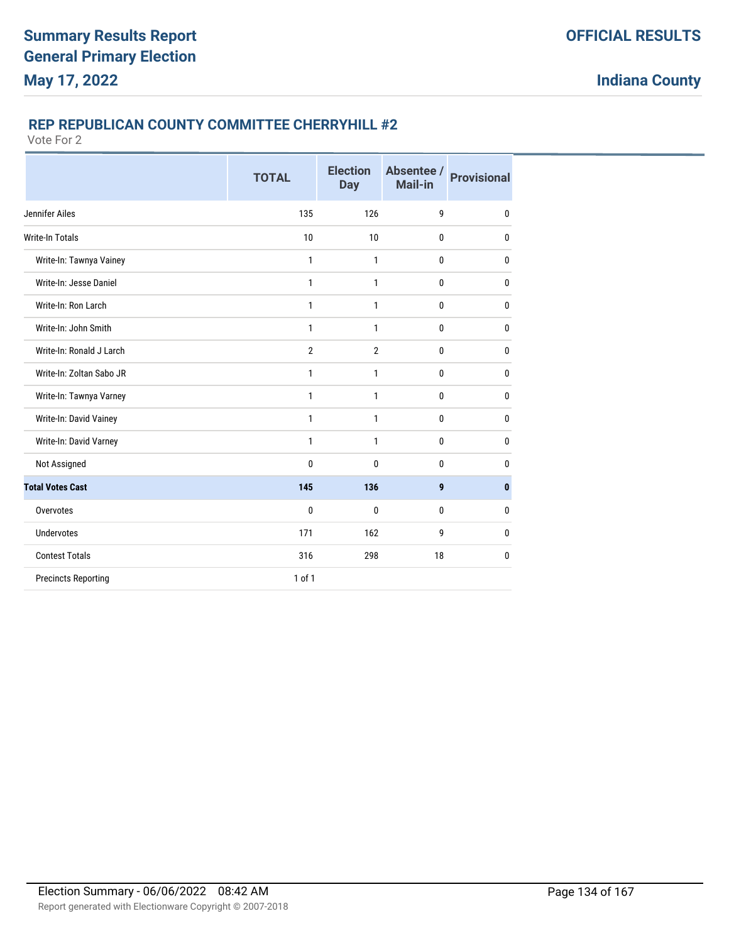#### **REP REPUBLICAN COUNTY COMMITTEE CHERRYHILL #2**

|                            | <b>TOTAL</b>   | <b>Election</b><br><b>Day</b> | Absentee /<br><b>Mail-in</b> | <b>Provisional</b> |
|----------------------------|----------------|-------------------------------|------------------------------|--------------------|
| Jennifer Ailes             | 135            | 126                           | 9                            | 0                  |
| <b>Write-In Totals</b>     | 10             | 10                            | $\bf{0}$                     | 0                  |
| Write-In: Tawnya Vainey    | 1              | 1                             | $\bf{0}$                     | 0                  |
| Write-In: Jesse Daniel     | $\mathbf{1}$   | 1                             | $\bf{0}$                     | $\mathbf{0}$       |
| Write-In: Ron Larch        | 1              | 1                             | $\bf{0}$                     | $\mathbf{0}$       |
| Write-In: John Smith       | $\mathbf{1}$   | $\mathbf{1}$                  | $\bf{0}$                     | $\mathbf{0}$       |
| Write-In: Ronald J Larch   | $\overline{2}$ | $\overline{2}$                | $\bf{0}$                     | 0                  |
| Write-In: Zoltan Sabo JR   | 1              | 1                             | $\bf{0}$                     | $\mathbf{0}$       |
| Write-In: Tawnya Varney    | 1              | 1                             | $\mathbf{0}$                 | 0                  |
| Write-In: David Vainey     | 1              | 1                             | 0                            | $\mathbf{0}$       |
| Write-In: David Varney     | 1              | 1                             | $\mathbf{0}$                 | $\mathbf{0}$       |
| Not Assigned               | 0              | $\mathbf{0}$                  | 0                            | $\mathbf{0}$       |
| <b>Total Votes Cast</b>    | 145            | 136                           | $\boldsymbol{9}$             | $\bf{0}$           |
| Overvotes                  | $\bf{0}$       | 0                             | $\mathbf{0}$                 | $\mathbf{0}$       |
| <b>Undervotes</b>          | 171            | 162                           | 9                            | $\mathbf{0}$       |
| <b>Contest Totals</b>      | 316            | 298                           | 18                           | $\mathbf 0$        |
| <b>Precincts Reporting</b> | 1 of 1         |                               |                              |                    |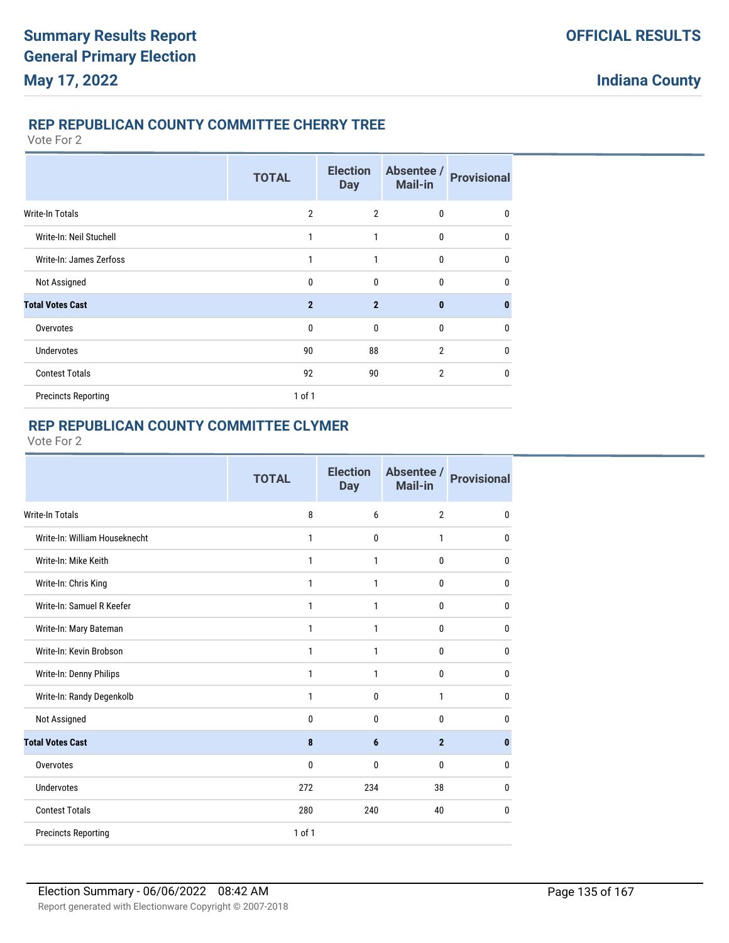### **REP REPUBLICAN COUNTY COMMITTEE CHERRY TREE**

Vote For 2

|                            | <b>TOTAL</b>   | <b>Election</b><br><b>Day</b> | Absentee /<br>Mail-in | <b>Provisional</b> |
|----------------------------|----------------|-------------------------------|-----------------------|--------------------|
| <b>Write-In Totals</b>     | $\overline{2}$ | $\overline{2}$                | 0                     | 0                  |
| Write-In: Neil Stuchell    | 1              | 1                             | 0                     | 0                  |
| Write-In: James Zerfoss    | 1              | $\mathbf{1}$                  | $\mathbf{0}$          | 0                  |
| Not Assigned               | 0              | $\mathbf{0}$                  | $\mathbf{0}$          | 0                  |
| <b>Total Votes Cast</b>    | $\overline{2}$ | $\overline{2}$                | $\bf{0}$              | $\bf{0}$           |
| Overvotes                  | $\mathbf{0}$   | $\mathbf{0}$                  | $\mathbf{0}$          | $\mathbf 0$        |
| <b>Undervotes</b>          | 90             | 88                            | $\overline{2}$        | $\mathbf{0}$       |
| <b>Contest Totals</b>      | 92             | 90                            | $\overline{2}$        | $\mathbf{0}$       |
| <b>Precincts Reporting</b> | 1 of 1         |                               |                       |                    |

### **REP REPUBLICAN COUNTY COMMITTEE CLYMER**

|                               | <b>TOTAL</b> | <b>Election</b><br><b>Day</b> | Absentee /<br>Mail-in | <b>Provisional</b> |
|-------------------------------|--------------|-------------------------------|-----------------------|--------------------|
| <b>Write-In Totals</b>        | 8            | 6                             | $\overline{2}$        | 0                  |
| Write-In: William Houseknecht | 1            | 0                             | 1                     | 0                  |
| Write-In: Mike Keith          | 1            | 1                             | 0                     | 0                  |
| Write-In: Chris King          | 1            | 1                             | 0                     | $\mathbf 0$        |
| Write-In: Samuel R Keefer     | 1            | 1                             | 0                     | $\mathbf 0$        |
| Write-In: Mary Bateman        | 1            | 1                             | 0                     | $\mathbf 0$        |
| Write-In: Kevin Brobson       | 1            | 1                             | $\mathbf{0}$          | $\bf{0}$           |
| Write-In: Denny Philips       | 1            | 1                             | 0                     | $\mathbf 0$        |
| Write-In: Randy Degenkolb     | 1            | 0                             | 1                     | $\mathbf 0$        |
| Not Assigned                  | 0            | $\mathbf{0}$                  | $\mathbf{0}$          | 0                  |
| <b>Total Votes Cast</b>       | 8            | 6                             | $\overline{2}$        | $\bf{0}$           |
| Overvotes                     | 0            | $\mathbf{0}$                  | 0                     | $\mathbf 0$        |
| <b>Undervotes</b>             | 272          | 234                           | 38                    | 0                  |
| <b>Contest Totals</b>         | 280          | 240                           | 40                    | 0                  |
| <b>Precincts Reporting</b>    | 1 of 1       |                               |                       |                    |
|                               |              |                               |                       |                    |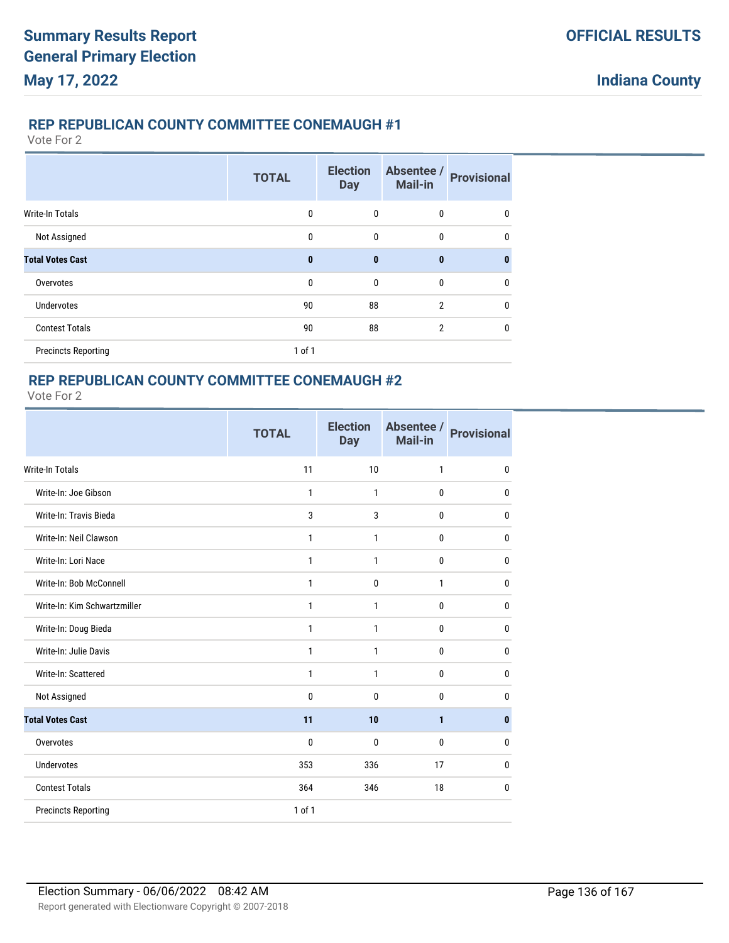### **REP REPUBLICAN COUNTY COMMITTEE CONEMAUGH #1**

Vote For 2

|                            | <b>TOTAL</b> | <b>Election</b><br><b>Day</b> | Absentee /<br>Mail-in | <b>Provisional</b> |
|----------------------------|--------------|-------------------------------|-----------------------|--------------------|
| <b>Write-In Totals</b>     | $\mathbf{0}$ | $\mathbf{0}$                  | $\mathbf{0}$          | 0                  |
| Not Assigned               | $\mathbf{0}$ | $\mathbf{0}$                  | $\mathbf{0}$          | $\mathbf{0}$       |
| <b>Total Votes Cast</b>    | $\mathbf{0}$ | $\mathbf{0}$                  | $\bf{0}$              | $\bf{0}$           |
| Overvotes                  | $\mathbf{0}$ | $\mathbf{0}$                  | $\mathbf{0}$          | 0                  |
| <b>Undervotes</b>          | 90           | 88                            | $\mathfrak{p}$        | $\mathbf 0$        |
| <b>Contest Totals</b>      | 90           | 88                            | $\overline{2}$        | $\mathbf{0}$       |
| <b>Precincts Reporting</b> | $1$ of $1$   |                               |                       |                    |

### **REP REPUBLICAN COUNTY COMMITTEE CONEMAUGH #2**

|                              | <b>TOTAL</b> | <b>Election</b><br><b>Day</b> | Absentee /<br><b>Mail-in</b> | <b>Provisional</b> |
|------------------------------|--------------|-------------------------------|------------------------------|--------------------|
| <b>Write-In Totals</b>       | 11           | 10                            | $\mathbf{1}$                 | $\mathbf 0$        |
| Write-In: Joe Gibson         | $\mathbf{1}$ | $\mathbf{1}$                  | 0                            | $\mathbf 0$        |
| Write-In: Travis Bieda       | 3            | 3                             | $\mathbf{0}$                 | $\mathbf 0$        |
| Write-In: Neil Clawson       | $\mathbf{1}$ | 1                             | 0                            | $\mathbf 0$        |
| Write-In: Lori Nace          | $\mathbf{1}$ | $\mathbf{1}$                  | $\mathbf{0}$                 | $\mathbf 0$        |
| Write-In: Bob McConnell      | $\mathbf{1}$ | $\mathbf{0}$                  | $\mathbf{1}$                 | $\mathbf 0$        |
| Write-In: Kim Schwartzmiller | 1            | 1                             | 0                            | $\mathbf 0$        |
| Write-In: Doug Bieda         | 1            | 1                             | 0                            | $\mathbf 0$        |
| Write-In: Julie Davis        | 1            | 1                             | 0                            | $\mathbf 0$        |
| Write-In: Scattered          | $\mathbf{1}$ | $\mathbf{1}$                  | 0                            | $\mathbf 0$        |
| Not Assigned                 | $\mathbf 0$  | $\mathbf{0}$                  | $\mathbf{0}$                 | $\mathbf 0$        |
| <b>Total Votes Cast</b>      | 11           | 10                            | $\mathbf{1}$                 | $\pmb{0}$          |
| Overvotes                    | $\mathbf{0}$ | $\mathbf{0}$                  | $\mathbf{0}$                 | $\mathbf 0$        |
| <b>Undervotes</b>            | 353          | 336                           | 17                           | $\mathbf 0$        |
| <b>Contest Totals</b>        | 364          | 346                           | 18                           | $\mathbf 0$        |
| <b>Precincts Reporting</b>   | 1 of 1       |                               |                              |                    |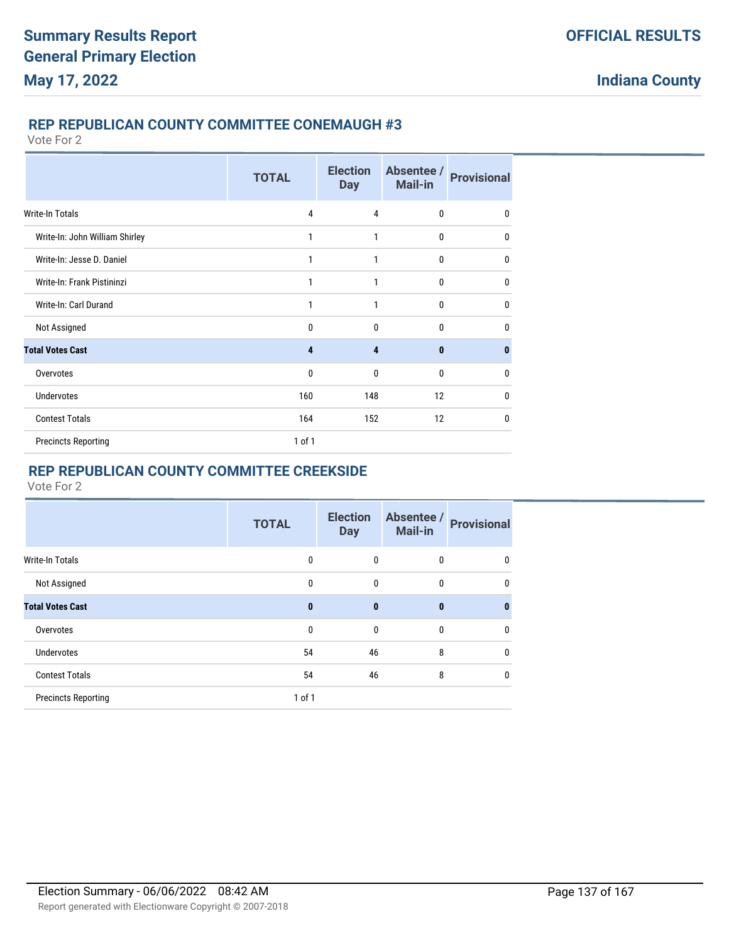#### **REP REPUBLICAN COUNTY COMMITTEE CONEMAUGH #3**

Vote For 2

|                                | <b>TOTAL</b> | <b>Election</b><br><b>Day</b> | Absentee /<br><b>Mail-in</b> | <b>Provisional</b> |
|--------------------------------|--------------|-------------------------------|------------------------------|--------------------|
| Write-In Totals                | 4            | 4                             | $\mathbf{0}$                 | 0                  |
| Write-In: John William Shirley | 1            | 1                             | $\mathbf{0}$                 | 0                  |
| Write-In: Jesse D. Daniel      | 1            | 1                             | $\mathbf 0$                  | 0                  |
| Write-In: Frank Pistininzi     | 1            | 1                             | $\mathbf{0}$                 | 0                  |
| Write-In: Carl Durand          | 1            | 1                             | $\mathbf{0}$                 | 0                  |
| Not Assigned                   | 0            | $\mathbf{0}$                  | $\mathbf{0}$                 | 0                  |
| <b>Total Votes Cast</b>        | 4            | $\overline{4}$                | $\bf{0}$                     | $\bf{0}$           |
| Overvotes                      | $\mathbf{0}$ | $\mathbf{0}$                  | $\mathbf{0}$                 | 0                  |
| <b>Undervotes</b>              | 160          | 148                           | 12                           | 0                  |
| <b>Contest Totals</b>          | 164          | 152                           | 12                           | 0                  |
| <b>Precincts Reporting</b>     | 1 of 1       |                               |                              |                    |

# **REP REPUBLICAN COUNTY COMMITTEE CREEKSIDE**

|                            | <b>TOTAL</b> | <b>Election</b><br><b>Day</b> | Absentee /<br>Mail-in | <b>Provisional</b> |
|----------------------------|--------------|-------------------------------|-----------------------|--------------------|
| Write-In Totals            | 0            | 0                             | 0                     | 0                  |
| Not Assigned               | $\mathbf{0}$ | $\mathbf 0$                   | 0                     | $\mathbf 0$        |
| <b>Total Votes Cast</b>    | $\bf{0}$     | $\mathbf{0}$                  | $\bf{0}$              | 0                  |
| Overvotes                  | $\mathbf 0$  | $\mathbf 0$                   | $\mathbf{0}$          | $\mathbf 0$        |
| <b>Undervotes</b>          | 54           | 46                            | 8                     | $\mathbf 0$        |
| <b>Contest Totals</b>      | 54           | 46                            | 8                     | $\mathbf 0$        |
| <b>Precincts Reporting</b> | $1$ of $1$   |                               |                       |                    |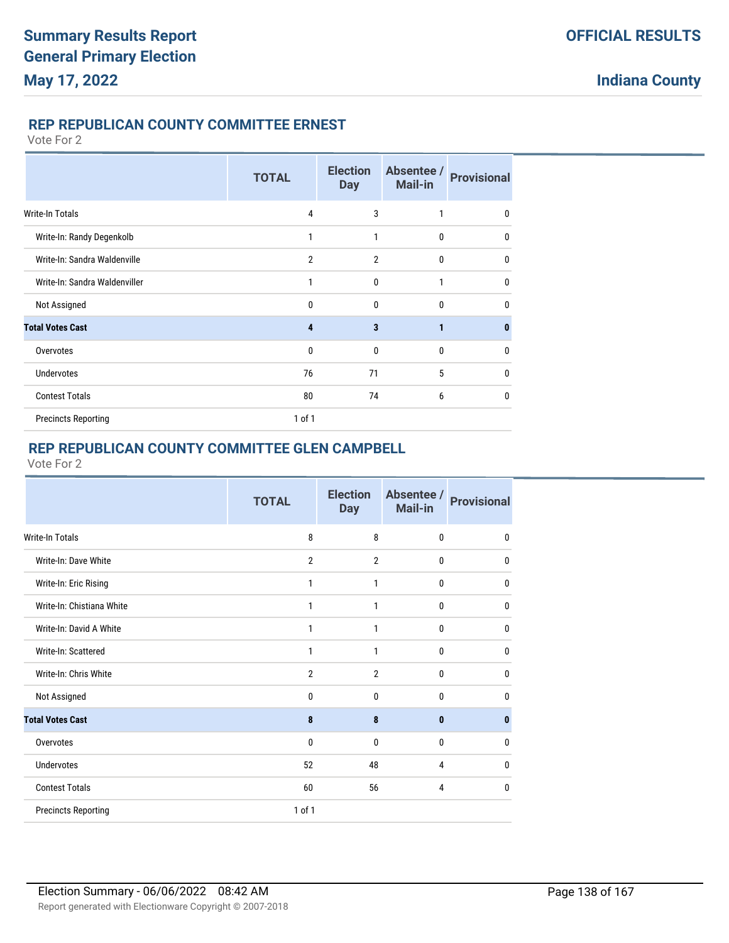### **REP REPUBLICAN COUNTY COMMITTEE ERNEST**

Vote For 2

|                               | <b>TOTAL</b>   | <b>Election</b><br><b>Day</b> | Absentee /<br><b>Mail-in</b> | <b>Provisional</b> |
|-------------------------------|----------------|-------------------------------|------------------------------|--------------------|
| Write-In Totals               | $\overline{4}$ | 3                             | 1                            | $\mathbf{0}$       |
| Write-In: Randy Degenkolb     | 1              | 1                             | 0                            | 0                  |
| Write-In: Sandra Waldenville  | $\overline{2}$ | $\overline{2}$                | 0                            | 0                  |
| Write-In: Sandra Waldenviller | 1              | $\mathbf{0}$                  | 1                            | $\mathbf{0}$       |
| Not Assigned                  | 0              | 0                             | $\mathbf{0}$                 | 0                  |
| <b>Total Votes Cast</b>       | 4              | 3                             | 1                            | $\bf{0}$           |
| Overvotes                     | 0              | $\mathbf{0}$                  | 0                            | 0                  |
| <b>Undervotes</b>             | 76             | 71                            | 5                            | $\mathbf{0}$       |
| <b>Contest Totals</b>         | 80             | 74                            | 6                            | 0                  |
| <b>Precincts Reporting</b>    | $1$ of $1$     |                               |                              |                    |

# **REP REPUBLICAN COUNTY COMMITTEE GLEN CAMPBELL**

|                            | <b>TOTAL</b>   | <b>Election</b><br><b>Day</b> | Absentee /<br><b>Mail-in</b> | <b>Provisional</b> |
|----------------------------|----------------|-------------------------------|------------------------------|--------------------|
| <b>Write-In Totals</b>     | 8              | 8                             | $\mathbf{0}$                 | 0                  |
| Write-In: Dave White       | $\overline{2}$ | $\overline{2}$                | $\mathbf{0}$                 | 0                  |
| Write-In: Eric Rising      | 1              | 1                             | $\mathbf 0$                  | 0                  |
| Write-In: Chistiana White  | 1              | 1                             | $\mathbf{0}$                 | $\mathbf{0}$       |
| Write-In: David A White    | 1              | 1                             | $\mathbf 0$                  | 0                  |
| Write-In: Scattered        | $\mathbf{1}$   | $\mathbf{1}$                  | $\mathbf{0}$                 | 0                  |
| Write-In: Chris White      | $\overline{2}$ | $\overline{2}$                | $\mathbf{0}$                 | 0                  |
| Not Assigned               | $\mathbf 0$    | $\mathbf{0}$                  | $\mathbf{0}$                 | 0                  |
| <b>Total Votes Cast</b>    | 8              | 8                             | $\mathbf{0}$                 | 0                  |
| Overvotes                  | $\mathbf{0}$   | $\mathbf{0}$                  | $\mathbf{0}$                 | $\mathbf{0}$       |
| <b>Undervotes</b>          | 52             | 48                            | 4                            | $\mathbf{0}$       |
| <b>Contest Totals</b>      | 60             | 56                            | 4                            | 0                  |
| <b>Precincts Reporting</b> | 1 of 1         |                               |                              |                    |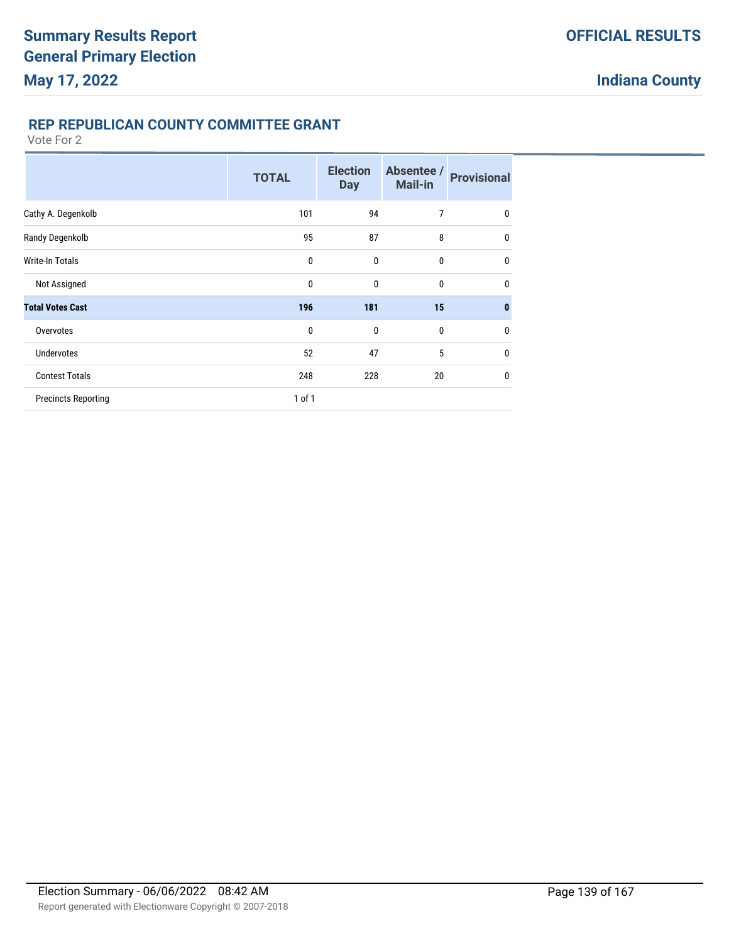### **REP REPUBLICAN COUNTY COMMITTEE GRANT**

|                            | <b>TOTAL</b> | <b>Election</b><br><b>Day</b> | Absentee /<br><b>Mail-in</b> | <b>Provisional</b> |
|----------------------------|--------------|-------------------------------|------------------------------|--------------------|
| Cathy A. Degenkolb         | 101          | 94                            | 7                            | $\mathbf 0$        |
| Randy Degenkolb            | 95           | 87                            | 8                            | $\mathbf 0$        |
| Write-In Totals            | $\mathbf 0$  | $\mathbf 0$                   | $\mathbf{0}$                 | $\mathbf 0$        |
| Not Assigned               | 0            | $\mathbf 0$                   | $\mathbf 0$                  | $\mathbf 0$        |
| <b>Total Votes Cast</b>    | 196          | 181                           | 15                           | $\bf{0}$           |
| Overvotes                  | $\mathbf 0$  | $\mathbf 0$                   | $\mathbf{0}$                 | $\mathbf{0}$       |
| <b>Undervotes</b>          | 52           | 47                            | 5                            | $\mathbf 0$        |
| <b>Contest Totals</b>      | 248          | 228                           | 20                           | $\mathbf 0$        |
| <b>Precincts Reporting</b> | 1 of 1       |                               |                              |                    |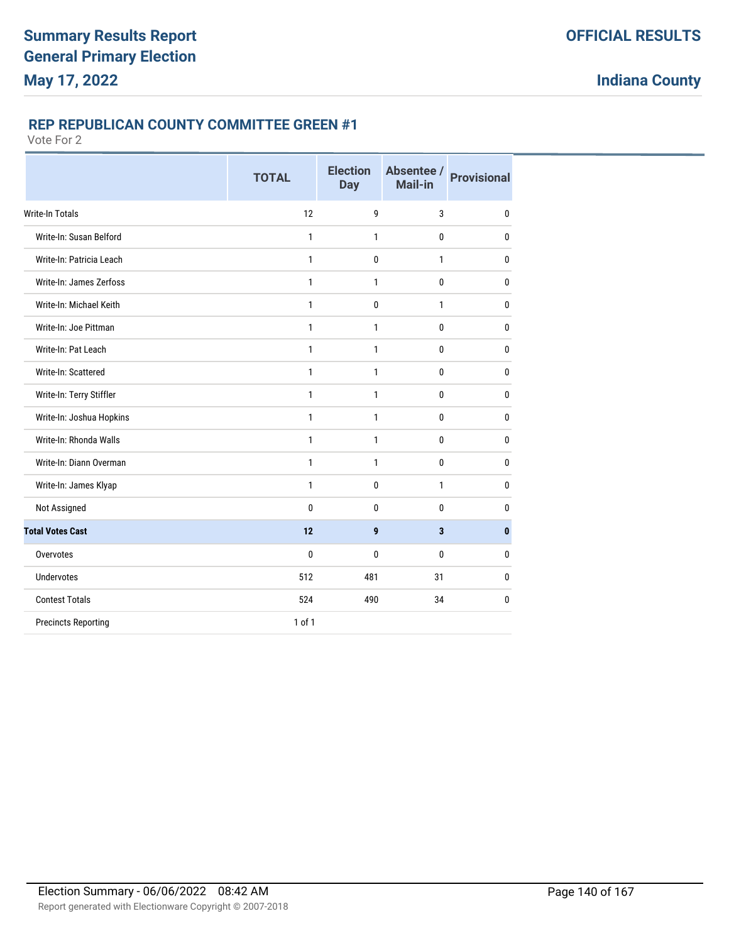### **REP REPUBLICAN COUNTY COMMITTEE GREEN #1**

|                            | <b>TOTAL</b> | <b>Election</b><br><b>Day</b> | Absentee /<br>Mail-in   | <b>Provisional</b> |
|----------------------------|--------------|-------------------------------|-------------------------|--------------------|
| <b>Write-In Totals</b>     | 12           | 9                             | 3                       | $\mathbf 0$        |
| Write-In: Susan Belford    | 1            | $\mathbf{1}$                  | 0                       | 0                  |
| Write-In: Patricia Leach   | 1            | 0                             | 1                       | 0                  |
| Write-In: James Zerfoss    | $\mathbf{1}$ | 1                             | 0                       | $\mathbf{0}$       |
| Write-In: Michael Keith    | 1            | 0                             | $\mathbf{1}$            | 0                  |
| Write-In: Joe Pittman      | $\mathbf{1}$ | 1                             | 0                       | $\mathbf{0}$       |
| Write-In: Pat Leach        | 1            | 1                             | 0                       | $\mathbf{0}$       |
| Write-In: Scattered        | $\mathbf{1}$ | $\mathbf{1}$                  | 0                       | $\mathbf 0$        |
| Write-In: Terry Stiffler   | $\mathbf{1}$ | 1                             | 0                       | $\mathbf{0}$       |
| Write-In: Joshua Hopkins   | $\mathbf{1}$ | 1                             | 0                       | $\mathbf{0}$       |
| Write-In: Rhonda Walls     | $\mathbf{1}$ | 1                             | 0                       | $\mathbf{0}$       |
| Write-In: Diann Overman    | 1            | 1                             | 0                       | $\mathbf{0}$       |
| Write-In: James Klyap      | $\mathbf{1}$ | 0                             | $\mathbf{1}$            | $\mathbf{0}$       |
| Not Assigned               | 0            | 0                             | 0                       | 0                  |
| <b>Total Votes Cast</b>    | 12           | 9                             | $\overline{\mathbf{3}}$ | $\mathbf{0}$       |
| Overvotes                  | 0            | 0                             | 0                       | $\mathbf{0}$       |
| Undervotes                 | 512          | 481                           | 31                      | 0                  |
| <b>Contest Totals</b>      | 524          | 490                           | 34                      | 0                  |
| <b>Precincts Reporting</b> | $1$ of $1$   |                               |                         |                    |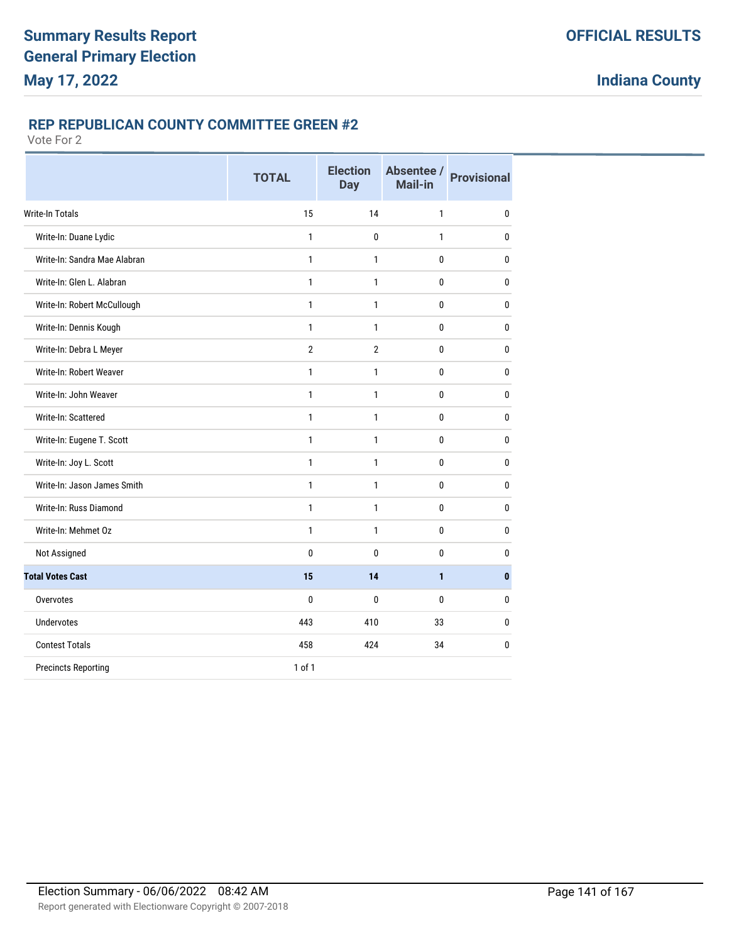### **REP REPUBLICAN COUNTY COMMITTEE GREEN #2**

|                              | <b>TOTAL</b>   | <b>Election</b><br><b>Day</b> | Absentee /<br>Mail-in | <b>Provisional</b> |
|------------------------------|----------------|-------------------------------|-----------------------|--------------------|
| <b>Write-In Totals</b>       | 15             | 14                            | 1                     | $\mathbf 0$        |
| Write-In: Duane Lydic        | $\mathbf{1}$   | 0                             | $\mathbf{1}$          | $\mathbf{0}$       |
| Write-In: Sandra Mae Alabran | 1              | 1                             | 0                     | $\mathbf{0}$       |
| Write-In: Glen L. Alabran    | $\mathbf{1}$   | $\mathbf{1}$                  | 0                     | $\mathbf 0$        |
| Write-In: Robert McCullough  | 1              | 1                             | 0                     | $\mathbf{0}$       |
| Write-In: Dennis Kough       | $\mathbf{1}$   | 1                             | 0                     | $\bf{0}$           |
| Write-In: Debra L Meyer      | $\overline{2}$ | $\overline{2}$                | 0                     | $\mathbf{0}$       |
| Write-In: Robert Weaver      | $\mathbf{1}$   | 1                             | 0                     | 0                  |
| Write-In: John Weaver        | $\mathbf{1}$   | 1                             | 0                     | 0                  |
| Write-In: Scattered          | $\mathbf{1}$   | 1                             | 0                     | $\bf{0}$           |
| Write-In: Eugene T. Scott    | $\mathbf{1}$   | 1                             | 0                     | $\mathbf{0}$       |
| Write-In: Joy L. Scott       | $\mathbf{1}$   | 1                             | 0                     | $\mathbf 0$        |
| Write-In: Jason James Smith  | 1              | 1                             | 0                     | $\mathbf{0}$       |
| Write-In: Russ Diamond       | 1              | 1                             | 0                     | $\mathbf{0}$       |
| Write-In: Mehmet Oz          | $\mathbf{1}$   | 1                             | 0                     | $\mathbf{0}$       |
| Not Assigned                 | 0              | 0                             | 0                     | 0                  |
| <b>Total Votes Cast</b>      | 15             | 14                            | 1                     | $\mathbf{0}$       |
| Overvotes                    | 0              | 0                             | 0                     | $\mathbf{0}$       |
| <b>Undervotes</b>            | 443            | 410                           | 33                    | $\mathbf{0}$       |
| <b>Contest Totals</b>        | 458            | 424                           | 34                    | $\mathbf{0}$       |
| <b>Precincts Reporting</b>   | 1 of 1         |                               |                       |                    |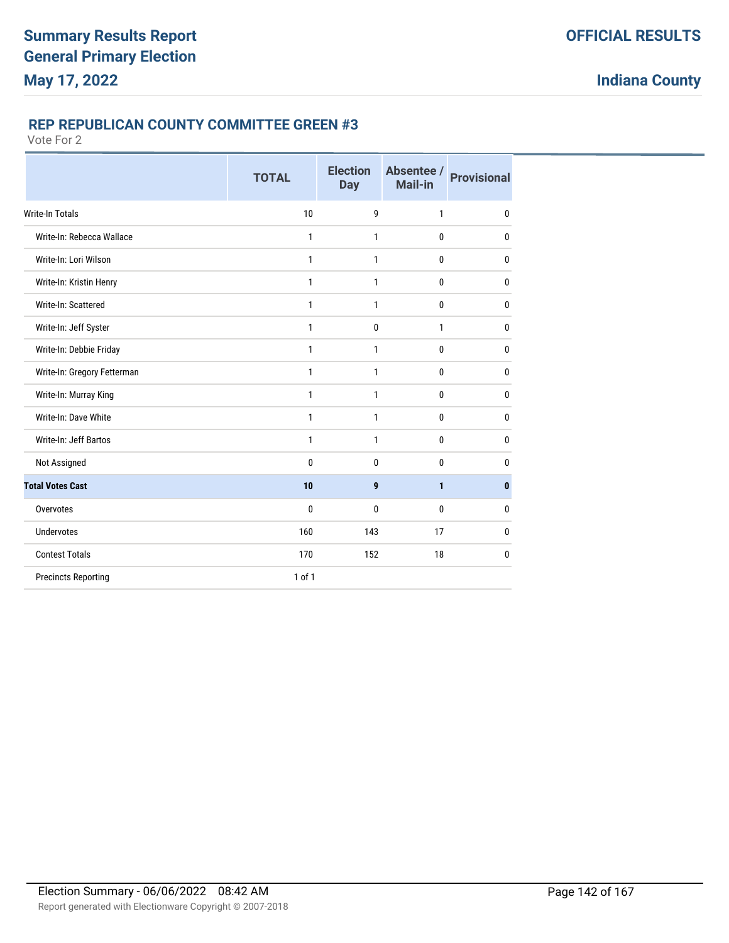### **REP REPUBLICAN COUNTY COMMITTEE GREEN #3**

|                             | <b>TOTAL</b> | <b>Election</b><br><b>Day</b> | Absentee /<br>Mail-in | <b>Provisional</b> |
|-----------------------------|--------------|-------------------------------|-----------------------|--------------------|
| <b>Write-In Totals</b>      | 10           | 9                             | $\mathbf{1}$          | $\mathbf 0$        |
| Write-In: Rebecca Wallace   | $\mathbf{1}$ | 1                             | $\bf{0}$              | $\mathbf 0$        |
| Write-In: Lori Wilson       | $\mathbf{1}$ | 1                             | $\bf{0}$              | $\mathbf{0}$       |
| Write-In: Kristin Henry     | 1            | $\mathbf{1}$                  | $\mathbf 0$           | $\mathbf 0$        |
| Write-In: Scattered         | $\mathbf{1}$ | $\mathbf{1}$                  | $\mathbf 0$           | $\mathbf{0}$       |
| Write-In: Jeff Syster       | 1            | 0                             | $\mathbf{1}$          | $\mathbf{0}$       |
| Write-In: Debbie Friday     | 1            | 1                             | 0                     | $\mathbf{0}$       |
| Write-In: Gregory Fetterman | 1            | 1                             | $\bf{0}$              | 0                  |
| Write-In: Murray King       | 1            | 1                             | 0                     | 0                  |
| Write-In: Dave White        | 1            | 1                             | $\mathbf{0}$          | $\mathbf{0}$       |
| Write-In: Jeff Bartos       | $\mathbf{1}$ | 1                             | $\mathbf{0}$          | $\mathbf{0}$       |
| Not Assigned                | $\mathbf{0}$ | 0                             | $\mathbf{0}$          | $\mathbf{0}$       |
| <b>Total Votes Cast</b>     | 10           | 9                             | 1                     | $\bf{0}$           |
| Overvotes                   | $\mathbf{0}$ | 0                             | $\mathbf{0}$          | $\mathbf{0}$       |
| <b>Undervotes</b>           | 160          | 143                           | 17                    | $\mathbf{0}$       |
| <b>Contest Totals</b>       | 170          | 152                           | 18                    | $\mathbf{0}$       |
| <b>Precincts Reporting</b>  | $1$ of $1$   |                               |                       |                    |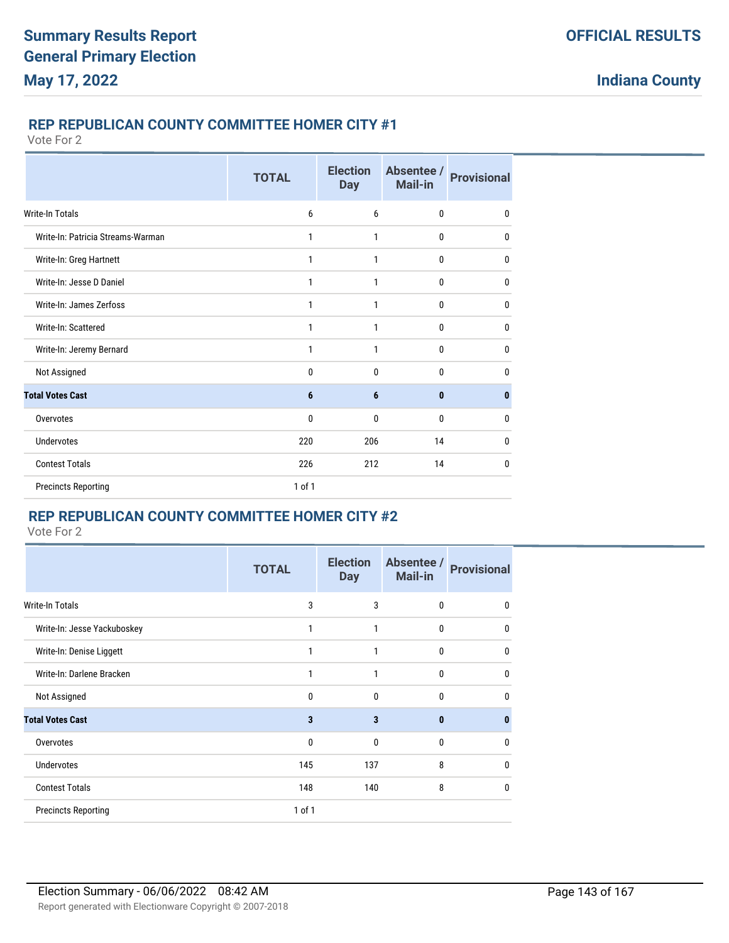#### **REP REPUBLICAN COUNTY COMMITTEE HOMER CITY #1**

Vote For 2

|                                   | <b>TOTAL</b> | <b>Election</b><br><b>Day</b> | Absentee /<br>Mail-in | <b>Provisional</b> |
|-----------------------------------|--------------|-------------------------------|-----------------------|--------------------|
| <b>Write-In Totals</b>            | 6            | 6                             | $\mathbf{0}$          | $\mathbf{0}$       |
| Write-In: Patricia Streams-Warman | 1            | 1                             | 0                     | 0                  |
| Write-In: Greg Hartnett           | 1            | 1                             | 0                     | 0                  |
| Write-In: Jesse D Daniel          | 1            | 1                             | 0                     | $\mathbf{0}$       |
| Write-In: James Zerfoss           | 1            | 1                             | 0                     | 0                  |
| Write-In: Scattered               | 1            | 1                             | 0                     | $\mathbf{0}$       |
| Write-In: Jeremy Bernard          | 1            | 1                             | $\mathbf{0}$          | $\mathbf{0}$       |
| Not Assigned                      | 0            | $\mathbf{0}$                  | $\mathbf{0}$          | 0                  |
| <b>Total Votes Cast</b>           | 6            | 6                             | $\mathbf{0}$          | $\bf{0}$           |
| Overvotes                         | 0            | 0                             | 0                     | 0                  |
| <b>Undervotes</b>                 | 220          | 206                           | 14                    | 0                  |
| <b>Contest Totals</b>             | 226          | 212                           | 14                    | 0                  |
| <b>Precincts Reporting</b>        | 1 of 1       |                               |                       |                    |

### **REP REPUBLICAN COUNTY COMMITTEE HOMER CITY #2**

|                             | TOTAL        | <b>Election</b><br><b>Day</b> | Absentee /<br>Mail-in | <b>Provisional</b> |
|-----------------------------|--------------|-------------------------------|-----------------------|--------------------|
| Write-In Totals             | 3            | 3                             | $\mathbf 0$           | 0                  |
| Write-In: Jesse Yackuboskey | 1            | 1                             | $\mathbf 0$           | $\mathbf 0$        |
| Write-In: Denise Liggett    | 1            | 1                             | 0                     | $\mathbf{0}$       |
| Write-In: Darlene Bracken   | 1            | 1                             | 0                     | $\mathbf{0}$       |
| Not Assigned                | 0            | 0                             | 0                     | $\mathbf{0}$       |
| <b>Total Votes Cast</b>     | 3            | 3                             | $\bf{0}$              | $\mathbf{0}$       |
| Overvotes                   | $\mathbf{0}$ | 0                             | $\mathbf{0}$          | $\mathbf{0}$       |
| <b>Undervotes</b>           | 145          | 137                           | 8                     | $\mathbf{0}$       |
| <b>Contest Totals</b>       | 148          | 140                           | 8                     | $\mathbf{0}$       |
| <b>Precincts Reporting</b>  | $1$ of $1$   |                               |                       |                    |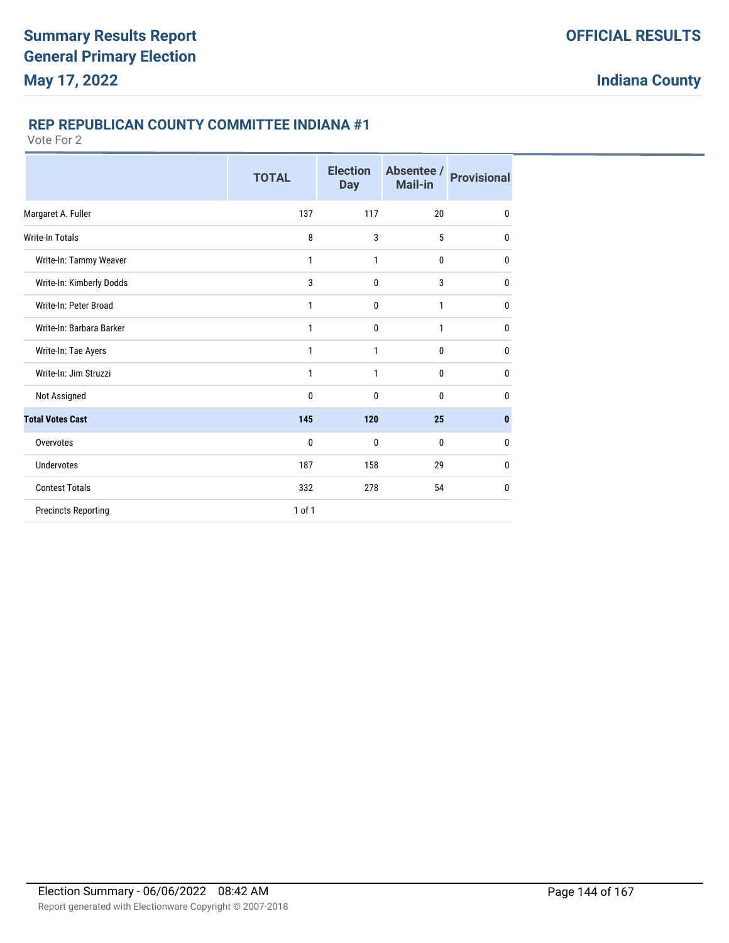### **REP REPUBLICAN COUNTY COMMITTEE INDIANA #1**

|                            | <b>TOTAL</b> | <b>Election</b><br><b>Day</b> | Absentee /<br>Mail-in | <b>Provisional</b> |
|----------------------------|--------------|-------------------------------|-----------------------|--------------------|
| Margaret A. Fuller         | 137          | 117                           | 20                    | $\mathbf 0$        |
| Write-In Totals            | 8            | 3                             | 5                     | $\mathbf{0}$       |
| Write-In: Tammy Weaver     | 1            | 1                             | 0                     | $\mathbf{0}$       |
| Write-In: Kimberly Dodds   | 3            | $\mathbf{0}$                  | 3                     | $\mathbf 0$        |
| Write-In: Peter Broad      | 1            | $\mathbf{0}$                  | $\mathbf{1}$          | $\mathbf{0}$       |
| Write-In: Barbara Barker   | 1            | $\mathbf 0$                   | 1                     | $\mathbf{0}$       |
| Write-In: Tae Ayers        | 1            | $\mathbf{1}$                  | $\mathbf{0}$          | 0                  |
| Write-In: Jim Struzzi      | 1            | 1                             | 0                     | $\mathbf{0}$       |
| Not Assigned               | 0            | $\mathbf{0}$                  | $\mathbf{0}$          | $\mathbf{0}$       |
| <b>Total Votes Cast</b>    | 145          | 120                           | 25                    | $\mathbf{0}$       |
| Overvotes                  | 0            | $\mathbf{0}$                  | $\mathbf{0}$          | $\mathbf{0}$       |
| <b>Undervotes</b>          | 187          | 158                           | 29                    | $\mathbf 0$        |
| <b>Contest Totals</b>      | 332          | 278                           | 54                    | 0                  |
| <b>Precincts Reporting</b> | 1 of 1       |                               |                       |                    |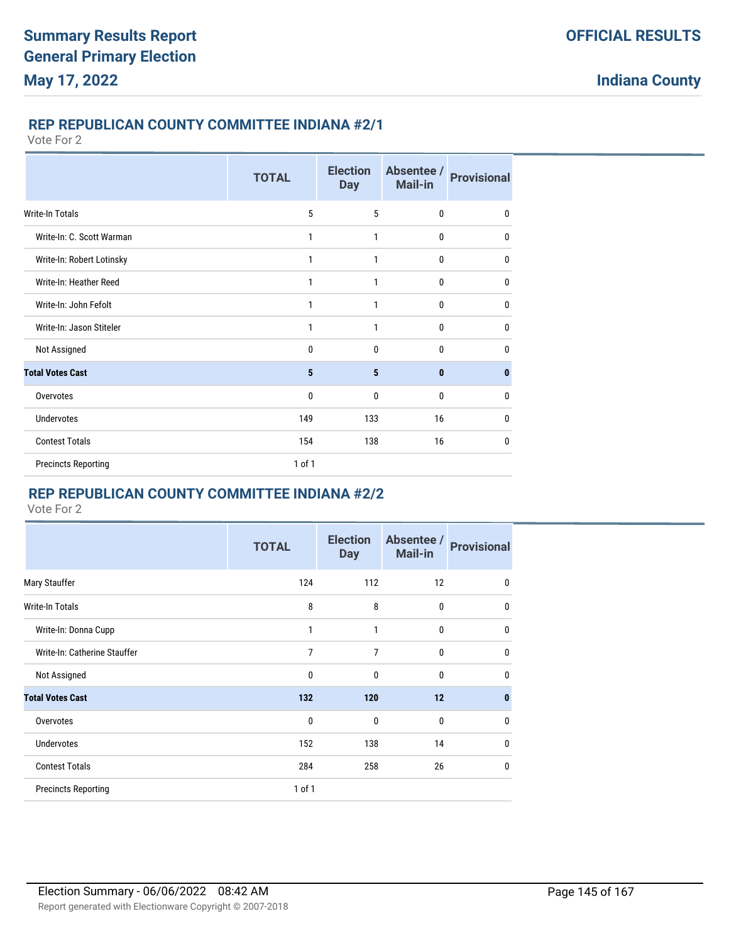### **REP REPUBLICAN COUNTY COMMITTEE INDIANA #2/1**

Vote For 2

|                            | <b>TOTAL</b> | <b>Election</b><br><b>Day</b> | Absentee /<br><b>Mail-in</b> | <b>Provisional</b> |
|----------------------------|--------------|-------------------------------|------------------------------|--------------------|
| Write-In Totals            | 5            | 5                             | $\mathbf 0$                  | $\mathbf 0$        |
| Write-In: C. Scott Warman  | 1            | 1                             | $\bf{0}$                     | 0                  |
| Write-In: Robert Lotinsky  | 1            | 1                             | $\mathbf{0}$                 | $\mathbf{0}$       |
| Write-In: Heather Reed     | 1            | 1                             | $\bf{0}$                     | $\mathbf{0}$       |
| Write-In: John Fefolt      | 1            | 1                             | $\bf{0}$                     | 0                  |
| Write-In: Jason Stiteler   | 1            | 1                             | $\mathbf{0}$                 | $\mathbf{0}$       |
| Not Assigned               | 0            | $\mathbf{0}$                  | $\bf{0}$                     | $\mathbf{0}$       |
| <b>Total Votes Cast</b>    | 5            | 5                             | $\mathbf{0}$                 | $\bf{0}$           |
| Overvotes                  | 0            | $\mathbf{0}$                  | $\mathbf{0}$                 | $\mathbf{0}$       |
| <b>Undervotes</b>          | 149          | 133                           | 16                           | $\mathbf{0}$       |
| <b>Contest Totals</b>      | 154          | 138                           | 16                           | $\mathbf{0}$       |
| <b>Precincts Reporting</b> | 1 of 1       |                               |                              |                    |

# **REP REPUBLICAN COUNTY COMMITTEE INDIANA #2/2**

|                              | <b>TOTAL</b> | <b>Election</b><br><b>Day</b> | Absentee /<br><b>Mail-in</b> | <b>Provisional</b> |
|------------------------------|--------------|-------------------------------|------------------------------|--------------------|
| Mary Stauffer                | 124          | 112                           | 12                           | $\mathbf 0$        |
| <b>Write-In Totals</b>       | 8            | 8                             | $\bf{0}$                     | $\mathbf 0$        |
| Write-In: Donna Cupp         | 1            | 1                             | $\mathbf 0$                  | $\mathbf{0}$       |
| Write-In: Catherine Stauffer | 7            | 7                             | $\bf{0}$                     | $\mathbf 0$        |
| Not Assigned                 | 0            | 0                             | $\mathbf 0$                  | $\mathbf{0}$       |
| <b>Total Votes Cast</b>      | 132          | 120                           | 12                           | $\bf{0}$           |
| Overvotes                    | 0            | $\mathbf 0$                   | $\mathbf 0$                  | $\mathbf{0}$       |
| <b>Undervotes</b>            | 152          | 138                           | 14                           | $\mathbf{0}$       |
| <b>Contest Totals</b>        | 284          | 258                           | 26                           | $\mathbf 0$        |
| <b>Precincts Reporting</b>   | 1 of 1       |                               |                              |                    |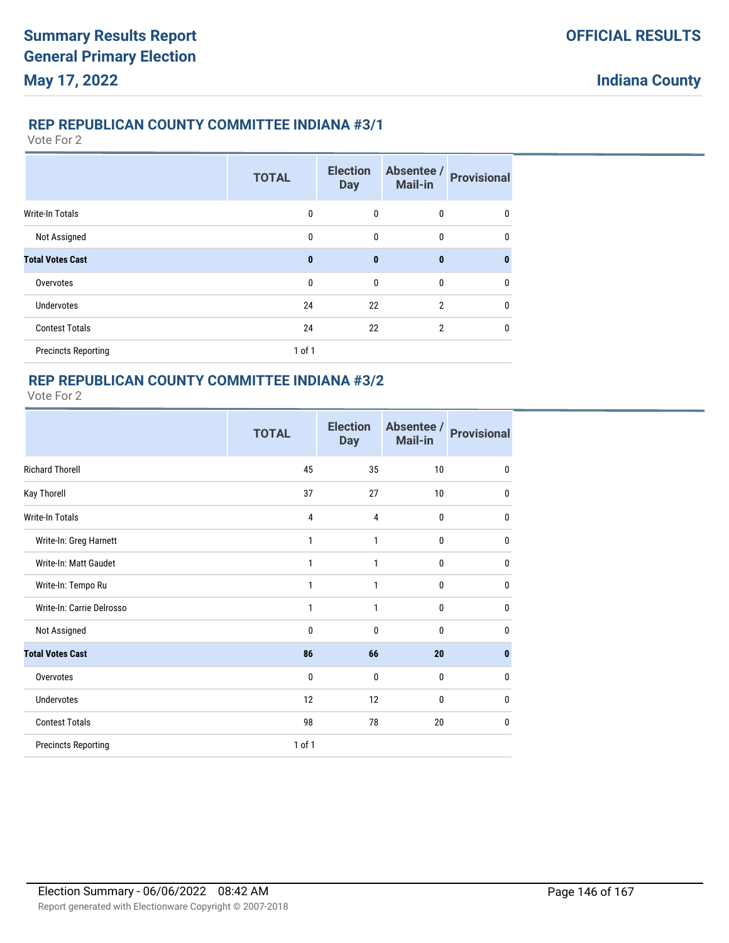## **REP REPUBLICAN COUNTY COMMITTEE INDIANA #3/1**

Vote For 2

|                            | <b>TOTAL</b> | <b>Election</b><br><b>Day</b> | Absentee /<br><b>Mail-in</b> | <b>Provisional</b> |
|----------------------------|--------------|-------------------------------|------------------------------|--------------------|
| <b>Write-In Totals</b>     | $\mathbf{0}$ | $\mathbf 0$                   | 0                            | 0                  |
| Not Assigned               | $\mathbf{0}$ | $\mathbf{0}$                  | 0                            | 0                  |
| <b>Total Votes Cast</b>    | $\mathbf{0}$ | $\bf{0}$                      | $\bf{0}$                     | $\mathbf{0}$       |
| Overvotes                  | $\mathbf{0}$ | $\mathbf{0}$                  | 0                            | 0                  |
| <b>Undervotes</b>          | 24           | 22                            | 2                            | 0                  |
| <b>Contest Totals</b>      | 24           | 22                            | $\overline{2}$               | 0                  |
| <b>Precincts Reporting</b> | $1$ of $1$   |                               |                              |                    |

## **REP REPUBLICAN COUNTY COMMITTEE INDIANA #3/2**

|                            | <b>TOTAL</b> | <b>Election</b><br><b>Day</b> | Absentee /<br>Mail-in | <b>Provisional</b> |
|----------------------------|--------------|-------------------------------|-----------------------|--------------------|
| <b>Richard Thorell</b>     | 45           | 35                            | 10                    | 0                  |
| Kay Thorell                | 37           | 27                            | 10                    | 0                  |
| <b>Write-In Totals</b>     | 4            | 4                             | $\mathbf{0}$          | 0                  |
| Write-In: Greg Harnett     | 1            | 1                             | 0                     | 0                  |
| Write-In: Matt Gaudet      | $\mathbf{1}$ | 1                             | $\mathbf{0}$          | 0                  |
| Write-In: Tempo Ru         | 1            | 1                             | 0                     | 0                  |
| Write-In: Carrie Delrosso  | $\mathbf{1}$ | 1                             | $\mathbf{0}$          | 0                  |
| Not Assigned               | $\mathbf{0}$ | $\mathbf{0}$                  | $\mathbf{0}$          | 0                  |
| <b>Total Votes Cast</b>    | 86           | 66                            | 20                    | $\bf{0}$           |
| Overvotes                  | $\mathbf 0$  | 0                             | 0                     | 0                  |
| <b>Undervotes</b>          | 12           | 12                            | $\mathbf{0}$          | 0                  |
| <b>Contest Totals</b>      | 98           | 78                            | 20                    | 0                  |
| <b>Precincts Reporting</b> | 1 of 1       |                               |                       |                    |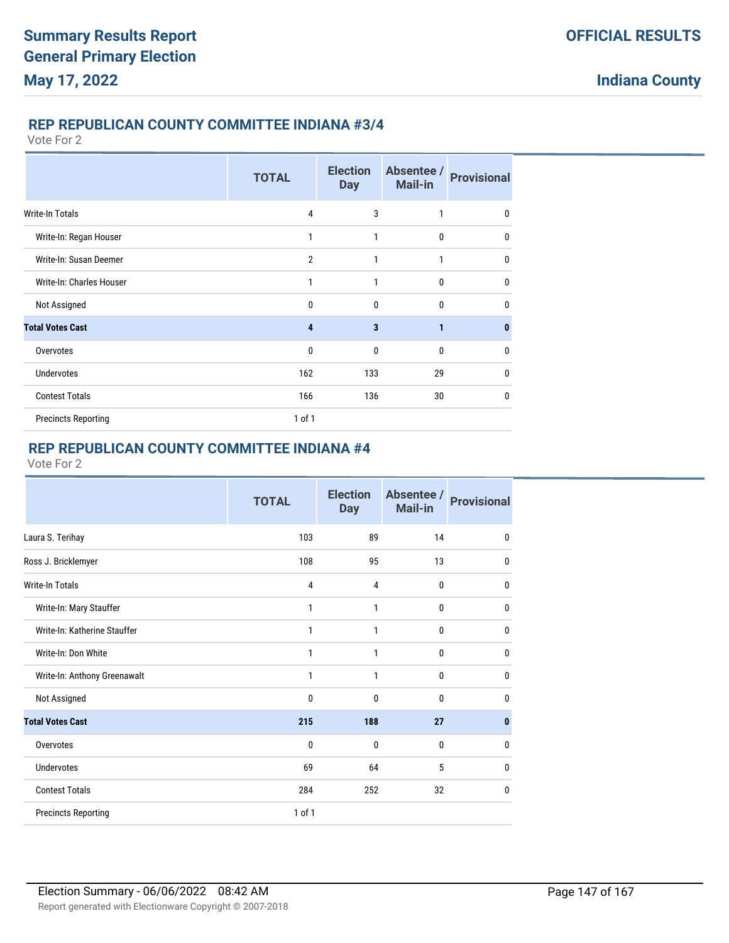### **REP REPUBLICAN COUNTY COMMITTEE INDIANA #3/4**

Vote For 2

|                            | <b>TOTAL</b>   | <b>Election</b><br><b>Day</b> | Absentee /<br><b>Mail-in</b> | <b>Provisional</b> |
|----------------------------|----------------|-------------------------------|------------------------------|--------------------|
| <b>Write-In Totals</b>     | $\overline{4}$ | 3                             | 1                            | 0                  |
| Write-In: Regan Houser     | 1              | 1                             | 0                            | 0                  |
| Write-In: Susan Deemer     | $\overline{2}$ | 1                             | 1                            | 0                  |
| Write-In: Charles Houser   | 1              | 1                             | $\mathbf{0}$                 | 0                  |
| Not Assigned               | $\mathbf{0}$   | 0                             | $\mathbf{0}$                 | 0                  |
| <b>Total Votes Cast</b>    | 4              | 3                             | 1                            | $\bf{0}$           |
| Overvotes                  | $\mathbf{0}$   | 0                             | $\theta$                     | 0                  |
| <b>Undervotes</b>          | 162            | 133                           | 29                           | 0                  |
| <b>Contest Totals</b>      | 166            | 136                           | 30                           | $\mathbf{0}$       |
| <b>Precincts Reporting</b> | $1$ of $1$     |                               |                              |                    |

# **REP REPUBLICAN COUNTY COMMITTEE INDIANA #4**

|                              | <b>TOTAL</b>   | <b>Election</b><br><b>Day</b> | Absentee /<br>Mail-in | <b>Provisional</b> |
|------------------------------|----------------|-------------------------------|-----------------------|--------------------|
| Laura S. Terihay             | 103            | 89                            | 14                    | $\mathbf{0}$       |
| Ross J. Bricklemyer          | 108            | 95                            | 13                    | 0                  |
| Write-In Totals              | $\overline{4}$ | 4                             | 0                     | 0                  |
| Write-In: Mary Stauffer      | 1              | 1                             | 0                     | 0                  |
| Write-In: Katherine Stauffer | 1              | 1                             | 0                     | 0                  |
| Write-In: Don White          | 1              | 1                             | 0                     | 0                  |
| Write-In: Anthony Greenawalt | 1              | 1                             | 0                     | $\mathbf{0}$       |
| Not Assigned                 | $\mathbf{0}$   | $\mathbf{0}$                  | 0                     | 0                  |
| <b>Total Votes Cast</b>      | 215            | 188                           | 27                    | $\mathbf{0}$       |
| Overvotes                    | $\mathbf{0}$   | $\mathbf{0}$                  | 0                     | $\mathbf{0}$       |
| <b>Undervotes</b>            | 69             | 64                            | 5                     | 0                  |
| <b>Contest Totals</b>        | 284            | 252                           | 32                    | $\mathbf 0$        |
| <b>Precincts Reporting</b>   | 1 of 1         |                               |                       |                    |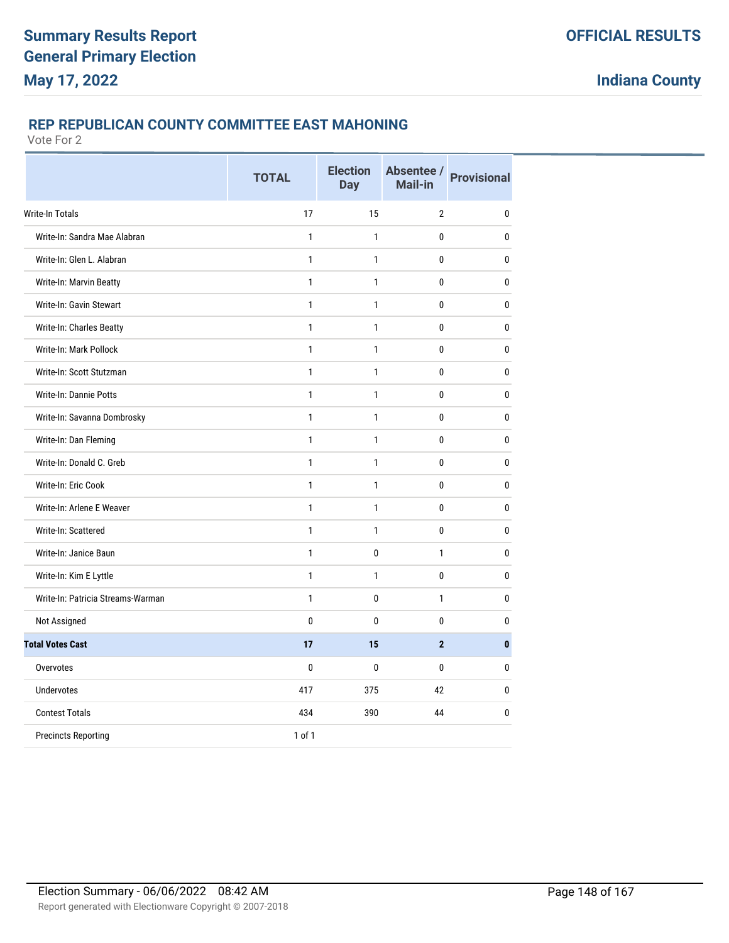## **REP REPUBLICAN COUNTY COMMITTEE EAST MAHONING**

|                                   | <b>TOTAL</b> | <b>Election</b><br><b>Day</b> | Absentee /<br>Mail-in | <b>Provisional</b> |
|-----------------------------------|--------------|-------------------------------|-----------------------|--------------------|
| Write-In Totals                   | 17           | 15                            | $\overline{2}$        | 0                  |
| Write-In: Sandra Mae Alabran      | $\mathbf{1}$ | $\mathbf{1}$                  | 0                     | $\bf{0}$           |
| Write-In: Glen L. Alabran         | $\mathbf{1}$ | $\mathbf{1}$                  | 0                     | $\bf{0}$           |
| Write-In: Marvin Beatty           | $\mathbf{1}$ | $\mathbf{1}$                  | 0                     | $\bf{0}$           |
| Write-In: Gavin Stewart           | 1            | 1                             | 0                     | $\bf{0}$           |
| Write-In: Charles Beatty          | $\mathbf{1}$ | $\mathbf{1}$                  | 0                     | $\bf{0}$           |
| Write-In: Mark Pollock            | $\mathbf{1}$ | $\mathbf{1}$                  | 0                     | $\bf{0}$           |
| Write-In: Scott Stutzman          | $\mathbf{1}$ | $\mathbf{1}$                  | 0                     | $\bf{0}$           |
| Write-In: Dannie Potts            | $\mathbf{1}$ | $\mathbf{1}$                  | $\mathbf{0}$          | 0                  |
| Write-In: Savanna Dombrosky       | 1            | 1                             | $\mathbf{0}$          | 0                  |
| Write-In: Dan Fleming             | $\mathbf{1}$ | $\mathbf{1}$                  | $\mathbf{0}$          | 0                  |
| Write-In: Donald C. Greb          | $\mathbf{1}$ | $\mathbf{1}$                  | 0                     | $\pmb{0}$          |
| Write-In: Eric Cook               | $\mathbf{1}$ | $\mathbf{1}$                  | $\mathbf{0}$          | 0                  |
| Write-In: Arlene E Weaver         | $\mathbf{1}$ | $\mathbf{1}$                  | 0                     | $\bf{0}$           |
| Write-In: Scattered               | $\mathbf{1}$ | 1                             | 0                     | $\pmb{0}$          |
| Write-In: Janice Baun             | $\mathbf{1}$ | 0                             | $\mathbf{1}$          | 0                  |
| Write-In: Kim E Lyttle            | $\mathbf{1}$ | $\mathbf{1}$                  | 0                     | $\bf{0}$           |
| Write-In: Patricia Streams-Warman | $\mathbf{1}$ | 0                             | 1                     | $\bf{0}$           |
| Not Assigned                      | $\bf{0}$     | $\mathbf{0}$                  | 0                     | $\bf{0}$           |
| <b>Total Votes Cast</b>           | 17           | 15                            | $\overline{2}$        | $\bf{0}$           |
| Overvotes                         | $\mathbf{0}$ | $\mathbf{0}$                  | 0                     | 0                  |
| <b>Undervotes</b>                 | 417          | 375                           | 42                    | 0                  |
| <b>Contest Totals</b>             | 434          | 390                           | 44                    | 0                  |
| <b>Precincts Reporting</b>        | 1 of 1       |                               |                       |                    |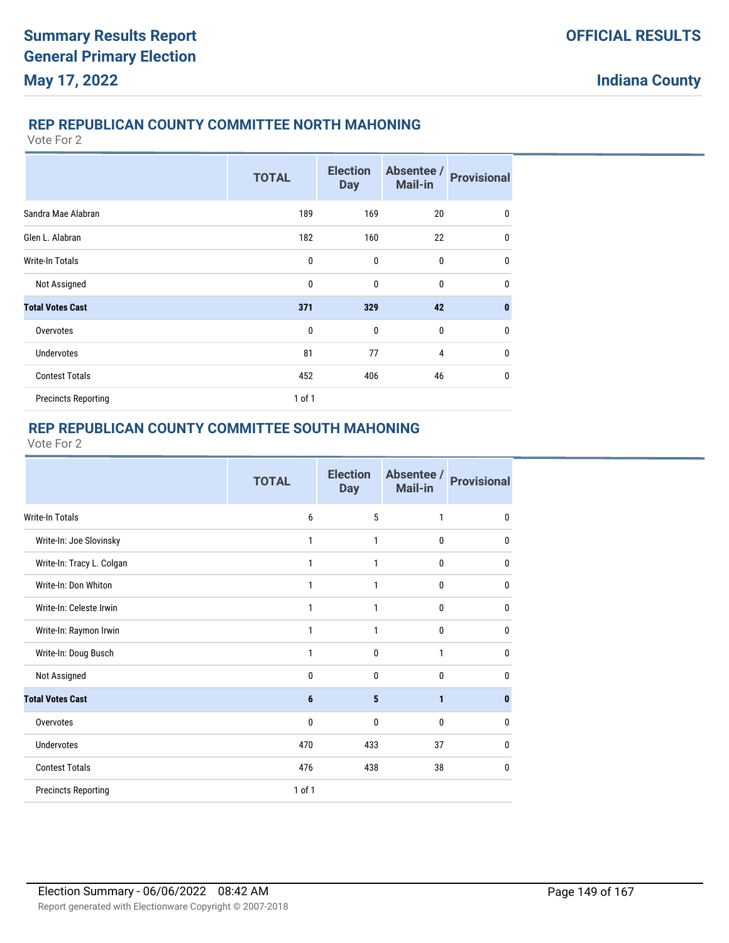## **REP REPUBLICAN COUNTY COMMITTEE NORTH MAHONING**

Vote For 2

|                            | <b>TOTAL</b> | <b>Election</b><br><b>Day</b> | Absentee /<br><b>Mail-in</b> | <b>Provisional</b> |
|----------------------------|--------------|-------------------------------|------------------------------|--------------------|
| Sandra Mae Alabran         | 189          | 169                           | 20                           | 0                  |
| Glen L. Alabran            | 182          | 160                           | 22                           | $\mathbf{0}$       |
| <b>Write-In Totals</b>     | $\mathbf{0}$ | 0                             | $\mathbf 0$                  | $\mathbf{0}$       |
| Not Assigned               | $\mathbf{0}$ | 0                             | $\mathbf{0}$                 | $\mathbf{0}$       |
| <b>Total Votes Cast</b>    | 371          | 329                           | 42                           | $\mathbf{0}$       |
| Overvotes                  | 0            | 0                             | $\mathbf 0$                  | $\mathbf{0}$       |
| <b>Undervotes</b>          | 81           | 77                            | $\overline{4}$               | $\mathbf{0}$       |
| <b>Contest Totals</b>      | 452          | 406                           | 46                           | $\mathbf{0}$       |
| <b>Precincts Reporting</b> | 1 of 1       |                               |                              |                    |

# **REP REPUBLICAN COUNTY COMMITTEE SOUTH MAHONING**

|                            | <b>TOTAL</b>   | <b>Election</b><br><b>Day</b> | Absentee /<br>Mail-in | <b>Provisional</b> |
|----------------------------|----------------|-------------------------------|-----------------------|--------------------|
| <b>Write-In Totals</b>     | 6              | 5                             | 1                     | $\bf{0}$           |
| Write-In: Joe Slovinsky    | 1              | 1                             | 0                     | $\mathbf{0}$       |
| Write-In: Tracy L. Colgan  | 1              | 1                             | 0                     | 0                  |
| Write-In: Don Whiton       | 1              | 1                             | 0                     | 0                  |
| Write-In: Celeste Irwin    | 1              | 1                             | 0                     | 0                  |
| Write-In: Raymon Irwin     | 1              | 1                             | 0                     | 0                  |
| Write-In: Doug Busch       | 1              | $\mathbf 0$                   | $\mathbf{1}$          | $\bf{0}$           |
| Not Assigned               | $\mathbf{0}$   | $\mathbf{0}$                  | $\mathbf{0}$          | $\mathbf{0}$       |
| <b>Total Votes Cast</b>    | $6\phantom{1}$ | 5                             | 1                     | 0                  |
| Overvotes                  | $\mathbf{0}$   | $\mathbf{0}$                  | $\mathbf{0}$          | $\mathbf{0}$       |
| <b>Undervotes</b>          | 470            | 433                           | 37                    | $\bf{0}$           |
| <b>Contest Totals</b>      | 476            | 438                           | 38                    | $\mathbf{0}$       |
| <b>Precincts Reporting</b> | 1 of 1         |                               |                       |                    |
|                            |                |                               |                       |                    |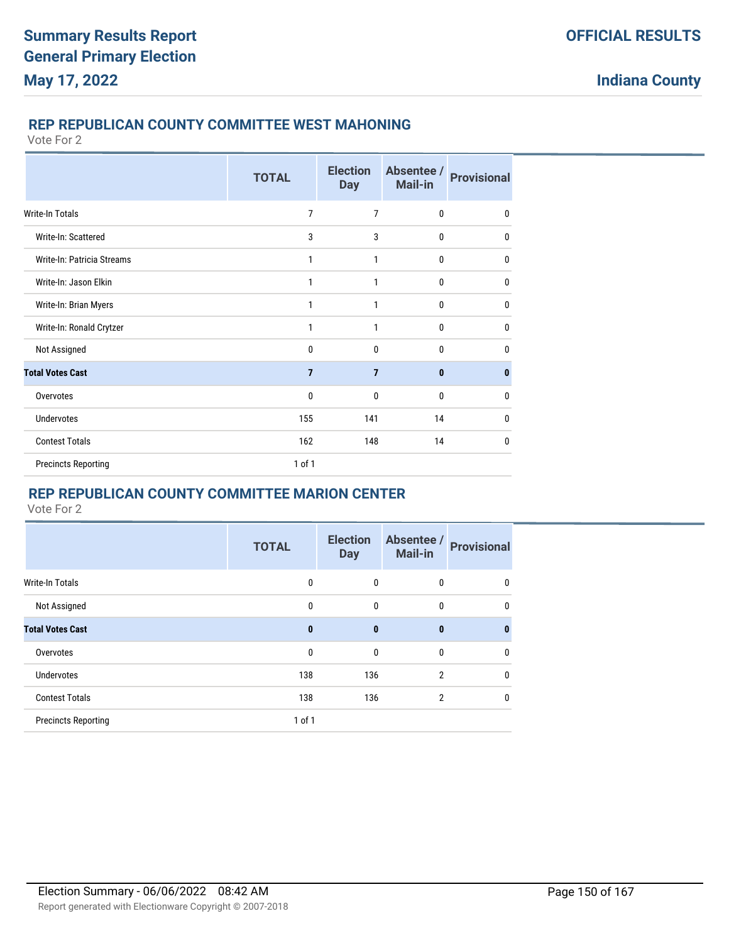### **REP REPUBLICAN COUNTY COMMITTEE WEST MAHONING**

Vote For 2

|                            | <b>TOTAL</b>   | <b>Election</b><br><b>Day</b> | Absentee /<br><b>Mail-in</b> | <b>Provisional</b> |
|----------------------------|----------------|-------------------------------|------------------------------|--------------------|
| Write-In Totals            | 7              | $\overline{7}$                | $\mathbf{0}$                 | $\mathbf{0}$       |
| Write-In: Scattered        | 3              | 3                             | 0                            | 0                  |
| Write-In: Patricia Streams | 1              | 1                             | $\mathbf{0}$                 | $\mathbf{0}$       |
| Write-In: Jason Elkin      | 1              | 1                             | 0                            | $\mathbf{0}$       |
| Write-In: Brian Myers      | 1              | 1                             | 0                            | $\mathbf{0}$       |
| Write-In: Ronald Crytzer   | 1              | 1                             | $\mathbf{0}$                 | $\mathbf{0}$       |
| Not Assigned               | 0              | $\mathbf{0}$                  | 0                            | $\mathbf{0}$       |
| <b>Total Votes Cast</b>    | $\overline{7}$ | $\overline{7}$                | 0                            | $\mathbf{0}$       |
| Overvotes                  | $\mathbf{0}$   | $\mathbf{0}$                  | $\mathbf{0}$                 | $\mathbf{0}$       |
| Undervotes                 | 155            | 141                           | 14                           | $\mathbf{0}$       |
| <b>Contest Totals</b>      | 162            | 148                           | 14                           | $\mathbf 0$        |
| <b>Precincts Reporting</b> | 1 of 1         |                               |                              |                    |

# **REP REPUBLICAN COUNTY COMMITTEE MARION CENTER**

|                            | <b>TOTAL</b> | <b>Election</b><br><b>Day</b> | Absentee /<br><b>Mail-in</b> | <b>Provisional</b> |
|----------------------------|--------------|-------------------------------|------------------------------|--------------------|
| <b>Write-In Totals</b>     | 0            | $\mathbf{0}$                  | 0                            | $\mathbf{0}$       |
| Not Assigned               | 0            | $\mathbf 0$                   | 0                            | 0                  |
| <b>Total Votes Cast</b>    | $\bf{0}$     | $\bf{0}$                      | $\bf{0}$                     | $\bf{0}$           |
| Overvotes                  | 0            | $\mathbf 0$                   | $\mathbf{0}$                 | $\mathbf 0$        |
| <b>Undervotes</b>          | 138          | 136                           | $\overline{2}$               | $\mathbf{0}$       |
| <b>Contest Totals</b>      | 138          | 136                           | $\overline{2}$               | $\mathbf 0$        |
| <b>Precincts Reporting</b> | $1$ of $1$   |                               |                              |                    |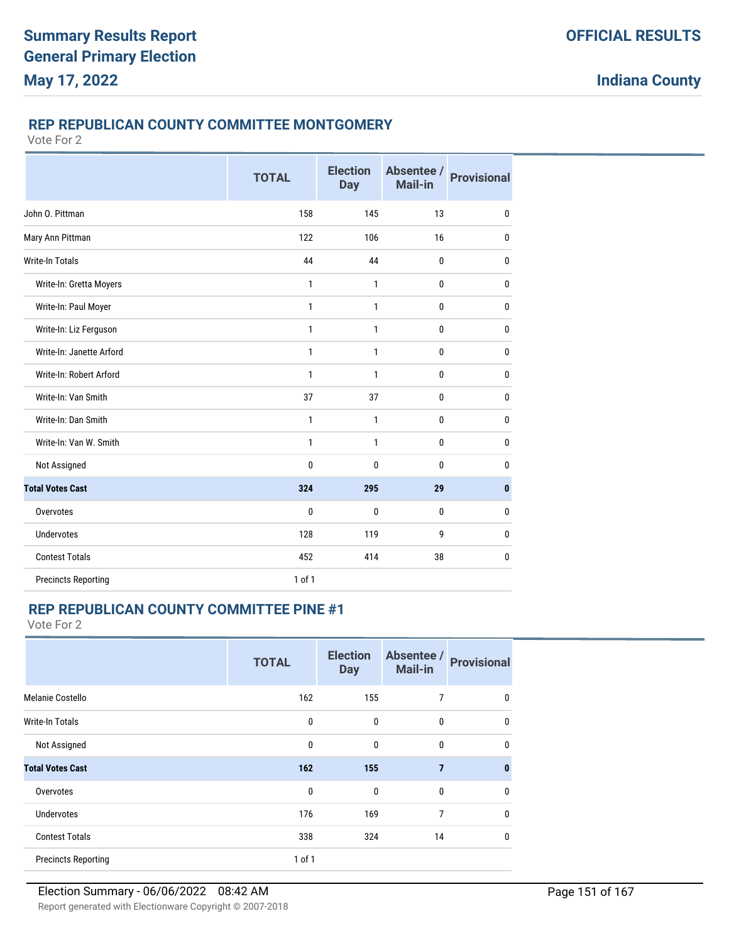#### **REP REPUBLICAN COUNTY COMMITTEE MONTGOMERY**

Vote For 2

|                            | <b>TOTAL</b> | <b>Election</b><br><b>Day</b> | Absentee /<br>Mail-in | <b>Provisional</b> |
|----------------------------|--------------|-------------------------------|-----------------------|--------------------|
| John O. Pittman            | 158          | 145                           | 13                    | $\mathbf{0}$       |
| Mary Ann Pittman           | 122          | 106                           | 16                    | $\mathbf 0$        |
| <b>Write-In Totals</b>     | 44           | 44                            | 0                     | $\mathbf{0}$       |
| Write-In: Gretta Moyers    | 1            | 1                             | 0                     | $\mathbf 0$        |
| Write-In: Paul Moyer       | $\mathbf{1}$ | $\mathbf{1}$                  | 0                     | $\mathbf 0$        |
| Write-In: Liz Ferguson     | $\mathbf{1}$ | $\mathbf{1}$                  | 0                     | $\mathbf{0}$       |
| Write-In: Janette Arford   | $\mathbf{1}$ | $\mathbf{1}$                  | 0                     | $\mathbf{0}$       |
| Write-In: Robert Arford    | $\mathbf{1}$ | $\mathbf{1}$                  | 0                     | $\mathbf{0}$       |
| Write-In: Van Smith        | 37           | 37                            | 0                     | $\mathbf{0}$       |
| Write-In: Dan Smith        | 1            | 1                             | 0                     | $\mathbf 0$        |
| Write-In: Van W. Smith     | 1            | 1                             | 0                     | $\mathbf 0$        |
| Not Assigned               | $\mathbf{0}$ | $\mathbf{0}$                  | 0                     | $\mathbf{0}$       |
| <b>Total Votes Cast</b>    | 324          | 295                           | 29                    | $\mathbf{0}$       |
| Overvotes                  | $\mathbf{0}$ | $\mathbf{0}$                  | 0                     | $\mathbf{0}$       |
| <b>Undervotes</b>          | 128          | 119                           | 9                     | 0                  |
| <b>Contest Totals</b>      | 452          | 414                           | 38                    | $\mathbf{0}$       |
| <b>Precincts Reporting</b> | $1$ of $1$   |                               |                       |                    |

## **REP REPUBLICAN COUNTY COMMITTEE PINE #1**

|                            | <b>TOTAL</b> | <b>Election</b><br><b>Day</b> | Absentee /<br><b>Mail-in</b> | <b>Provisional</b> |
|----------------------------|--------------|-------------------------------|------------------------------|--------------------|
| Melanie Costello           | 162          | 155                           | 7                            | 0                  |
| <b>Write-In Totals</b>     | $\mathbf 0$  | $\mathbf{0}$                  | $\mathbf 0$                  | $\mathbf 0$        |
| Not Assigned               | $\mathbf 0$  | $\mathbf{0}$                  | $\mathbf 0$                  | $\mathbf{0}$       |
| <b>Total Votes Cast</b>    | 162          | 155                           | $\overline{7}$               | $\mathbf{0}$       |
| Overvotes                  | $\mathbf 0$  | $\mathbf{0}$                  | $\mathbf 0$                  | $\mathbf{0}$       |
| <b>Undervotes</b>          | 176          | 169                           | 7                            | $\mathbf 0$        |
| <b>Contest Totals</b>      | 338          | 324                           | 14                           | $\mathbf 0$        |
| <b>Precincts Reporting</b> | 1 of 1       |                               |                              |                    |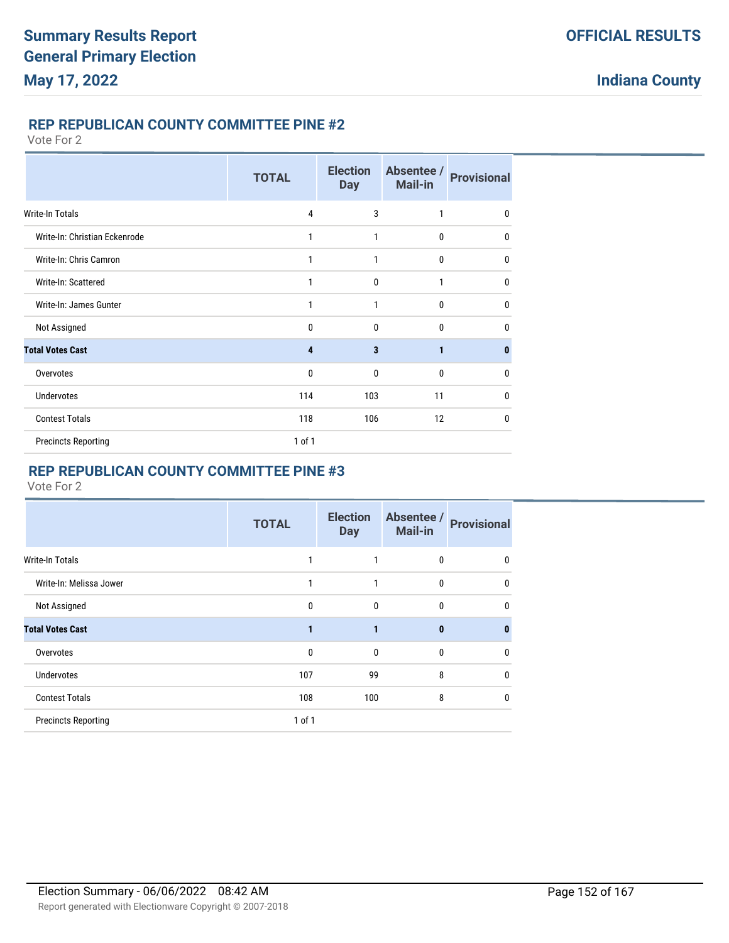# **REP REPUBLICAN COUNTY COMMITTEE PINE #2**

Vote For 2

|                               | <b>TOTAL</b> | <b>Election</b><br><b>Day</b> | Absentee /<br>Mail-in | <b>Provisional</b> |
|-------------------------------|--------------|-------------------------------|-----------------------|--------------------|
| <b>Write-In Totals</b>        | 4            | 3                             | $\mathbf{1}$          | 0                  |
| Write-In: Christian Eckenrode | 1            | 1                             | $\bf{0}$              | 0                  |
| Write-In: Chris Camron        | 1            | 1                             | $\bf{0}$              | 0                  |
| Write-In: Scattered           | 1            | $\mathbf{0}$                  | 1                     | 0                  |
| Write-In: James Gunter        | 1            | 1                             | $\mathbf{0}$          | 0                  |
| Not Assigned                  | 0            | $\mathbf{0}$                  | $\mathbf{0}$          | 0                  |
| <b>Total Votes Cast</b>       | 4            | $\overline{\mathbf{3}}$       | $\mathbf{1}$          | 0                  |
| Overvotes                     | $\mathbf{0}$ | 0                             | $\mathbf{0}$          | 0                  |
| <b>Undervotes</b>             | 114          | 103                           | 11                    | 0                  |
| <b>Contest Totals</b>         | 118          | 106                           | 12                    | $\mathbf{0}$       |
| <b>Precincts Reporting</b>    | $1$ of $1$   |                               |                       |                    |

# **REP REPUBLICAN COUNTY COMMITTEE PINE #3**

|                            | <b>TOTAL</b> | <b>Election</b><br><b>Day</b> | Absentee /<br><b>Mail-in</b> | <b>Provisional</b> |
|----------------------------|--------------|-------------------------------|------------------------------|--------------------|
| <b>Write-In Totals</b>     |              |                               | 0                            | $\mathbf{0}$       |
| Write-In: Melissa Jower    | 1            | 1                             | $\mathbf{0}$                 | $\mathbf 0$        |
| Not Assigned               | $\mathbf 0$  | $\mathbf 0$                   | $\mathbf{0}$                 | $\mathbf{0}$       |
| <b>Total Votes Cast</b>    |              | 1                             | $\mathbf{0}$                 | $\bf{0}$           |
| Overvotes                  | $\mathbf{0}$ | $\mathbf{0}$                  | $\mathbf{0}$                 | $\mathbf{0}$       |
| <b>Undervotes</b>          | 107          | 99                            | 8                            | $\mathbf{0}$       |
| <b>Contest Totals</b>      | 108          | 100                           | 8                            | $\mathbf{0}$       |
| <b>Precincts Reporting</b> | 1 of 1       |                               |                              |                    |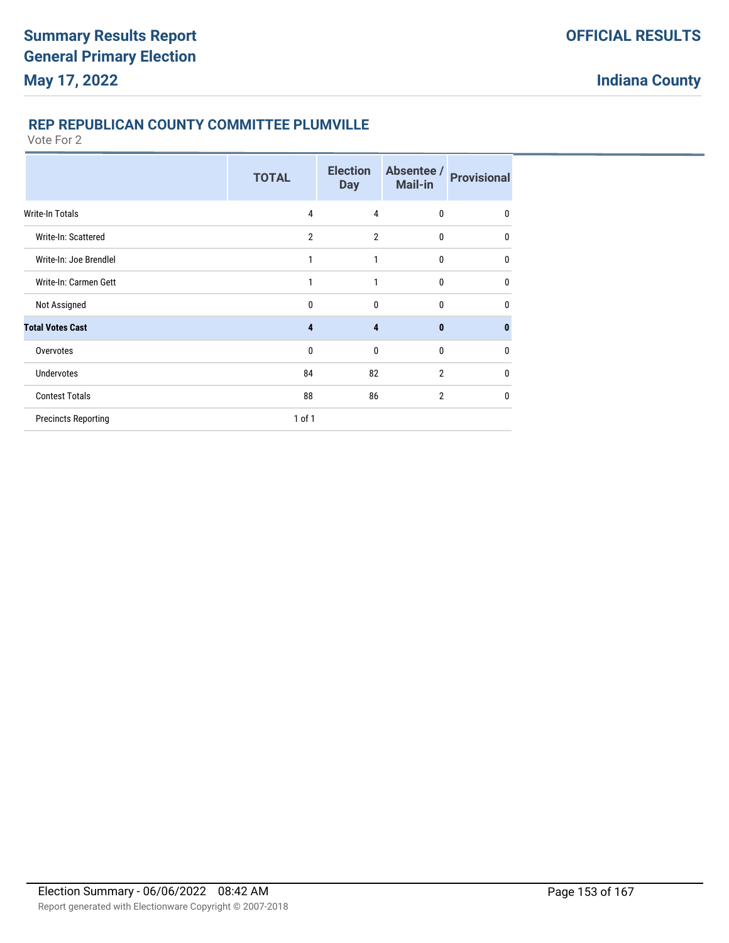## **REP REPUBLICAN COUNTY COMMITTEE PLUMVILLE**

|                            | <b>TOTAL</b>   | <b>Election</b><br><b>Day</b> | Absentee /<br><b>Mail-in</b> | <b>Provisional</b> |
|----------------------------|----------------|-------------------------------|------------------------------|--------------------|
| <b>Write-In Totals</b>     | 4              | 4                             | $\bf{0}$                     | 0                  |
| Write-In: Scattered        | $\overline{2}$ | 2                             | 0                            | $\mathbf{0}$       |
| Write-In: Joe Brendlel     |                | 1                             | $\mathbf{0}$                 | $\mathbf{0}$       |
| Write-In: Carmen Gett      |                | 1                             | $\mathbf{0}$                 | $\mathbf{0}$       |
| Not Assigned               | $\mathbf{0}$   | $\mathbf{0}$                  | $\mathbf{0}$                 | $\mathbf{0}$       |
| <b>Total Votes Cast</b>    | 4              | 4                             | $\mathbf{0}$                 | $\bf{0}$           |
| Overvotes                  | $\mathbf{0}$   | 0                             | $\mathbf{0}$                 | $\mathbf{0}$       |
| <b>Undervotes</b>          | 84             | 82                            | $\overline{2}$               | $\mathbf{0}$       |
| <b>Contest Totals</b>      | 88             | 86                            | $\overline{2}$               | $\mathbf{0}$       |
| <b>Precincts Reporting</b> | $1$ of $1$     |                               |                              |                    |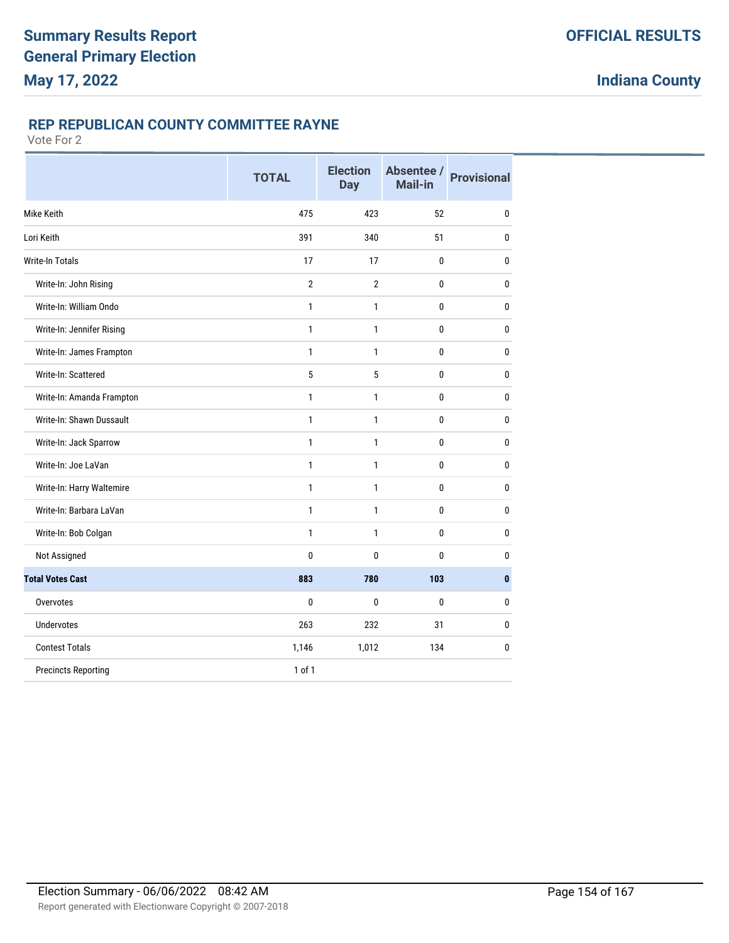# **REP REPUBLICAN COUNTY COMMITTEE RAYNE**

|                            | <b>TOTAL</b>   | <b>Election</b><br><b>Day</b> | Absentee /<br>Mail-in | <b>Provisional</b> |
|----------------------------|----------------|-------------------------------|-----------------------|--------------------|
| Mike Keith                 | 475            | 423                           | 52                    | $\pmb{0}$          |
| Lori Keith                 | 391            | 340                           | 51                    | $\bf{0}$           |
| Write-In Totals            | 17             | 17                            | $\pmb{0}$             | $\bf{0}$           |
| Write-In: John Rising      | $\overline{2}$ | $\overline{2}$                | $\bf{0}$              | 0                  |
| Write-In: William Ondo     | $\mathbf{1}$   | 1                             | $\mathbf 0$           | 0                  |
| Write-In: Jennifer Rising  | 1              | 1                             | $\bf{0}$              | 0                  |
| Write-In: James Frampton   | $\mathbf{1}$   | $\mathbf{1}$                  | $\mathbf 0$           | $\mathbf 0$        |
| Write-In: Scattered        | 5              | 5                             | $\bf{0}$              | 0                  |
| Write-In: Amanda Frampton  | $\mathbf{1}$   | 1                             | $\mathbf 0$           | 0                  |
| Write-In: Shawn Dussault   | 1              | 1                             | 0                     | $\mathbf{0}$       |
| Write-In: Jack Sparrow     | 1              | $\mathbf{1}$                  | $\bf{0}$              | 0                  |
| Write-In: Joe LaVan        | 1              | 1                             | 0                     | 0                  |
| Write-In: Harry Waltemire  | 1              | 1                             | $\bf{0}$              | 0                  |
| Write-In: Barbara LaVan    | $\mathbf{1}$   | $\mathbf{1}$                  | 0                     | $\mathbf{0}$       |
| Write-In: Bob Colgan       | $\mathbf{1}$   | $\mathbf{1}$                  | $\mathbf{0}$          | $\mathbf 0$        |
| Not Assigned               | 0              | $\mathbf{0}$                  | 0                     | $\mathbf{0}$       |
| <b>Total Votes Cast</b>    | 883            | 780                           | 103                   | $\mathbf{0}$       |
| Overvotes                  | 0              | $\mathbf{0}$                  | $\mathbf 0$           | $\bf{0}$           |
| Undervotes                 | 263            | 232                           | 31                    | 0                  |
| <b>Contest Totals</b>      | 1,146          | 1,012                         | 134                   | 0                  |
| <b>Precincts Reporting</b> | 1 of 1         |                               |                       |                    |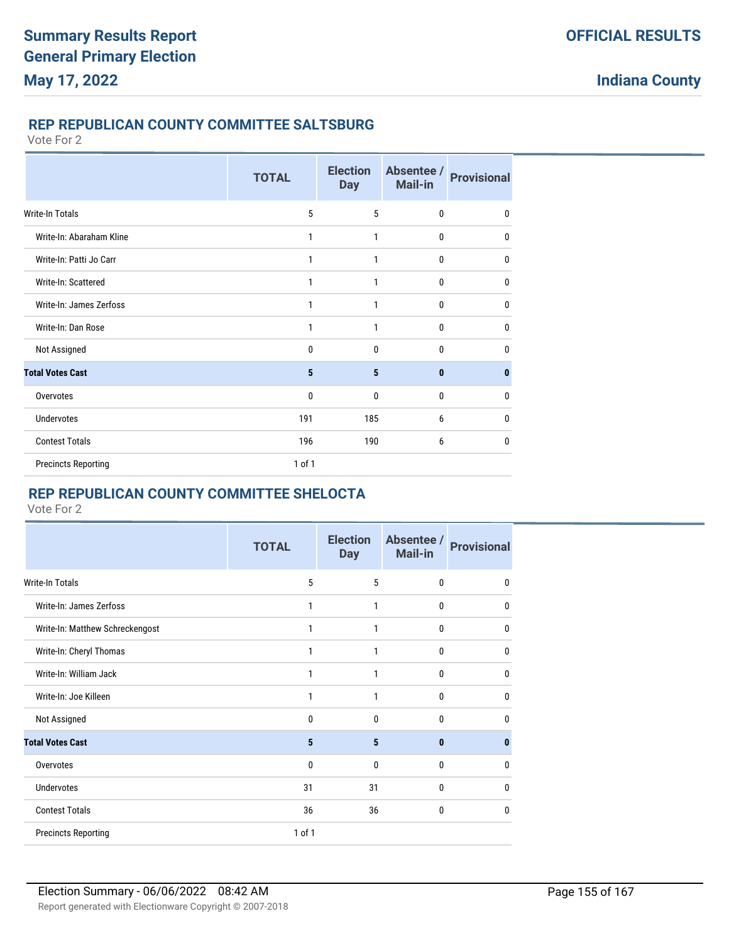## **REP REPUBLICAN COUNTY COMMITTEE SALTSBURG**

Vote For 2

|                            | <b>TOTAL</b> | <b>Election</b><br><b>Day</b> | Absentee /<br><b>Mail-in</b> | <b>Provisional</b> |
|----------------------------|--------------|-------------------------------|------------------------------|--------------------|
| Write-In Totals            | 5            | 5                             | $\mathbf 0$                  | $\mathbf{0}$       |
| Write-In: Abaraham Kline   | 1            | 1                             | $\bf{0}$                     | 0                  |
| Write-In: Patti Jo Carr    | 1            | 1                             | $\mathbf 0$                  | $\mathbf{0}$       |
| Write-In: Scattered        | 1            | 1                             | $\mathbf 0$                  | $\mathbf{0}$       |
| Write-In: James Zerfoss    | 1            | 1                             | $\mathbf 0$                  | $\mathbf 0$        |
| Write-In: Dan Rose         | 1            | 1                             | $\mathbf{0}$                 | $\mathbf{0}$       |
| Not Assigned               | 0            | $\mathbf{0}$                  | $\mathbf 0$                  | $\mathbf{0}$       |
| <b>Total Votes Cast</b>    | 5            | 5                             | $\mathbf{0}$                 | 0                  |
| Overvotes                  | 0            | $\mathbf{0}$                  | $\mathbf{0}$                 | $\mathbf{0}$       |
| <b>Undervotes</b>          | 191          | 185                           | 6                            | $\mathbf{0}$       |
| <b>Contest Totals</b>      | 196          | 190                           | 6                            | $\mathbf{0}$       |
| <b>Precincts Reporting</b> | 1 of 1       |                               |                              |                    |

# **REP REPUBLICAN COUNTY COMMITTEE SHELOCTA**

|                                 | <b>TOTAL</b> | <b>Election</b><br><b>Day</b> | Absentee /<br>Mail-in | <b>Provisional</b> |
|---------------------------------|--------------|-------------------------------|-----------------------|--------------------|
| <b>Write-In Totals</b>          | 5            | 5                             | 0                     | $\mathbf{0}$       |
| Write-In: James Zerfoss         | 1            | 1                             | 0                     | 0                  |
| Write-In: Matthew Schreckengost | 1            | 1                             | 0                     | $\mathbf{0}$       |
| Write-In: Cheryl Thomas         | 1            | 1                             | 0                     | $\mathbf{0}$       |
| Write-In: William Jack          | 1            | 1                             | 0                     | $\mathbf{0}$       |
| Write-In: Joe Killeen           | 1            | 1                             | 0                     | $\mathbf{0}$       |
| Not Assigned                    | 0            | $\Omega$                      | 0                     | $\Omega$           |
| <b>Total Votes Cast</b>         | 5            | 5                             | $\bf{0}$              | 0                  |
| Overvotes                       | 0            | $\mathbf{0}$                  | 0                     | $\mathbf{0}$       |
| <b>Undervotes</b>               | 31           | 31                            | 0                     | $\mathbf{0}$       |
| <b>Contest Totals</b>           | 36           | 36                            | 0                     | $\mathbf{0}$       |
| <b>Precincts Reporting</b>      | 1 of 1       |                               |                       |                    |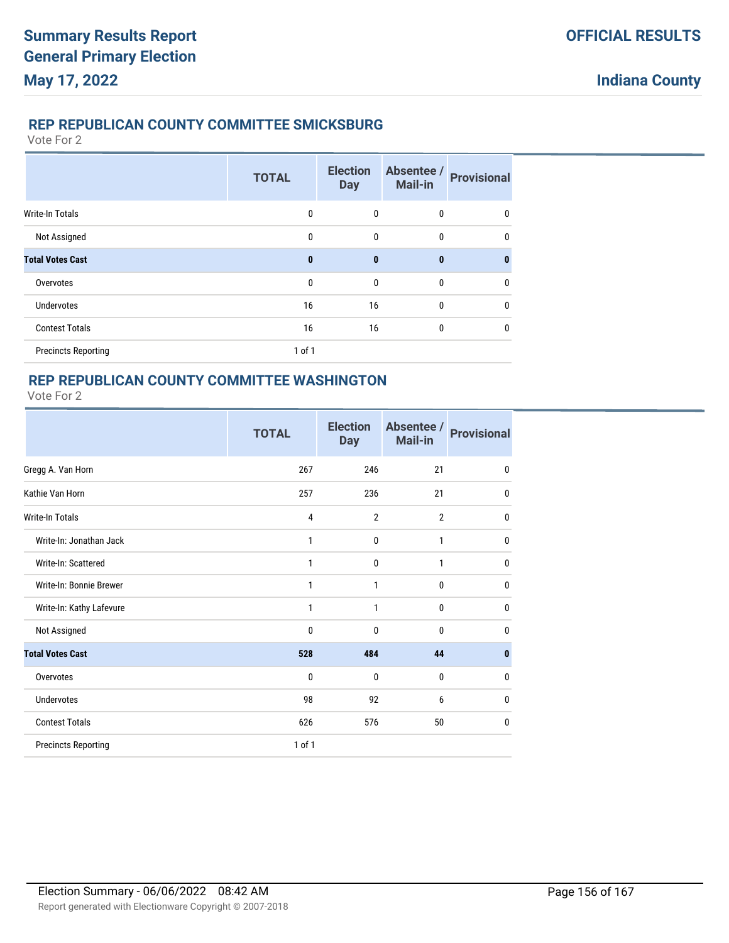## **REP REPUBLICAN COUNTY COMMITTEE SMICKSBURG**

Vote For 2

|                            | <b>TOTAL</b> | <b>Election</b><br><b>Day</b> | Absentee /<br>Mail-in | <b>Provisional</b> |
|----------------------------|--------------|-------------------------------|-----------------------|--------------------|
| Write-In Totals            | $\mathbf{0}$ | $\mathbf{0}$                  | 0                     | $\mathbf{0}$       |
| Not Assigned               | $\mathbf{0}$ | $\mathbf{0}$                  | $\mathbf{0}$          | $\mathbf{0}$       |
| <b>Total Votes Cast</b>    | $\mathbf{0}$ | $\mathbf{0}$                  | $\bf{0}$              | $\bf{0}$           |
| Overvotes                  | $\mathbf{0}$ | $\mathbf{0}$                  | $\mathbf{0}$          | $\mathbf{0}$       |
| <b>Undervotes</b>          | 16           | 16                            | $\mathbf{0}$          | $\mathbf{0}$       |
| <b>Contest Totals</b>      | 16           | 16                            | $\mathbf{0}$          | $\mathbf{0}$       |
| <b>Precincts Reporting</b> | $1$ of $1$   |                               |                       |                    |

## **REP REPUBLICAN COUNTY COMMITTEE WASHINGTON**

|                            | <b>TOTAL</b> | <b>Election</b><br><b>Day</b> | Absentee /<br><b>Mail-in</b> | <b>Provisional</b> |
|----------------------------|--------------|-------------------------------|------------------------------|--------------------|
| Gregg A. Van Horn          | 267          | 246                           | 21                           | 0                  |
| Kathie Van Horn            | 257          | 236                           | 21                           | 0                  |
| <b>Write-In Totals</b>     | 4            | $\overline{2}$                | $\overline{2}$               | 0                  |
| Write-In: Jonathan Jack    | 1            | $\mathbf 0$                   | 1                            | 0                  |
| Write-In: Scattered        | $\mathbf{1}$ | 0                             | 1                            | $\mathbf 0$        |
| Write-In: Bonnie Brewer    | 1            | 1                             | $\mathbf{0}$                 | 0                  |
| Write-In: Kathy Lafevure   | 1            | 1                             | $\mathbf{0}$                 | $\mathbf 0$        |
| Not Assigned               | $\mathbf{0}$ | $\mathbf{0}$                  | $\mathbf{0}$                 | 0                  |
| <b>Total Votes Cast</b>    | 528          | 484                           | 44                           | $\mathbf{0}$       |
| Overvotes                  | $\mathbf{0}$ | $\mathbf{0}$                  | 0                            | 0                  |
| <b>Undervotes</b>          | 98           | 92                            | 6                            | $\mathbf 0$        |
| <b>Contest Totals</b>      | 626          | 576                           | 50                           | 0                  |
| <b>Precincts Reporting</b> | 1 of 1       |                               |                              |                    |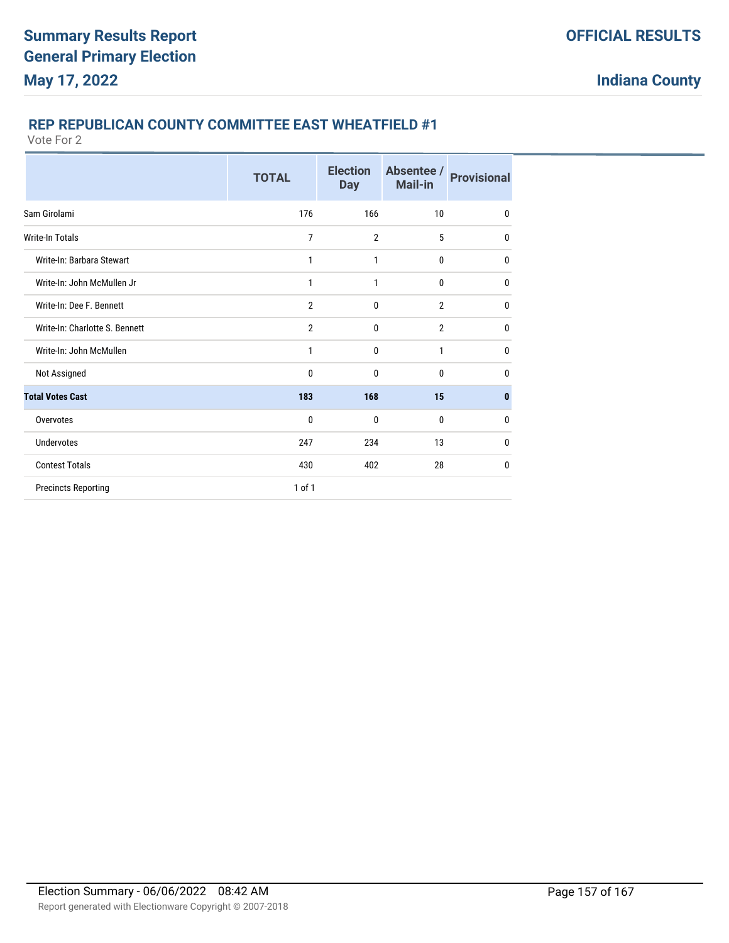# **REP REPUBLICAN COUNTY COMMITTEE EAST WHEATFIELD #1**

|                                | <b>TOTAL</b>   | <b>Election</b><br><b>Day</b> | Absentee /<br>Mail-in | <b>Provisional</b> |
|--------------------------------|----------------|-------------------------------|-----------------------|--------------------|
| Sam Girolami                   | 176            | 166                           | 10                    | $\mathbf{0}$       |
| <b>Write-In Totals</b>         | 7              | $\overline{2}$                | 5                     | $\mathbf{0}$       |
| Write-In: Barbara Stewart      | 1              | 1                             | 0                     | $\mathbf{0}$       |
| Write-In: John McMullen Jr     | 1              | 1                             | $\mathbf{0}$          | $\mathbf{0}$       |
| Write-In: Dee F. Bennett       | $\overline{2}$ | $\mathbf{0}$                  | $\overline{2}$        | 0                  |
| Write-In: Charlotte S. Bennett | $\mathbf{2}$   | $\mathbf{0}$                  | $\overline{2}$        | $\mathbf{0}$       |
| Write-In: John McMullen        | 1              | $\mathbf{0}$                  | 1                     | $\mathbf{0}$       |
| Not Assigned                   | 0              | 0                             | $\mathbf{0}$          | 0                  |
| <b>Total Votes Cast</b>        | 183            | 168                           | 15                    | $\bf{0}$           |
| Overvotes                      | 0              | $\mathbf{0}$                  | $\mathbf{0}$          | $\mathbf{0}$       |
| Undervotes                     | 247            | 234                           | 13                    | $\mathbf{0}$       |
| <b>Contest Totals</b>          | 430            | 402                           | 28                    | 0                  |
| <b>Precincts Reporting</b>     | 1 of 1         |                               |                       |                    |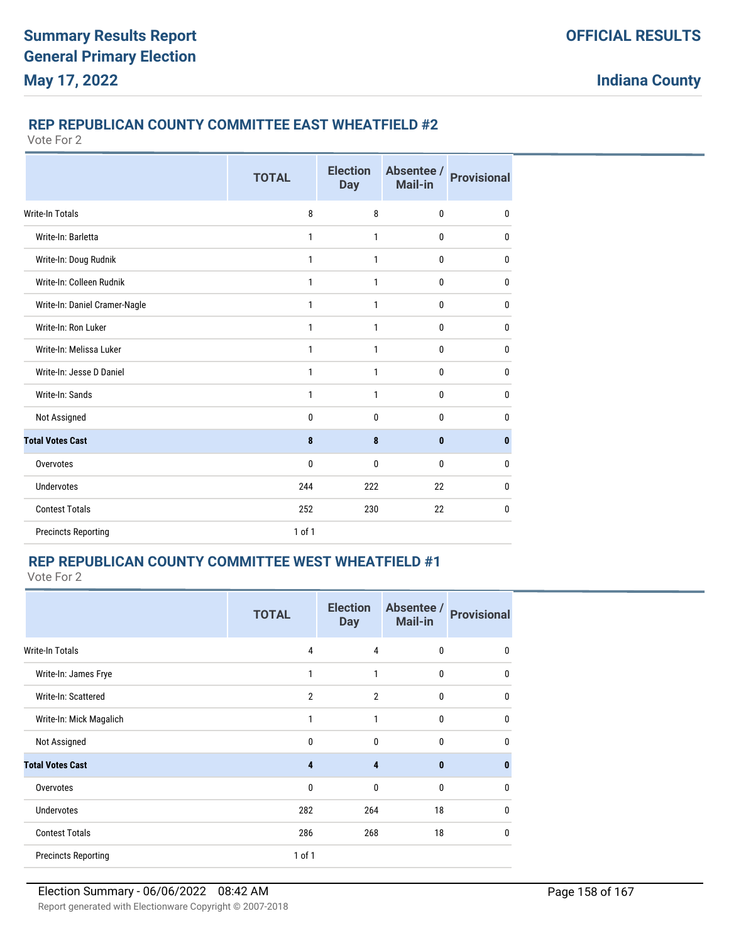# **REP REPUBLICAN COUNTY COMMITTEE EAST WHEATFIELD #2**

Vote For 2

|                               | <b>TOTAL</b> | <b>Election</b><br><b>Day</b> | Absentee /<br>Mail-in | <b>Provisional</b> |
|-------------------------------|--------------|-------------------------------|-----------------------|--------------------|
| <b>Write-In Totals</b>        | 8            | 8                             | $\mathbf{0}$          | 0                  |
| Write-In: Barletta            | 1            | $\mathbf{1}$                  | $\mathbf{0}$          | 0                  |
| Write-In: Doug Rudnik         | 1            | $\mathbf{1}$                  | 0                     | $\mathbf 0$        |
| Write-In: Colleen Rudnik      | 1            | 1                             | 0                     | $\mathbf 0$        |
| Write-In: Daniel Cramer-Nagle | 1            | 1                             | 0                     | 0                  |
| Write-In: Ron Luker           | 1            | 1                             | 0                     | $\mathbf 0$        |
| Write-In: Melissa Luker       | 1            | $\mathbf{1}$                  | 0                     | 0                  |
| Write-In: Jesse D Daniel      | 1            | $\mathbf{1}$                  | $\mathbf{0}$          | $\mathbf{0}$       |
| Write-In: Sands               | 1            | $\mathbf{1}$                  | 0                     | $\mathbf 0$        |
| Not Assigned                  | 0            | $\mathbf{0}$                  | $\mathbf{0}$          | 0                  |
| <b>Total Votes Cast</b>       | 8            | 8                             | $\bf{0}$              | 0                  |
| Overvotes                     | 0            | $\mathbf 0$                   | 0                     | 0                  |
| <b>Undervotes</b>             | 244          | 222                           | 22                    | 0                  |
| <b>Contest Totals</b>         | 252          | 230                           | 22                    | $\mathbf 0$        |
| <b>Precincts Reporting</b>    | 1 of 1       |                               |                       |                    |

## **REP REPUBLICAN COUNTY COMMITTEE WEST WHEATFIELD #1**

|                            | <b>TOTAL</b>   | <b>Election</b><br><b>Day</b> | Absentee /<br><b>Mail-in</b> | <b>Provisional</b> |
|----------------------------|----------------|-------------------------------|------------------------------|--------------------|
| Write-In Totals            | 4              | $\overline{4}$                | 0                            | 0                  |
| Write-In: James Frye       | $\mathbf{1}$   | 1                             | 0                            | 0                  |
| Write-In: Scattered        | $\overline{2}$ | $\overline{2}$                | 0                            | $\mathbf 0$        |
| Write-In: Mick Magalich    | $\mathbf{1}$   | 1                             | 0                            | $\mathbf 0$        |
| Not Assigned               | 0              | $\mathbf{0}$                  | $\mathbf{0}$                 | 0                  |
| <b>Total Votes Cast</b>    | 4              | 4                             | $\bf{0}$                     | $\bf{0}$           |
| Overvotes                  | 0              | $\mathbf{0}$                  | $\mathbf{0}$                 | $\mathbf{0}$       |
| <b>Undervotes</b>          | 282            | 264                           | 18                           | $\mathbf{0}$       |
| <b>Contest Totals</b>      | 286            | 268                           | 18                           | 0                  |
| <b>Precincts Reporting</b> | $1$ of $1$     |                               |                              |                    |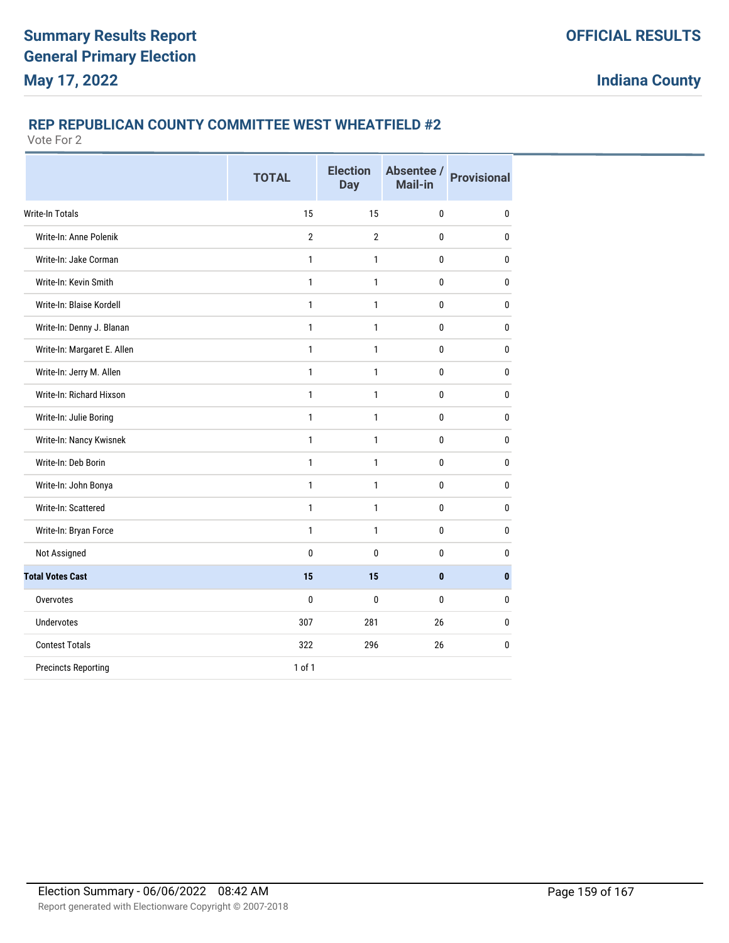## **REP REPUBLICAN COUNTY COMMITTEE WEST WHEATFIELD #2**

|                             | <b>TOTAL</b>   | <b>Election</b><br><b>Day</b> | Absentee /<br>Mail-in | <b>Provisional</b> |
|-----------------------------|----------------|-------------------------------|-----------------------|--------------------|
| <b>Write-In Totals</b>      | 15             | 15                            | $\bf{0}$              | $\bf{0}$           |
| Write-In: Anne Polenik      | $\overline{2}$ | $\overline{2}$                | 0                     | 0                  |
| Write-In: Jake Corman       | 1              | 1                             | 0                     | 0                  |
| Write-In: Kevin Smith       | 1              | 1                             | 0                     | $\bf{0}$           |
| Write-In: Blaise Kordell    | 1              | 1                             | $\mathbf{0}$          | $\mathbf{0}$       |
| Write-In: Denny J. Blanan   | 1              | 1                             | 0                     | $\bf{0}$           |
| Write-In: Margaret E. Allen | $\mathbf{1}$   | 1                             | 0                     | $\mathbf 0$        |
| Write-In: Jerry M. Allen    | 1              | 1                             | 0                     | 0                  |
| Write-In: Richard Hixson    | $\mathbf{1}$   | 1                             | 0                     | $\mathbf{0}$       |
| Write-In: Julie Boring      | 1              | 1                             | 0                     | $\mathbf{0}$       |
| Write-In: Nancy Kwisnek     | 1              | 1                             | 0                     | 0                  |
| Write-In: Deb Borin         | 1              | 1                             | 0                     | $\mathbf 0$        |
| Write-In: John Bonya        | 1              | 1                             | 0                     | 0                  |
| Write-In: Scattered         | $\mathbf{1}$   | 1                             | $\mathbf{0}$          | $\mathbf{0}$       |
| Write-In: Bryan Force       | $\mathbf{1}$   | 1                             | 0                     | $\bf{0}$           |
| Not Assigned                | 0              | 0                             | 0                     | 0                  |
| <b>Total Votes Cast</b>     | 15             | 15                            | $\bf{0}$              | $\mathbf{0}$       |
| Overvotes                   | 0              | 0                             | $\mathbf{0}$          | $\mathbf{0}$       |
| <b>Undervotes</b>           | 307            | 281                           | 26                    | 0                  |
| <b>Contest Totals</b>       | 322            | 296                           | 26                    | $\mathbf{0}$       |
| <b>Precincts Reporting</b>  | 1 of 1         |                               |                       |                    |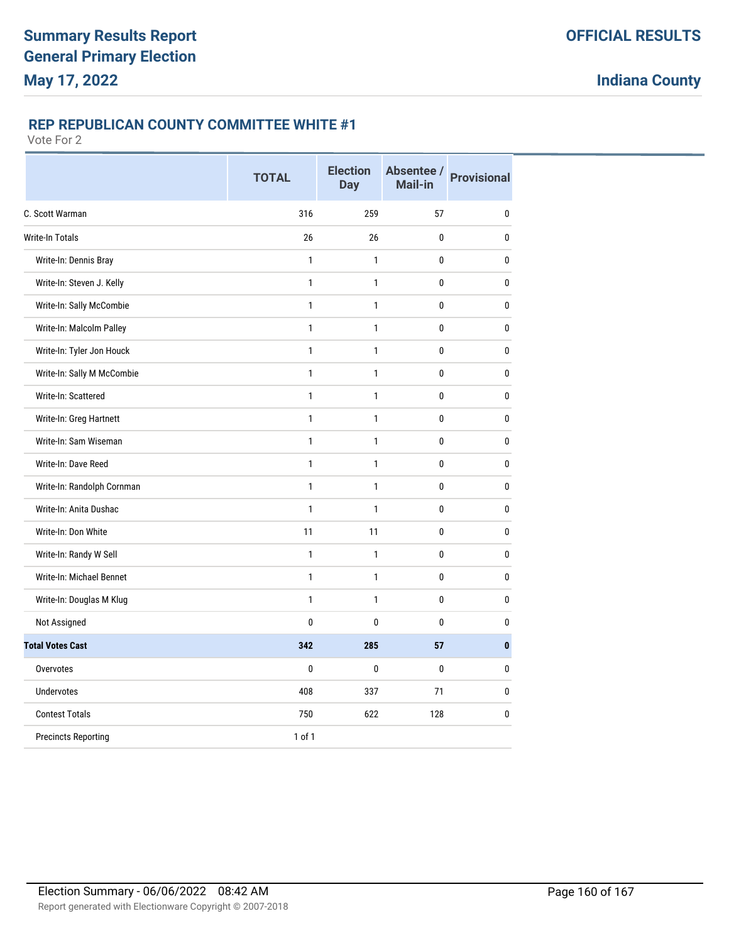## **REP REPUBLICAN COUNTY COMMITTEE WHITE #1**

|                            | <b>TOTAL</b> | <b>Election</b><br><b>Day</b> | Mail-in | Absentee / Provisional |
|----------------------------|--------------|-------------------------------|---------|------------------------|
| C. Scott Warman            | 316          | 259                           | 57      | $\mathbf{0}$           |
| <b>Write-In Totals</b>     | 26           | 26                            | 0       | $\mathbf{0}$           |
| Write-In: Dennis Bray      | $\mathbf{1}$ | 1                             | 0       | 0                      |
| Write-In: Steven J. Kelly  | $\mathbf{1}$ | $\mathbf{1}$                  | 0       | $\pmb{0}$              |
| Write-In: Sally McCombie   | $\mathbf{1}$ | 1                             | 0       | $\mathbf{0}$           |
| Write-In: Malcolm Palley   | $\mathbf{1}$ | 1                             | 0       | $\mathbf{0}$           |
| Write-In: Tyler Jon Houck  | $\mathbf{1}$ | $\mathbf{1}$                  | 0       | $\mathbf{0}$           |
| Write-In: Sally M McCombie | $\mathbf{1}$ | $\mathbf{1}$                  | 0       | 0                      |
| Write-In: Scattered        | $\mathbf{1}$ | $\mathbf{1}$                  | 0       | $\bf{0}$               |
| Write-In: Greg Hartnett    | $\mathbf{1}$ | 1                             | 0       | 0                      |
| Write-In: Sam Wiseman      | $\mathbf{1}$ | $\mathbf{1}$                  | 0       | 0                      |
| Write-In: Dave Reed        | $\mathbf{1}$ | 1                             | 0       | $\mathbf{0}$           |
| Write-In: Randolph Cornman | $\mathbf{1}$ | $\mathbf{1}$                  | 0       | $\mathbf{0}$           |
| Write-In: Anita Dushac     | $\mathbf{1}$ | 1                             | 0       | $\mathbf{0}$           |
| Write-In: Don White        | 11           | 11                            | 0       | 0                      |
| Write-In: Randy W Sell     | $\mathbf{1}$ | $\mathbf{1}$                  | 0       | 0                      |
| Write-In: Michael Bennet   | $\mathbf{1}$ | $\mathbf{1}$                  | 0       | 0                      |
| Write-In: Douglas M Klug   | $\mathbf{1}$ | $\mathbf{1}$                  | 0       | 0                      |
| Not Assigned               | 0            | 0                             | 0       | 0                      |
| <b>Total Votes Cast</b>    | 342          | 285                           | 57      | $\mathbf{0}$           |
| Overvotes                  | 0            | $\mathbf{0}$                  | 0       | $\mathbf{0}$           |
| <b>Undervotes</b>          | 408          | 337                           | 71      | $\bf{0}$               |
| <b>Contest Totals</b>      | 750          | 622                           | 128     | $\bf{0}$               |
| <b>Precincts Reporting</b> | 1 of 1       |                               |         |                        |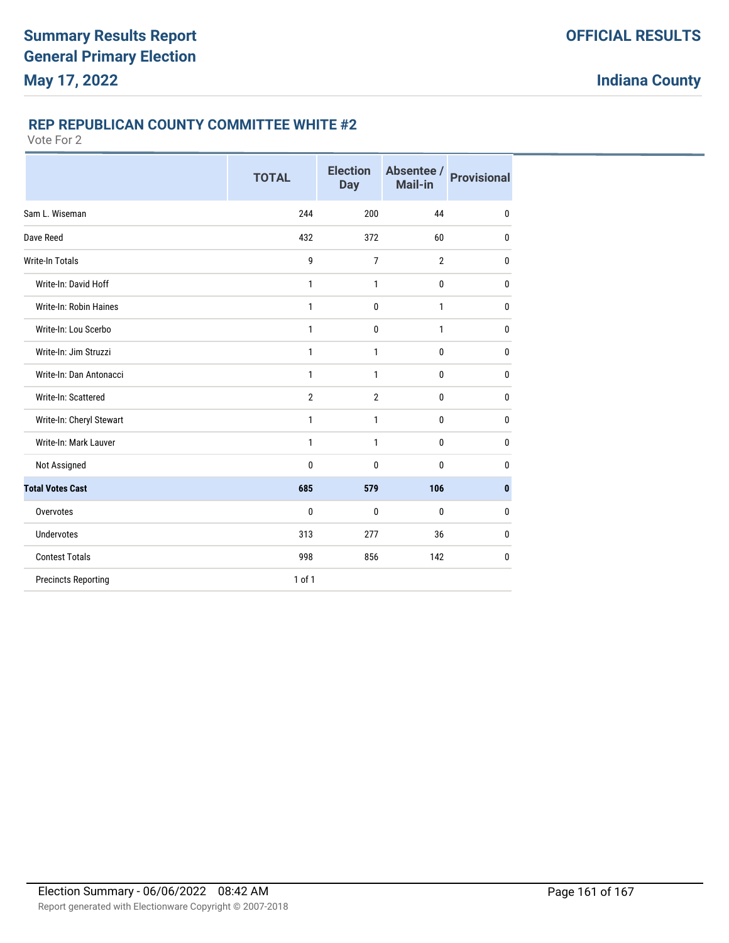# **REP REPUBLICAN COUNTY COMMITTEE WHITE #2**

|                            | <b>TOTAL</b> | <b>Election</b><br><b>Day</b> | Absentee /<br><b>Mail-in</b> | <b>Provisional</b> |
|----------------------------|--------------|-------------------------------|------------------------------|--------------------|
| Sam L. Wiseman             | 244          | 200                           | 44                           | $\mathbf{0}$       |
| Dave Reed                  | 432          | 372                           | 60                           | $\mathbf{0}$       |
| <b>Write-In Totals</b>     | 9            | $\overline{7}$                | $\overline{2}$               | $\mathbf{0}$       |
| Write-In: David Hoff       | 1            | 1                             | $\mathbf 0$                  | $\mathbf 0$        |
| Write-In: Robin Haines     | $\mathbf{1}$ | 0                             | 1                            | $\mathbf{0}$       |
| Write-In: Lou Scerbo       | $\mathbf{1}$ | 0                             | $\mathbf{1}$                 | $\mathbf{0}$       |
| Write-In: Jim Struzzi      | 1            | 1                             | $\mathbf 0$                  | $\mathbf{0}$       |
| Write-In: Dan Antonacci    | $\mathbf{1}$ | $\mathbf{1}$                  | $\mathbf 0$                  | $\bf{0}$           |
| Write-In: Scattered        | $\mathbf{2}$ | $\overline{2}$                | 0                            | $\mathbf 0$        |
| Write-In: Cheryl Stewart   | 1            | 1                             | 0                            | 0                  |
| Write-In: Mark Lauver      | 1            | 1                             | 0                            | $\mathbf{0}$       |
| Not Assigned               | 0            | 0                             | 0                            | 0                  |
| <b>Total Votes Cast</b>    | 685          | 579                           | 106                          | $\bf{0}$           |
| Overvotes                  | 0            | 0                             | $\mathbf{0}$                 | 0                  |
| <b>Undervotes</b>          | 313          | 277                           | 36                           | 0                  |
| <b>Contest Totals</b>      | 998          | 856                           | 142                          | 0                  |
| <b>Precincts Reporting</b> | 1 of 1       |                               |                              |                    |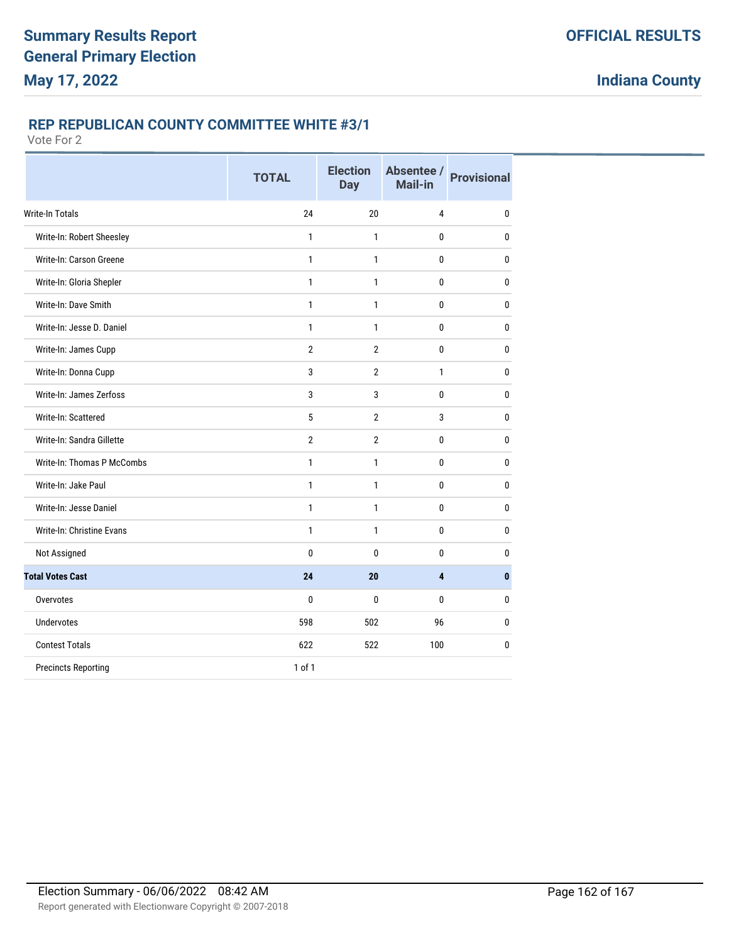## **REP REPUBLICAN COUNTY COMMITTEE WHITE #3/1**

|                            | <b>TOTAL</b>   | <b>Election</b><br><b>Day</b> | Absentee /<br>Mail-in | <b>Provisional</b> |
|----------------------------|----------------|-------------------------------|-----------------------|--------------------|
| Write-In Totals            | 24             | 20                            | 4                     | $\mathbf{0}$       |
| Write-In: Robert Sheesley  | $\mathbf{1}$   | 1                             | 0                     | $\bf{0}$           |
| Write-In: Carson Greene    | $\mathbf{1}$   | 1                             | 0                     | $\bf{0}$           |
| Write-In: Gloria Shepler   | $\mathbf{1}$   | 1                             | 0                     | $\mathbf{0}$       |
| Write-In: Dave Smith       | 1              | 1                             | 0                     | $\mathbf{0}$       |
| Write-In: Jesse D. Daniel  | $\mathbf{1}$   | 1                             | 0                     | $\bf{0}$           |
| Write-In: James Cupp       | $\overline{2}$ | $\overline{2}$                | 0                     | $\bf{0}$           |
| Write-In: Donna Cupp       | 3              | $\overline{2}$                | 1                     | $\mathbf{0}$       |
| Write-In: James Zerfoss    | 3              | 3                             | 0                     | $\mathbf{0}$       |
| Write-In: Scattered        | 5              | $\overline{2}$                | 3                     | $\mathbf{0}$       |
| Write-In: Sandra Gillette  | $\overline{2}$ | $\overline{2}$                | 0                     | $\bf{0}$           |
| Write-In: Thomas P McCombs | $\mathbf{1}$   | 1                             | 0                     | $\mathbf{0}$       |
| Write-In: Jake Paul        | 1              | 1                             | 0                     | 0                  |
| Write-In: Jesse Daniel     | 1              | 1                             | 0                     | $\mathbf{0}$       |
| Write-In: Christine Evans  | 1              | 1                             | 0                     | $\mathbf{0}$       |
| Not Assigned               | 0              | $\mathbf{0}$                  | 0                     | $\mathbf{0}$       |
| <b>Total Votes Cast</b>    | 24             | 20                            | 4                     | $\mathbf{0}$       |
| Overvotes                  | 0              | $\mathbf{0}$                  | 0                     | $\mathbf{0}$       |
| <b>Undervotes</b>          | 598            | 502                           | 96                    | $\mathbf{0}$       |
| <b>Contest Totals</b>      | 622            | 522                           | 100                   | 0                  |
| <b>Precincts Reporting</b> | 1 of 1         |                               |                       |                    |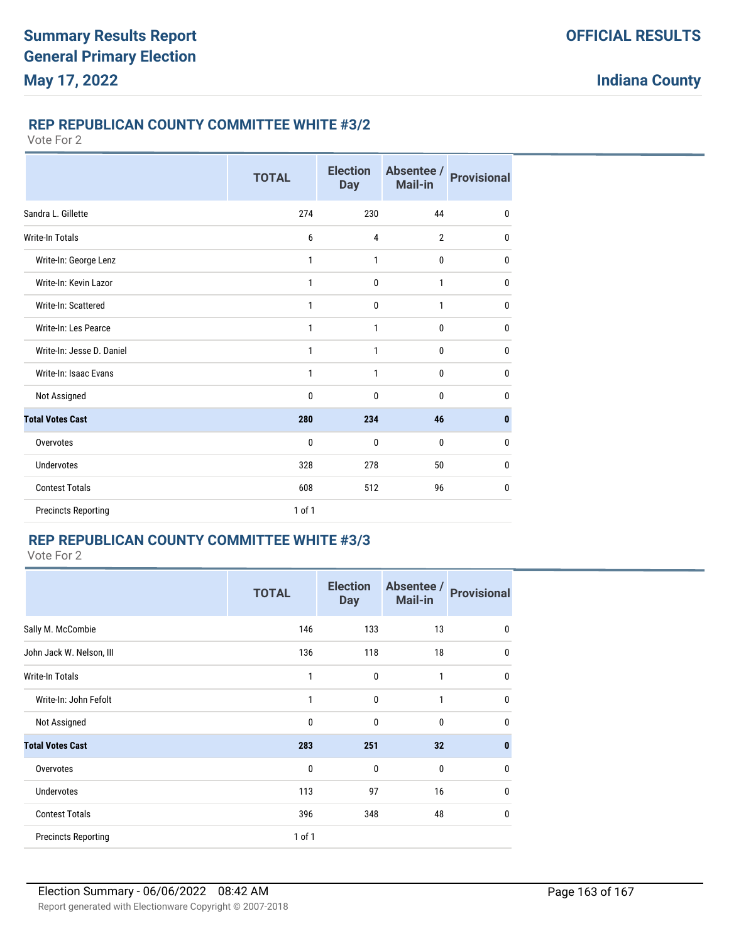# **REP REPUBLICAN COUNTY COMMITTEE WHITE #3/2**

#### Vote For 2

|                            | <b>TOTAL</b> | <b>Election</b><br><b>Day</b> | Absentee /<br>Mail-in | <b>Provisional</b> |
|----------------------------|--------------|-------------------------------|-----------------------|--------------------|
| Sandra L. Gillette         | 274          | 230                           | 44                    | 0                  |
| <b>Write-In Totals</b>     | 6            | 4                             | $\overline{2}$        | $\mathbf{0}$       |
| Write-In: George Lenz      | 1            | 1                             | 0                     | 0                  |
| Write-In: Kevin Lazor      | $\mathbf{1}$ | $\mathbf{0}$                  | 1                     | $\mathbf{0}$       |
| Write-In: Scattered        | $\mathbf{1}$ | $\mathbf{0}$                  | 1                     | 0                  |
| Write-In: Les Pearce       | 1            | 1                             | 0                     | 0                  |
| Write-In: Jesse D. Daniel  | $\mathbf{1}$ | $\mathbf{1}$                  | 0                     | $\mathbf{0}$       |
| Write-In: Isaac Evans      | $\mathbf{1}$ | $\mathbf{1}$                  | 0                     | $\mathbf{0}$       |
| Not Assigned               | $\mathbf{0}$ | $\mathbf{0}$                  | 0                     | 0                  |
| <b>Total Votes Cast</b>    | 280          | 234                           | 46                    | $\mathbf{0}$       |
| Overvotes                  | $\mathbf{0}$ | $\mathbf{0}$                  | 0                     | $\mathbf{0}$       |
| <b>Undervotes</b>          | 328          | 278                           | 50                    | 0                  |
| <b>Contest Totals</b>      | 608          | 512                           | 96                    | $\mathbf{0}$       |
| <b>Precincts Reporting</b> | 1 of 1       |                               |                       |                    |

# **REP REPUBLICAN COUNTY COMMITTEE WHITE #3/3**

Vote For 2

|                            | <b>TOTAL</b> | <b>Election</b><br><b>Day</b> | Absentee /<br><b>Mail-in</b> | <b>Provisional</b> |
|----------------------------|--------------|-------------------------------|------------------------------|--------------------|
| Sally M. McCombie          | 146          | 133                           | 13                           | 0                  |
| John Jack W. Nelson, III   | 136          | 118                           | 18                           | $\mathbf{0}$       |
| <b>Write-In Totals</b>     | 1            | $\mathbf{0}$                  | 1                            | $\mathbf 0$        |
| Write-In: John Fefolt      | 1            | $\mathbf{0}$                  | 1                            | $\mathbf 0$        |
| Not Assigned               | 0            | 0                             | 0                            | $\mathbf{0}$       |
| <b>Total Votes Cast</b>    | 283          | 251                           | 32                           | $\mathbf{0}$       |
| Overvotes                  | 0            | $\mathbf{0}$                  | 0                            | $\mathbf{0}$       |
| <b>Undervotes</b>          | 113          | 97                            | 16                           | $\mathbf{0}$       |
| <b>Contest Totals</b>      | 396          | 348                           | 48                           | $\mathbf{0}$       |
| <b>Precincts Reporting</b> | 1 of 1       |                               |                              |                    |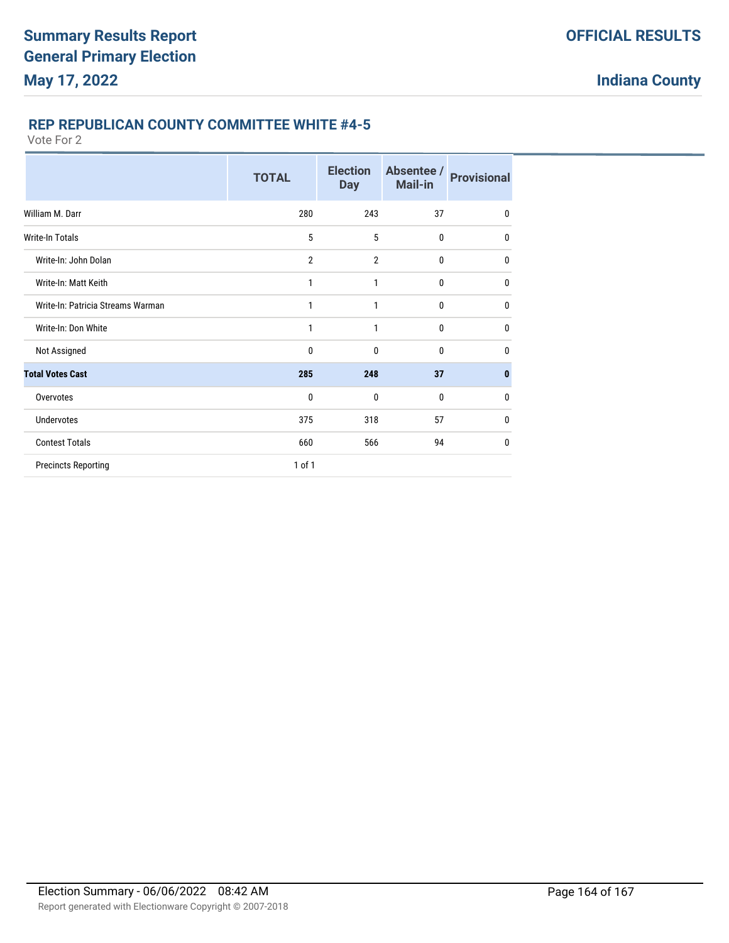## **REP REPUBLICAN COUNTY COMMITTEE WHITE #4-5**

|                                   | <b>TOTAL</b>   | <b>Election</b><br><b>Day</b> | Absentee /<br><b>Mail-in</b> | <b>Provisional</b> |
|-----------------------------------|----------------|-------------------------------|------------------------------|--------------------|
| William M. Darr                   | 280            | 243                           | 37                           | $\mathbf 0$        |
| Write-In Totals                   | 5              | 5                             | $\mathbf{0}$                 | $\mathbf{0}$       |
| Write-In: John Dolan              | $\overline{2}$ | $\overline{2}$                | $\bf{0}$                     | $\mathbf{0}$       |
| Write-In: Matt Keith              | 1              | 1                             | $\bf{0}$                     | $\mathbf{0}$       |
| Write-In: Patricia Streams Warman | 1              | 1                             | $\mathbf 0$                  | $\mathbf{0}$       |
| Write-In: Don White               | 1              | 1                             | $\mathbf{0}$                 | $\mathbf{0}$       |
| Not Assigned                      | 0              | $\mathbf{0}$                  | $\mathbf{0}$                 | $\mathbf{0}$       |
| <b>Total Votes Cast</b>           | 285            | 248                           | 37                           | $\bf{0}$           |
| Overvotes                         | 0              | 0                             | $\mathbf{0}$                 | $\mathbf{0}$       |
| <b>Undervotes</b>                 | 375            | 318                           | 57                           | $\mathbf{0}$       |
| <b>Contest Totals</b>             | 660            | 566                           | 94                           | $\mathbf{0}$       |
| <b>Precincts Reporting</b>        | 1 of 1         |                               |                              |                    |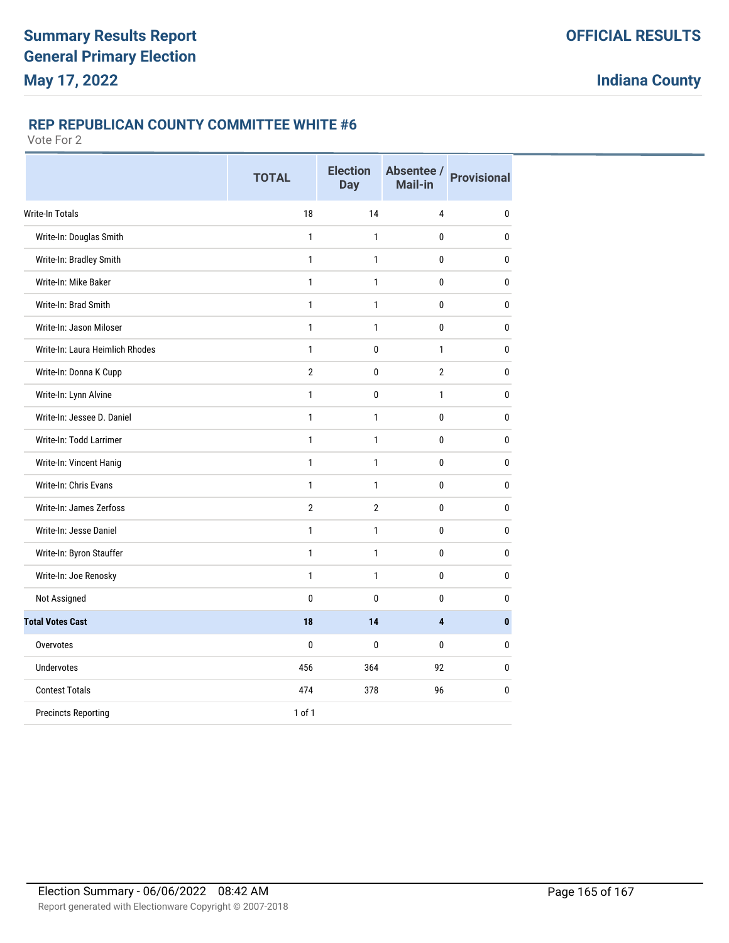# **REP REPUBLICAN COUNTY COMMITTEE WHITE #6**

|                                 | <b>TOTAL</b>   | <b>Election</b><br><b>Day</b> | Absentee / Provisional<br>Mail-in |              |
|---------------------------------|----------------|-------------------------------|-----------------------------------|--------------|
| <b>Write-In Totals</b>          | 18             | 14                            | 4                                 | 0            |
| Write-In: Douglas Smith         | 1              | 1                             | 0                                 | 0            |
| Write-In: Bradley Smith         | $\mathbf{1}$   | 1                             | 0                                 | 0            |
| Write-In: Mike Baker            | $\mathbf{1}$   | 1                             | 0                                 | 0            |
| Write-In: Brad Smith            | $\mathbf{1}$   | 1                             | 0                                 | 0            |
| Write-In: Jason Miloser         | $\mathbf{1}$   | $\mathbf{1}$                  | 0                                 | 0            |
| Write-In: Laura Heimlich Rhodes | $\mathbf{1}$   | 0                             | $\mathbf{1}$                      | 0            |
| Write-In: Donna K Cupp          | $\overline{2}$ | 0                             | $\overline{2}$                    | 0            |
| Write-In: Lynn Alvine           | $\mathbf{1}$   | 0                             | $\mathbf{1}$                      | 0            |
| Write-In: Jessee D. Daniel      | $\mathbf{1}$   | $\mathbf{1}$                  | 0                                 | 0            |
| Write-In: Todd Larrimer         | $\mathbf{1}$   | $\mathbf{1}$                  | 0                                 | 0            |
| Write-In: Vincent Hanig         | $\mathbf{1}$   | $\mathbf{1}$                  | 0                                 | 0            |
| Write-In: Chris Evans           | $\mathbf{1}$   | 1                             | 0                                 | $\mathbf{0}$ |
| Write-In: James Zerfoss         | $\overline{2}$ | $\overline{2}$                | 0                                 | 0            |
| Write-In: Jesse Daniel          | $\mathbf{1}$   | $\mathbf{1}$                  | 0                                 | 0            |
| Write-In: Byron Stauffer        | $\mathbf{1}$   | $\mathbf{1}$                  | 0                                 | 0            |
| Write-In: Joe Renosky           | $\mathbf{1}$   | 1                             | 0                                 | 0            |
| Not Assigned                    | 0              | $\mathbf{0}$                  | 0                                 | 0            |
| <b>Total Votes Cast</b>         | 18             | 14                            | 4                                 | $\mathbf{0}$ |
| Overvotes                       | 0              | $\mathbf{0}$                  | 0                                 | $\mathbf{0}$ |
| <b>Undervotes</b>               | 456            | 364                           | 92                                | $\mathbf{0}$ |
| <b>Contest Totals</b>           | 474            | 378                           | 96                                | 0            |
| <b>Precincts Reporting</b>      | 1 of 1         |                               |                                   |              |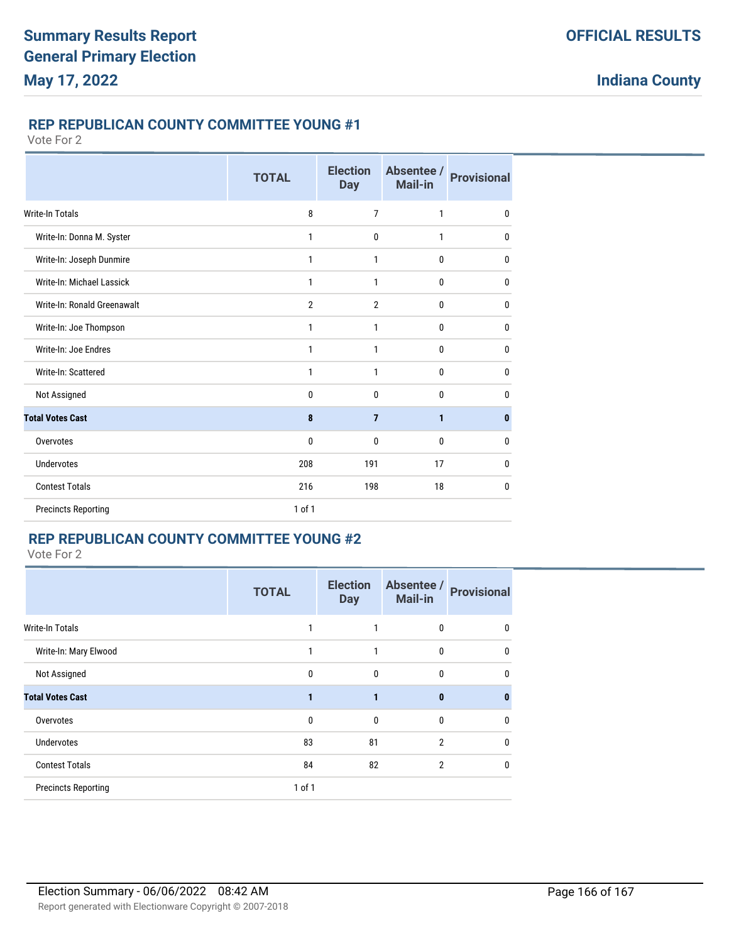## **REP REPUBLICAN COUNTY COMMITTEE YOUNG #1**

Vote For 2

|                             | <b>TOTAL</b>   | <b>Election</b><br><b>Day</b> | Absentee /<br>Mail-in | <b>Provisional</b> |
|-----------------------------|----------------|-------------------------------|-----------------------|--------------------|
| <b>Write-In Totals</b>      | 8              | $\overline{7}$                | $\mathbf{1}$          | $\mathbf{0}$       |
| Write-In: Donna M. Syster   | 1              | $\mathbf{0}$                  | $\mathbf{1}$          | 0                  |
| Write-In: Joseph Dunmire    | 1              | 1                             | 0                     | $\mathbf{0}$       |
| Write-In: Michael Lassick   | 1              | $\mathbf{1}$                  | 0                     | $\mathbf{0}$       |
| Write-In: Ronald Greenawalt | $\overline{2}$ | $\overline{2}$                | $\mathbf{0}$          | 0                  |
| Write-In: Joe Thompson      | 1              | 1                             | 0                     | $\mathbf{0}$       |
| Write-In: Joe Endres        | 1              | $\mathbf{1}$                  | 0                     | $\mathbf{0}$       |
| Write-In: Scattered         | 1              | 1                             | $\mathbf{0}$          | 0                  |
| Not Assigned                | 0              | $\mathbf{0}$                  | 0                     | $\mathbf{0}$       |
| <b>Total Votes Cast</b>     | 8              | $\overline{7}$                | 1                     | $\mathbf{0}$       |
| Overvotes                   | 0              | 0                             | 0                     | $\mathbf{0}$       |
| <b>Undervotes</b>           | 208            | 191                           | 17                    | $\mathbf{0}$       |
| <b>Contest Totals</b>       | 216            | 198                           | 18                    | $\mathbf{0}$       |
| <b>Precincts Reporting</b>  | 1 of 1         |                               |                       |                    |

# **REP REPUBLICAN COUNTY COMMITTEE YOUNG #2**

Vote For 2

|                            | <b>TOTAL</b> | <b>Election</b><br><b>Day</b> | Absentee /<br><b>Mail-in</b> | <b>Provisional</b> |
|----------------------------|--------------|-------------------------------|------------------------------|--------------------|
| <b>Write-In Totals</b>     |              |                               | 0                            | 0                  |
| Write-In: Mary Elwood      | $\mathbf{1}$ | 1                             | 0                            | 0                  |
| Not Assigned               | $\mathbf{0}$ | $\mathbf 0$                   | 0                            | $\mathbf{0}$       |
| <b>Total Votes Cast</b>    |              | 1                             | $\bf{0}$                     | 0                  |
| Overvotes                  | $\Omega$     | $\mathbf{0}$                  | 0                            | $\mathbf{0}$       |
| <b>Undervotes</b>          | 83           | 81                            | $\overline{2}$               | $\mathbf{0}$       |
| <b>Contest Totals</b>      | 84           | 82                            | $\overline{2}$               | 0                  |
| <b>Precincts Reporting</b> | $1$ of $1$   |                               |                              |                    |